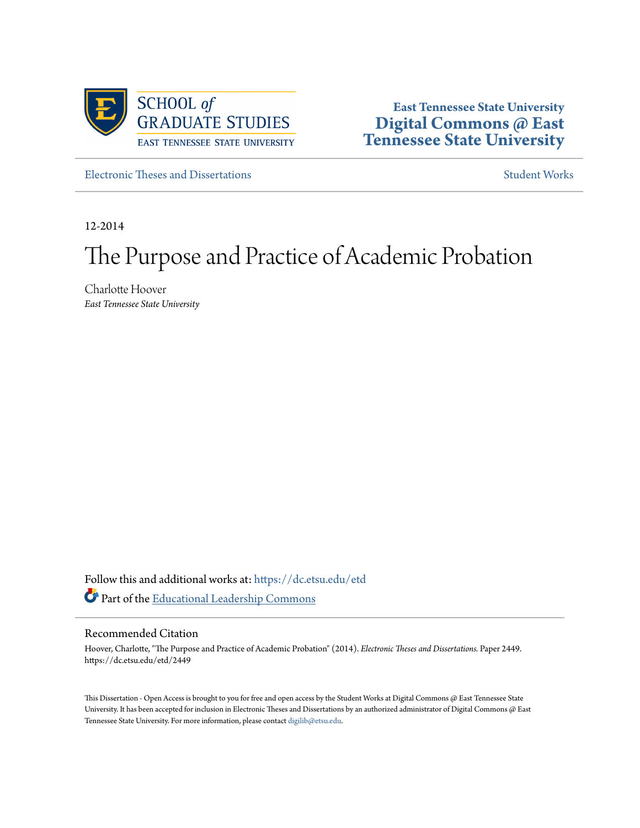

**East Tennessee State University [Digital Commons @ East](https://dc.etsu.edu?utm_source=dc.etsu.edu%2Fetd%2F2449&utm_medium=PDF&utm_campaign=PDFCoverPages) [Tennessee State University](https://dc.etsu.edu?utm_source=dc.etsu.edu%2Fetd%2F2449&utm_medium=PDF&utm_campaign=PDFCoverPages)**

[Electronic Theses and Dissertations](https://dc.etsu.edu/etd?utm_source=dc.etsu.edu%2Fetd%2F2449&utm_medium=PDF&utm_campaign=PDFCoverPages) [Student Works](https://dc.etsu.edu/student-works?utm_source=dc.etsu.edu%2Fetd%2F2449&utm_medium=PDF&utm_campaign=PDFCoverPages) Student Works Student Works

12-2014

# The Purpose and Practice of Academic Probation

Charlotte Hoover *East Tennessee State University*

Follow this and additional works at: [https://dc.etsu.edu/etd](https://dc.etsu.edu/etd?utm_source=dc.etsu.edu%2Fetd%2F2449&utm_medium=PDF&utm_campaign=PDFCoverPages) Part of the [Educational Leadership Commons](http://network.bepress.com/hgg/discipline/1230?utm_source=dc.etsu.edu%2Fetd%2F2449&utm_medium=PDF&utm_campaign=PDFCoverPages)

#### Recommended Citation

Hoover, Charlotte, "The Purpose and Practice of Academic Probation" (2014). *Electronic Theses and Dissertations.* Paper 2449. https://dc.etsu.edu/etd/2449

This Dissertation - Open Access is brought to you for free and open access by the Student Works at Digital Commons @ East Tennessee State University. It has been accepted for inclusion in Electronic Theses and Dissertations by an authorized administrator of Digital Commons @ East Tennessee State University. For more information, please contact [digilib@etsu.edu.](mailto:digilib@etsu.edu)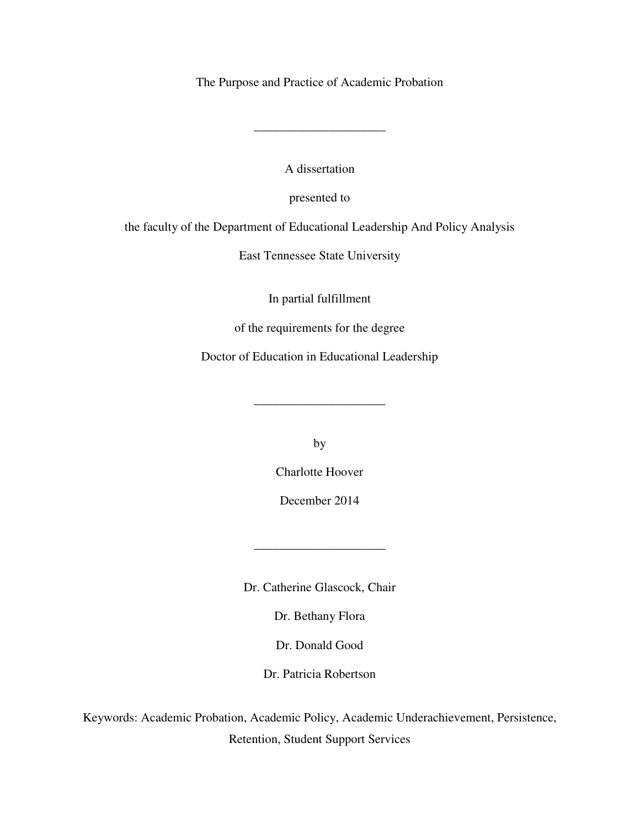The Purpose and Practice of Academic Probation

A dissertation

\_\_\_\_\_\_\_\_\_\_\_\_\_\_\_\_\_\_\_\_\_

presented to

the faculty of the Department of Educational Leadership And Policy Analysis

East Tennessee State University

In partial fulfillment

of the requirements for the degree

Doctor of Education in Educational Leadership

by

\_\_\_\_\_\_\_\_\_\_\_\_\_\_\_\_\_\_\_\_\_

Charlotte Hoover

December 2014

\_\_\_\_\_\_\_\_\_\_\_\_\_\_\_\_\_\_\_\_\_

Dr. Catherine Glascock, Chair

Dr. Bethany Flora

Dr. Donald Good

Dr. Patricia Robertson

Keywords: Academic Probation, Academic Policy, Academic Underachievement, Persistence, Retention, Student Support Services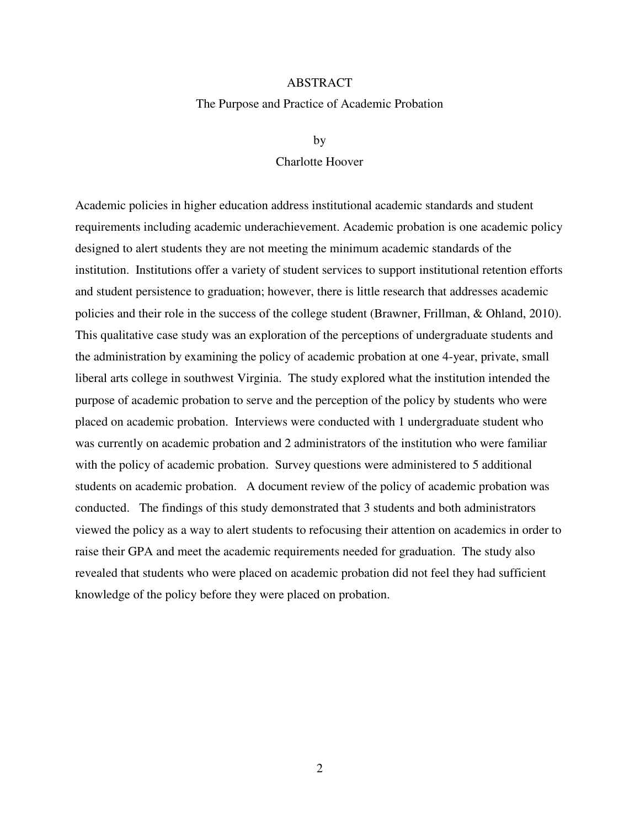#### ABSTRACT

#### The Purpose and Practice of Academic Probation

#### by

#### Charlotte Hoover

Academic policies in higher education address institutional academic standards and student requirements including academic underachievement. Academic probation is one academic policy designed to alert students they are not meeting the minimum academic standards of the institution. Institutions offer a variety of student services to support institutional retention efforts and student persistence to graduation; however, there is little research that addresses academic policies and their role in the success of the college student (Brawner, Frillman, & Ohland, 2010). This qualitative case study was an exploration of the perceptions of undergraduate students and the administration by examining the policy of academic probation at one 4-year, private, small liberal arts college in southwest Virginia. The study explored what the institution intended the purpose of academic probation to serve and the perception of the policy by students who were placed on academic probation. Interviews were conducted with 1 undergraduate student who was currently on academic probation and 2 administrators of the institution who were familiar with the policy of academic probation. Survey questions were administered to 5 additional students on academic probation. A document review of the policy of academic probation was conducted. The findings of this study demonstrated that 3 students and both administrators viewed the policy as a way to alert students to refocusing their attention on academics in order to raise their GPA and meet the academic requirements needed for graduation. The study also revealed that students who were placed on academic probation did not feel they had sufficient knowledge of the policy before they were placed on probation.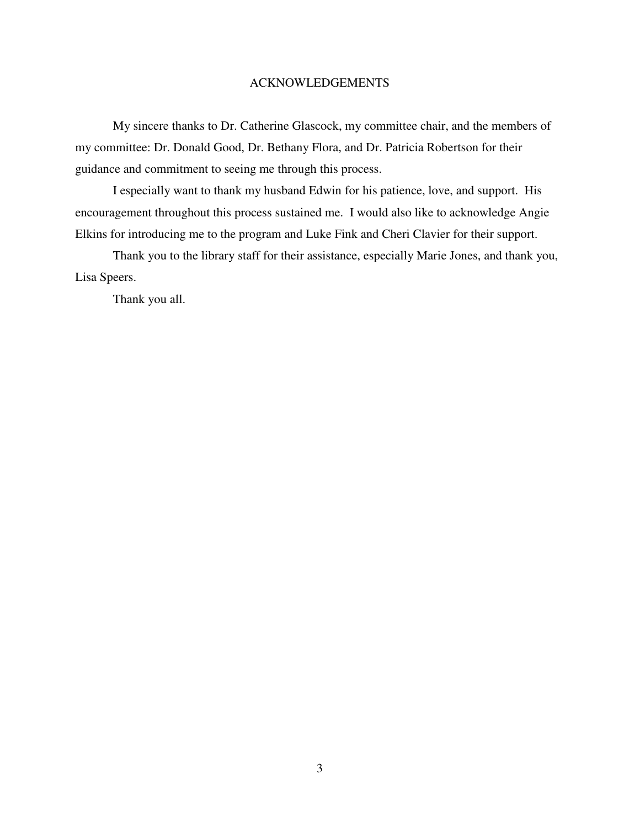#### ACKNOWLEDGEMENTS

 My sincere thanks to Dr. Catherine Glascock, my committee chair, and the members of my committee: Dr. Donald Good, Dr. Bethany Flora, and Dr. Patricia Robertson for their guidance and commitment to seeing me through this process.

I especially want to thank my husband Edwin for his patience, love, and support. His encouragement throughout this process sustained me. I would also like to acknowledge Angie Elkins for introducing me to the program and Luke Fink and Cheri Clavier for their support.

 Thank you to the library staff for their assistance, especially Marie Jones, and thank you, Lisa Speers.

Thank you all.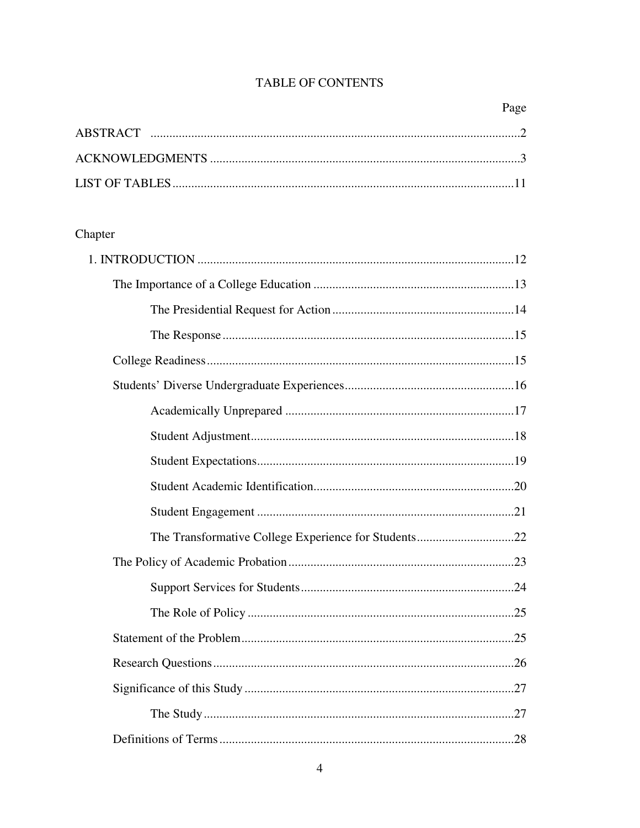## TABLE OF CONTENTS

# Chapter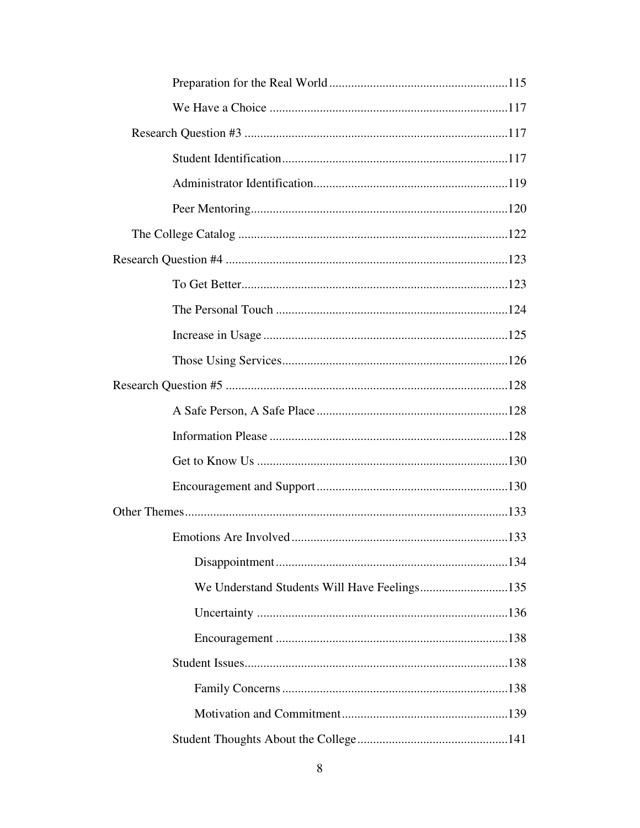| We Understand Students Will Have Feelings135 |  |
|----------------------------------------------|--|
|                                              |  |
|                                              |  |
|                                              |  |
|                                              |  |
|                                              |  |
|                                              |  |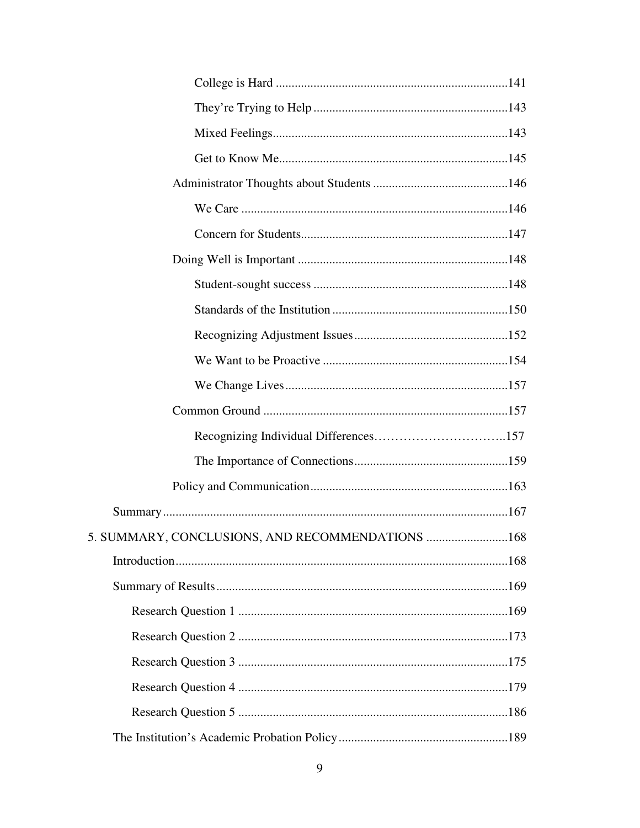| 5. SUMMARY, CONCLUSIONS, AND RECOMMENDATIONS 168 |
|--------------------------------------------------|
|                                                  |
|                                                  |
|                                                  |
|                                                  |
|                                                  |
|                                                  |
|                                                  |
|                                                  |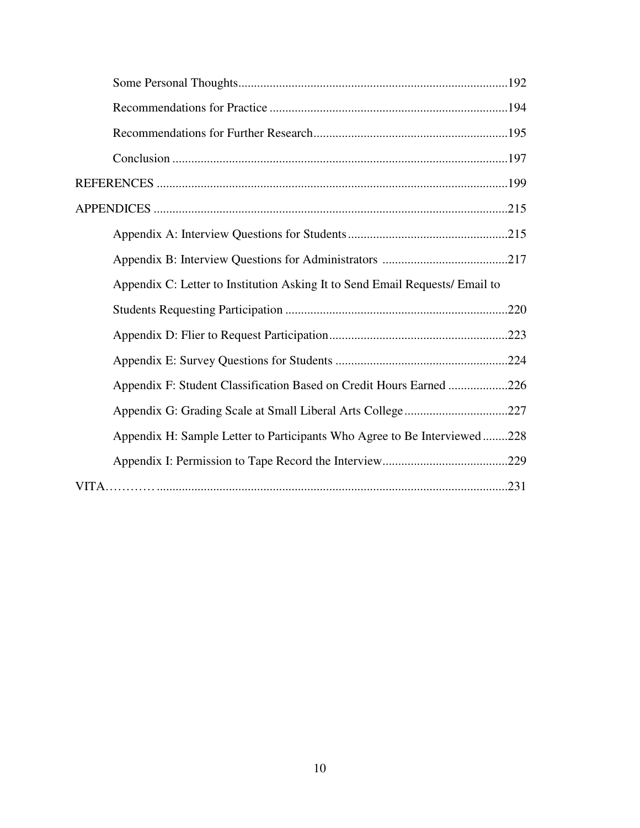| Appendix C: Letter to Institution Asking It to Send Email Requests/ Email to |  |
|------------------------------------------------------------------------------|--|
|                                                                              |  |
|                                                                              |  |
|                                                                              |  |
| Appendix F: Student Classification Based on Credit Hours Earned 226          |  |
|                                                                              |  |
| Appendix H: Sample Letter to Participants Who Agree to Be Interviewed228     |  |
|                                                                              |  |
|                                                                              |  |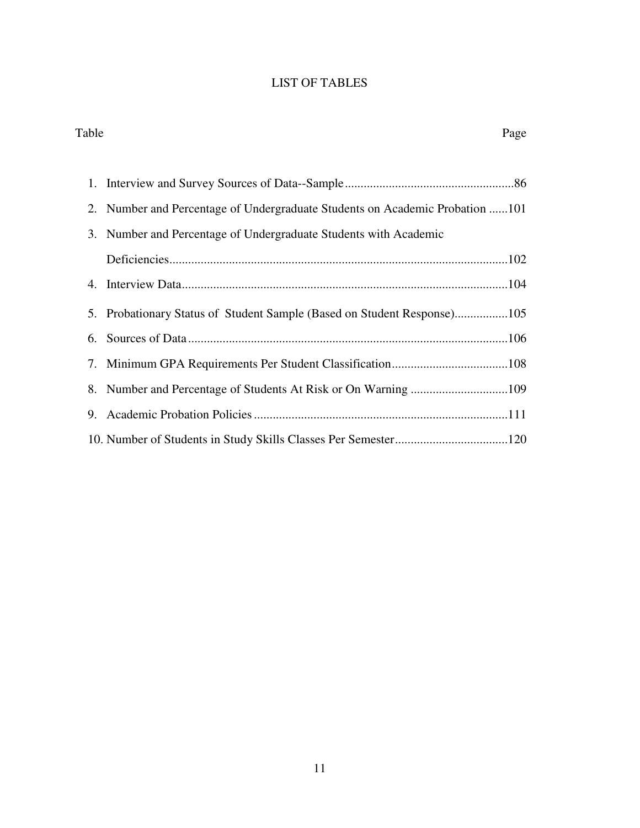### LIST OF TABLES

| Table<br>Page                                                                |
|------------------------------------------------------------------------------|
| 1.                                                                           |
| 2. Number and Percentage of Undergraduate Students on Academic Probation 101 |
| 3. Number and Percentage of Undergraduate Students with Academic             |
|                                                                              |
|                                                                              |
| 5. Probationary Status of Student Sample (Based on Student Response)105      |
| 6.                                                                           |
| 7.                                                                           |
| 8.                                                                           |
| 9.                                                                           |
|                                                                              |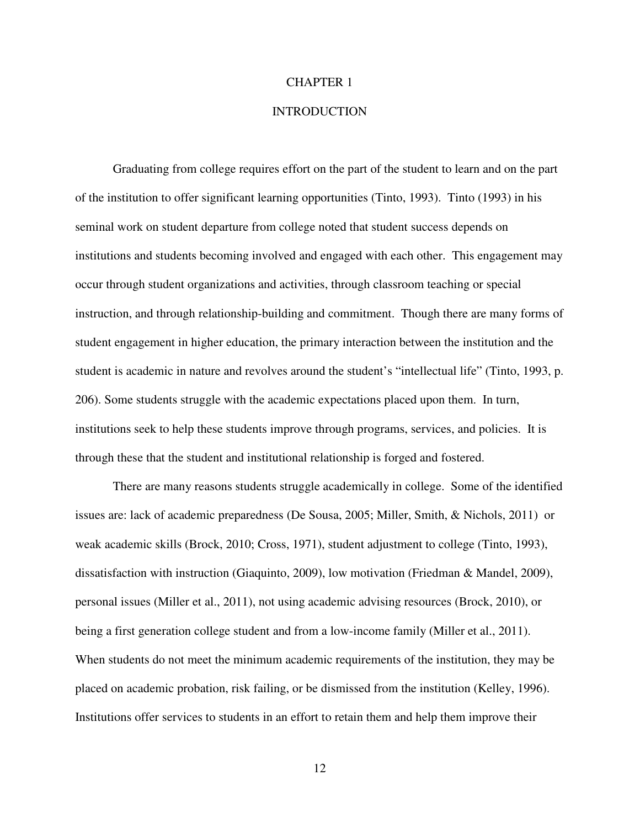#### CHAPTER 1

#### **INTRODUCTION**

 Graduating from college requires effort on the part of the student to learn and on the part of the institution to offer significant learning opportunities (Tinto, 1993). Tinto (1993) in his seminal work on student departure from college noted that student success depends on institutions and students becoming involved and engaged with each other. This engagement may occur through student organizations and activities, through classroom teaching or special instruction, and through relationship-building and commitment. Though there are many forms of student engagement in higher education, the primary interaction between the institution and the student is academic in nature and revolves around the student's "intellectual life" (Tinto, 1993, p. 206). Some students struggle with the academic expectations placed upon them. In turn, institutions seek to help these students improve through programs, services, and policies. It is through these that the student and institutional relationship is forged and fostered.

 There are many reasons students struggle academically in college. Some of the identified issues are: lack of academic preparedness (De Sousa, 2005; Miller, Smith, & Nichols, 2011) or weak academic skills (Brock, 2010; Cross, 1971), student adjustment to college (Tinto, 1993), dissatisfaction with instruction (Giaquinto, 2009), low motivation (Friedman & Mandel, 2009), personal issues (Miller et al., 2011), not using academic advising resources (Brock, 2010), or being a first generation college student and from a low-income family (Miller et al., 2011). When students do not meet the minimum academic requirements of the institution, they may be placed on academic probation, risk failing, or be dismissed from the institution (Kelley, 1996). Institutions offer services to students in an effort to retain them and help them improve their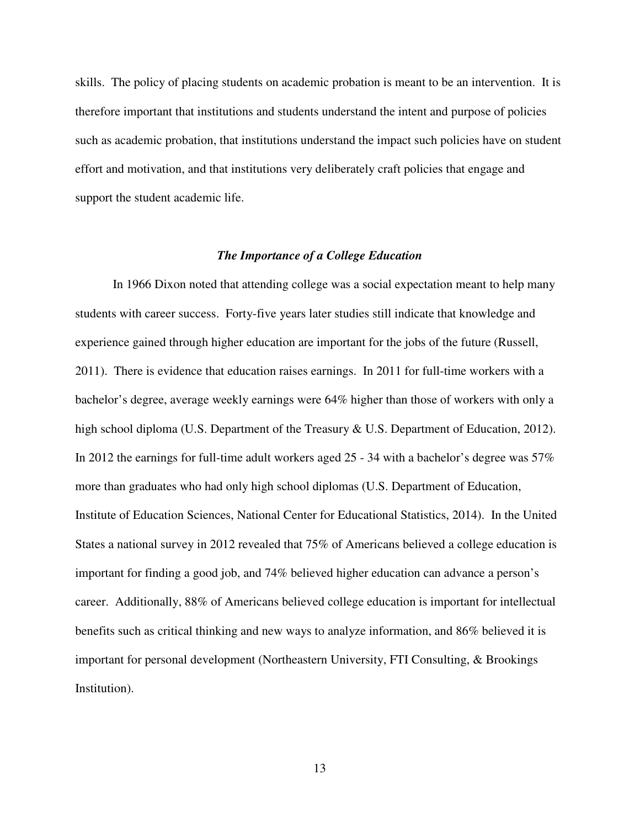skills. The policy of placing students on academic probation is meant to be an intervention. It is therefore important that institutions and students understand the intent and purpose of policies such as academic probation, that institutions understand the impact such policies have on student effort and motivation, and that institutions very deliberately craft policies that engage and support the student academic life.

#### *The Importance of a College Education*

 In 1966 Dixon noted that attending college was a social expectation meant to help many students with career success. Forty-five years later studies still indicate that knowledge and experience gained through higher education are important for the jobs of the future (Russell, 2011). There is evidence that education raises earnings. In 2011 for full-time workers with a bachelor's degree, average weekly earnings were 64% higher than those of workers with only a high school diploma (U.S. Department of the Treasury & U.S. Department of Education, 2012). In 2012 the earnings for full-time adult workers aged 25 - 34 with a bachelor's degree was 57% more than graduates who had only high school diplomas (U.S. Department of Education, Institute of Education Sciences, National Center for Educational Statistics, 2014). In the United States a national survey in 2012 revealed that 75% of Americans believed a college education is important for finding a good job, and 74% believed higher education can advance a person's career. Additionally, 88% of Americans believed college education is important for intellectual benefits such as critical thinking and new ways to analyze information, and 86% believed it is important for personal development (Northeastern University, FTI Consulting, & Brookings Institution).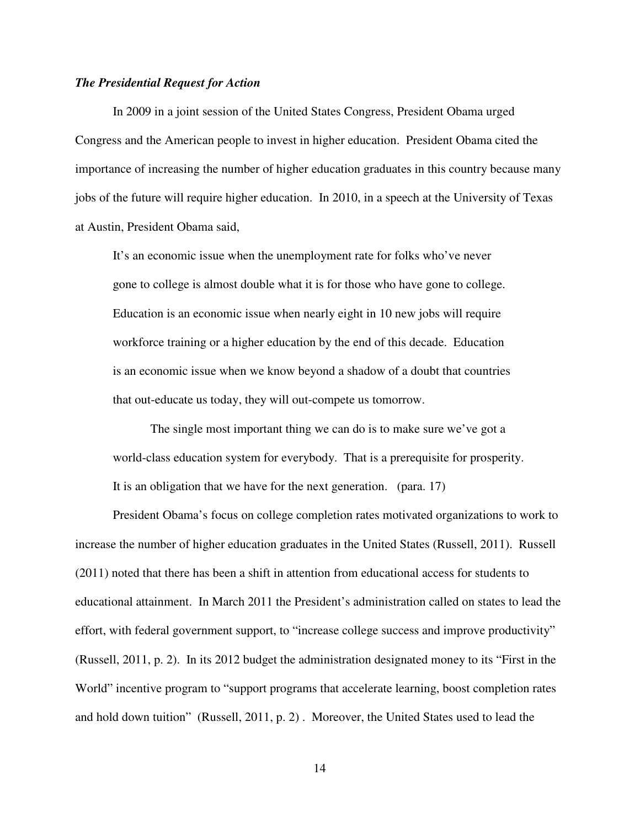#### *The Presidential Request for Action*

In 2009 in a joint session of the United States Congress, President Obama urged Congress and the American people to invest in higher education. President Obama cited the importance of increasing the number of higher education graduates in this country because many jobs of the future will require higher education. In 2010, in a speech at the University of Texas at Austin, President Obama said,

It's an economic issue when the unemployment rate for folks who've never gone to college is almost double what it is for those who have gone to college. Education is an economic issue when nearly eight in 10 new jobs will require workforce training or a higher education by the end of this decade. Education is an economic issue when we know beyond a shadow of a doubt that countries that out-educate us today, they will out-compete us tomorrow.

The single most important thing we can do is to make sure we've got a world-class education system for everybody. That is a prerequisite for prosperity. It is an obligation that we have for the next generation. (para. 17)

President Obama's focus on college completion rates motivated organizations to work to increase the number of higher education graduates in the United States (Russell, 2011). Russell (2011) noted that there has been a shift in attention from educational access for students to educational attainment. In March 2011 the President's administration called on states to lead the effort, with federal government support, to "increase college success and improve productivity" (Russell, 2011, p. 2). In its 2012 budget the administration designated money to its "First in the World" incentive program to "support programs that accelerate learning, boost completion rates and hold down tuition" (Russell, 2011, p. 2) . Moreover, the United States used to lead the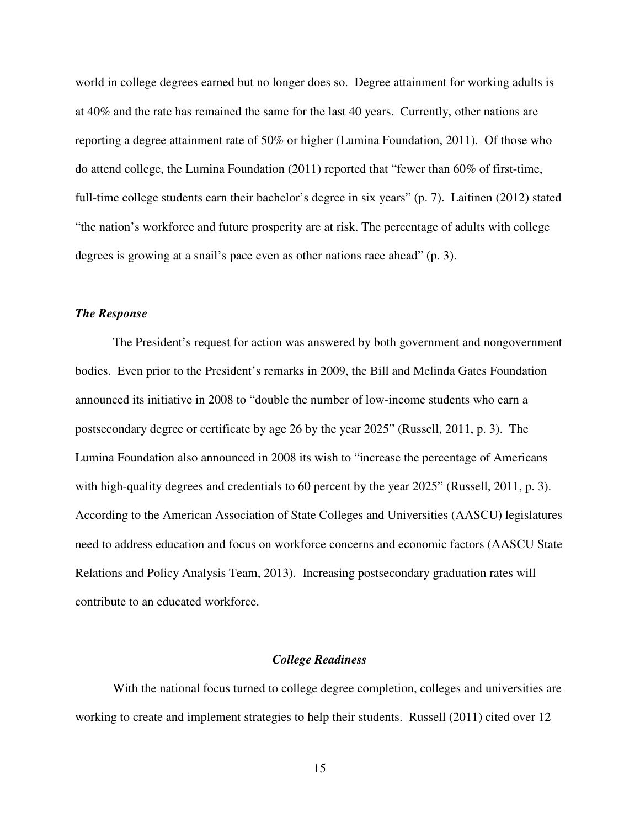world in college degrees earned but no longer does so. Degree attainment for working adults is at 40% and the rate has remained the same for the last 40 years. Currently, other nations are reporting a degree attainment rate of 50% or higher (Lumina Foundation, 2011). Of those who do attend college, the Lumina Foundation (2011) reported that "fewer than 60% of first-time, full-time college students earn their bachelor's degree in six years" (p. 7).Laitinen (2012) stated "the nation's workforce and future prosperity are at risk. The percentage of adults with college degrees is growing at a snail's pace even as other nations race ahead" (p. 3).

#### *The Response*

 The President's request for action was answered by both government and nongovernment bodies. Even prior to the President's remarks in 2009, the Bill and Melinda Gates Foundation announced its initiative in 2008 to "double the number of low-income students who earn a postsecondary degree or certificate by age 26 by the year 2025" (Russell, 2011, p. 3). The Lumina Foundation also announced in 2008 its wish to "increase the percentage of Americans with high-quality degrees and credentials to 60 percent by the year 2025" (Russell, 2011, p. 3). According to the American Association of State Colleges and Universities (AASCU) legislatures need to address education and focus on workforce concerns and economic factors (AASCU State Relations and Policy Analysis Team, 2013). Increasing postsecondary graduation rates will contribute to an educated workforce.

#### *College Readiness*

With the national focus turned to college degree completion, colleges and universities are working to create and implement strategies to help their students. Russell (2011) cited over 12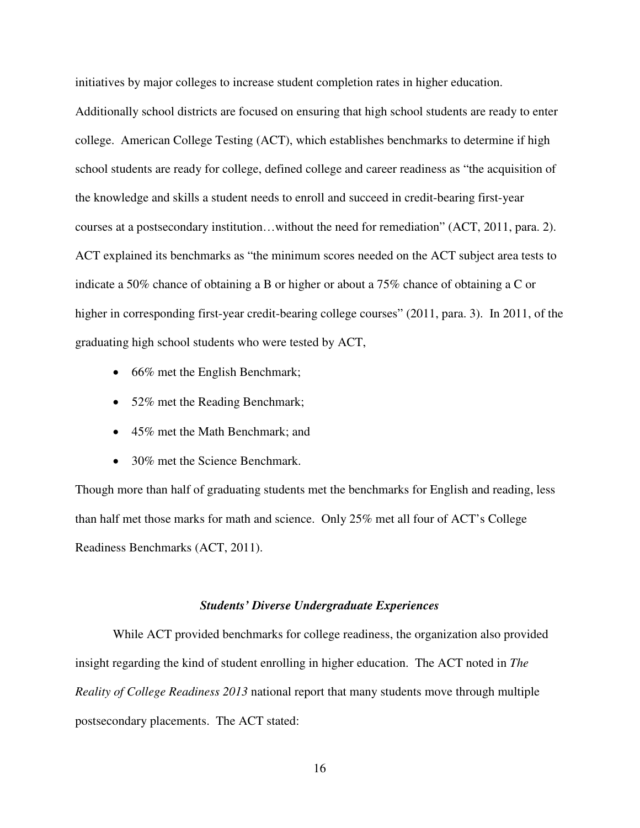initiatives by major colleges to increase student completion rates in higher education.

Additionally school districts are focused on ensuring that high school students are ready to enter college. American College Testing (ACT), which establishes benchmarks to determine if high school students are ready for college, defined college and career readiness as "the acquisition of the knowledge and skills a student needs to enroll and succeed in credit-bearing first-year courses at a postsecondary institution…without the need for remediation" (ACT, 2011, para. 2). ACT explained its benchmarks as "the minimum scores needed on the ACT subject area tests to indicate a 50% chance of obtaining a B or higher or about a 75% chance of obtaining a C or higher in corresponding first-year credit-bearing college courses" (2011, para. 3). In 2011, of the graduating high school students who were tested by ACT,

- 66% met the English Benchmark;
- 52% met the Reading Benchmark;
- 45% met the Math Benchmark; and
- 30% met the Science Benchmark.

Though more than half of graduating students met the benchmarks for English and reading, less than half met those marks for math and science. Only 25% met all four of ACT's College Readiness Benchmarks (ACT, 2011).

#### *Students' Diverse Undergraduate Experiences*

While ACT provided benchmarks for college readiness, the organization also provided insight regarding the kind of student enrolling in higher education. The ACT noted in *The Reality of College Readiness 2013* national report that many students move through multiple postsecondary placements. The ACT stated: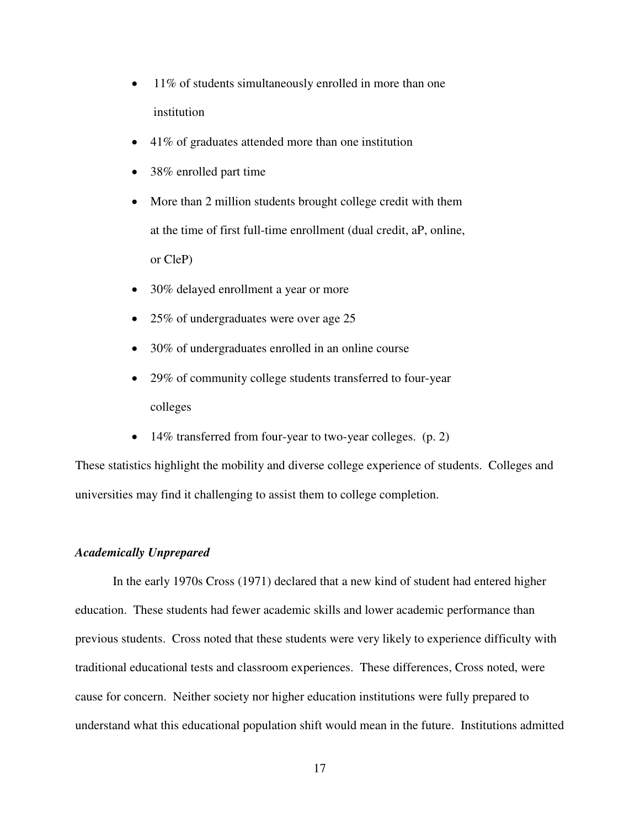- 11% of students simultaneously enrolled in more than one institution
- 41% of graduates attended more than one institution
- 38% enrolled part time
- More than 2 million students brought college credit with them at the time of first full-time enrollment (dual credit, aP, online, or CleP)
- 30% delayed enrollment a year or more
- 25% of undergraduates were over age 25
- 30% of undergraduates enrolled in an online course
- 29% of community college students transferred to four-year colleges
- 14% transferred from four-year to two-year colleges. (p. 2)

These statistics highlight the mobility and diverse college experience of students. Colleges and universities may find it challenging to assist them to college completion.

#### *Academically Unprepared*

In the early 1970s Cross (1971) declared that a new kind of student had entered higher education. These students had fewer academic skills and lower academic performance than previous students. Cross noted that these students were very likely to experience difficulty with traditional educational tests and classroom experiences. These differences, Cross noted, were cause for concern. Neither society nor higher education institutions were fully prepared to understand what this educational population shift would mean in the future. Institutions admitted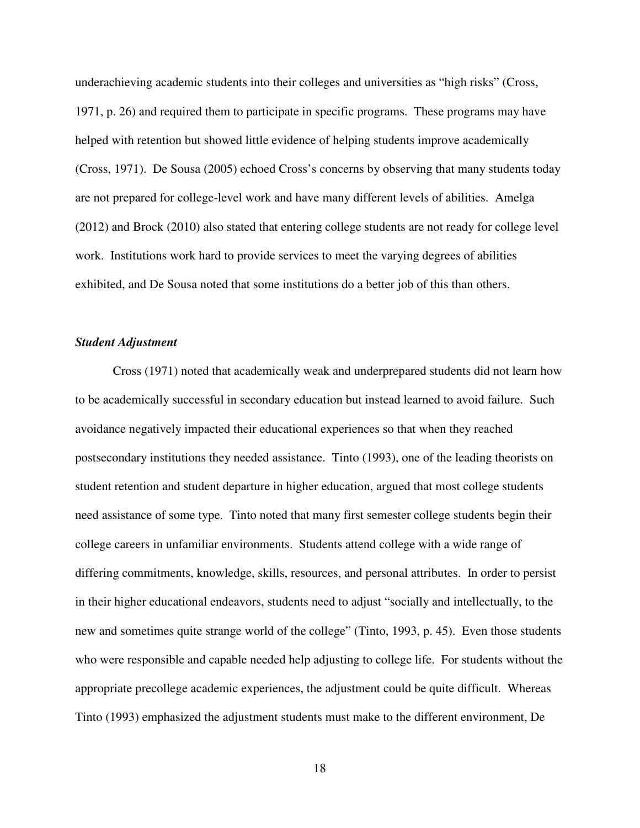underachieving academic students into their colleges and universities as "high risks" (Cross, 1971, p. 26) and required them to participate in specific programs. These programs may have helped with retention but showed little evidence of helping students improve academically (Cross, 1971). De Sousa (2005) echoed Cross's concerns by observing that many students today are not prepared for college-level work and have many different levels of abilities. Amelga (2012) and Brock (2010) also stated that entering college students are not ready for college level work. Institutions work hard to provide services to meet the varying degrees of abilities exhibited, and De Sousa noted that some institutions do a better job of this than others.

#### *Student Adjustment*

Cross (1971) noted that academically weak and underprepared students did not learn how to be academically successful in secondary education but instead learned to avoid failure. Such avoidance negatively impacted their educational experiences so that when they reached postsecondary institutions they needed assistance. Tinto (1993), one of the leading theorists on student retention and student departure in higher education, argued that most college students need assistance of some type. Tinto noted that many first semester college students begin their college careers in unfamiliar environments. Students attend college with a wide range of differing commitments, knowledge, skills, resources, and personal attributes. In order to persist in their higher educational endeavors, students need to adjust "socially and intellectually, to the new and sometimes quite strange world of the college" (Tinto, 1993, p. 45). Even those students who were responsible and capable needed help adjusting to college life. For students without the appropriate precollege academic experiences, the adjustment could be quite difficult. Whereas Tinto (1993) emphasized the adjustment students must make to the different environment, De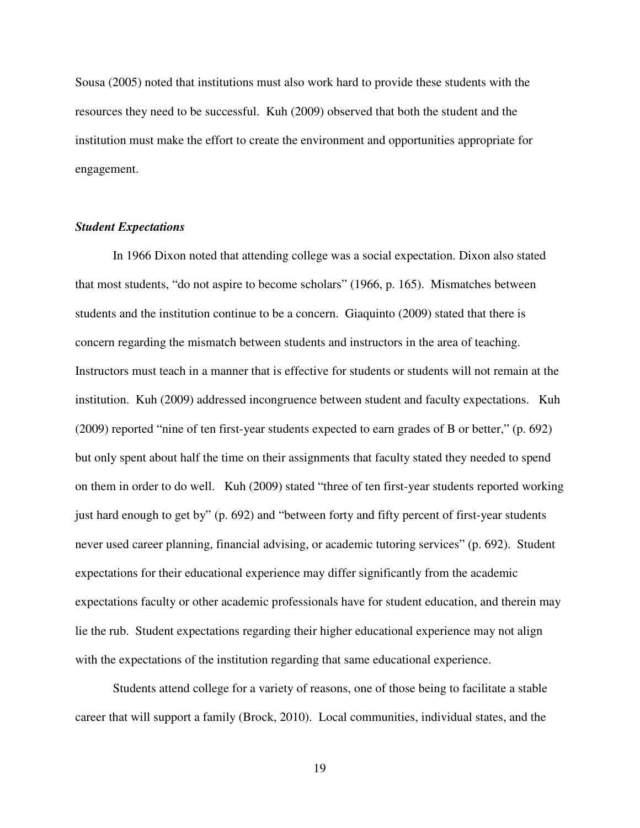Sousa (2005) noted that institutions must also work hard to provide these students with the resources they need to be successful. Kuh (2009) observed that both the student and the institution must make the effort to create the environment and opportunities appropriate for engagement.

#### *Student Expectations*

In 1966 Dixon noted that attending college was a social expectation. Dixon also stated that most students, "do not aspire to become scholars" (1966, p. 165). Mismatches between students and the institution continue to be a concern. Giaquinto (2009) stated that there is concern regarding the mismatch between students and instructors in the area of teaching. Instructors must teach in a manner that is effective for students or students will not remain at the institution. Kuh (2009) addressed incongruence between student and faculty expectations. Kuh (2009) reported "nine of ten first-year students expected to earn grades of B or better," (p. 692) but only spent about half the time on their assignments that faculty stated they needed to spend on them in order to do well. Kuh (2009) stated "three of ten first-year students reported working just hard enough to get by" (p. 692) and "between forty and fifty percent of first-year students never used career planning, financial advising, or academic tutoring services" (p. 692). Student expectations for their educational experience may differ significantly from the academic expectations faculty or other academic professionals have for student education, and therein may lie the rub. Student expectations regarding their higher educational experience may not align with the expectations of the institution regarding that same educational experience.

Students attend college for a variety of reasons, one of those being to facilitate a stable career that will support a family (Brock, 2010). Local communities, individual states, and the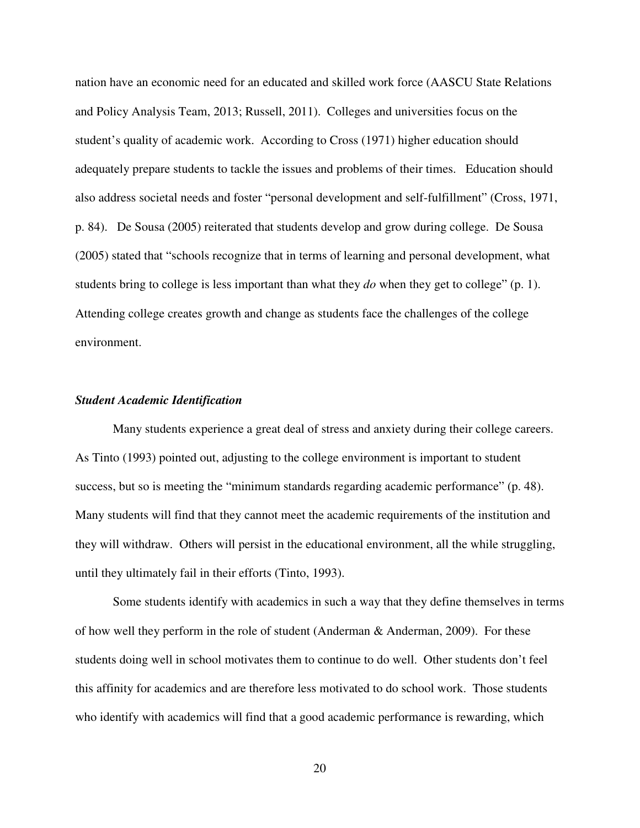nation have an economic need for an educated and skilled work force (AASCU State Relations and Policy Analysis Team, 2013; Russell, 2011). Colleges and universities focus on the student's quality of academic work. According to Cross (1971) higher education should adequately prepare students to tackle the issues and problems of their times. Education should also address societal needs and foster "personal development and self-fulfillment" (Cross, 1971, p. 84). De Sousa (2005) reiterated that students develop and grow during college. De Sousa (2005) stated that "schools recognize that in terms of learning and personal development, what students bring to college is less important than what they *do* when they get to college" (p. 1). Attending college creates growth and change as students face the challenges of the college environment.

#### *Student Academic Identification*

Many students experience a great deal of stress and anxiety during their college careers. As Tinto (1993) pointed out, adjusting to the college environment is important to student success, but so is meeting the "minimum standards regarding academic performance" (p. 48). Many students will find that they cannot meet the academic requirements of the institution and they will withdraw. Others will persist in the educational environment, all the while struggling, until they ultimately fail in their efforts (Tinto, 1993).

Some students identify with academics in such a way that they define themselves in terms of how well they perform in the role of student (Anderman & Anderman, 2009). For these students doing well in school motivates them to continue to do well. Other students don't feel this affinity for academics and are therefore less motivated to do school work. Those students who identify with academics will find that a good academic performance is rewarding, which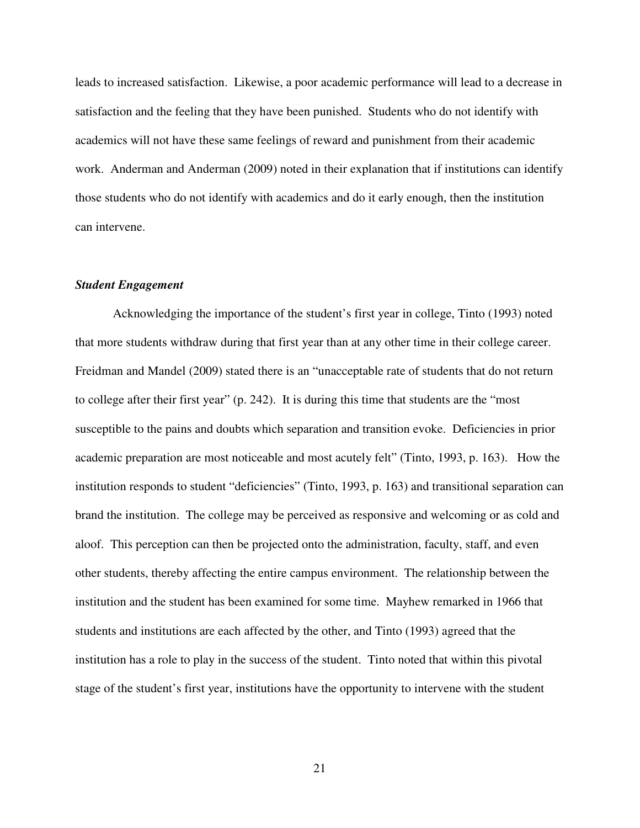leads to increased satisfaction. Likewise, a poor academic performance will lead to a decrease in satisfaction and the feeling that they have been punished. Students who do not identify with academics will not have these same feelings of reward and punishment from their academic work. Anderman and Anderman (2009) noted in their explanation that if institutions can identify those students who do not identify with academics and do it early enough, then the institution can intervene.

#### *Student Engagement*

Acknowledging the importance of the student's first year in college, Tinto (1993) noted that more students withdraw during that first year than at any other time in their college career. Freidman and Mandel (2009) stated there is an "unacceptable rate of students that do not return to college after their first year" (p. 242). It is during this time that students are the "most susceptible to the pains and doubts which separation and transition evoke. Deficiencies in prior academic preparation are most noticeable and most acutely felt" (Tinto, 1993, p. 163). How the institution responds to student "deficiencies" (Tinto, 1993, p. 163) and transitional separation can brand the institution. The college may be perceived as responsive and welcoming or as cold and aloof. This perception can then be projected onto the administration, faculty, staff, and even other students, thereby affecting the entire campus environment. The relationship between the institution and the student has been examined for some time. Mayhew remarked in 1966 that students and institutions are each affected by the other, and Tinto (1993) agreed that the institution has a role to play in the success of the student. Tinto noted that within this pivotal stage of the student's first year, institutions have the opportunity to intervene with the student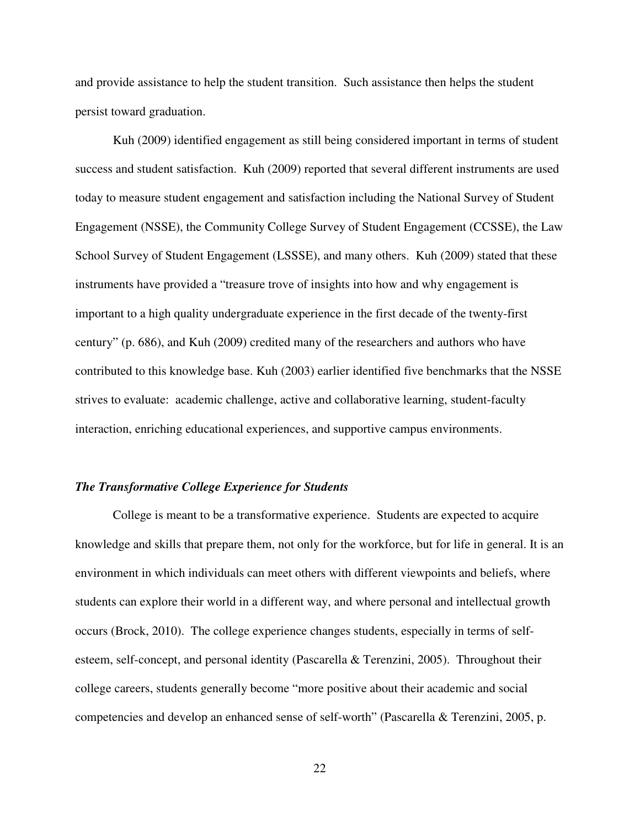and provide assistance to help the student transition. Such assistance then helps the student persist toward graduation.

Kuh (2009) identified engagement as still being considered important in terms of student success and student satisfaction. Kuh (2009) reported that several different instruments are used today to measure student engagement and satisfaction including the National Survey of Student Engagement (NSSE), the Community College Survey of Student Engagement (CCSSE), the Law School Survey of Student Engagement (LSSSE), and many others. Kuh (2009) stated that these instruments have provided a "treasure trove of insights into how and why engagement is important to a high quality undergraduate experience in the first decade of the twenty-first century" (p. 686), and Kuh (2009) credited many of the researchers and authors who have contributed to this knowledge base. Kuh (2003) earlier identified five benchmarks that the NSSE strives to evaluate: academic challenge, active and collaborative learning, student-faculty interaction, enriching educational experiences, and supportive campus environments.

#### *The Transformative College Experience for Students*

College is meant to be a transformative experience. Students are expected to acquire knowledge and skills that prepare them, not only for the workforce, but for life in general. It is an environment in which individuals can meet others with different viewpoints and beliefs, where students can explore their world in a different way, and where personal and intellectual growth occurs (Brock, 2010). The college experience changes students, especially in terms of selfesteem, self-concept, and personal identity (Pascarella & Terenzini, 2005). Throughout their college careers, students generally become "more positive about their academic and social competencies and develop an enhanced sense of self-worth" (Pascarella & Terenzini, 2005, p.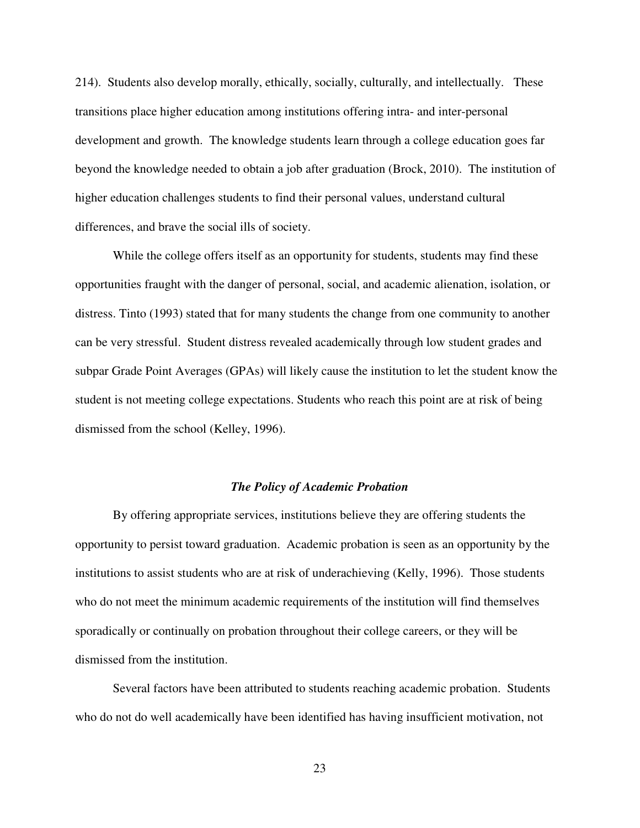214). Students also develop morally, ethically, socially, culturally, and intellectually. These transitions place higher education among institutions offering intra- and inter-personal development and growth. The knowledge students learn through a college education goes far beyond the knowledge needed to obtain a job after graduation (Brock, 2010). The institution of higher education challenges students to find their personal values, understand cultural differences, and brave the social ills of society.

While the college offers itself as an opportunity for students, students may find these opportunities fraught with the danger of personal, social, and academic alienation, isolation, or distress. Tinto (1993) stated that for many students the change from one community to another can be very stressful. Student distress revealed academically through low student grades and subpar Grade Point Averages (GPAs) will likely cause the institution to let the student know the student is not meeting college expectations. Students who reach this point are at risk of being dismissed from the school (Kelley, 1996).

#### *The Policy of Academic Probation*

By offering appropriate services, institutions believe they are offering students the opportunity to persist toward graduation. Academic probation is seen as an opportunity by the institutions to assist students who are at risk of underachieving (Kelly, 1996). Those students who do not meet the minimum academic requirements of the institution will find themselves sporadically or continually on probation throughout their college careers, or they will be dismissed from the institution.

Several factors have been attributed to students reaching academic probation. Students who do not do well academically have been identified has having insufficient motivation, not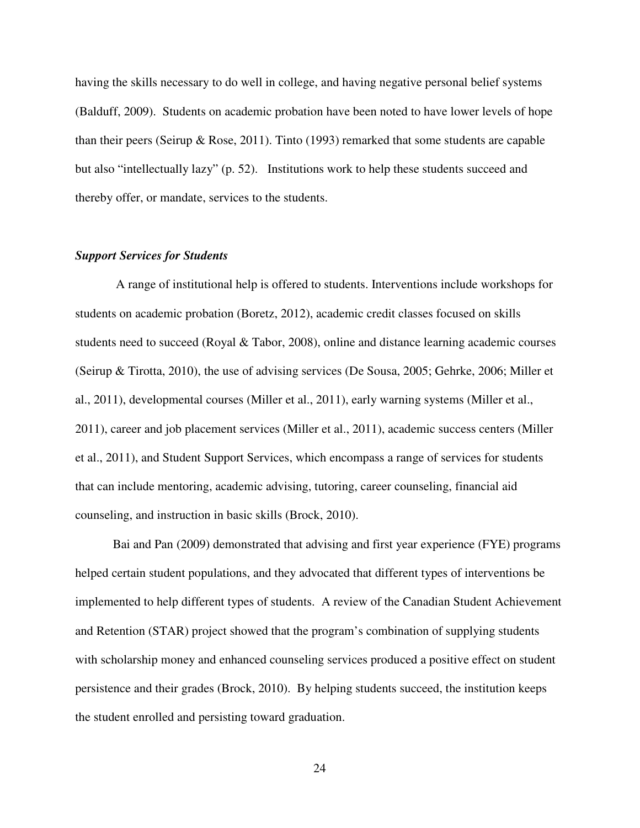having the skills necessary to do well in college, and having negative personal belief systems (Balduff, 2009). Students on academic probation have been noted to have lower levels of hope than their peers (Seirup & Rose, 2011). Tinto (1993) remarked that some students are capable but also "intellectually lazy" (p. 52). Institutions work to help these students succeed and thereby offer, or mandate, services to the students.

#### *Support Services for Students*

 A range of institutional help is offered to students. Interventions include workshops for students on academic probation (Boretz, 2012), academic credit classes focused on skills students need to succeed (Royal & Tabor, 2008), online and distance learning academic courses (Seirup & Tirotta, 2010), the use of advising services (De Sousa, 2005; Gehrke, 2006; Miller et al., 2011), developmental courses (Miller et al., 2011), early warning systems (Miller et al., 2011), career and job placement services (Miller et al., 2011), academic success centers (Miller et al., 2011), and Student Support Services, which encompass a range of services for students that can include mentoring, academic advising, tutoring, career counseling, financial aid counseling, and instruction in basic skills (Brock, 2010).

Bai and Pan (2009) demonstrated that advising and first year experience (FYE) programs helped certain student populations, and they advocated that different types of interventions be implemented to help different types of students. A review of the Canadian Student Achievement and Retention (STAR) project showed that the program's combination of supplying students with scholarship money and enhanced counseling services produced a positive effect on student persistence and their grades (Brock, 2010). By helping students succeed, the institution keeps the student enrolled and persisting toward graduation.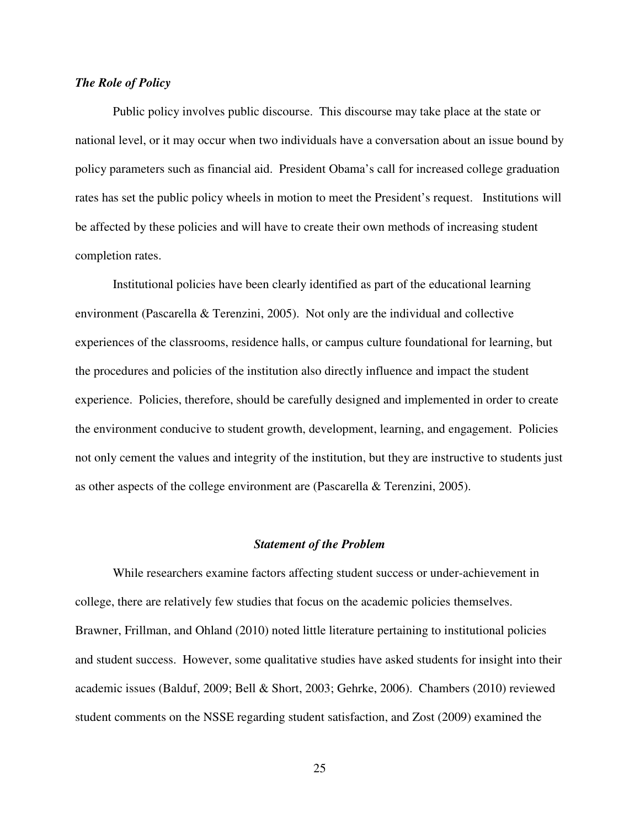#### *The Role of Policy*

Public policy involves public discourse. This discourse may take place at the state or national level, or it may occur when two individuals have a conversation about an issue bound by policy parameters such as financial aid. President Obama's call for increased college graduation rates has set the public policy wheels in motion to meet the President's request. Institutions will be affected by these policies and will have to create their own methods of increasing student completion rates.

Institutional policies have been clearly identified as part of the educational learning environment (Pascarella & Terenzini, 2005). Not only are the individual and collective experiences of the classrooms, residence halls, or campus culture foundational for learning, but the procedures and policies of the institution also directly influence and impact the student experience. Policies, therefore, should be carefully designed and implemented in order to create the environment conducive to student growth, development, learning, and engagement. Policies not only cement the values and integrity of the institution, but they are instructive to students just as other aspects of the college environment are (Pascarella & Terenzini, 2005).

#### *Statement of the Problem*

While researchers examine factors affecting student success or under-achievement in college, there are relatively few studies that focus on the academic policies themselves. Brawner, Frillman, and Ohland (2010) noted little literature pertaining to institutional policies and student success. However, some qualitative studies have asked students for insight into their academic issues (Balduf, 2009; Bell & Short, 2003; Gehrke, 2006). Chambers (2010) reviewed student comments on the NSSE regarding student satisfaction, and Zost (2009) examined the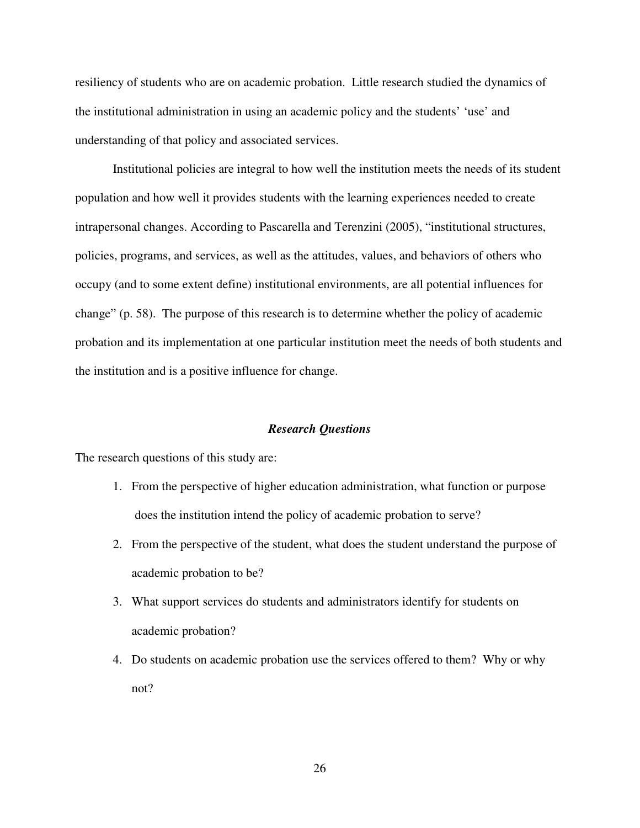resiliency of students who are on academic probation. Little research studied the dynamics of the institutional administration in using an academic policy and the students' 'use' and understanding of that policy and associated services.

Institutional policies are integral to how well the institution meets the needs of its student population and how well it provides students with the learning experiences needed to create intrapersonal changes. According to Pascarella and Terenzini (2005), "institutional structures, policies, programs, and services, as well as the attitudes, values, and behaviors of others who occupy (and to some extent define) institutional environments, are all potential influences for change" (p. 58). The purpose of this research is to determine whether the policy of academic probation and its implementation at one particular institution meet the needs of both students and the institution and is a positive influence for change.

#### *Research Questions*

The research questions of this study are:

- 1. From the perspective of higher education administration, what function or purpose does the institution intend the policy of academic probation to serve?
- 2. From the perspective of the student, what does the student understand the purpose of academic probation to be?
- 3. What support services do students and administrators identify for students on academic probation?
- 4. Do students on academic probation use the services offered to them? Why or why not?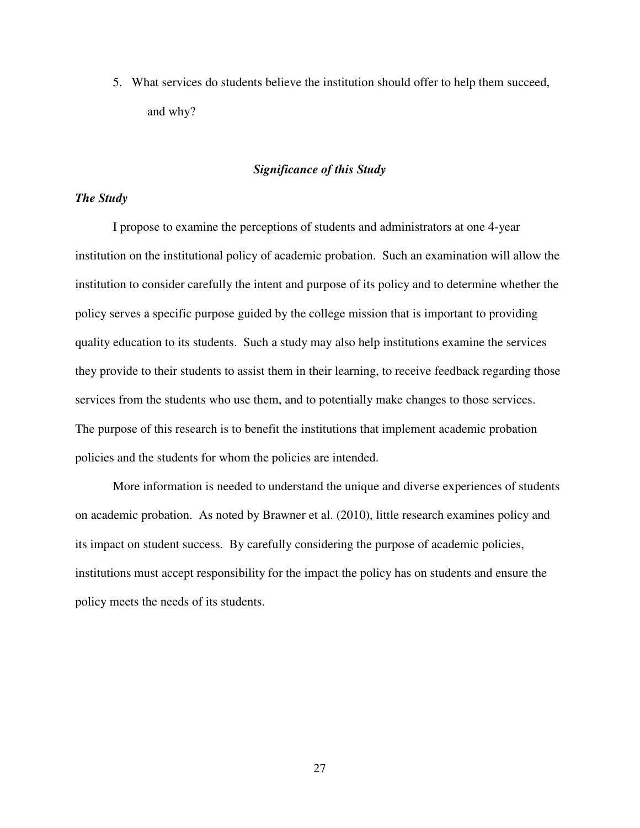5. What services do students believe the institution should offer to help them succeed, and why?

#### *Significance of this Study*

#### *The Study*

I propose to examine the perceptions of students and administrators at one 4-year institution on the institutional policy of academic probation. Such an examination will allow the institution to consider carefully the intent and purpose of its policy and to determine whether the policy serves a specific purpose guided by the college mission that is important to providing quality education to its students. Such a study may also help institutions examine the services they provide to their students to assist them in their learning, to receive feedback regarding those services from the students who use them, and to potentially make changes to those services. The purpose of this research is to benefit the institutions that implement academic probation policies and the students for whom the policies are intended.

More information is needed to understand the unique and diverse experiences of students on academic probation. As noted by Brawner et al. (2010), little research examines policy and its impact on student success. By carefully considering the purpose of academic policies, institutions must accept responsibility for the impact the policy has on students and ensure the policy meets the needs of its students.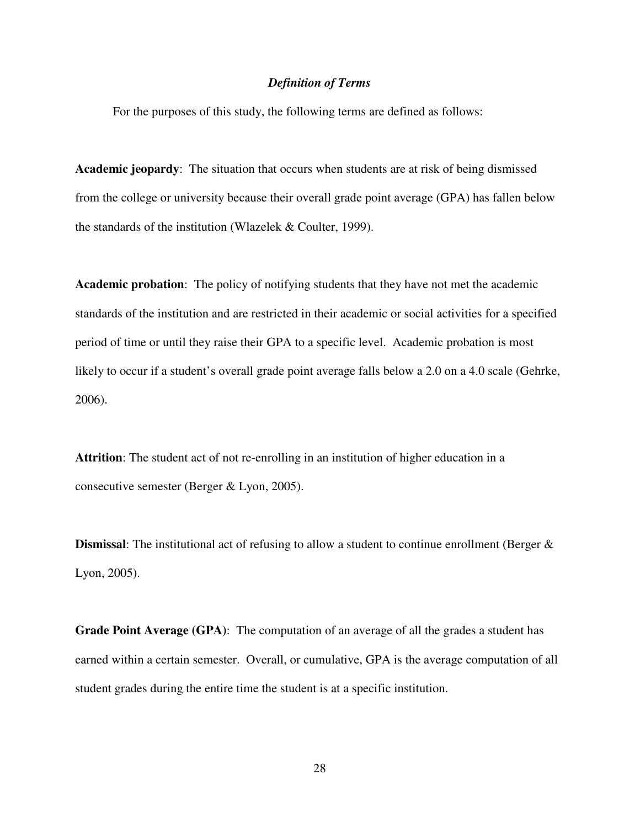#### *Definition of Terms*

For the purposes of this study, the following terms are defined as follows:

**Academic jeopardy**: The situation that occurs when students are at risk of being dismissed from the college or university because their overall grade point average (GPA) has fallen below the standards of the institution (Wlazelek & Coulter, 1999).

**Academic probation**:The policy of notifying students that they have not met the academic standards of the institution and are restricted in their academic or social activities for a specified period of time or until they raise their GPA to a specific level. Academic probation is most likely to occur if a student's overall grade point average falls below a 2.0 on a 4.0 scale (Gehrke, 2006).

**Attrition**: The student act of not re-enrolling in an institution of higher education in a consecutive semester (Berger & Lyon, 2005).

**Dismissal**: The institutional act of refusing to allow a student to continue enrollment (Berger & Lyon, 2005).

**Grade Point Average (GPA)**: The computation of an average of all the grades a student has earned within a certain semester. Overall, or cumulative, GPA is the average computation of all student grades during the entire time the student is at a specific institution.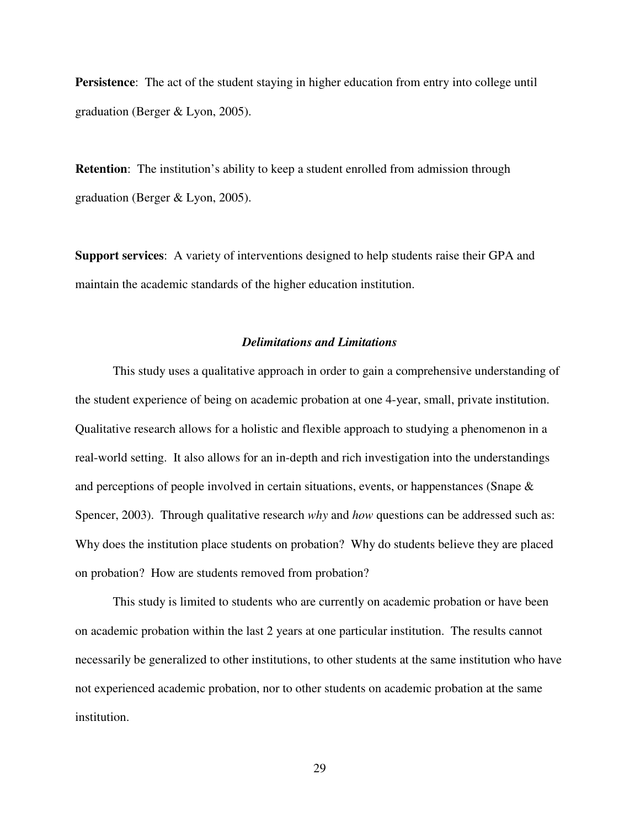**Persistence**: The act of the student staying in higher education from entry into college until graduation (Berger & Lyon, 2005).

**Retention**: The institution's ability to keep a student enrolled from admission through graduation (Berger & Lyon, 2005).

**Support services**: A variety of interventions designed to help students raise their GPA and maintain the academic standards of the higher education institution.

#### *Delimitations and Limitations*

This study uses a qualitative approach in order to gain a comprehensive understanding of the student experience of being on academic probation at one 4-year, small, private institution. Qualitative research allows for a holistic and flexible approach to studying a phenomenon in a real-world setting. It also allows for an in-depth and rich investigation into the understandings and perceptions of people involved in certain situations, events, or happenstances (Snape & Spencer, 2003). Through qualitative research *why* and *how* questions can be addressed such as: Why does the institution place students on probation? Why do students believe they are placed on probation? How are students removed from probation?

This study is limited to students who are currently on academic probation or have been on academic probation within the last 2 years at one particular institution. The results cannot necessarily be generalized to other institutions, to other students at the same institution who have not experienced academic probation, nor to other students on academic probation at the same institution.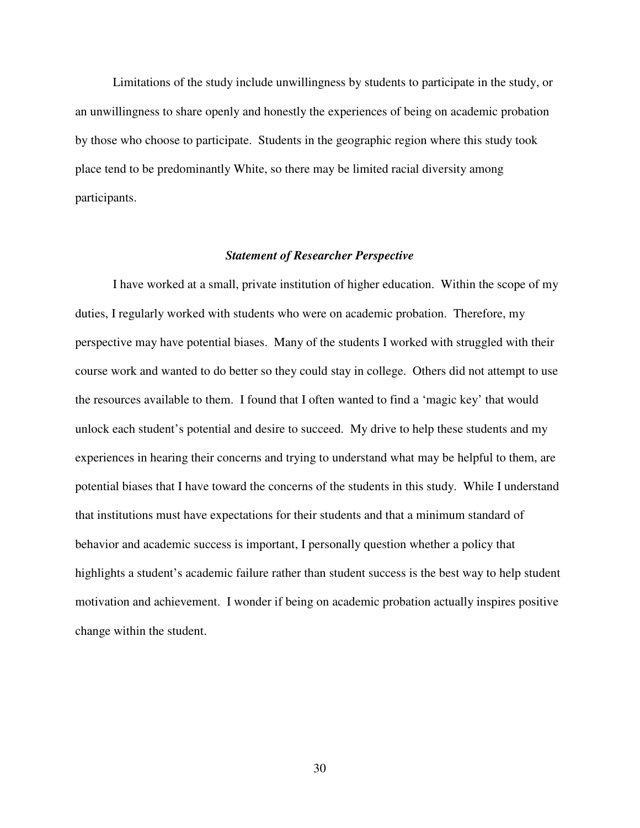Limitations of the study include unwillingness by students to participate in the study, or an unwillingness to share openly and honestly the experiences of being on academic probation by those who choose to participate. Students in the geographic region where this study took place tend to be predominantly White, so there may be limited racial diversity among participants.

#### *Statement of Researcher Perspective*

I have worked at a small, private institution of higher education. Within the scope of my duties, I regularly worked with students who were on academic probation. Therefore, my perspective may have potential biases. Many of the students I worked with struggled with their course work and wanted to do better so they could stay in college. Others did not attempt to use the resources available to them. I found that I often wanted to find a 'magic key' that would unlock each student's potential and desire to succeed. My drive to help these students and my experiences in hearing their concerns and trying to understand what may be helpful to them, are potential biases that I have toward the concerns of the students in this study. While I understand that institutions must have expectations for their students and that a minimum standard of behavior and academic success is important, I personally question whether a policy that highlights a student's academic failure rather than student success is the best way to help student motivation and achievement. I wonder if being on academic probation actually inspires positive change within the student.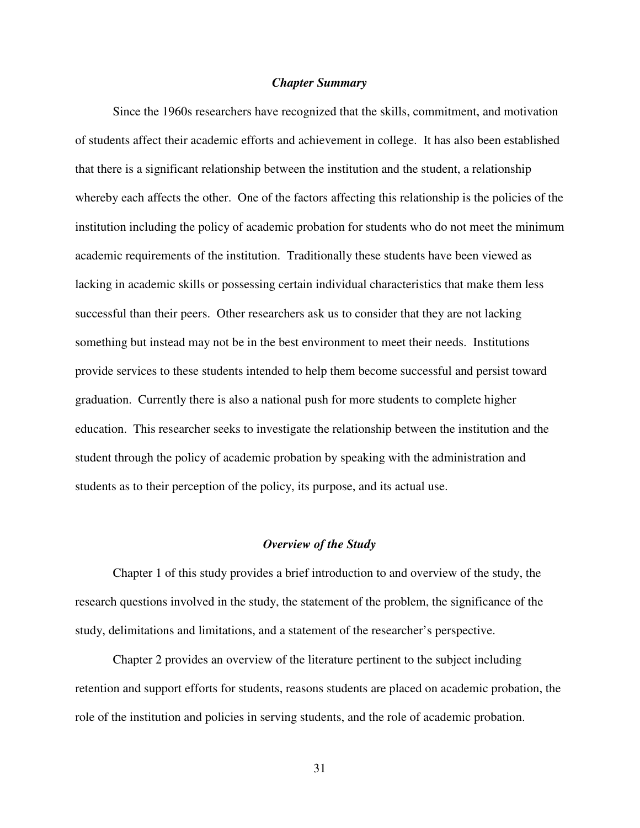#### *Chapter Summary*

Since the 1960s researchers have recognized that the skills, commitment, and motivation of students affect their academic efforts and achievement in college. It has also been established that there is a significant relationship between the institution and the student, a relationship whereby each affects the other. One of the factors affecting this relationship is the policies of the institution including the policy of academic probation for students who do not meet the minimum academic requirements of the institution. Traditionally these students have been viewed as lacking in academic skills or possessing certain individual characteristics that make them less successful than their peers. Other researchers ask us to consider that they are not lacking something but instead may not be in the best environment to meet their needs. Institutions provide services to these students intended to help them become successful and persist toward graduation. Currently there is also a national push for more students to complete higher education. This researcher seeks to investigate the relationship between the institution and the student through the policy of academic probation by speaking with the administration and students as to their perception of the policy, its purpose, and its actual use.

#### *Overview of the Study*

 Chapter 1 of this study provides a brief introduction to and overview of the study, the research questions involved in the study, the statement of the problem, the significance of the study, delimitations and limitations, and a statement of the researcher's perspective.

Chapter 2 provides an overview of the literature pertinent to the subject including retention and support efforts for students, reasons students are placed on academic probation, the role of the institution and policies in serving students, and the role of academic probation.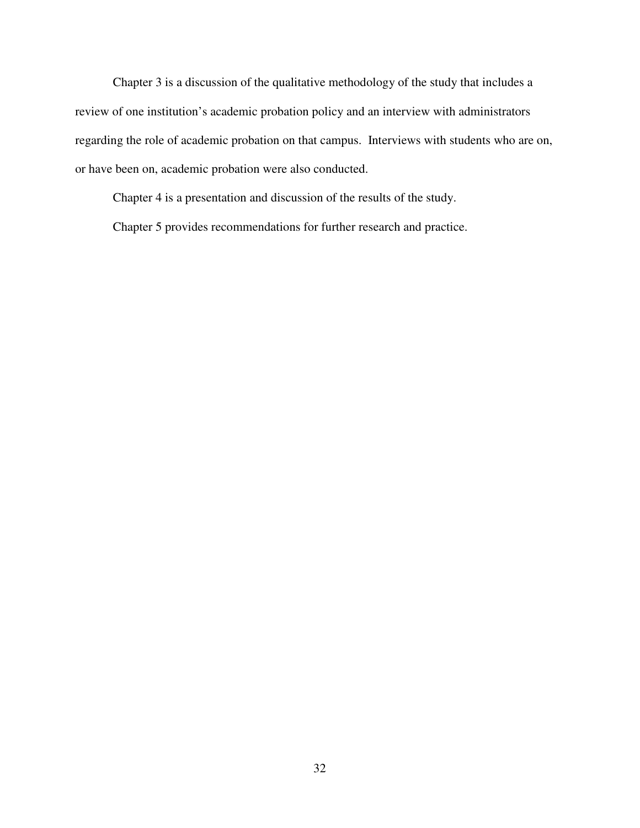Chapter 3 is a discussion of the qualitative methodology of the study that includes a review of one institution's academic probation policy and an interview with administrators regarding the role of academic probation on that campus. Interviews with students who are on, or have been on, academic probation were also conducted.

Chapter 4 is a presentation and discussion of the results of the study.

Chapter 5 provides recommendations for further research and practice.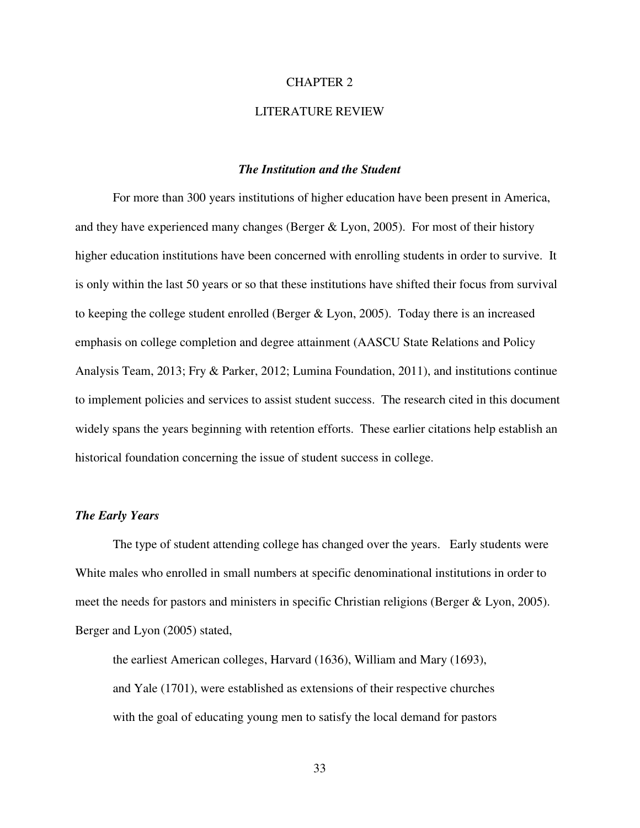#### CHAPTER 2

#### LITERATURE REVIEW

#### *The Institution and the Student*

For more than 300 years institutions of higher education have been present in America, and they have experienced many changes (Berger & Lyon, 2005). For most of their history higher education institutions have been concerned with enrolling students in order to survive. It is only within the last 50 years or so that these institutions have shifted their focus from survival to keeping the college student enrolled (Berger & Lyon, 2005). Today there is an increased emphasis on college completion and degree attainment (AASCU State Relations and Policy Analysis Team, 2013; Fry & Parker, 2012; Lumina Foundation, 2011), and institutions continue to implement policies and services to assist student success. The research cited in this document widely spans the years beginning with retention efforts. These earlier citations help establish an historical foundation concerning the issue of student success in college.

#### *The Early Years*

The type of student attending college has changed over the years. Early students were White males who enrolled in small numbers at specific denominational institutions in order to meet the needs for pastors and ministers in specific Christian religions (Berger & Lyon, 2005). Berger and Lyon (2005) stated,

the earliest American colleges, Harvard (1636), William and Mary (1693), and Yale (1701), were established as extensions of their respective churches with the goal of educating young men to satisfy the local demand for pastors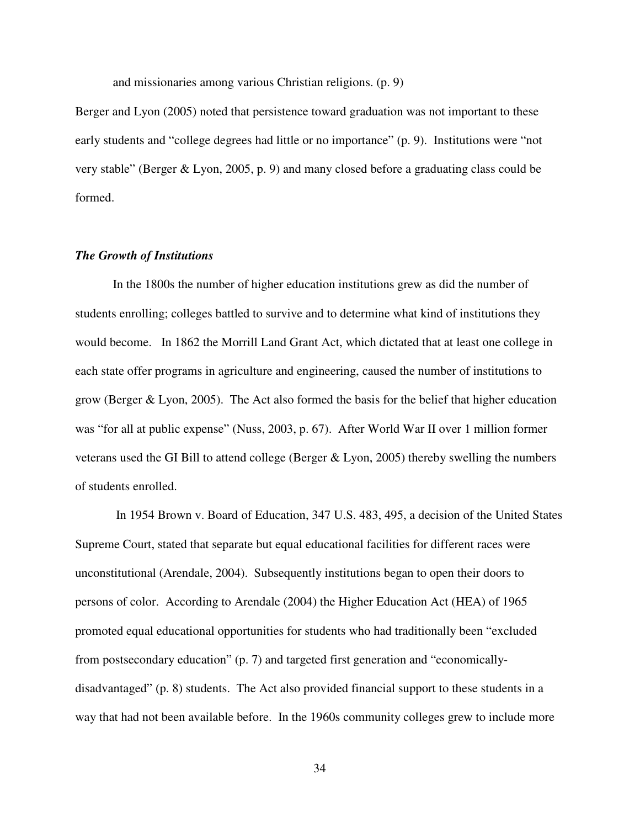and missionaries among various Christian religions. (p. 9)

Berger and Lyon (2005) noted that persistence toward graduation was not important to these early students and "college degrees had little or no importance" (p. 9). Institutions were "not very stable" (Berger & Lyon, 2005, p. 9) and many closed before a graduating class could be formed.

#### *The Growth of Institutions*

In the 1800s the number of higher education institutions grew as did the number of students enrolling; colleges battled to survive and to determine what kind of institutions they would become. In 1862 the Morrill Land Grant Act, which dictated that at least one college in each state offer programs in agriculture and engineering, caused the number of institutions to grow (Berger & Lyon, 2005). The Act also formed the basis for the belief that higher education was "for all at public expense" (Nuss, 2003, p. 67). After World War II over 1 million former veterans used the GI Bill to attend college (Berger  $&$  Lyon, 2005) thereby swelling the numbers of students enrolled.

 In 1954 Brown v. Board of Education, 347 U.S. 483, 495, a decision of the United States Supreme Court, stated that separate but equal educational facilities for different races were unconstitutional (Arendale, 2004). Subsequently institutions began to open their doors to persons of color. According to Arendale (2004) the Higher Education Act (HEA) of 1965 promoted equal educational opportunities for students who had traditionally been "excluded from postsecondary education" (p. 7) and targeted first generation and "economicallydisadvantaged" (p. 8) students. The Act also provided financial support to these students in a way that had not been available before. In the 1960s community colleges grew to include more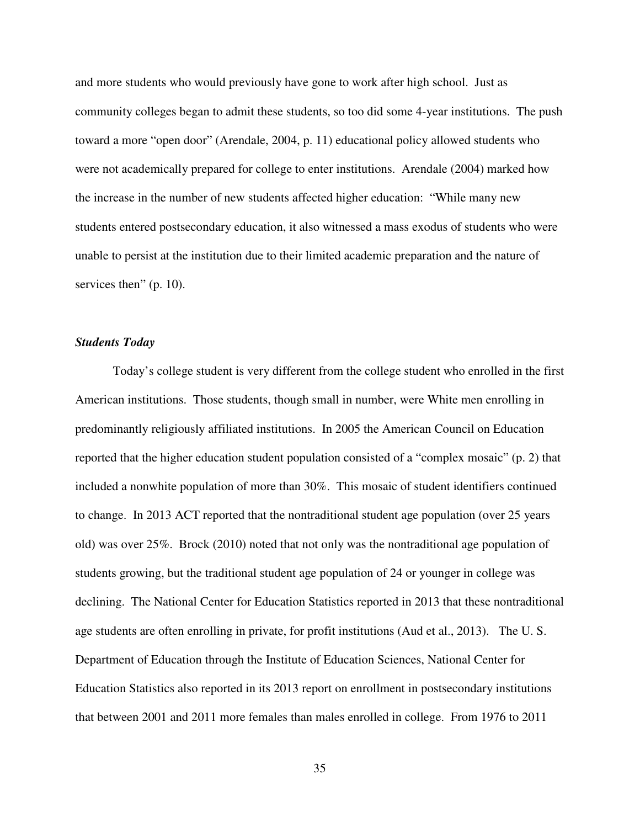and more students who would previously have gone to work after high school. Just as community colleges began to admit these students, so too did some 4-year institutions. The push toward a more "open door" (Arendale, 2004, p. 11) educational policy allowed students who were not academically prepared for college to enter institutions. Arendale (2004) marked how the increase in the number of new students affected higher education: "While many new students entered postsecondary education, it also witnessed a mass exodus of students who were unable to persist at the institution due to their limited academic preparation and the nature of services then" (p. 10).

#### *Students Today*

Today's college student is very different from the college student who enrolled in the first American institutions. Those students, though small in number, were White men enrolling in predominantly religiously affiliated institutions. In 2005 the American Council on Education reported that the higher education student population consisted of a "complex mosaic" (p. 2) that included a nonwhite population of more than 30%. This mosaic of student identifiers continued to change. In 2013 ACT reported that the nontraditional student age population (over 25 years old) was over 25%. Brock (2010) noted that not only was the nontraditional age population of students growing, but the traditional student age population of 24 or younger in college was declining. The National Center for Education Statistics reported in 2013 that these nontraditional age students are often enrolling in private, for profit institutions (Aud et al., 2013). The U. S. Department of Education through the Institute of Education Sciences, National Center for Education Statistics also reported in its 2013 report on enrollment in postsecondary institutions that between 2001 and 2011 more females than males enrolled in college. From 1976 to 2011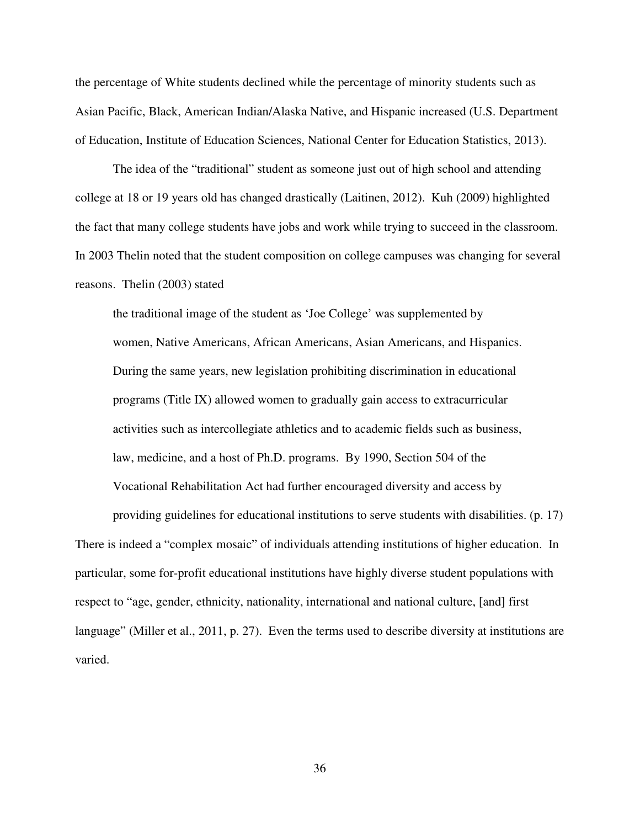the percentage of White students declined while the percentage of minority students such as Asian Pacific, Black, American Indian/Alaska Native, and Hispanic increased (U.S. Department of Education, Institute of Education Sciences, National Center for Education Statistics, 2013).

The idea of the "traditional" student as someone just out of high school and attending college at 18 or 19 years old has changed drastically (Laitinen, 2012). Kuh (2009) highlighted the fact that many college students have jobs and work while trying to succeed in the classroom. In 2003 Thelin noted that the student composition on college campuses was changing for several reasons. Thelin (2003) stated

the traditional image of the student as 'Joe College' was supplemented by women, Native Americans, African Americans, Asian Americans, and Hispanics. During the same years, new legislation prohibiting discrimination in educational programs (Title IX) allowed women to gradually gain access to extracurricular activities such as intercollegiate athletics and to academic fields such as business, law, medicine, and a host of Ph.D. programs. By 1990, Section 504 of the Vocational Rehabilitation Act had further encouraged diversity and access by

providing guidelines for educational institutions to serve students with disabilities. (p. 17) There is indeed a "complex mosaic" of individuals attending institutions of higher education. In particular, some for-profit educational institutions have highly diverse student populations with respect to "age, gender, ethnicity, nationality, international and national culture, [and] first language" (Miller et al., 2011, p. 27). Even the terms used to describe diversity at institutions are varied.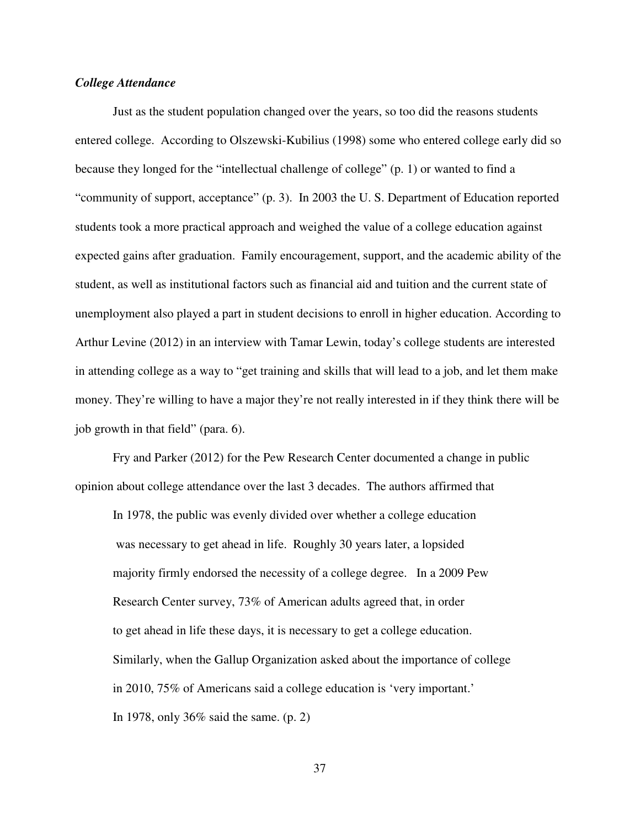# *College Attendance*

Just as the student population changed over the years, so too did the reasons students entered college. According to Olszewski-Kubilius (1998) some who entered college early did so because they longed for the "intellectual challenge of college" (p. 1) or wanted to find a "community of support, acceptance" (p. 3). In 2003 the U. S. Department of Education reported students took a more practical approach and weighed the value of a college education against expected gains after graduation. Family encouragement, support, and the academic ability of the student, as well as institutional factors such as financial aid and tuition and the current state of unemployment also played a part in student decisions to enroll in higher education. According to Arthur Levine (2012) in an interview with Tamar Lewin, today's college students are interested in attending college as a way to "get training and skills that will lead to a job, and let them make money. They're willing to have a major they're not really interested in if they think there will be job growth in that field" (para. 6).

Fry and Parker (2012) for the Pew Research Center documented a change in public opinion about college attendance over the last 3 decades. The authors affirmed that

In 1978, the public was evenly divided over whether a college education was necessary to get ahead in life. Roughly 30 years later, a lopsided majority firmly endorsed the necessity of a college degree. In a 2009 Pew Research Center survey, 73% of American adults agreed that, in order to get ahead in life these days, it is necessary to get a college education. Similarly, when the Gallup Organization asked about the importance of college in 2010, 75% of Americans said a college education is 'very important.' In 1978, only 36% said the same. (p. 2)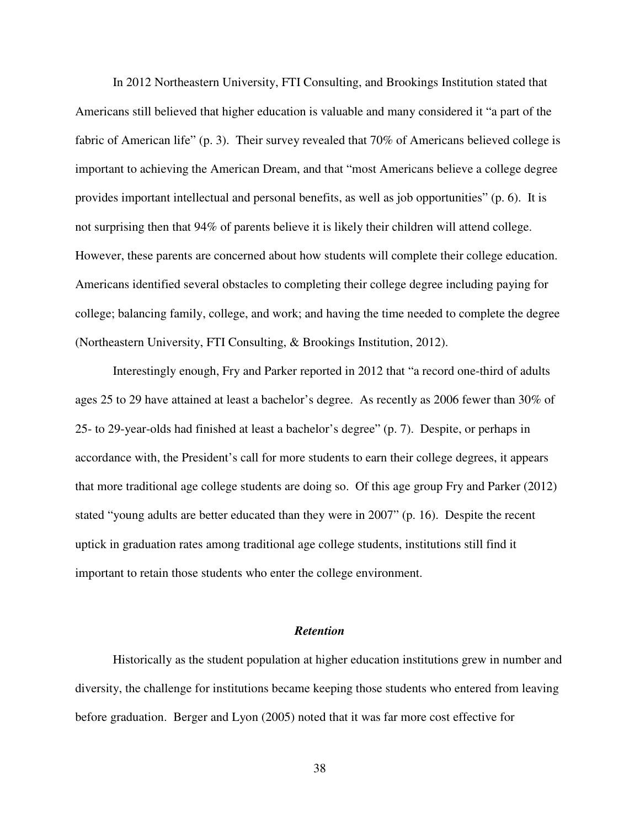In 2012 Northeastern University, FTI Consulting, and Brookings Institution stated that Americans still believed that higher education is valuable and many considered it "a part of the fabric of American life" (p. 3). Their survey revealed that 70% of Americans believed college is important to achieving the American Dream, and that "most Americans believe a college degree provides important intellectual and personal benefits, as well as job opportunities" (p. 6). It is not surprising then that 94% of parents believe it is likely their children will attend college. However, these parents are concerned about how students will complete their college education. Americans identified several obstacles to completing their college degree including paying for college; balancing family, college, and work; and having the time needed to complete the degree (Northeastern University, FTI Consulting, & Brookings Institution, 2012).

Interestingly enough, Fry and Parker reported in 2012 that "a record one-third of adults ages 25 to 29 have attained at least a bachelor's degree. As recently as 2006 fewer than 30% of 25- to 29-year-olds had finished at least a bachelor's degree" (p. 7). Despite, or perhaps in accordance with, the President's call for more students to earn their college degrees, it appears that more traditional age college students are doing so. Of this age group Fry and Parker (2012) stated "young adults are better educated than they were in 2007" (p. 16). Despite the recent uptick in graduation rates among traditional age college students, institutions still find it important to retain those students who enter the college environment.

# *Retention*

Historically as the student population at higher education institutions grew in number and diversity, the challenge for institutions became keeping those students who entered from leaving before graduation. Berger and Lyon (2005) noted that it was far more cost effective for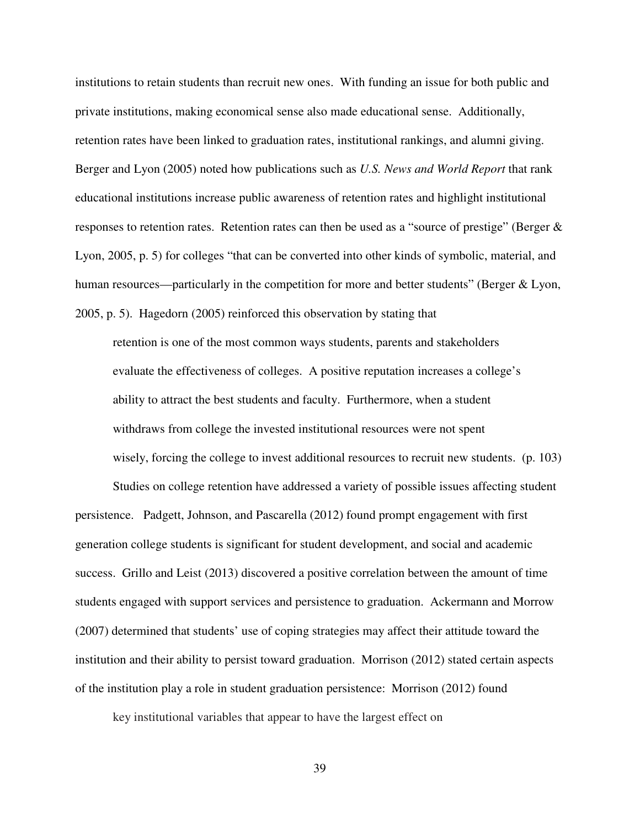institutions to retain students than recruit new ones. With funding an issue for both public and private institutions, making economical sense also made educational sense. Additionally, retention rates have been linked to graduation rates, institutional rankings, and alumni giving. Berger and Lyon (2005) noted how publications such as *U.S. News and World Report* that rank educational institutions increase public awareness of retention rates and highlight institutional responses to retention rates. Retention rates can then be used as a "source of prestige" (Berger & Lyon, 2005, p. 5) for colleges "that can be converted into other kinds of symbolic, material, and human resources—particularly in the competition for more and better students" (Berger & Lyon, 2005, p. 5). Hagedorn (2005) reinforced this observation by stating that

retention is one of the most common ways students, parents and stakeholders evaluate the effectiveness of colleges. A positive reputation increases a college's ability to attract the best students and faculty. Furthermore, when a student withdraws from college the invested institutional resources were not spent wisely, forcing the college to invest additional resources to recruit new students. (p. 103)

Studies on college retention have addressed a variety of possible issues affecting student persistence. Padgett, Johnson, and Pascarella (2012) found prompt engagement with first generation college students is significant for student development, and social and academic success. Grillo and Leist (2013) discovered a positive correlation between the amount of time students engaged with support services and persistence to graduation. Ackermann and Morrow (2007) determined that students' use of coping strategies may affect their attitude toward the institution and their ability to persist toward graduation. Morrison (2012) stated certain aspects of the institution play a role in student graduation persistence: Morrison (2012) found

key institutional variables that appear to have the largest effect on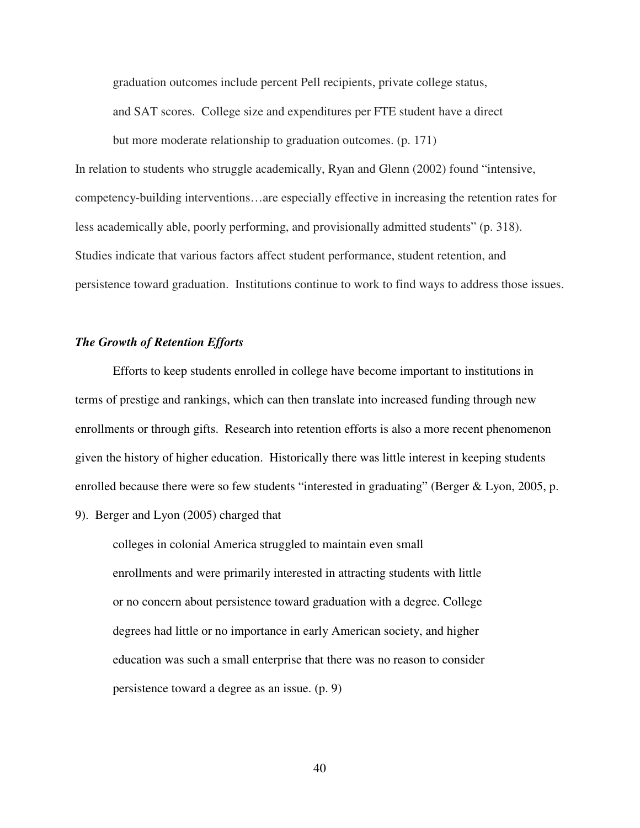graduation outcomes include percent Pell recipients, private college status,

and SAT scores. College size and expenditures per FTE student have a direct

but more moderate relationship to graduation outcomes. (p. 171) In relation to students who struggle academically, Ryan and Glenn (2002) found "intensive, competency-building interventions…are especially effective in increasing the retention rates for less academically able, poorly performing, and provisionally admitted students" (p. 318). Studies indicate that various factors affect student performance, student retention, and persistence toward graduation. Institutions continue to work to find ways to address those issues.

# *The Growth of Retention Efforts*

Efforts to keep students enrolled in college have become important to institutions in terms of prestige and rankings, which can then translate into increased funding through new enrollments or through gifts. Research into retention efforts is also a more recent phenomenon given the history of higher education. Historically there was little interest in keeping students enrolled because there were so few students "interested in graduating" (Berger & Lyon, 2005, p.

9). Berger and Lyon (2005) charged that

colleges in colonial America struggled to maintain even small enrollments and were primarily interested in attracting students with little or no concern about persistence toward graduation with a degree. College degrees had little or no importance in early American society, and higher education was such a small enterprise that there was no reason to consider persistence toward a degree as an issue. (p. 9)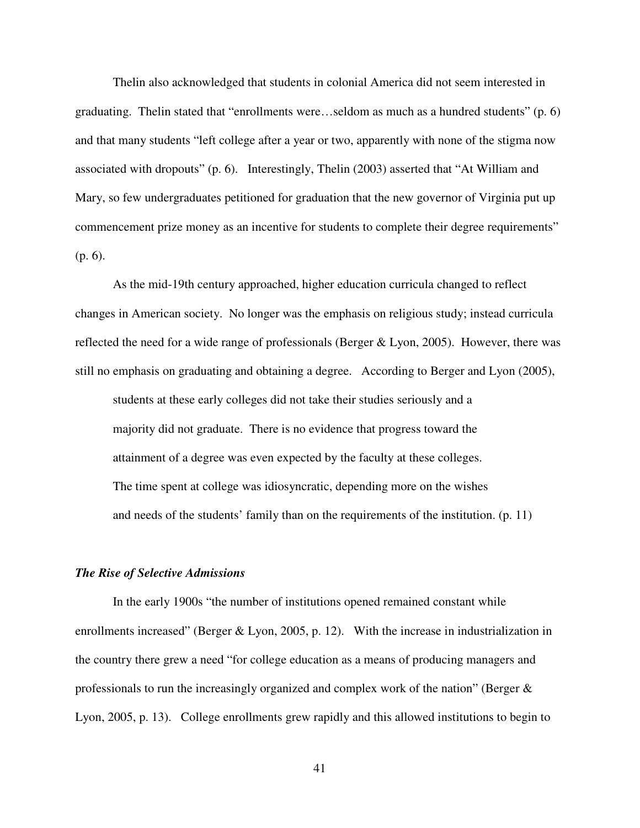Thelin also acknowledged that students in colonial America did not seem interested in graduating. Thelin stated that "enrollments were…seldom as much as a hundred students" (p. 6) and that many students "left college after a year or two, apparently with none of the stigma now associated with dropouts" (p. 6). Interestingly, Thelin (2003) asserted that "At William and Mary, so few undergraduates petitioned for graduation that the new governor of Virginia put up commencement prize money as an incentive for students to complete their degree requirements" (p. 6).

As the mid-19th century approached, higher education curricula changed to reflect changes in American society. No longer was the emphasis on religious study; instead curricula reflected the need for a wide range of professionals (Berger  $&$  Lyon, 2005). However, there was still no emphasis on graduating and obtaining a degree. According to Berger and Lyon (2005), students at these early colleges did not take their studies seriously and a majority did not graduate. There is no evidence that progress toward the

attainment of a degree was even expected by the faculty at these colleges. The time spent at college was idiosyncratic, depending more on the wishes and needs of the students' family than on the requirements of the institution. (p. 11)

### *The Rise of Selective Admissions*

In the early 1900s "the number of institutions opened remained constant while enrollments increased" (Berger & Lyon, 2005, p. 12). With the increase in industrialization in the country there grew a need "for college education as a means of producing managers and professionals to run the increasingly organized and complex work of the nation" (Berger & Lyon, 2005, p. 13). College enrollments grew rapidly and this allowed institutions to begin to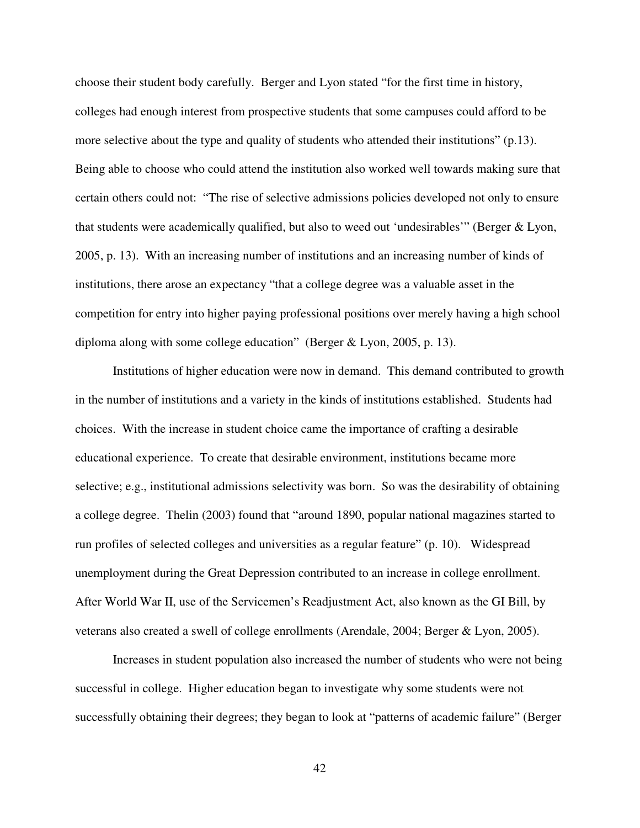choose their student body carefully. Berger and Lyon stated "for the first time in history, colleges had enough interest from prospective students that some campuses could afford to be more selective about the type and quality of students who attended their institutions" (p.13). Being able to choose who could attend the institution also worked well towards making sure that certain others could not: "The rise of selective admissions policies developed not only to ensure that students were academically qualified, but also to weed out 'undesirables'" (Berger & Lyon, 2005, p. 13). With an increasing number of institutions and an increasing number of kinds of institutions, there arose an expectancy "that a college degree was a valuable asset in the competition for entry into higher paying professional positions over merely having a high school diploma along with some college education" (Berger & Lyon, 2005, p. 13).

 Institutions of higher education were now in demand. This demand contributed to growth in the number of institutions and a variety in the kinds of institutions established. Students had choices. With the increase in student choice came the importance of crafting a desirable educational experience. To create that desirable environment, institutions became more selective; e.g., institutional admissions selectivity was born. So was the desirability of obtaining a college degree. Thelin (2003) found that "around 1890, popular national magazines started to run profiles of selected colleges and universities as a regular feature" (p. 10). Widespread unemployment during the Great Depression contributed to an increase in college enrollment. After World War II, use of the Servicemen's Readjustment Act, also known as the GI Bill, by veterans also created a swell of college enrollments (Arendale, 2004; Berger & Lyon, 2005).

Increases in student population also increased the number of students who were not being successful in college. Higher education began to investigate why some students were not successfully obtaining their degrees; they began to look at "patterns of academic failure" (Berger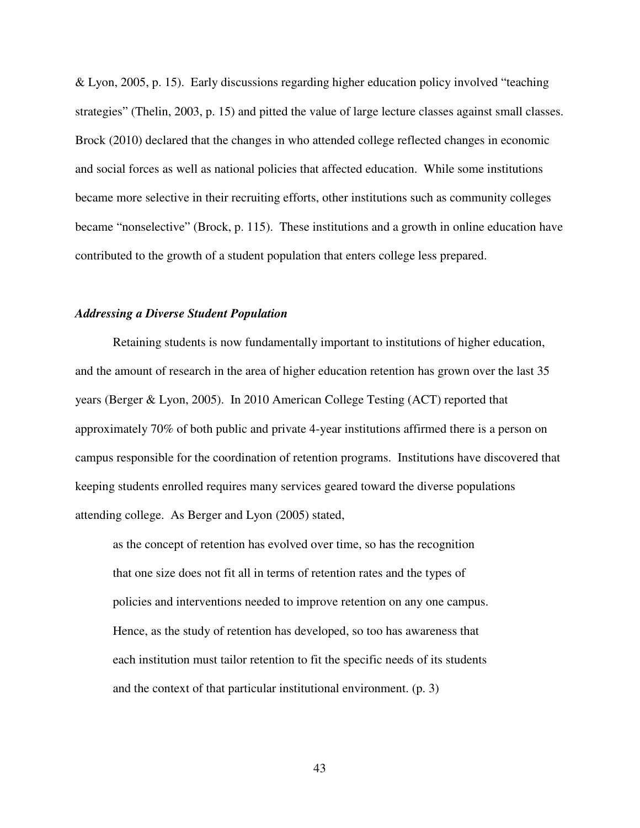& Lyon, 2005, p. 15). Early discussions regarding higher education policy involved "teaching strategies" (Thelin, 2003, p. 15) and pitted the value of large lecture classes against small classes. Brock (2010) declared that the changes in who attended college reflected changes in economic and social forces as well as national policies that affected education. While some institutions became more selective in their recruiting efforts, other institutions such as community colleges became "nonselective" (Brock, p. 115). These institutions and a growth in online education have contributed to the growth of a student population that enters college less prepared.

# *Addressing a Diverse Student Population*

Retaining students is now fundamentally important to institutions of higher education, and the amount of research in the area of higher education retention has grown over the last 35 years (Berger & Lyon, 2005). In 2010 American College Testing (ACT) reported that approximately 70% of both public and private 4-year institutions affirmed there is a person on campus responsible for the coordination of retention programs. Institutions have discovered that keeping students enrolled requires many services geared toward the diverse populations attending college. As Berger and Lyon (2005) stated,

as the concept of retention has evolved over time, so has the recognition that one size does not fit all in terms of retention rates and the types of policies and interventions needed to improve retention on any one campus. Hence, as the study of retention has developed, so too has awareness that each institution must tailor retention to fit the specific needs of its students and the context of that particular institutional environment. (p. 3)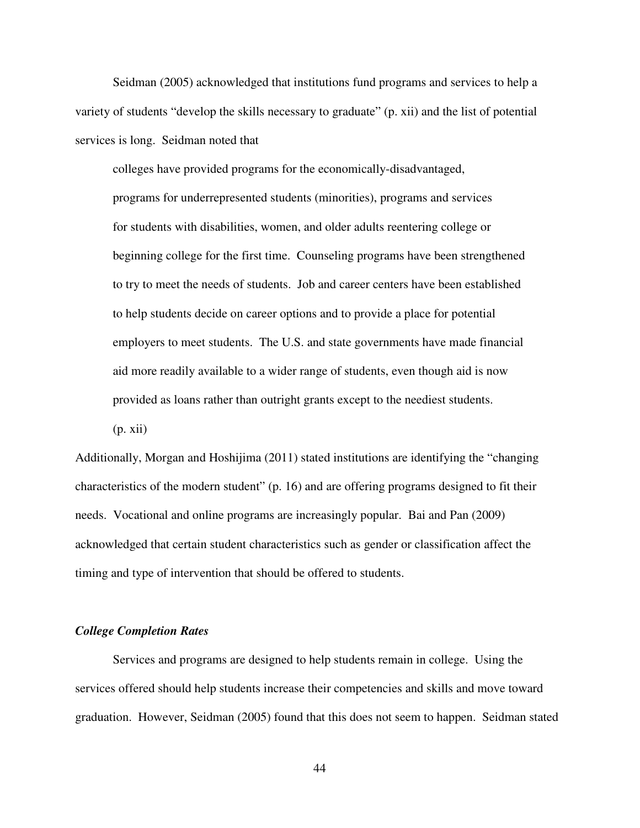Seidman (2005) acknowledged that institutions fund programs and services to help a variety of students "develop the skills necessary to graduate" (p. xii) and the list of potential services is long. Seidman noted that

colleges have provided programs for the economically-disadvantaged, programs for underrepresented students (minorities), programs and services for students with disabilities, women, and older adults reentering college or beginning college for the first time. Counseling programs have been strengthened to try to meet the needs of students. Job and career centers have been established to help students decide on career options and to provide a place for potential employers to meet students. The U.S. and state governments have made financial aid more readily available to a wider range of students, even though aid is now provided as loans rather than outright grants except to the neediest students.  $(p. xii)$ 

Additionally, Morgan and Hoshijima (2011) stated institutions are identifying the "changing characteristics of the modern student" (p. 16) and are offering programs designed to fit their needs. Vocational and online programs are increasingly popular. Bai and Pan (2009) acknowledged that certain student characteristics such as gender or classification affect the timing and type of intervention that should be offered to students.

# *College Completion Rates*

Services and programs are designed to help students remain in college. Using the services offered should help students increase their competencies and skills and move toward graduation. However, Seidman (2005) found that this does not seem to happen. Seidman stated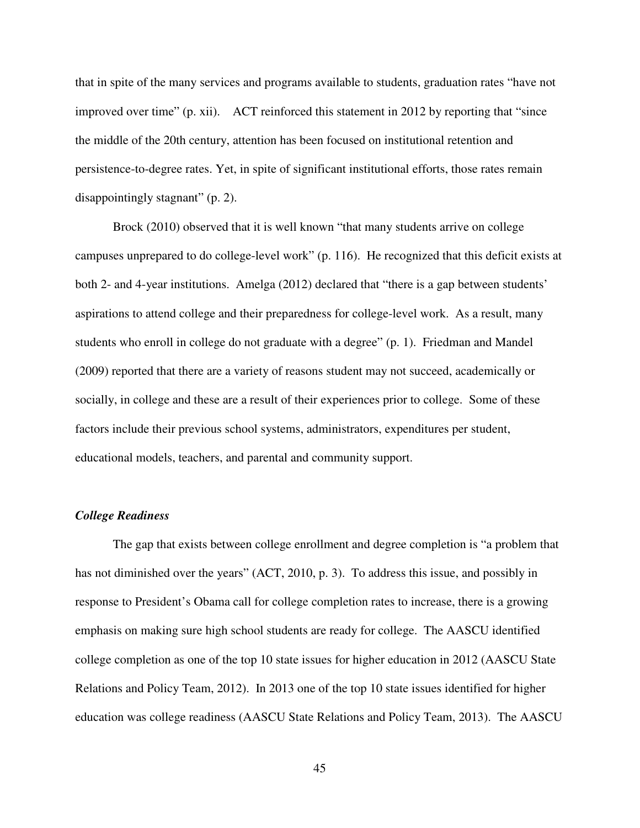that in spite of the many services and programs available to students, graduation rates "have not improved over time" (p. xii). ACT reinforced this statement in 2012 by reporting that "since the middle of the 20th century, attention has been focused on institutional retention and persistence-to-degree rates. Yet, in spite of significant institutional efforts, those rates remain disappointingly stagnant" (p. 2).

Brock (2010) observed that it is well known "that many students arrive on college campuses unprepared to do college-level work" (p. 116). He recognized that this deficit exists at both 2- and 4-year institutions. Amelga (2012) declared that "there is a gap between students' aspirations to attend college and their preparedness for college-level work. As a result, many students who enroll in college do not graduate with a degree" (p. 1). Friedman and Mandel (2009) reported that there are a variety of reasons student may not succeed, academically or socially, in college and these are a result of their experiences prior to college. Some of these factors include their previous school systems, administrators, expenditures per student, educational models, teachers, and parental and community support.

# *College Readiness*

The gap that exists between college enrollment and degree completion is "a problem that has not diminished over the years" (ACT, 2010, p. 3). To address this issue, and possibly in response to President's Obama call for college completion rates to increase, there is a growing emphasis on making sure high school students are ready for college. The AASCU identified college completion as one of the top 10 state issues for higher education in 2012 (AASCU State Relations and Policy Team, 2012). In 2013 one of the top 10 state issues identified for higher education was college readiness (AASCU State Relations and Policy Team, 2013). The AASCU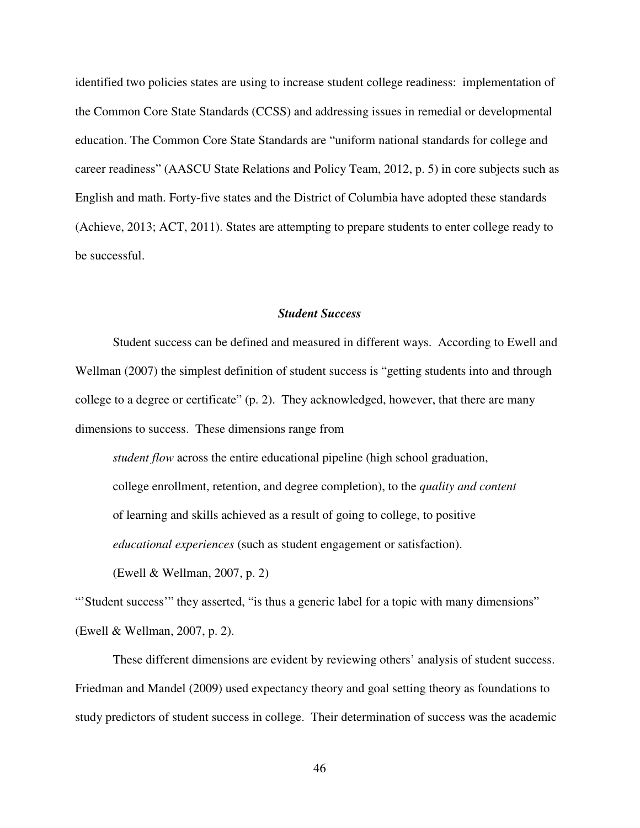identified two policies states are using to increase student college readiness: implementation of the Common Core State Standards (CCSS) and addressing issues in remedial or developmental education. The Common Core State Standards are "uniform national standards for college and career readiness" (AASCU State Relations and Policy Team, 2012, p. 5) in core subjects such as English and math. Forty-five states and the District of Columbia have adopted these standards (Achieve, 2013; ACT, 2011). States are attempting to prepare students to enter college ready to be successful.

# *Student Success*

Student success can be defined and measured in different ways. According to Ewell and Wellman (2007) the simplest definition of student success is "getting students into and through college to a degree or certificate" (p. 2). They acknowledged, however, that there are many dimensions to success. These dimensions range from

*student flow* across the entire educational pipeline (high school graduation, college enrollment, retention, and degree completion), to the *quality and content* of learning and skills achieved as a result of going to college, to positive *educational experiences* (such as student engagement or satisfaction).

(Ewell & Wellman, 2007, p. 2)

"Student success" they asserted, "is thus a generic label for a topic with many dimensions" (Ewell & Wellman, 2007, p. 2).

These different dimensions are evident by reviewing others' analysis of student success. Friedman and Mandel (2009) used expectancy theory and goal setting theory as foundations to study predictors of student success in college. Their determination of success was the academic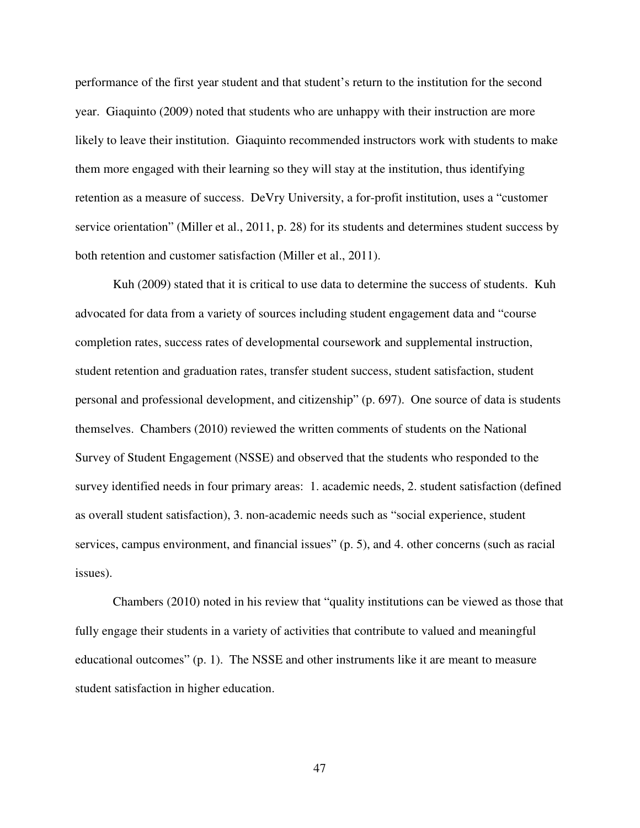performance of the first year student and that student's return to the institution for the second year. Giaquinto (2009) noted that students who are unhappy with their instruction are more likely to leave their institution. Giaquinto recommended instructors work with students to make them more engaged with their learning so they will stay at the institution, thus identifying retention as a measure of success. DeVry University, a for-profit institution, uses a "customer service orientation" (Miller et al., 2011, p. 28) for its students and determines student success by both retention and customer satisfaction (Miller et al., 2011).

Kuh (2009) stated that it is critical to use data to determine the success of students. Kuh advocated for data from a variety of sources including student engagement data and "course completion rates, success rates of developmental coursework and supplemental instruction, student retention and graduation rates, transfer student success, student satisfaction, student personal and professional development, and citizenship" (p. 697). One source of data is students themselves. Chambers (2010) reviewed the written comments of students on the National Survey of Student Engagement (NSSE) and observed that the students who responded to the survey identified needs in four primary areas: 1. academic needs, 2. student satisfaction (defined as overall student satisfaction), 3. non-academic needs such as "social experience, student services, campus environment, and financial issues" (p. 5), and 4. other concerns (such as racial issues).

Chambers (2010) noted in his review that "quality institutions can be viewed as those that fully engage their students in a variety of activities that contribute to valued and meaningful educational outcomes" (p. 1). The NSSE and other instruments like it are meant to measure student satisfaction in higher education.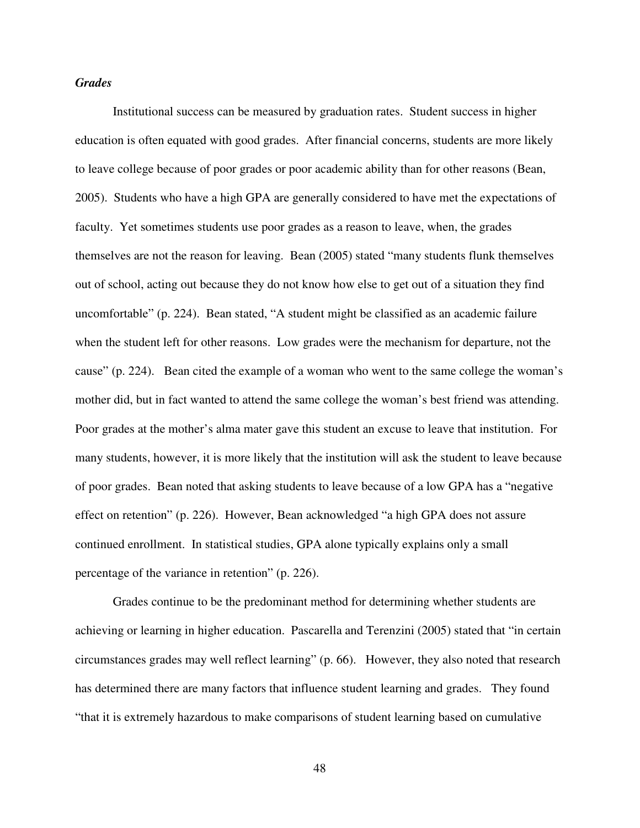# *Grades*

Institutional success can be measured by graduation rates. Student success in higher education is often equated with good grades. After financial concerns, students are more likely to leave college because of poor grades or poor academic ability than for other reasons (Bean, 2005). Students who have a high GPA are generally considered to have met the expectations of faculty. Yet sometimes students use poor grades as a reason to leave, when, the grades themselves are not the reason for leaving. Bean (2005) stated "many students flunk themselves out of school, acting out because they do not know how else to get out of a situation they find uncomfortable" (p. 224). Bean stated, "A student might be classified as an academic failure when the student left for other reasons. Low grades were the mechanism for departure, not the cause" (p. 224). Bean cited the example of a woman who went to the same college the woman's mother did, but in fact wanted to attend the same college the woman's best friend was attending. Poor grades at the mother's alma mater gave this student an excuse to leave that institution. For many students, however, it is more likely that the institution will ask the student to leave because of poor grades. Bean noted that asking students to leave because of a low GPA has a "negative effect on retention" (p. 226). However, Bean acknowledged "a high GPA does not assure continued enrollment. In statistical studies, GPA alone typically explains only a small percentage of the variance in retention" (p. 226).

Grades continue to be the predominant method for determining whether students are achieving or learning in higher education. Pascarella and Terenzini (2005) stated that "in certain circumstances grades may well reflect learning" (p. 66). However, they also noted that research has determined there are many factors that influence student learning and grades. They found "that it is extremely hazardous to make comparisons of student learning based on cumulative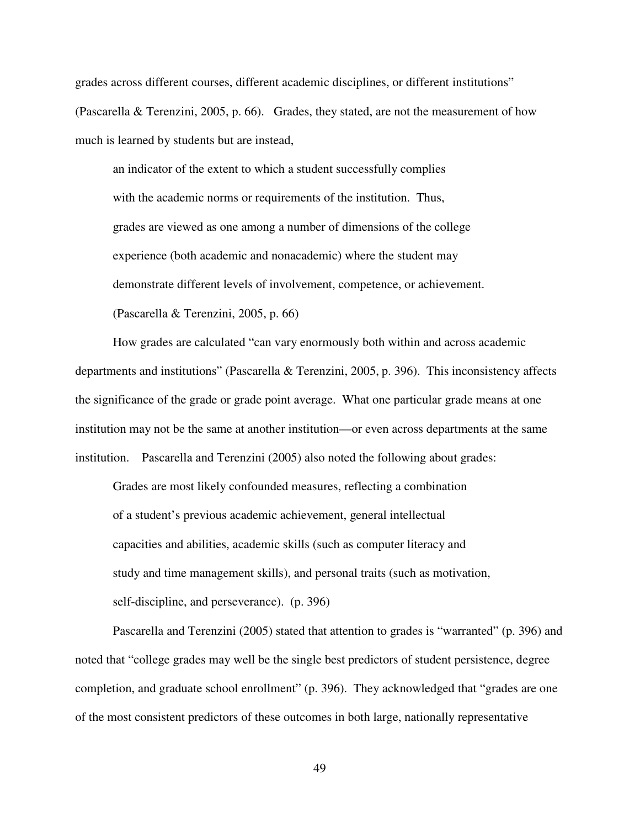grades across different courses, different academic disciplines, or different institutions" (Pascarella & Terenzini, 2005, p. 66). Grades, they stated, are not the measurement of how much is learned by students but are instead,

an indicator of the extent to which a student successfully complies with the academic norms or requirements of the institution. Thus, grades are viewed as one among a number of dimensions of the college experience (both academic and nonacademic) where the student may demonstrate different levels of involvement, competence, or achievement. (Pascarella & Terenzini, 2005, p. 66)

How grades are calculated "can vary enormously both within and across academic departments and institutions" (Pascarella & Terenzini, 2005, p. 396). This inconsistency affects the significance of the grade or grade point average. What one particular grade means at one institution may not be the same at another institution—or even across departments at the same institution. Pascarella and Terenzini (2005) also noted the following about grades:

Grades are most likely confounded measures, reflecting a combination of a student's previous academic achievement, general intellectual capacities and abilities, academic skills (such as computer literacy and study and time management skills), and personal traits (such as motivation, self-discipline, and perseverance). (p. 396)

Pascarella and Terenzini (2005) stated that attention to grades is "warranted" (p. 396) and noted that "college grades may well be the single best predictors of student persistence, degree completion, and graduate school enrollment" (p. 396). They acknowledged that "grades are one of the most consistent predictors of these outcomes in both large, nationally representative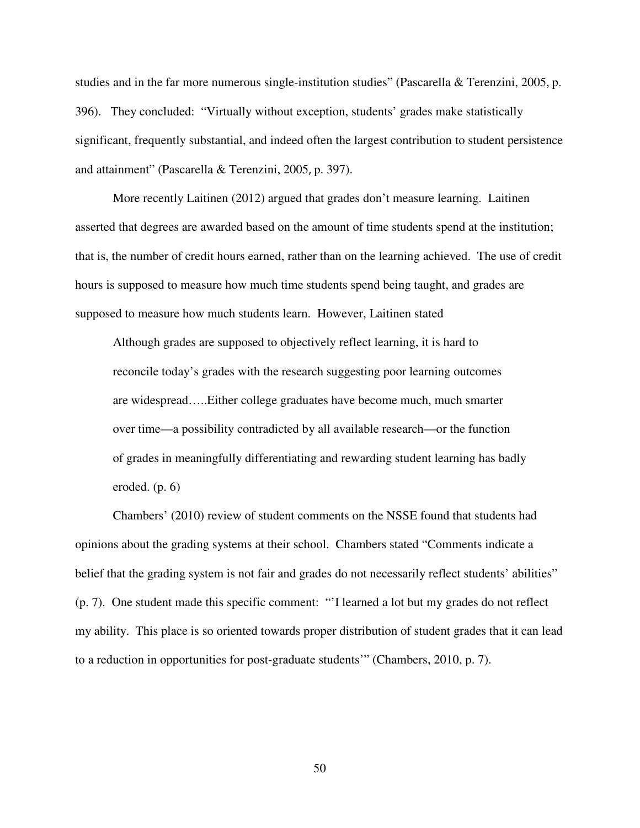studies and in the far more numerous single-institution studies" (Pascarella & Terenzini, 2005, p. 396). They concluded: "Virtually without exception, students' grades make statistically significant, frequently substantial, and indeed often the largest contribution to student persistence and attainment" (Pascarella & Terenzini, 2005, p. 397).

More recently Laitinen (2012) argued that grades don't measure learning. Laitinen asserted that degrees are awarded based on the amount of time students spend at the institution; that is, the number of credit hours earned, rather than on the learning achieved. The use of credit hours is supposed to measure how much time students spend being taught, and grades are supposed to measure how much students learn. However, Laitinen stated

Although grades are supposed to objectively reflect learning, it is hard to reconcile today's grades with the research suggesting poor learning outcomes are widespread…..Either college graduates have become much, much smarter over time—a possibility contradicted by all available research—or the function of grades in meaningfully differentiating and rewarding student learning has badly eroded. (p. 6)

Chambers' (2010) review of student comments on the NSSE found that students had opinions about the grading systems at their school. Chambers stated "Comments indicate a belief that the grading system is not fair and grades do not necessarily reflect students' abilities" (p. 7). One student made this specific comment: "'I learned a lot but my grades do not reflect my ability. This place is so oriented towards proper distribution of student grades that it can lead to a reduction in opportunities for post-graduate students'" (Chambers, 2010, p. 7).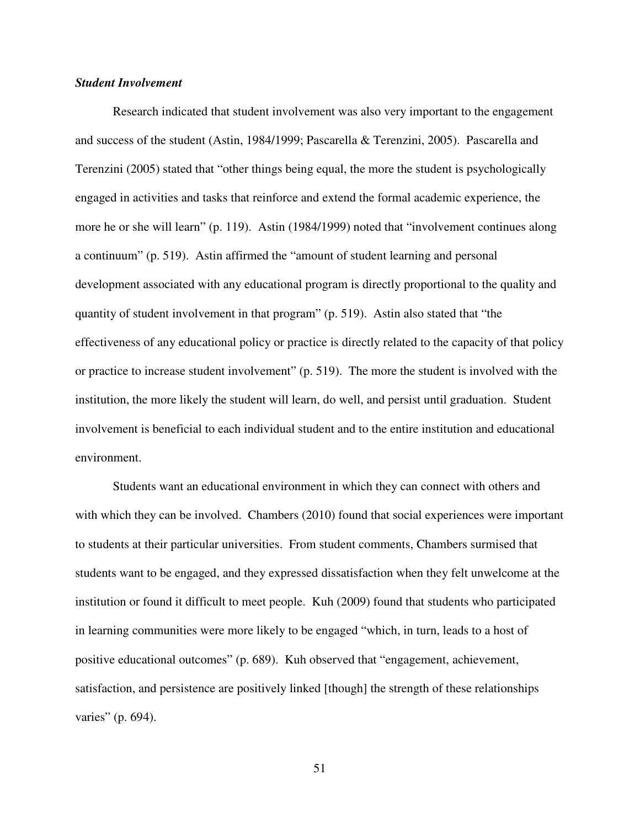# *Student Involvement*

Research indicated that student involvement was also very important to the engagement and success of the student (Astin, 1984/1999; Pascarella & Terenzini, 2005). Pascarella and Terenzini (2005) stated that "other things being equal, the more the student is psychologically engaged in activities and tasks that reinforce and extend the formal academic experience, the more he or she will learn" (p. 119). Astin (1984/1999) noted that "involvement continues along a continuum" (p. 519). Astin affirmed the "amount of student learning and personal development associated with any educational program is directly proportional to the quality and quantity of student involvement in that program" (p. 519). Astin also stated that "the effectiveness of any educational policy or practice is directly related to the capacity of that policy or practice to increase student involvement" (p. 519). The more the student is involved with the institution, the more likely the student will learn, do well, and persist until graduation. Student involvement is beneficial to each individual student and to the entire institution and educational environment.

Students want an educational environment in which they can connect with others and with which they can be involved. Chambers (2010) found that social experiences were important to students at their particular universities. From student comments, Chambers surmised that students want to be engaged, and they expressed dissatisfaction when they felt unwelcome at the institution or found it difficult to meet people. Kuh (2009) found that students who participated in learning communities were more likely to be engaged "which, in turn, leads to a host of positive educational outcomes" (p. 689). Kuh observed that "engagement, achievement, satisfaction, and persistence are positively linked [though] the strength of these relationships varies" (p. 694).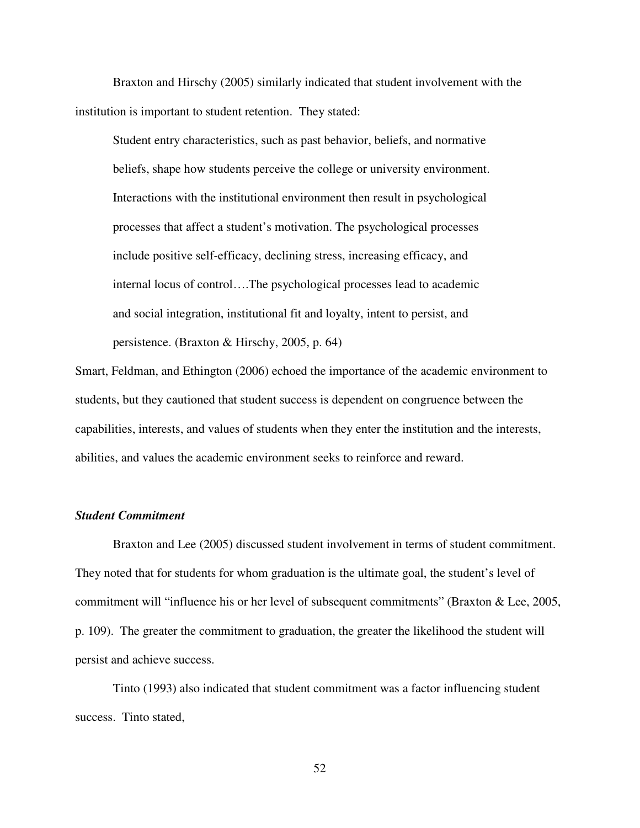Braxton and Hirschy (2005) similarly indicated that student involvement with the institution is important to student retention. They stated:

Student entry characteristics, such as past behavior, beliefs, and normative beliefs, shape how students perceive the college or university environment. Interactions with the institutional environment then result in psychological processes that affect a student's motivation. The psychological processes include positive self-efficacy, declining stress, increasing efficacy, and internal locus of control….The psychological processes lead to academic and social integration, institutional fit and loyalty, intent to persist, and persistence. (Braxton & Hirschy, 2005, p. 64)

Smart, Feldman, and Ethington (2006) echoed the importance of the academic environment to students, but they cautioned that student success is dependent on congruence between the capabilities, interests, and values of students when they enter the institution and the interests, abilities, and values the academic environment seeks to reinforce and reward.

# *Student Commitment*

Braxton and Lee (2005) discussed student involvement in terms of student commitment. They noted that for students for whom graduation is the ultimate goal, the student's level of commitment will "influence his or her level of subsequent commitments" (Braxton & Lee, 2005, p. 109). The greater the commitment to graduation, the greater the likelihood the student will persist and achieve success.

Tinto (1993) also indicated that student commitment was a factor influencing student success. Tinto stated,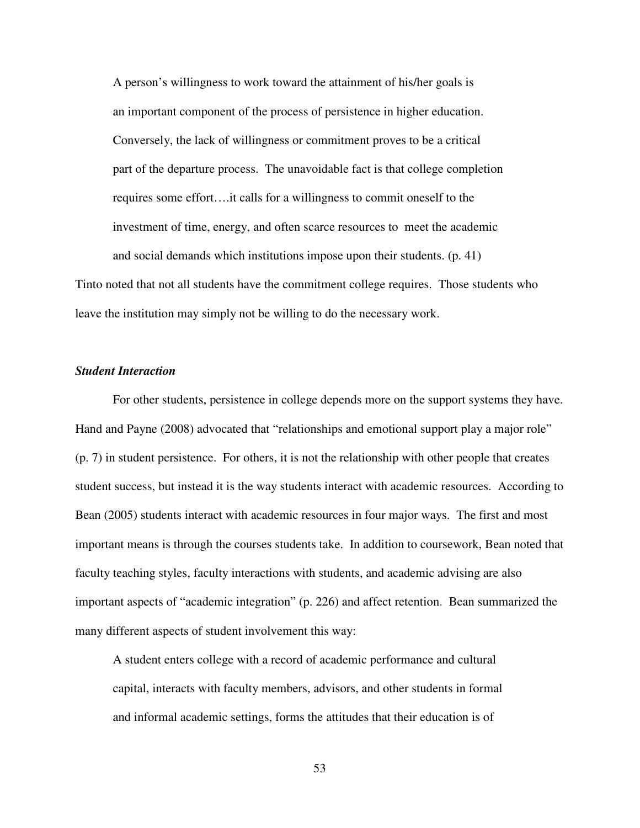A person's willingness to work toward the attainment of his/her goals is an important component of the process of persistence in higher education. Conversely, the lack of willingness or commitment proves to be a critical part of the departure process. The unavoidable fact is that college completion requires some effort….it calls for a willingness to commit oneself to the investment of time, energy, and often scarce resources to meet the academic and social demands which institutions impose upon their students. (p. 41) Tinto noted that not all students have the commitment college requires. Those students who

leave the institution may simply not be willing to do the necessary work.

# *Student Interaction*

For other students, persistence in college depends more on the support systems they have. Hand and Payne (2008) advocated that "relationships and emotional support play a major role" (p. 7) in student persistence. For others, it is not the relationship with other people that creates student success, but instead it is the way students interact with academic resources. According to Bean (2005) students interact with academic resources in four major ways. The first and most important means is through the courses students take. In addition to coursework, Bean noted that faculty teaching styles, faculty interactions with students, and academic advising are also important aspects of "academic integration" (p. 226) and affect retention. Bean summarized the many different aspects of student involvement this way:

A student enters college with a record of academic performance and cultural capital, interacts with faculty members, advisors, and other students in formal and informal academic settings, forms the attitudes that their education is of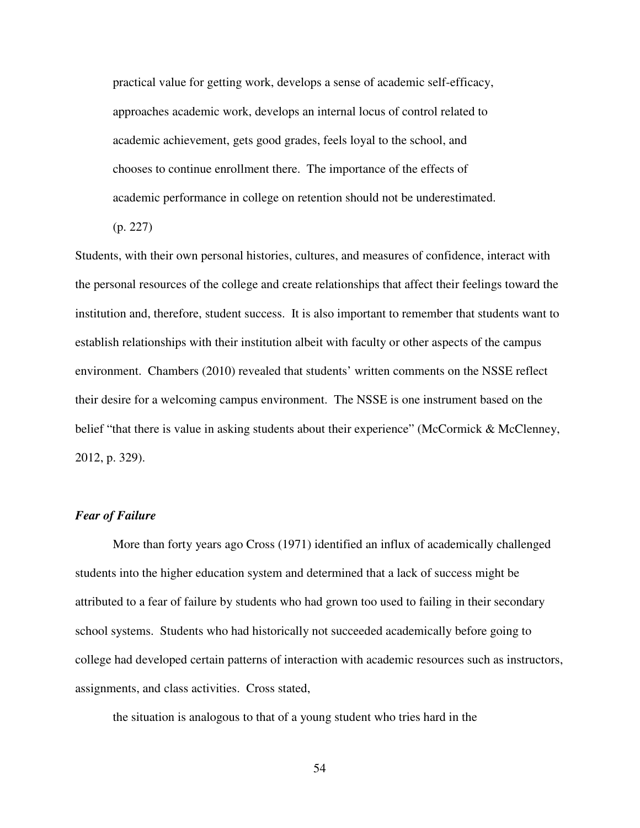practical value for getting work, develops a sense of academic self-efficacy, approaches academic work, develops an internal locus of control related to academic achievement, gets good grades, feels loyal to the school, and chooses to continue enrollment there. The importance of the effects of academic performance in college on retention should not be underestimated.

(p. 227)

Students, with their own personal histories, cultures, and measures of confidence, interact with the personal resources of the college and create relationships that affect their feelings toward the institution and, therefore, student success. It is also important to remember that students want to establish relationships with their institution albeit with faculty or other aspects of the campus environment. Chambers (2010) revealed that students' written comments on the NSSE reflect their desire for a welcoming campus environment. The NSSE is one instrument based on the belief "that there is value in asking students about their experience" (McCormick & McClenney, 2012, p. 329).

# *Fear of Failure*

More than forty years ago Cross (1971) identified an influx of academically challenged students into the higher education system and determined that a lack of success might be attributed to a fear of failure by students who had grown too used to failing in their secondary school systems. Students who had historically not succeeded academically before going to college had developed certain patterns of interaction with academic resources such as instructors, assignments, and class activities. Cross stated,

the situation is analogous to that of a young student who tries hard in the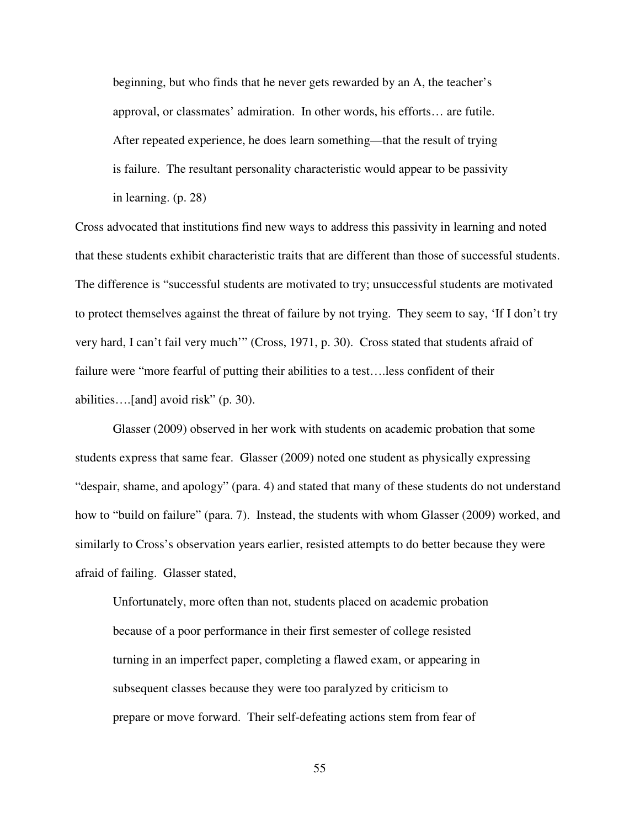beginning, but who finds that he never gets rewarded by an A, the teacher's approval, or classmates' admiration. In other words, his efforts… are futile. After repeated experience, he does learn something—that the result of trying is failure. The resultant personality characteristic would appear to be passivity in learning. (p. 28)

Cross advocated that institutions find new ways to address this passivity in learning and noted that these students exhibit characteristic traits that are different than those of successful students. The difference is "successful students are motivated to try; unsuccessful students are motivated to protect themselves against the threat of failure by not trying. They seem to say, 'If I don't try very hard, I can't fail very much'" (Cross, 1971, p. 30). Cross stated that students afraid of failure were "more fearful of putting their abilities to a test….less confident of their abilities….[and] avoid risk" (p. 30).

Glasser (2009) observed in her work with students on academic probation that some students express that same fear. Glasser (2009) noted one student as physically expressing "despair, shame, and apology" (para. 4) and stated that many of these students do not understand how to "build on failure" (para. 7). Instead, the students with whom Glasser (2009) worked, and similarly to Cross's observation years earlier, resisted attempts to do better because they were afraid of failing. Glasser stated,

 Unfortunately, more often than not, students placed on academic probation because of a poor performance in their first semester of college resisted turning in an imperfect paper, completing a flawed exam, or appearing in subsequent classes because they were too paralyzed by criticism to prepare or move forward. Their self-defeating actions stem from fear of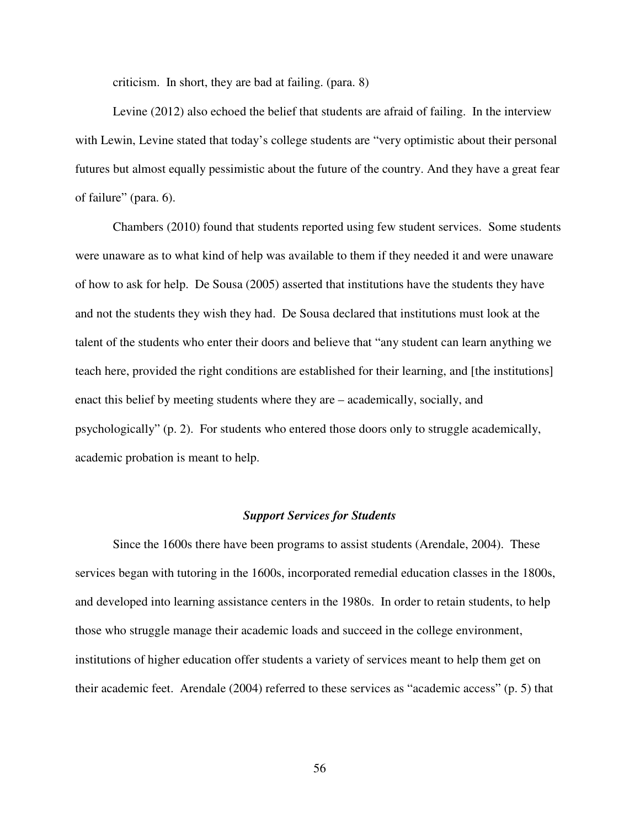criticism. In short, they are bad at failing. (para. 8)

Levine (2012) also echoed the belief that students are afraid of failing. In the interview with Lewin, Levine stated that today's college students are "very optimistic about their personal futures but almost equally pessimistic about the future of the country. And they have a great fear of failure" (para. 6).

Chambers (2010) found that students reported using few student services. Some students were unaware as to what kind of help was available to them if they needed it and were unaware of how to ask for help. De Sousa (2005) asserted that institutions have the students they have and not the students they wish they had. De Sousa declared that institutions must look at the talent of the students who enter their doors and believe that "any student can learn anything we teach here, provided the right conditions are established for their learning, and [the institutions] enact this belief by meeting students where they are – academically, socially, and psychologically" (p. 2). For students who entered those doors only to struggle academically, academic probation is meant to help.

# *Support Services for Students*

Since the 1600s there have been programs to assist students (Arendale, 2004). These services began with tutoring in the 1600s, incorporated remedial education classes in the 1800s, and developed into learning assistance centers in the 1980s. In order to retain students, to help those who struggle manage their academic loads and succeed in the college environment, institutions of higher education offer students a variety of services meant to help them get on their academic feet. Arendale (2004) referred to these services as "academic access" (p. 5) that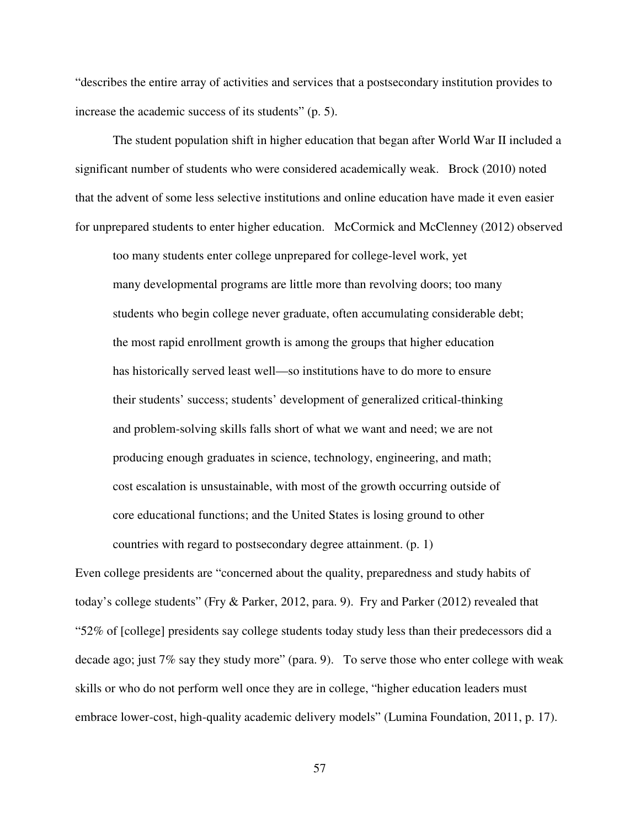"describes the entire array of activities and services that a postsecondary institution provides to increase the academic success of its students" (p. 5).

The student population shift in higher education that began after World War II included a significant number of students who were considered academically weak. Brock (2010) noted that the advent of some less selective institutions and online education have made it even easier for unprepared students to enter higher education. McCormick and McClenney (2012) observed

too many students enter college unprepared for college-level work, yet many developmental programs are little more than revolving doors; too many students who begin college never graduate, often accumulating considerable debt; the most rapid enrollment growth is among the groups that higher education has historically served least well—so institutions have to do more to ensure their students' success; students' development of generalized critical-thinking and problem-solving skills falls short of what we want and need; we are not producing enough graduates in science, technology, engineering, and math; cost escalation is unsustainable, with most of the growth occurring outside of core educational functions; and the United States is losing ground to other countries with regard to postsecondary degree attainment. (p. 1)

Even college presidents are "concerned about the quality, preparedness and study habits of today's college students" (Fry & Parker, 2012, para. 9). Fry and Parker (2012) revealed that "52% of [college] presidents say college students today study less than their predecessors did a decade ago; just 7% say they study more" (para. 9). To serve those who enter college with weak skills or who do not perform well once they are in college, "higher education leaders must embrace lower-cost, high-quality academic delivery models" (Lumina Foundation, 2011, p. 17).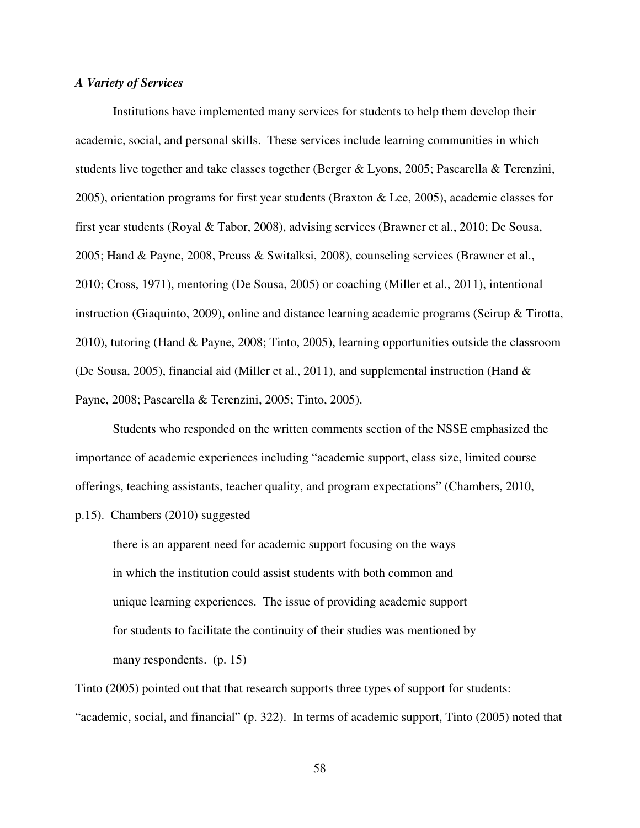# *A Variety of Services*

Institutions have implemented many services for students to help them develop their academic, social, and personal skills. These services include learning communities in which students live together and take classes together (Berger & Lyons, 2005; Pascarella & Terenzini, 2005), orientation programs for first year students (Braxton & Lee, 2005), academic classes for first year students (Royal & Tabor, 2008), advising services (Brawner et al., 2010; De Sousa, 2005; Hand & Payne, 2008, Preuss & Switalksi, 2008), counseling services (Brawner et al., 2010; Cross, 1971), mentoring (De Sousa, 2005) or coaching (Miller et al., 2011), intentional instruction (Giaquinto, 2009), online and distance learning academic programs (Seirup & Tirotta, 2010), tutoring (Hand & Payne, 2008; Tinto, 2005), learning opportunities outside the classroom (De Sousa, 2005), financial aid (Miller et al., 2011), and supplemental instruction (Hand & Payne, 2008; Pascarella & Terenzini, 2005; Tinto, 2005).

Students who responded on the written comments section of the NSSE emphasized the importance of academic experiences including "academic support, class size, limited course offerings, teaching assistants, teacher quality, and program expectations" (Chambers, 2010,

p.15). Chambers (2010) suggested

there is an apparent need for academic support focusing on the ways in which the institution could assist students with both common and unique learning experiences. The issue of providing academic support for students to facilitate the continuity of their studies was mentioned by many respondents. (p. 15)

Tinto (2005) pointed out that that research supports three types of support for students: "academic, social, and financial" (p. 322). In terms of academic support, Tinto (2005) noted that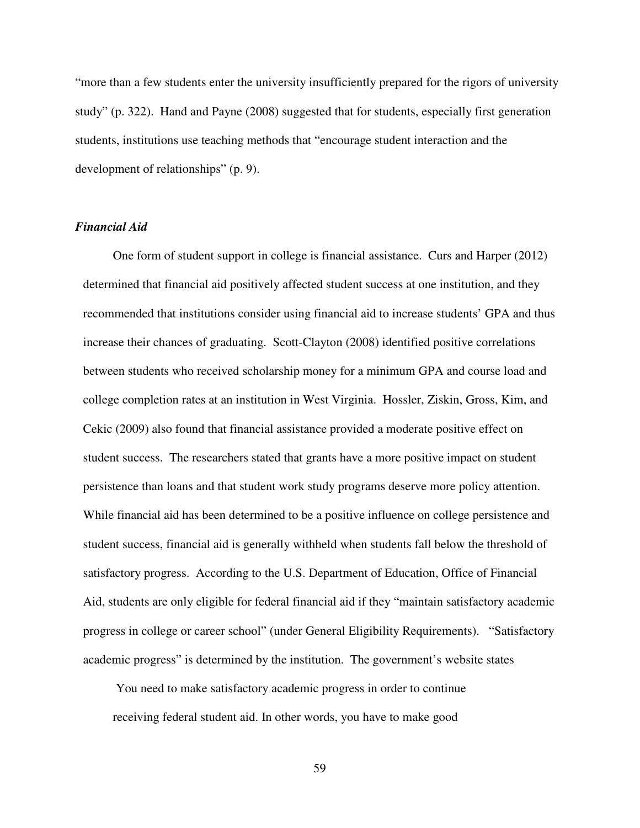"more than a few students enter the university insufficiently prepared for the rigors of university study" (p. 322). Hand and Payne (2008) suggested that for students, especially first generation students, institutions use teaching methods that "encourage student interaction and the development of relationships" (p. 9).

# *Financial Aid*

 One form of student support in college is financial assistance. Curs and Harper (2012) determined that financial aid positively affected student success at one institution, and they recommended that institutions consider using financial aid to increase students' GPA and thus increase their chances of graduating. Scott-Clayton (2008) identified positive correlations between students who received scholarship money for a minimum GPA and course load and college completion rates at an institution in West Virginia. Hossler, Ziskin, Gross, Kim, and Cekic (2009) also found that financial assistance provided a moderate positive effect on student success. The researchers stated that grants have a more positive impact on student persistence than loans and that student work study programs deserve more policy attention. While financial aid has been determined to be a positive influence on college persistence and student success, financial aid is generally withheld when students fall below the threshold of satisfactory progress. According to the U.S. Department of Education, Office of Financial Aid, students are only eligible for federal financial aid if they "maintain satisfactory academic progress in college or career school" (under General Eligibility Requirements). "Satisfactory academic progress" is determined by the institution. The government's website states

 You need to make satisfactory academic progress in order to continue receiving federal student aid. In other words, you have to make good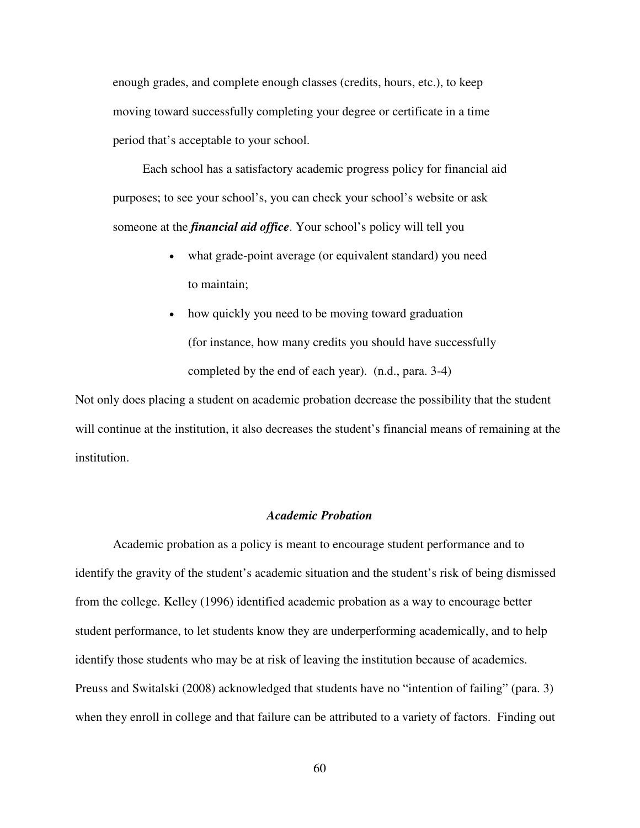enough grades, and complete enough classes (credits, hours, etc.), to keep moving toward successfully completing your degree or certificate in a time period that's acceptable to your school.

Each school has a satisfactory academic progress policy for financial aid purposes; to see your school's, you can check your school's website or ask someone at the *financial aid office*. Your school's policy will tell you

- what grade-point average (or equivalent standard) you need to maintain;
- how quickly you need to be moving toward graduation (for instance, how many credits you should have successfully completed by the end of each year). (n.d., para. 3-4)

Not only does placing a student on academic probation decrease the possibility that the student will continue at the institution, it also decreases the student's financial means of remaining at the institution.

# *Academic Probation*

Academic probation as a policy is meant to encourage student performance and to identify the gravity of the student's academic situation and the student's risk of being dismissed from the college. Kelley (1996) identified academic probation as a way to encourage better student performance, to let students know they are underperforming academically, and to help identify those students who may be at risk of leaving the institution because of academics. Preuss and Switalski (2008) acknowledged that students have no "intention of failing" (para. 3) when they enroll in college and that failure can be attributed to a variety of factors. Finding out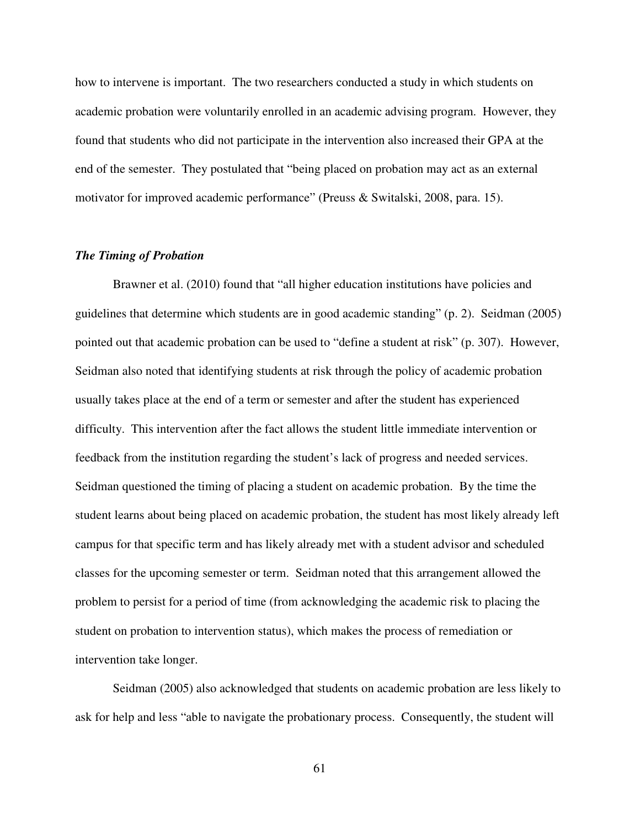how to intervene is important. The two researchers conducted a study in which students on academic probation were voluntarily enrolled in an academic advising program. However, they found that students who did not participate in the intervention also increased their GPA at the end of the semester. They postulated that "being placed on probation may act as an external motivator for improved academic performance" (Preuss & Switalski, 2008, para. 15).

# *The Timing of Probation*

Brawner et al. (2010) found that "all higher education institutions have policies and guidelines that determine which students are in good academic standing" (p. 2). Seidman (2005) pointed out that academic probation can be used to "define a student at risk" (p. 307). However, Seidman also noted that identifying students at risk through the policy of academic probation usually takes place at the end of a term or semester and after the student has experienced difficulty. This intervention after the fact allows the student little immediate intervention or feedback from the institution regarding the student's lack of progress and needed services. Seidman questioned the timing of placing a student on academic probation. By the time the student learns about being placed on academic probation, the student has most likely already left campus for that specific term and has likely already met with a student advisor and scheduled classes for the upcoming semester or term. Seidman noted that this arrangement allowed the problem to persist for a period of time (from acknowledging the academic risk to placing the student on probation to intervention status), which makes the process of remediation or intervention take longer.

Seidman (2005) also acknowledged that students on academic probation are less likely to ask for help and less "able to navigate the probationary process. Consequently, the student will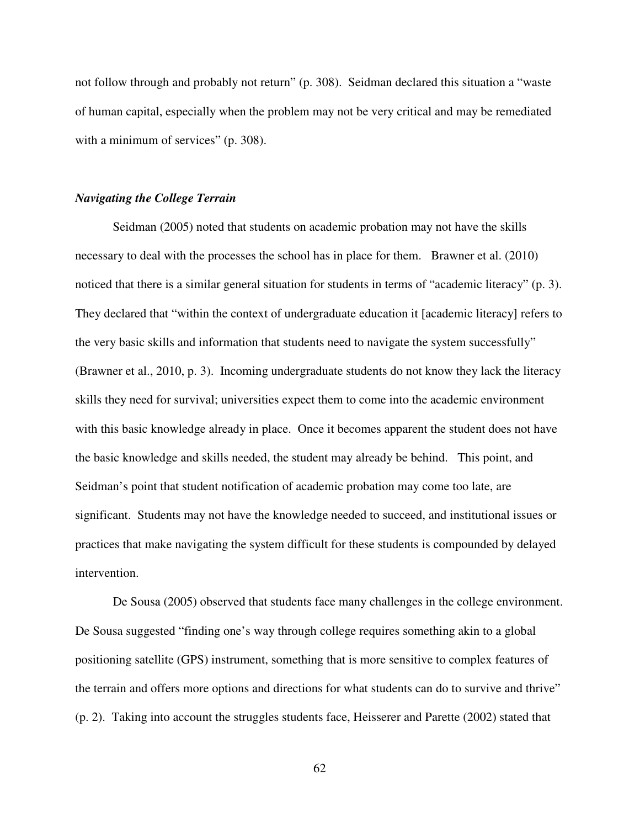not follow through and probably not return" (p. 308). Seidman declared this situation a "waste of human capital, especially when the problem may not be very critical and may be remediated with a minimum of services" (p. 308).

# *Navigating the College Terrain*

Seidman (2005) noted that students on academic probation may not have the skills necessary to deal with the processes the school has in place for them. Brawner et al. (2010) noticed that there is a similar general situation for students in terms of "academic literacy" (p. 3). They declared that "within the context of undergraduate education it [academic literacy] refers to the very basic skills and information that students need to navigate the system successfully" (Brawner et al., 2010, p. 3). Incoming undergraduate students do not know they lack the literacy skills they need for survival; universities expect them to come into the academic environment with this basic knowledge already in place. Once it becomes apparent the student does not have the basic knowledge and skills needed, the student may already be behind. This point, and Seidman's point that student notification of academic probation may come too late, are significant. Students may not have the knowledge needed to succeed, and institutional issues or practices that make navigating the system difficult for these students is compounded by delayed intervention.

De Sousa (2005) observed that students face many challenges in the college environment. De Sousa suggested "finding one's way through college requires something akin to a global positioning satellite (GPS) instrument, something that is more sensitive to complex features of the terrain and offers more options and directions for what students can do to survive and thrive" (p. 2). Taking into account the struggles students face, Heisserer and Parette (2002) stated that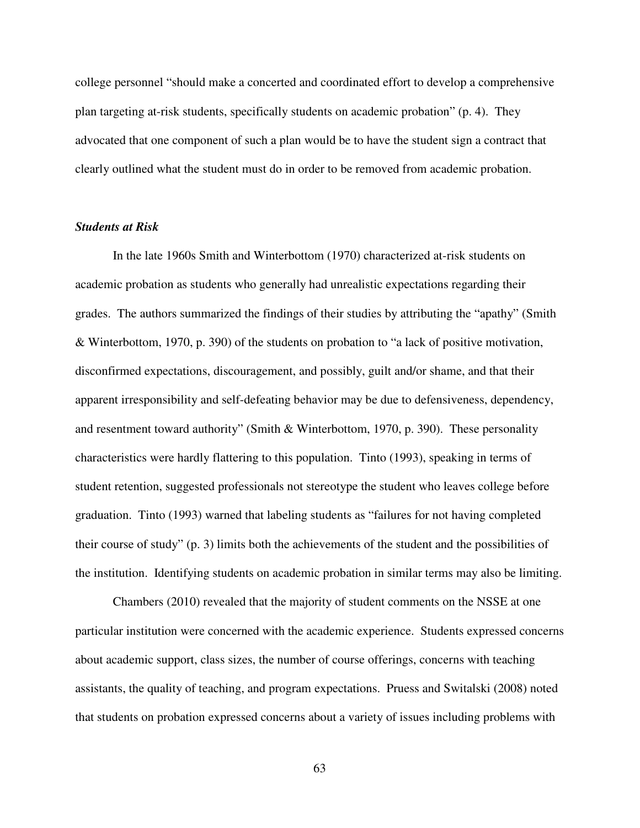college personnel "should make a concerted and coordinated effort to develop a comprehensive plan targeting at-risk students, specifically students on academic probation" (p. 4). They advocated that one component of such a plan would be to have the student sign a contract that clearly outlined what the student must do in order to be removed from academic probation.

# *Students at Risk*

In the late 1960s Smith and Winterbottom (1970) characterized at-risk students on academic probation as students who generally had unrealistic expectations regarding their grades. The authors summarized the findings of their studies by attributing the "apathy" (Smith & Winterbottom, 1970, p. 390) of the students on probation to "a lack of positive motivation, disconfirmed expectations, discouragement, and possibly, guilt and/or shame, and that their apparent irresponsibility and self-defeating behavior may be due to defensiveness, dependency, and resentment toward authority" (Smith & Winterbottom, 1970, p. 390). These personality characteristics were hardly flattering to this population. Tinto (1993), speaking in terms of student retention, suggested professionals not stereotype the student who leaves college before graduation. Tinto (1993) warned that labeling students as "failures for not having completed their course of study" (p. 3) limits both the achievements of the student and the possibilities of the institution. Identifying students on academic probation in similar terms may also be limiting.

Chambers (2010) revealed that the majority of student comments on the NSSE at one particular institution were concerned with the academic experience. Students expressed concerns about academic support, class sizes, the number of course offerings, concerns with teaching assistants, the quality of teaching, and program expectations. Pruess and Switalski (2008) noted that students on probation expressed concerns about a variety of issues including problems with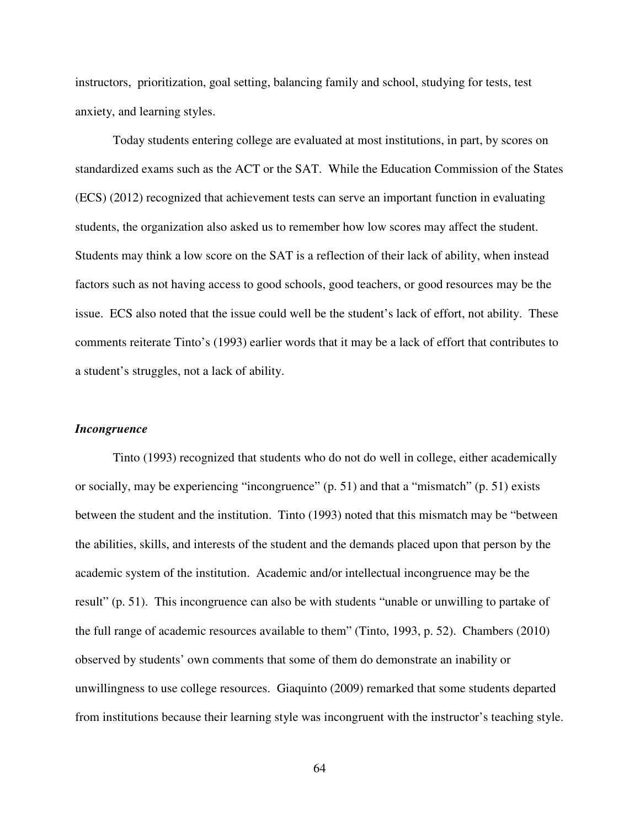instructors, prioritization, goal setting, balancing family and school, studying for tests, test anxiety, and learning styles.

Today students entering college are evaluated at most institutions, in part, by scores on standardized exams such as the ACT or the SAT. While the Education Commission of the States (ECS) (2012) recognized that achievement tests can serve an important function in evaluating students, the organization also asked us to remember how low scores may affect the student. Students may think a low score on the SAT is a reflection of their lack of ability, when instead factors such as not having access to good schools, good teachers, or good resources may be the issue. ECS also noted that the issue could well be the student's lack of effort, not ability. These comments reiterate Tinto's (1993) earlier words that it may be a lack of effort that contributes to a student's struggles, not a lack of ability.

#### *Incongruence*

Tinto (1993) recognized that students who do not do well in college, either academically or socially, may be experiencing "incongruence" (p. 51) and that a "mismatch" (p. 51) exists between the student and the institution. Tinto (1993) noted that this mismatch may be "between the abilities, skills, and interests of the student and the demands placed upon that person by the academic system of the institution. Academic and/or intellectual incongruence may be the result" (p. 51). This incongruence can also be with students "unable or unwilling to partake of the full range of academic resources available to them" (Tinto, 1993, p. 52). Chambers (2010) observed by students' own comments that some of them do demonstrate an inability or unwillingness to use college resources. Giaquinto (2009) remarked that some students departed from institutions because their learning style was incongruent with the instructor's teaching style.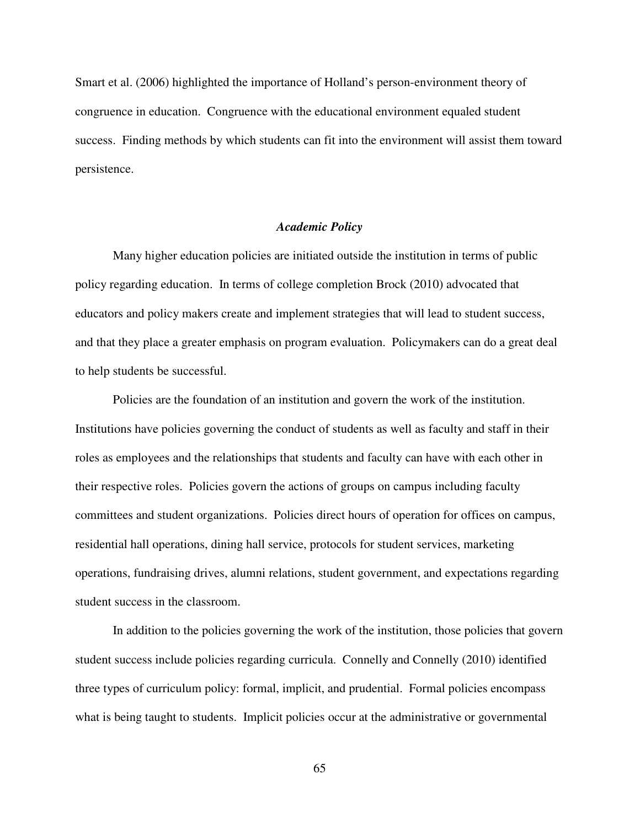Smart et al. (2006) highlighted the importance of Holland's person-environment theory of congruence in education. Congruence with the educational environment equaled student success. Finding methods by which students can fit into the environment will assist them toward persistence.

# *Academic Policy*

Many higher education policies are initiated outside the institution in terms of public policy regarding education. In terms of college completion Brock (2010) advocated that educators and policy makers create and implement strategies that will lead to student success, and that they place a greater emphasis on program evaluation. Policymakers can do a great deal to help students be successful.

Policies are the foundation of an institution and govern the work of the institution. Institutions have policies governing the conduct of students as well as faculty and staff in their roles as employees and the relationships that students and faculty can have with each other in their respective roles. Policies govern the actions of groups on campus including faculty committees and student organizations. Policies direct hours of operation for offices on campus, residential hall operations, dining hall service, protocols for student services, marketing operations, fundraising drives, alumni relations, student government, and expectations regarding student success in the classroom.

In addition to the policies governing the work of the institution, those policies that govern student success include policies regarding curricula. Connelly and Connelly (2010) identified three types of curriculum policy: formal, implicit, and prudential. Formal policies encompass what is being taught to students. Implicit policies occur at the administrative or governmental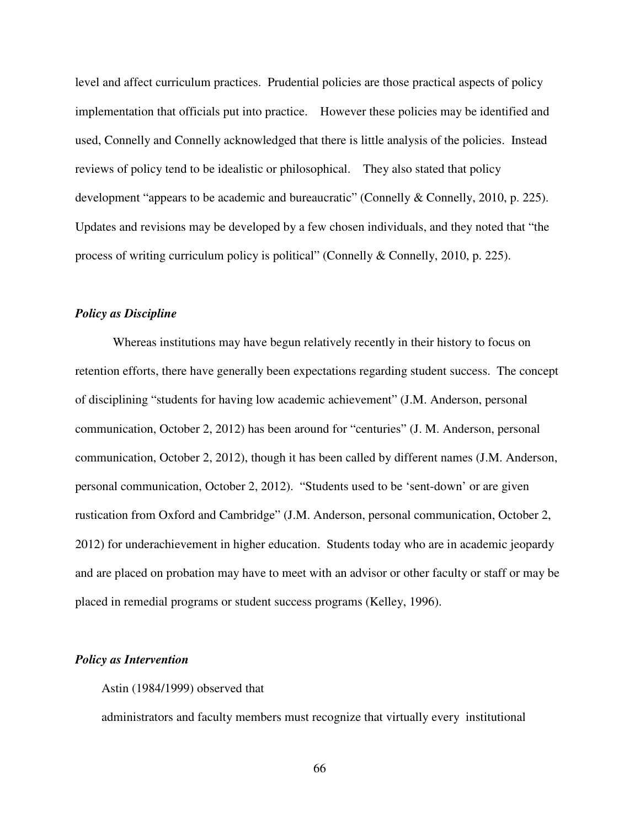level and affect curriculum practices. Prudential policies are those practical aspects of policy implementation that officials put into practice. However these policies may be identified and used, Connelly and Connelly acknowledged that there is little analysis of the policies. Instead reviews of policy tend to be idealistic or philosophical. They also stated that policy development "appears to be academic and bureaucratic" (Connelly & Connelly, 2010, p. 225). Updates and revisions may be developed by a few chosen individuals, and they noted that "the process of writing curriculum policy is political" (Connelly & Connelly, 2010, p. 225).

# *Policy as Discipline*

Whereas institutions may have begun relatively recently in their history to focus on retention efforts, there have generally been expectations regarding student success. The concept of disciplining "students for having low academic achievement" (J.M. Anderson, personal communication, October 2, 2012) has been around for "centuries" (J. M. Anderson, personal communication, October 2, 2012), though it has been called by different names (J.M. Anderson, personal communication, October 2, 2012). "Students used to be 'sent-down' or are given rustication from Oxford and Cambridge" (J.M. Anderson, personal communication, October 2, 2012) for underachievement in higher education. Students today who are in academic jeopardy and are placed on probation may have to meet with an advisor or other faculty or staff or may be placed in remedial programs or student success programs (Kelley, 1996).

#### *Policy as Intervention*

#### Astin (1984/1999) observed that

administrators and faculty members must recognize that virtually every institutional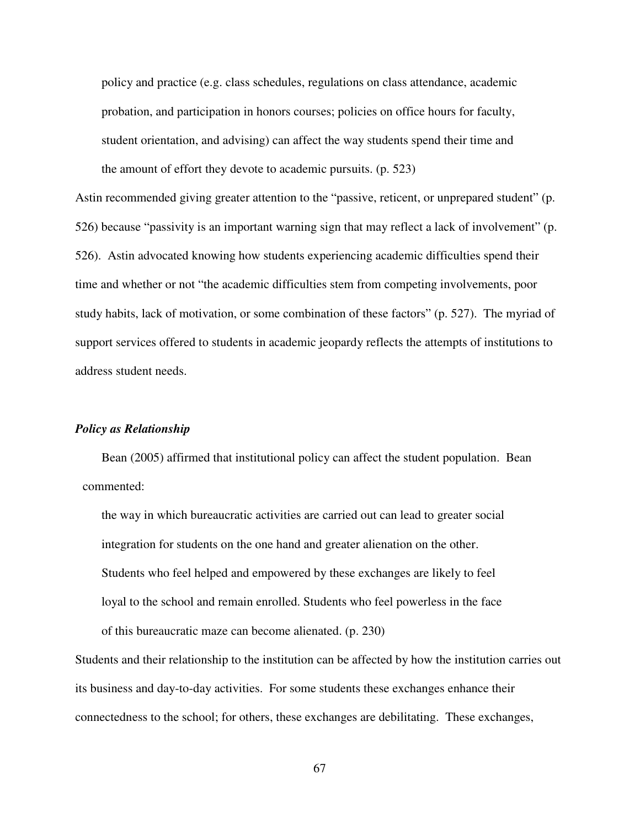policy and practice (e.g. class schedules, regulations on class attendance, academic probation, and participation in honors courses; policies on office hours for faculty, student orientation, and advising) can affect the way students spend their time and the amount of effort they devote to academic pursuits. (p. 523)

Astin recommended giving greater attention to the "passive, reticent, or unprepared student" (p. 526) because "passivity is an important warning sign that may reflect a lack of involvement" (p. 526). Astin advocated knowing how students experiencing academic difficulties spend their time and whether or not "the academic difficulties stem from competing involvements, poor study habits, lack of motivation, or some combination of these factors" (p. 527). The myriad of support services offered to students in academic jeopardy reflects the attempts of institutions to address student needs.

# *Policy as Relationship*

Bean (2005) affirmed that institutional policy can affect the student population. Bean commented:

the way in which bureaucratic activities are carried out can lead to greater social integration for students on the one hand and greater alienation on the other. Students who feel helped and empowered by these exchanges are likely to feel loyal to the school and remain enrolled. Students who feel powerless in the face of this bureaucratic maze can become alienated. (p. 230)

Students and their relationship to the institution can be affected by how the institution carries out its business and day-to-day activities. For some students these exchanges enhance their connectedness to the school; for others, these exchanges are debilitating. These exchanges,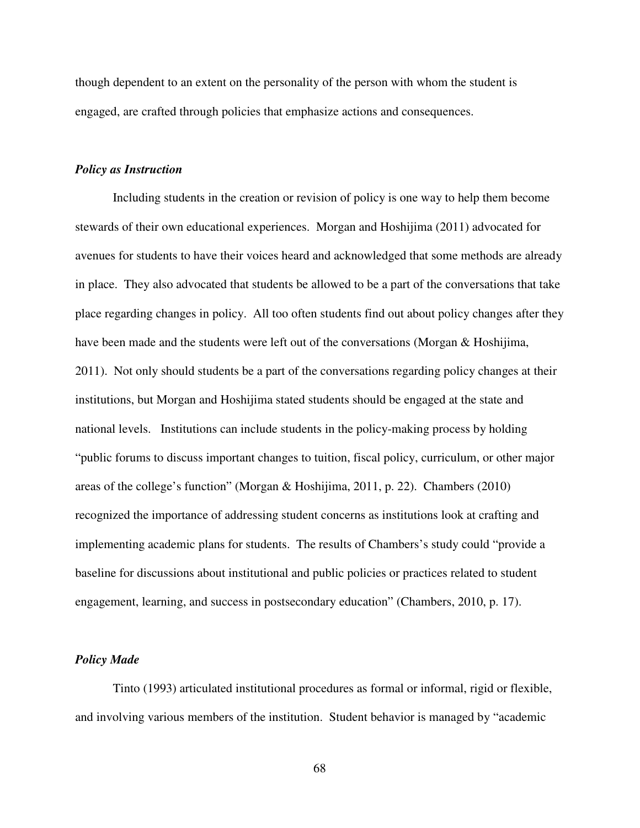though dependent to an extent on the personality of the person with whom the student is engaged, are crafted through policies that emphasize actions and consequences.

# *Policy as Instruction*

Including students in the creation or revision of policy is one way to help them become stewards of their own educational experiences. Morgan and Hoshijima (2011) advocated for avenues for students to have their voices heard and acknowledged that some methods are already in place. They also advocated that students be allowed to be a part of the conversations that take place regarding changes in policy. All too often students find out about policy changes after they have been made and the students were left out of the conversations (Morgan & Hoshijima, 2011). Not only should students be a part of the conversations regarding policy changes at their institutions, but Morgan and Hoshijima stated students should be engaged at the state and national levels. Institutions can include students in the policy-making process by holding "public forums to discuss important changes to tuition, fiscal policy, curriculum, or other major areas of the college's function" (Morgan & Hoshijima, 2011, p. 22). Chambers (2010) recognized the importance of addressing student concerns as institutions look at crafting and implementing academic plans for students. The results of Chambers's study could "provide a baseline for discussions about institutional and public policies or practices related to student engagement, learning, and success in postsecondary education" (Chambers, 2010, p. 17).

#### *Policy Made*

Tinto (1993) articulated institutional procedures as formal or informal, rigid or flexible, and involving various members of the institution. Student behavior is managed by "academic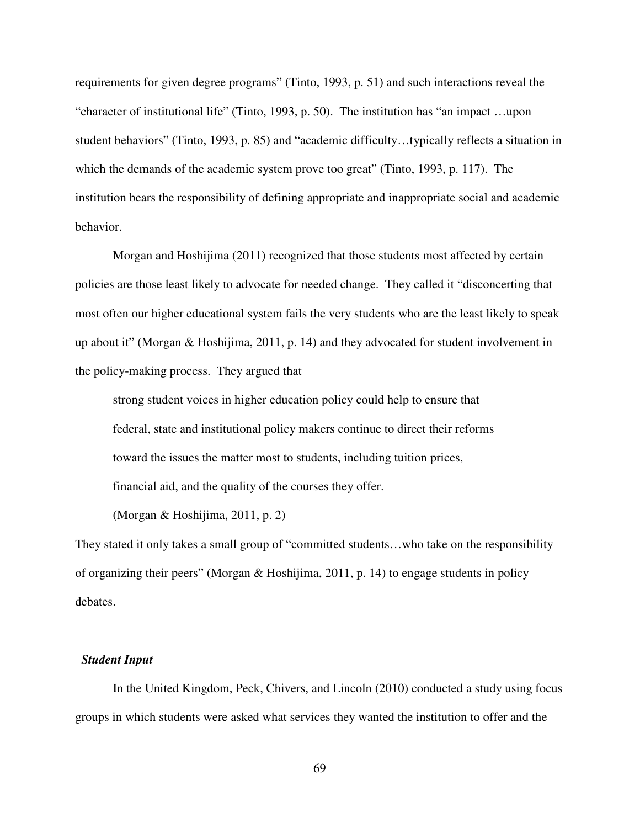requirements for given degree programs" (Tinto, 1993, p. 51) and such interactions reveal the "character of institutional life" (Tinto, 1993, p. 50). The institution has "an impact …upon student behaviors" (Tinto, 1993, p. 85) and "academic difficulty…typically reflects a situation in which the demands of the academic system prove too great" (Tinto, 1993, p. 117). The institution bears the responsibility of defining appropriate and inappropriate social and academic behavior.

Morgan and Hoshijima (2011) recognized that those students most affected by certain policies are those least likely to advocate for needed change. They called it "disconcerting that most often our higher educational system fails the very students who are the least likely to speak up about it" (Morgan & Hoshijima, 2011, p. 14) and they advocated for student involvement in the policy-making process. They argued that

strong student voices in higher education policy could help to ensure that federal, state and institutional policy makers continue to direct their reforms toward the issues the matter most to students, including tuition prices, financial aid, and the quality of the courses they offer.

(Morgan & Hoshijima, 2011, p. 2)

They stated it only takes a small group of "committed students…who take on the responsibility of organizing their peers" (Morgan & Hoshijima, 2011, p. 14) to engage students in policy debates.

### *Student Input*

In the United Kingdom, Peck, Chivers, and Lincoln (2010) conducted a study using focus groups in which students were asked what services they wanted the institution to offer and the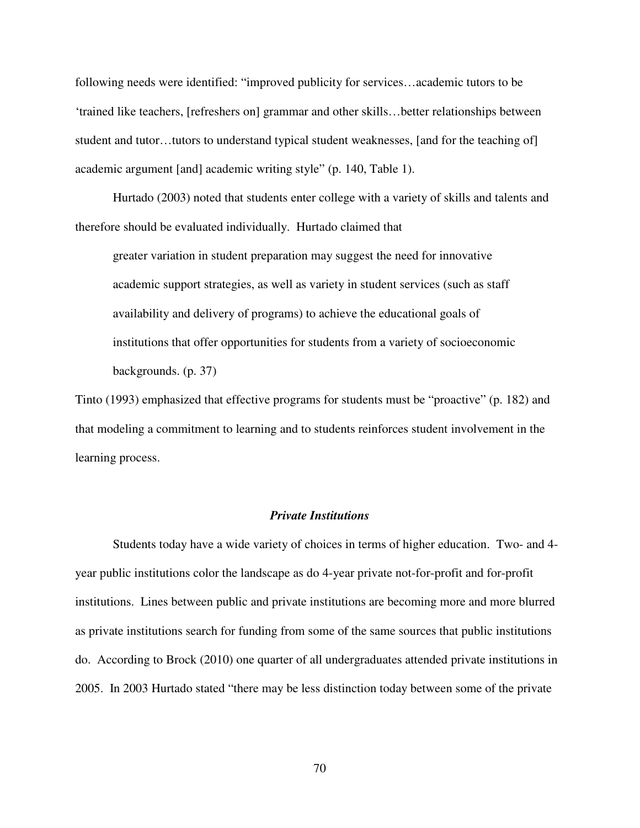following needs were identified: "improved publicity for services…academic tutors to be 'trained like teachers, [refreshers on] grammar and other skills…better relationships between student and tutor…tutors to understand typical student weaknesses, [and for the teaching of] academic argument [and] academic writing style" (p. 140, Table 1).

Hurtado (2003) noted that students enter college with a variety of skills and talents and therefore should be evaluated individually. Hurtado claimed that

greater variation in student preparation may suggest the need for innovative academic support strategies, as well as variety in student services (such as staff availability and delivery of programs) to achieve the educational goals of institutions that offer opportunities for students from a variety of socioeconomic backgrounds. (p. 37)

Tinto (1993) emphasized that effective programs for students must be "proactive" (p. 182) and that modeling a commitment to learning and to students reinforces student involvement in the learning process.

# *Private Institutions*

Students today have a wide variety of choices in terms of higher education. Two- and 4 year public institutions color the landscape as do 4-year private not-for-profit and for-profit institutions. Lines between public and private institutions are becoming more and more blurred as private institutions search for funding from some of the same sources that public institutions do. According to Brock (2010) one quarter of all undergraduates attended private institutions in 2005. In 2003 Hurtado stated "there may be less distinction today between some of the private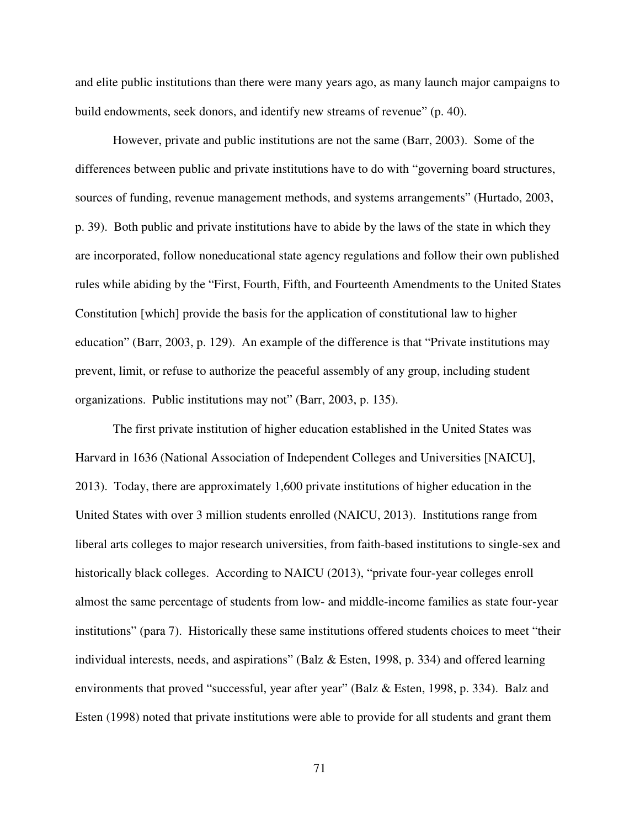and elite public institutions than there were many years ago, as many launch major campaigns to build endowments, seek donors, and identify new streams of revenue" (p. 40).

 However, private and public institutions are not the same (Barr, 2003). Some of the differences between public and private institutions have to do with "governing board structures, sources of funding, revenue management methods, and systems arrangements" (Hurtado, 2003, p. 39). Both public and private institutions have to abide by the laws of the state in which they are incorporated, follow noneducational state agency regulations and follow their own published rules while abiding by the "First, Fourth, Fifth, and Fourteenth Amendments to the United States Constitution [which] provide the basis for the application of constitutional law to higher education" (Barr, 2003, p. 129). An example of the difference is that "Private institutions may prevent, limit, or refuse to authorize the peaceful assembly of any group, including student organizations. Public institutions may not" (Barr, 2003, p. 135).

The first private institution of higher education established in the United States was Harvard in 1636 (National Association of Independent Colleges and Universities [NAICU], 2013). Today, there are approximately 1,600 private institutions of higher education in the United States with over 3 million students enrolled (NAICU, 2013). Institutions range from liberal arts colleges to major research universities, from faith-based institutions to single-sex and historically black colleges. According to NAICU (2013), "private four-year colleges enroll almost the same percentage of students from low- and middle-income families as state four-year institutions" (para 7). Historically these same institutions offered students choices to meet "their individual interests, needs, and aspirations" (Balz  $\&$  Esten, 1998, p. 334) and offered learning environments that proved "successful, year after year" (Balz & Esten, 1998, p. 334). Balz and Esten (1998) noted that private institutions were able to provide for all students and grant them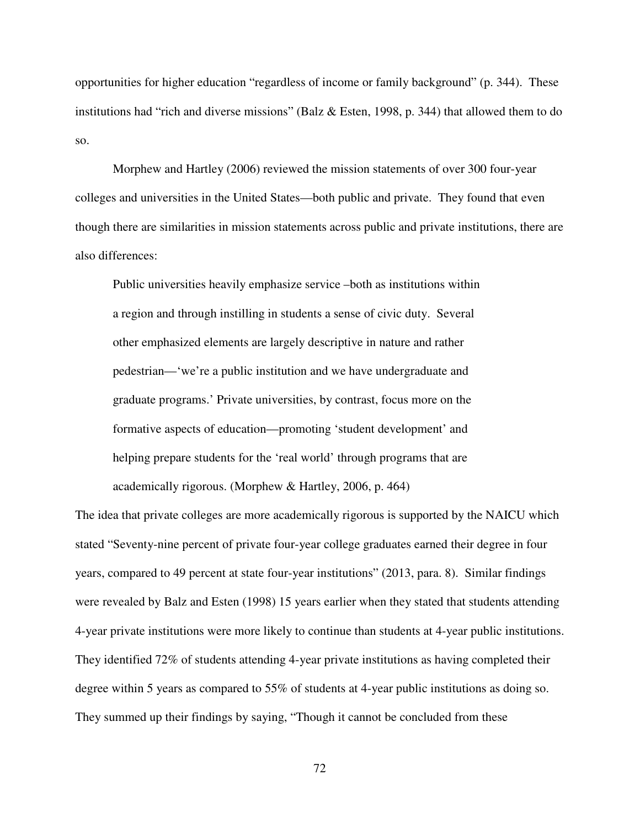opportunities for higher education "regardless of income or family background" (p. 344). These institutions had "rich and diverse missions" (Balz & Esten, 1998, p. 344) that allowed them to do so.

Morphew and Hartley (2006) reviewed the mission statements of over 300 four-year colleges and universities in the United States—both public and private. They found that even though there are similarities in mission statements across public and private institutions, there are also differences:

Public universities heavily emphasize service –both as institutions within a region and through instilling in students a sense of civic duty. Several other emphasized elements are largely descriptive in nature and rather pedestrian—'we're a public institution and we have undergraduate and graduate programs.' Private universities, by contrast, focus more on the formative aspects of education—promoting 'student development' and helping prepare students for the 'real world' through programs that are academically rigorous. (Morphew & Hartley, 2006, p. 464)

The idea that private colleges are more academically rigorous is supported by the NAICU which stated "Seventy-nine percent of private four-year college graduates earned their degree in four years, compared to 49 percent at state four-year institutions" (2013, para. 8). Similar findings were revealed by Balz and Esten (1998) 15 years earlier when they stated that students attending 4-year private institutions were more likely to continue than students at 4-year public institutions. They identified 72% of students attending 4-year private institutions as having completed their degree within 5 years as compared to 55% of students at 4-year public institutions as doing so. They summed up their findings by saying, "Though it cannot be concluded from these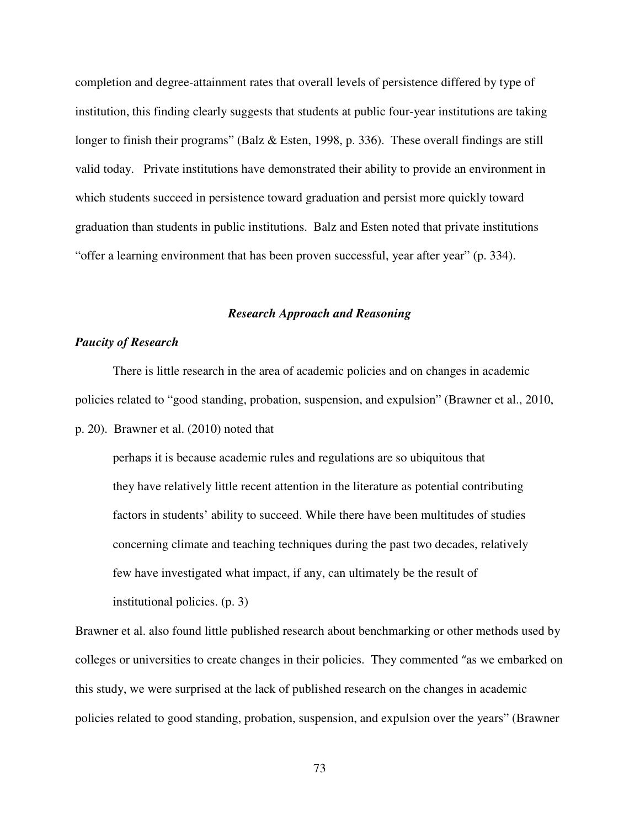completion and degree-attainment rates that overall levels of persistence differed by type of institution, this finding clearly suggests that students at public four-year institutions are taking longer to finish their programs" (Balz & Esten, 1998, p. 336). These overall findings are still valid today. Private institutions have demonstrated their ability to provide an environment in which students succeed in persistence toward graduation and persist more quickly toward graduation than students in public institutions. Balz and Esten noted that private institutions "offer a learning environment that has been proven successful, year after year" (p. 334).

## *Research Approach and Reasoning*

# *Paucity of Research*

There is little research in the area of academic policies and on changes in academic policies related to "good standing, probation, suspension, and expulsion" (Brawner et al., 2010,

p. 20). Brawner et al. (2010) noted that

perhaps it is because academic rules and regulations are so ubiquitous that they have relatively little recent attention in the literature as potential contributing factors in students' ability to succeed. While there have been multitudes of studies concerning climate and teaching techniques during the past two decades, relatively few have investigated what impact, if any, can ultimately be the result of institutional policies. (p. 3)

Brawner et al. also found little published research about benchmarking or other methods used by colleges or universities to create changes in their policies. They commented "as we embarked on this study, we were surprised at the lack of published research on the changes in academic policies related to good standing, probation, suspension, and expulsion over the years" (Brawner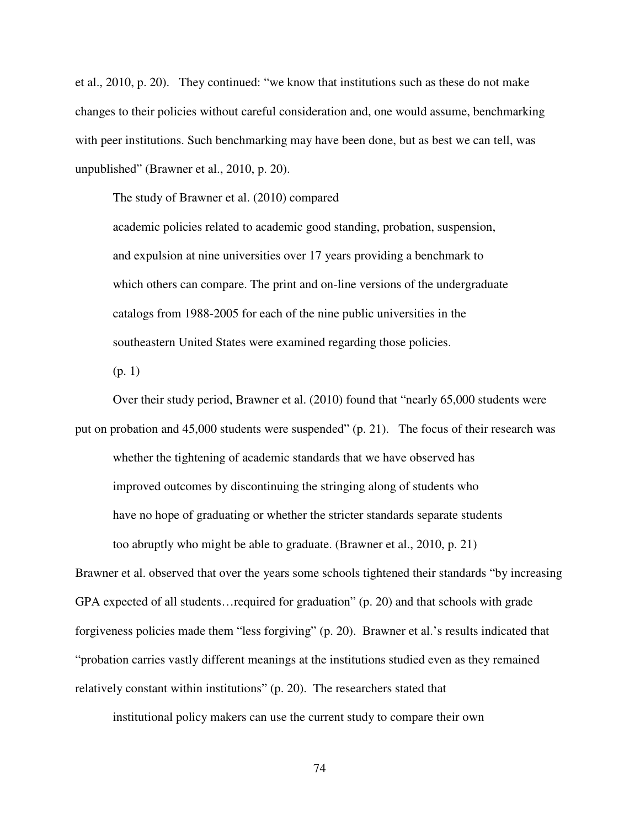et al., 2010, p. 20). They continued: "we know that institutions such as these do not make changes to their policies without careful consideration and, one would assume, benchmarking with peer institutions. Such benchmarking may have been done, but as best we can tell, was unpublished" (Brawner et al., 2010, p. 20).

The study of Brawner et al. (2010) compared

academic policies related to academic good standing, probation, suspension, and expulsion at nine universities over 17 years providing a benchmark to which others can compare. The print and on-line versions of the undergraduate catalogs from 1988-2005 for each of the nine public universities in the southeastern United States were examined regarding those policies.

(p. 1)

Over their study period, Brawner et al. (2010) found that "nearly 65,000 students were put on probation and 45,000 students were suspended" (p. 21). The focus of their research was whether the tightening of academic standards that we have observed has improved outcomes by discontinuing the stringing along of students who have no hope of graduating or whether the stricter standards separate students too abruptly who might be able to graduate. (Brawner et al., 2010, p. 21)

Brawner et al. observed that over the years some schools tightened their standards "by increasing GPA expected of all students…required for graduation" (p. 20) and that schools with grade forgiveness policies made them "less forgiving" (p. 20). Brawner et al.'s results indicated that "probation carries vastly different meanings at the institutions studied even as they remained relatively constant within institutions" (p. 20). The researchers stated that

institutional policy makers can use the current study to compare their own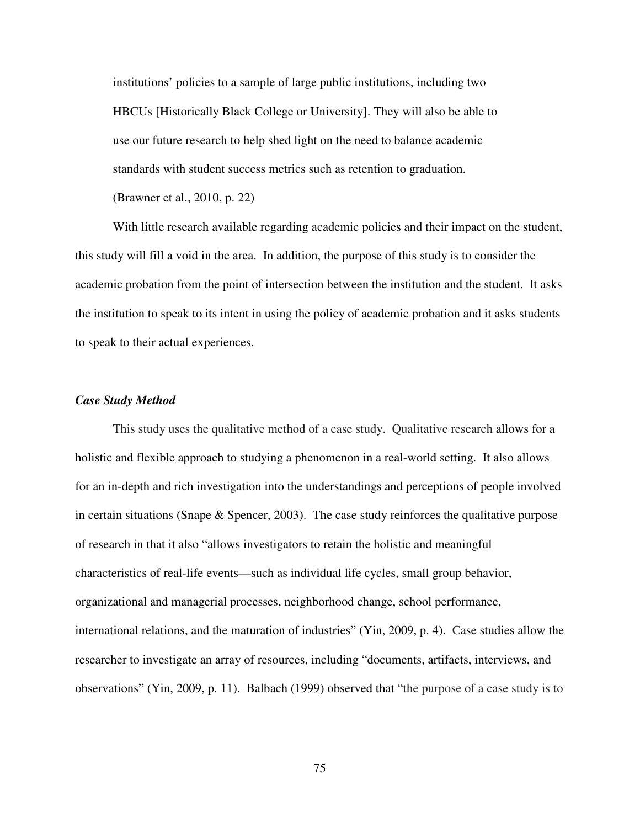institutions' policies to a sample of large public institutions, including two HBCUs [Historically Black College or University]. They will also be able to use our future research to help shed light on the need to balance academic standards with student success metrics such as retention to graduation.

(Brawner et al., 2010, p. 22)

With little research available regarding academic policies and their impact on the student, this study will fill a void in the area. In addition, the purpose of this study is to consider the academic probation from the point of intersection between the institution and the student. It asks the institution to speak to its intent in using the policy of academic probation and it asks students to speak to their actual experiences.

### *Case Study Method*

This study uses the qualitative method of a case study. Qualitative research allows for a holistic and flexible approach to studying a phenomenon in a real-world setting. It also allows for an in-depth and rich investigation into the understandings and perceptions of people involved in certain situations (Snape & Spencer, 2003). The case study reinforces the qualitative purpose of research in that it also "allows investigators to retain the holistic and meaningful characteristics of real-life events—such as individual life cycles, small group behavior, organizational and managerial processes, neighborhood change, school performance, international relations, and the maturation of industries" (Yin, 2009, p. 4). Case studies allow the researcher to investigate an array of resources, including "documents, artifacts, interviews, and observations" (Yin, 2009, p. 11). Balbach (1999) observed that "the purpose of a case study is to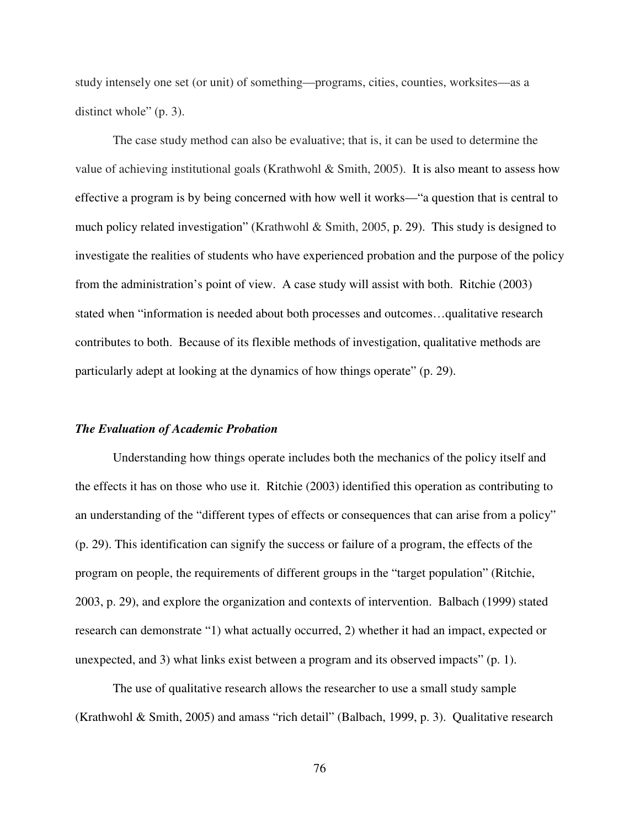study intensely one set (or unit) of something—programs, cities, counties, worksites—as a distinct whole" (p. 3).

The case study method can also be evaluative; that is, it can be used to determine the value of achieving institutional goals (Krathwohl & Smith, 2005). It is also meant to assess how effective a program is by being concerned with how well it works—"a question that is central to much policy related investigation" (Krathwohl & Smith, 2005, p. 29). This study is designed to investigate the realities of students who have experienced probation and the purpose of the policy from the administration's point of view. A case study will assist with both. Ritchie (2003) stated when "information is needed about both processes and outcomes…qualitative research contributes to both. Because of its flexible methods of investigation, qualitative methods are particularly adept at looking at the dynamics of how things operate" (p. 29).

#### *The Evaluation of Academic Probation*

Understanding how things operate includes both the mechanics of the policy itself and the effects it has on those who use it. Ritchie (2003) identified this operation as contributing to an understanding of the "different types of effects or consequences that can arise from a policy" (p. 29). This identification can signify the success or failure of a program, the effects of the program on people, the requirements of different groups in the "target population" (Ritchie, 2003, p. 29), and explore the organization and contexts of intervention. Balbach (1999) stated research can demonstrate "1) what actually occurred, 2) whether it had an impact, expected or unexpected, and 3) what links exist between a program and its observed impacts" (p. 1).

The use of qualitative research allows the researcher to use a small study sample (Krathwohl & Smith, 2005) and amass "rich detail" (Balbach, 1999, p. 3). Qualitative research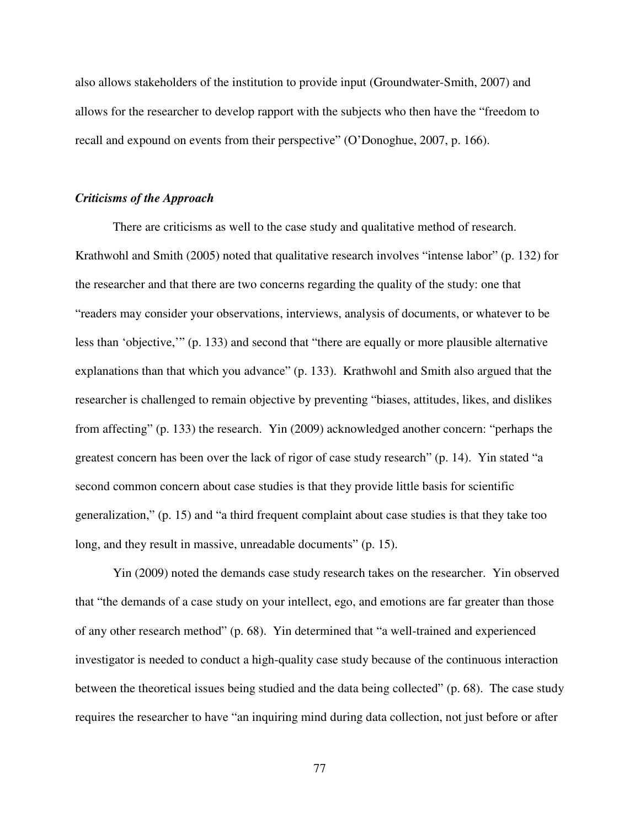also allows stakeholders of the institution to provide input (Groundwater-Smith, 2007) and allows for the researcher to develop rapport with the subjects who then have the "freedom to recall and expound on events from their perspective" (O'Donoghue, 2007, p. 166).

### *Criticisms of the Approach*

There are criticisms as well to the case study and qualitative method of research. Krathwohl and Smith (2005) noted that qualitative research involves "intense labor" (p. 132) for the researcher and that there are two concerns regarding the quality of the study: one that "readers may consider your observations, interviews, analysis of documents, or whatever to be less than 'objective,'" (p. 133) and second that "there are equally or more plausible alternative explanations than that which you advance" (p. 133). Krathwohl and Smith also argued that the researcher is challenged to remain objective by preventing "biases, attitudes, likes, and dislikes from affecting" (p. 133) the research. Yin (2009) acknowledged another concern: "perhaps the greatest concern has been over the lack of rigor of case study research" (p. 14). Yin stated "a second common concern about case studies is that they provide little basis for scientific generalization," (p. 15) and "a third frequent complaint about case studies is that they take too long, and they result in massive, unreadable documents" (p. 15).

Yin (2009) noted the demands case study research takes on the researcher. Yin observed that "the demands of a case study on your intellect, ego, and emotions are far greater than those of any other research method" (p. 68). Yin determined that "a well-trained and experienced investigator is needed to conduct a high-quality case study because of the continuous interaction between the theoretical issues being studied and the data being collected" (p. 68). The case study requires the researcher to have "an inquiring mind during data collection, not just before or after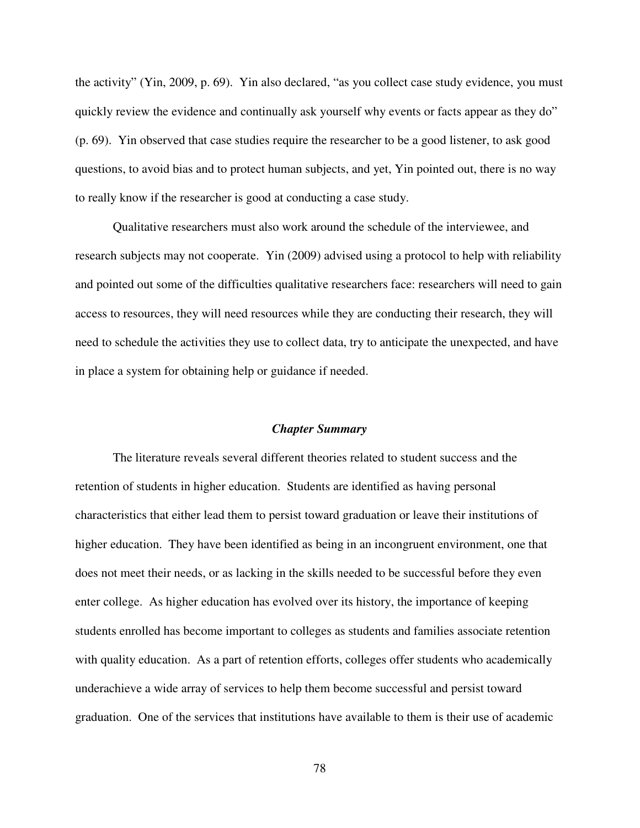the activity" (Yin, 2009, p. 69). Yin also declared, "as you collect case study evidence, you must quickly review the evidence and continually ask yourself why events or facts appear as they do" (p. 69). Yin observed that case studies require the researcher to be a good listener, to ask good questions, to avoid bias and to protect human subjects, and yet, Yin pointed out, there is no way to really know if the researcher is good at conducting a case study.

Qualitative researchers must also work around the schedule of the interviewee, and research subjects may not cooperate. Yin (2009) advised using a protocol to help with reliability and pointed out some of the difficulties qualitative researchers face: researchers will need to gain access to resources, they will need resources while they are conducting their research, they will need to schedule the activities they use to collect data, try to anticipate the unexpected, and have in place a system for obtaining help or guidance if needed.

#### *Chapter Summary*

The literature reveals several different theories related to student success and the retention of students in higher education. Students are identified as having personal characteristics that either lead them to persist toward graduation or leave their institutions of higher education. They have been identified as being in an incongruent environment, one that does not meet their needs, or as lacking in the skills needed to be successful before they even enter college. As higher education has evolved over its history, the importance of keeping students enrolled has become important to colleges as students and families associate retention with quality education. As a part of retention efforts, colleges offer students who academically underachieve a wide array of services to help them become successful and persist toward graduation. One of the services that institutions have available to them is their use of academic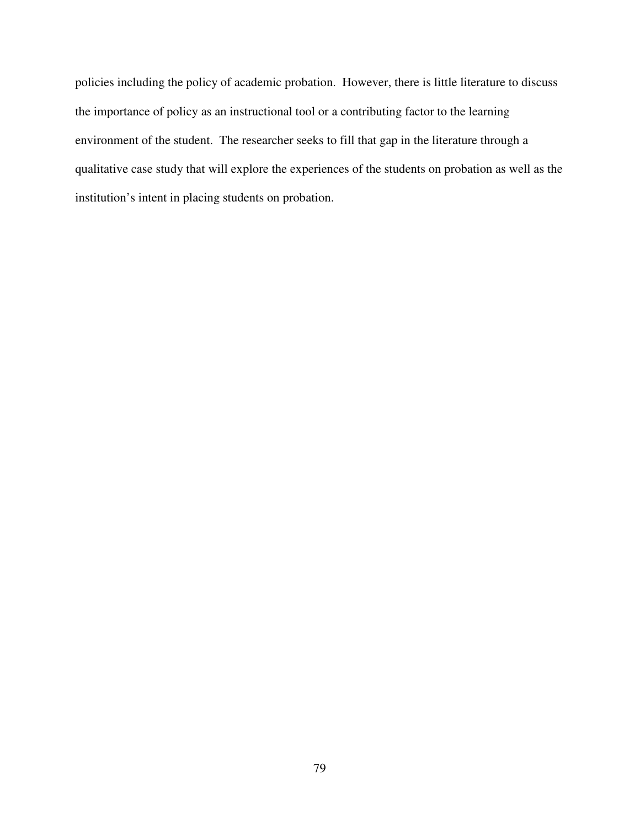policies including the policy of academic probation. However, there is little literature to discuss the importance of policy as an instructional tool or a contributing factor to the learning environment of the student. The researcher seeks to fill that gap in the literature through a qualitative case study that will explore the experiences of the students on probation as well as the institution's intent in placing students on probation.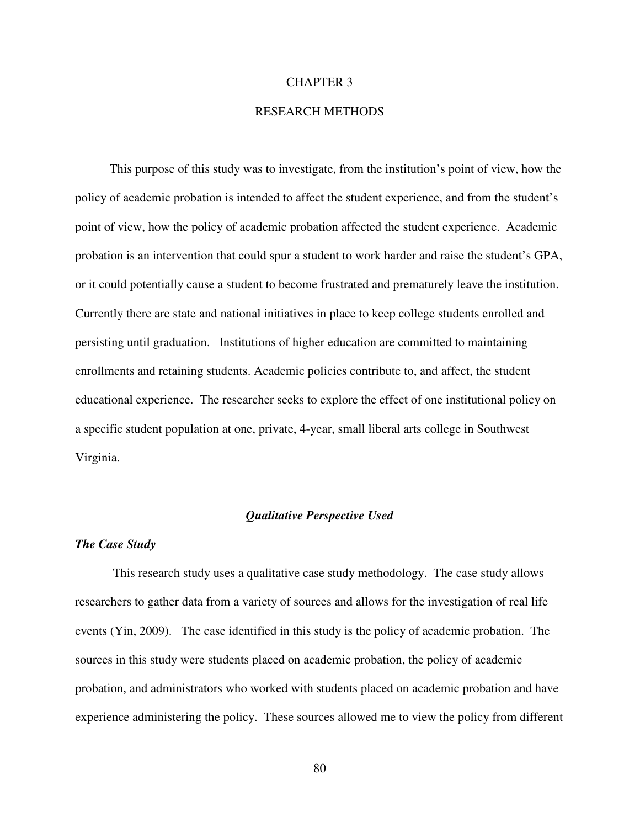## CHAPTER 3

## RESEARCH METHODS

 This purpose of this study was to investigate, from the institution's point of view, how the policy of academic probation is intended to affect the student experience, and from the student's point of view, how the policy of academic probation affected the student experience. Academic probation is an intervention that could spur a student to work harder and raise the student's GPA, or it could potentially cause a student to become frustrated and prematurely leave the institution. Currently there are state and national initiatives in place to keep college students enrolled and persisting until graduation. Institutions of higher education are committed to maintaining enrollments and retaining students. Academic policies contribute to, and affect, the student educational experience. The researcher seeks to explore the effect of one institutional policy on a specific student population at one, private, 4-year, small liberal arts college in Southwest Virginia.

## *Qualitative Perspective Used*

#### *The Case Study*

This research study uses a qualitative case study methodology. The case study allows researchers to gather data from a variety of sources and allows for the investigation of real life events (Yin, 2009). The case identified in this study is the policy of academic probation. The sources in this study were students placed on academic probation, the policy of academic probation, and administrators who worked with students placed on academic probation and have experience administering the policy. These sources allowed me to view the policy from different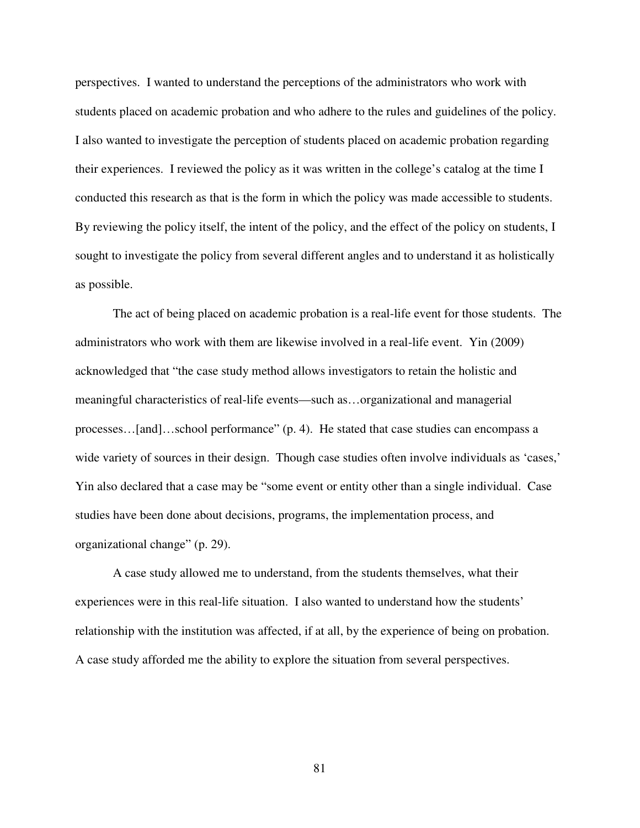perspectives. I wanted to understand the perceptions of the administrators who work with students placed on academic probation and who adhere to the rules and guidelines of the policy. I also wanted to investigate the perception of students placed on academic probation regarding their experiences. I reviewed the policy as it was written in the college's catalog at the time I conducted this research as that is the form in which the policy was made accessible to students. By reviewing the policy itself, the intent of the policy, and the effect of the policy on students, I sought to investigate the policy from several different angles and to understand it as holistically as possible.

The act of being placed on academic probation is a real-life event for those students. The administrators who work with them are likewise involved in a real-life event. Yin (2009) acknowledged that "the case study method allows investigators to retain the holistic and meaningful characteristics of real-life events—such as…organizational and managerial processes…[and]…school performance" (p. 4). He stated that case studies can encompass a wide variety of sources in their design. Though case studies often involve individuals as 'cases,' Yin also declared that a case may be "some event or entity other than a single individual. Case studies have been done about decisions, programs, the implementation process, and organizational change" (p. 29).

A case study allowed me to understand, from the students themselves, what their experiences were in this real-life situation. I also wanted to understand how the students' relationship with the institution was affected, if at all, by the experience of being on probation. A case study afforded me the ability to explore the situation from several perspectives.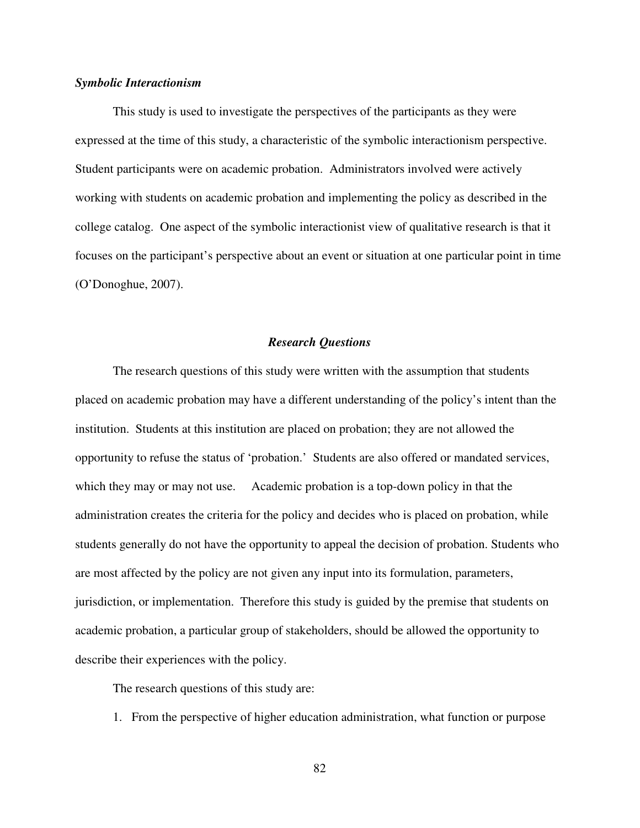## *Symbolic Interactionism*

This study is used to investigate the perspectives of the participants as they were expressed at the time of this study, a characteristic of the symbolic interactionism perspective. Student participants were on academic probation. Administrators involved were actively working with students on academic probation and implementing the policy as described in the college catalog. One aspect of the symbolic interactionist view of qualitative research is that it focuses on the participant's perspective about an event or situation at one particular point in time (O'Donoghue, 2007).

#### *Research Questions*

The research questions of this study were written with the assumption that students placed on academic probation may have a different understanding of the policy's intent than the institution. Students at this institution are placed on probation; they are not allowed the opportunity to refuse the status of 'probation.' Students are also offered or mandated services, which they may or may not use. Academic probation is a top-down policy in that the administration creates the criteria for the policy and decides who is placed on probation, while students generally do not have the opportunity to appeal the decision of probation. Students who are most affected by the policy are not given any input into its formulation, parameters, jurisdiction, or implementation. Therefore this study is guided by the premise that students on academic probation, a particular group of stakeholders, should be allowed the opportunity to describe their experiences with the policy.

The research questions of this study are:

1. From the perspective of higher education administration, what function or purpose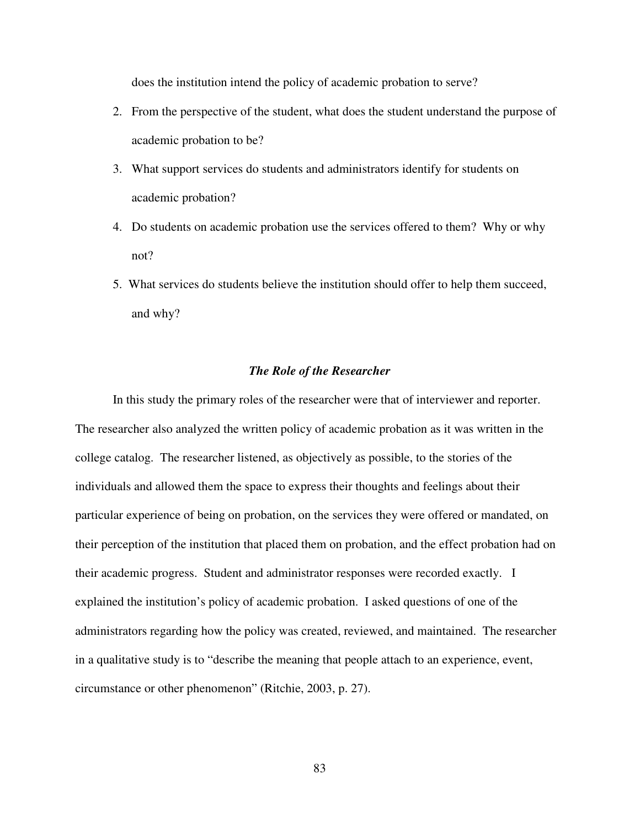does the institution intend the policy of academic probation to serve?

- 2. From the perspective of the student, what does the student understand the purpose of academic probation to be?
- 3. What support services do students and administrators identify for students on academic probation?
- 4. Do students on academic probation use the services offered to them? Why or why not?
- 5. What services do students believe the institution should offer to help them succeed, and why?

## *The Role of the Researcher*

In this study the primary roles of the researcher were that of interviewer and reporter. The researcher also analyzed the written policy of academic probation as it was written in the college catalog. The researcher listened, as objectively as possible, to the stories of the individuals and allowed them the space to express their thoughts and feelings about their particular experience of being on probation, on the services they were offered or mandated, on their perception of the institution that placed them on probation, and the effect probation had on their academic progress. Student and administrator responses were recorded exactly. I explained the institution's policy of academic probation. I asked questions of one of the administrators regarding how the policy was created, reviewed, and maintained. The researcher in a qualitative study is to "describe the meaning that people attach to an experience, event, circumstance or other phenomenon" (Ritchie, 2003, p. 27).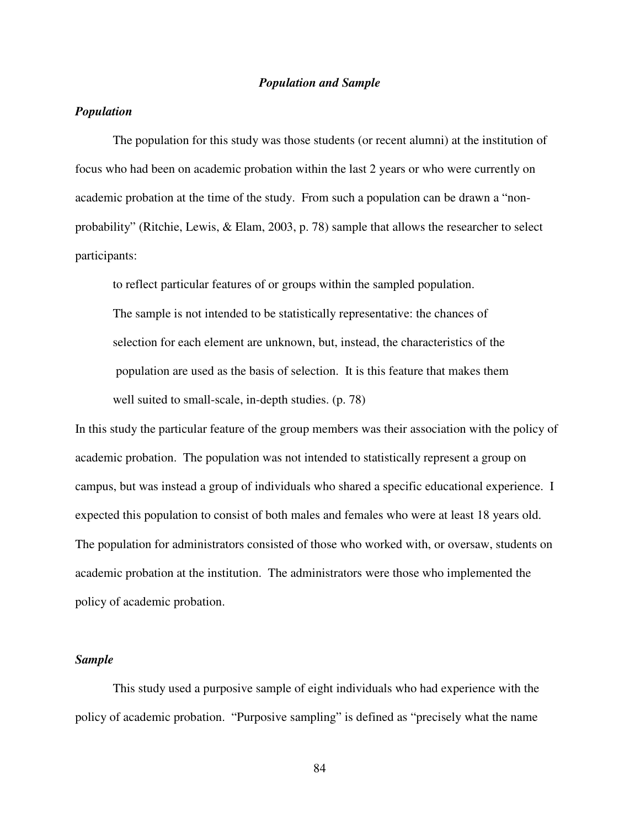## *Population and Sample*

# *Population*

The population for this study was those students (or recent alumni) at the institution of focus who had been on academic probation within the last 2 years or who were currently on academic probation at the time of the study. From such a population can be drawn a "nonprobability" (Ritchie, Lewis, & Elam, 2003, p. 78) sample that allows the researcher to select participants:

to reflect particular features of or groups within the sampled population. The sample is not intended to be statistically representative: the chances of selection for each element are unknown, but, instead, the characteristics of the population are used as the basis of selection. It is this feature that makes them well suited to small-scale, in-depth studies. (p. 78)

In this study the particular feature of the group members was their association with the policy of academic probation. The population was not intended to statistically represent a group on campus, but was instead a group of individuals who shared a specific educational experience. I expected this population to consist of both males and females who were at least 18 years old. The population for administrators consisted of those who worked with, or oversaw, students on academic probation at the institution. The administrators were those who implemented the policy of academic probation.

# *Sample*

This study used a purposive sample of eight individuals who had experience with the policy of academic probation. "Purposive sampling" is defined as "precisely what the name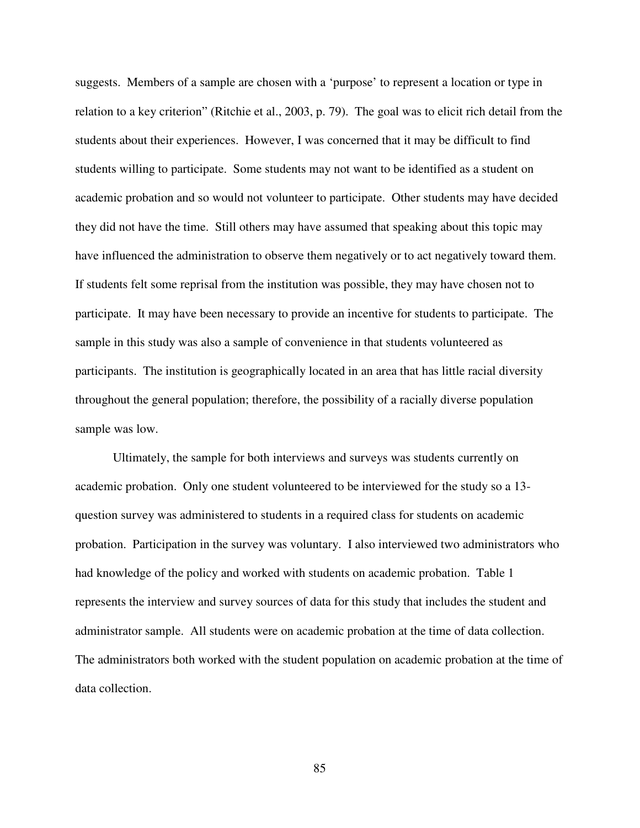suggests. Members of a sample are chosen with a 'purpose' to represent a location or type in relation to a key criterion" (Ritchie et al., 2003, p. 79). The goal was to elicit rich detail from the students about their experiences. However, I was concerned that it may be difficult to find students willing to participate. Some students may not want to be identified as a student on academic probation and so would not volunteer to participate. Other students may have decided they did not have the time. Still others may have assumed that speaking about this topic may have influenced the administration to observe them negatively or to act negatively toward them. If students felt some reprisal from the institution was possible, they may have chosen not to participate. It may have been necessary to provide an incentive for students to participate. The sample in this study was also a sample of convenience in that students volunteered as participants. The institution is geographically located in an area that has little racial diversity throughout the general population; therefore, the possibility of a racially diverse population sample was low.

Ultimately, the sample for both interviews and surveys was students currently on academic probation. Only one student volunteered to be interviewed for the study so a 13 question survey was administered to students in a required class for students on academic probation. Participation in the survey was voluntary. I also interviewed two administrators who had knowledge of the policy and worked with students on academic probation. Table 1 represents the interview and survey sources of data for this study that includes the student and administrator sample. All students were on academic probation at the time of data collection. The administrators both worked with the student population on academic probation at the time of data collection.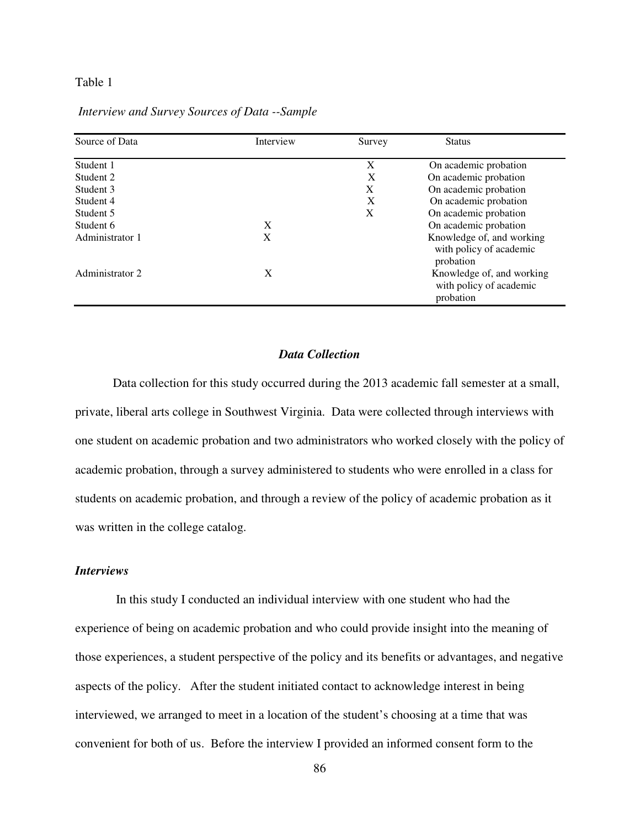# Table 1

| Source of Data  | Interview | Survey | <b>Status</b>                                                     |
|-----------------|-----------|--------|-------------------------------------------------------------------|
| Student 1       |           | X      | On academic probation                                             |
| Student 2       |           | X      | On academic probation                                             |
| Student 3       |           | X      | On academic probation                                             |
| Student 4       |           | X      | On academic probation                                             |
| Student 5       |           | X      | On academic probation                                             |
| Student 6       | X         |        | On academic probation                                             |
| Administrator 1 | X         |        | Knowledge of, and working<br>with policy of academic<br>probation |
| Administrator 2 | X         |        | Knowledge of, and working<br>with policy of academic<br>probation |

 *Interview and Survey Sources of Data --Sample*

### *Data Collection*

Data collection for this study occurred during the 2013 academic fall semester at a small, private, liberal arts college in Southwest Virginia. Data were collected through interviews with one student on academic probation and two administrators who worked closely with the policy of academic probation, through a survey administered to students who were enrolled in a class for students on academic probation, and through a review of the policy of academic probation as it was written in the college catalog.

# *Interviews*

 In this study I conducted an individual interview with one student who had the experience of being on academic probation and who could provide insight into the meaning of those experiences, a student perspective of the policy and its benefits or advantages, and negative aspects of the policy. After the student initiated contact to acknowledge interest in being interviewed, we arranged to meet in a location of the student's choosing at a time that was convenient for both of us. Before the interview I provided an informed consent form to the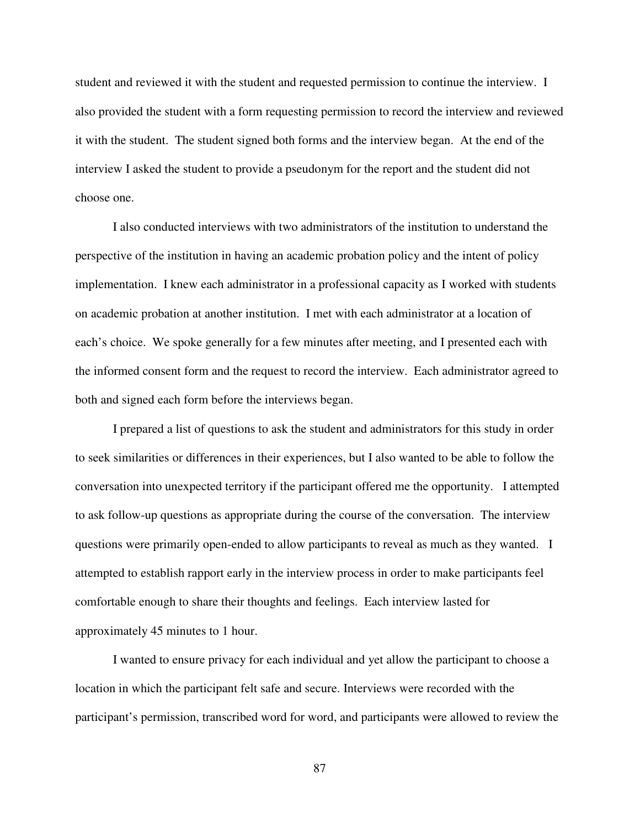student and reviewed it with the student and requested permission to continue the interview. I also provided the student with a form requesting permission to record the interview and reviewed it with the student. The student signed both forms and the interview began. At the end of the interview I asked the student to provide a pseudonym for the report and the student did not choose one.

I also conducted interviews with two administrators of the institution to understand the perspective of the institution in having an academic probation policy and the intent of policy implementation. I knew each administrator in a professional capacity as I worked with students on academic probation at another institution. I met with each administrator at a location of each's choice. We spoke generally for a few minutes after meeting, and I presented each with the informed consent form and the request to record the interview. Each administrator agreed to both and signed each form before the interviews began.

 I prepared a list of questions to ask the student and administrators for this study in order to seek similarities or differences in their experiences, but I also wanted to be able to follow the conversation into unexpected territory if the participant offered me the opportunity. I attempted to ask follow-up questions as appropriate during the course of the conversation. The interview questions were primarily open-ended to allow participants to reveal as much as they wanted. I attempted to establish rapport early in the interview process in order to make participants feel comfortable enough to share their thoughts and feelings. Each interview lasted for approximately 45 minutes to 1 hour.

 I wanted to ensure privacy for each individual and yet allow the participant to choose a location in which the participant felt safe and secure. Interviews were recorded with the participant's permission, transcribed word for word, and participants were allowed to review the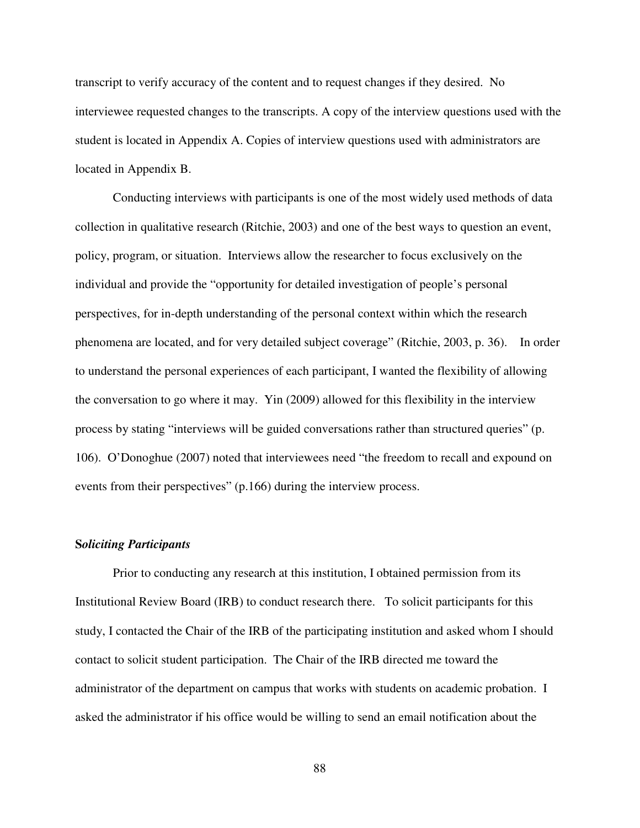transcript to verify accuracy of the content and to request changes if they desired. No interviewee requested changes to the transcripts. A copy of the interview questions used with the student is located in Appendix A. Copies of interview questions used with administrators are located in Appendix B.

Conducting interviews with participants is one of the most widely used methods of data collection in qualitative research (Ritchie, 2003) and one of the best ways to question an event, policy, program, or situation. Interviews allow the researcher to focus exclusively on the individual and provide the "opportunity for detailed investigation of people's personal perspectives, for in-depth understanding of the personal context within which the research phenomena are located, and for very detailed subject coverage" (Ritchie, 2003, p. 36). In order to understand the personal experiences of each participant, I wanted the flexibility of allowing the conversation to go where it may. Yin (2009) allowed for this flexibility in the interview process by stating "interviews will be guided conversations rather than structured queries" (p. 106). O'Donoghue (2007) noted that interviewees need "the freedom to recall and expound on events from their perspectives" (p.166) during the interview process.

## **S***oliciting Participants*

Prior to conducting any research at this institution, I obtained permission from its Institutional Review Board (IRB) to conduct research there. To solicit participants for this study, I contacted the Chair of the IRB of the participating institution and asked whom I should contact to solicit student participation. The Chair of the IRB directed me toward the administrator of the department on campus that works with students on academic probation. I asked the administrator if his office would be willing to send an email notification about the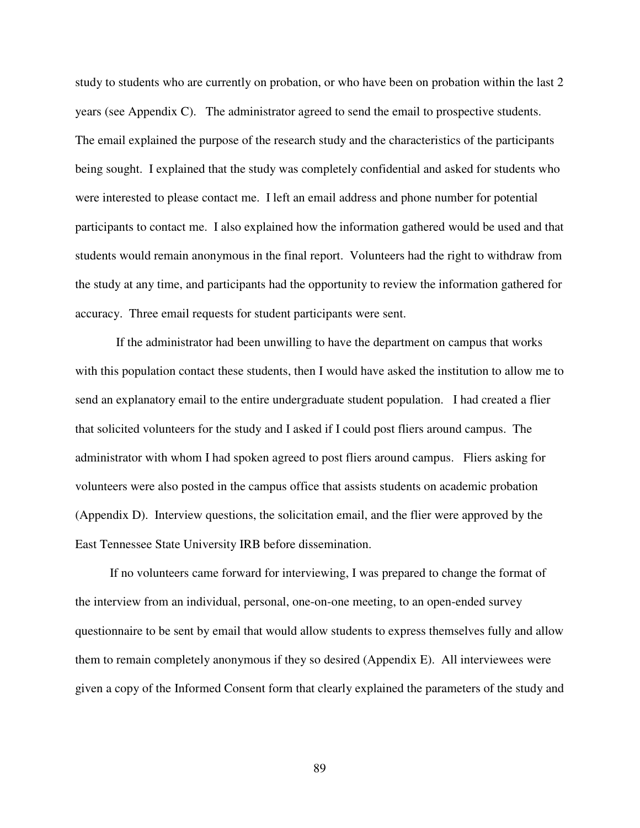study to students who are currently on probation, or who have been on probation within the last 2 years (see Appendix C). The administrator agreed to send the email to prospective students. The email explained the purpose of the research study and the characteristics of the participants being sought. I explained that the study was completely confidential and asked for students who were interested to please contact me. I left an email address and phone number for potential participants to contact me. I also explained how the information gathered would be used and that students would remain anonymous in the final report. Volunteers had the right to withdraw from the study at any time, and participants had the opportunity to review the information gathered for accuracy. Three email requests for student participants were sent.

 If the administrator had been unwilling to have the department on campus that works with this population contact these students, then I would have asked the institution to allow me to send an explanatory email to the entire undergraduate student population. I had created a flier that solicited volunteers for the study and I asked if I could post fliers around campus. The administrator with whom I had spoken agreed to post fliers around campus. Fliers asking for volunteers were also posted in the campus office that assists students on academic probation (Appendix D). Interview questions, the solicitation email, and the flier were approved by the East Tennessee State University IRB before dissemination.

 If no volunteers came forward for interviewing, I was prepared to change the format of the interview from an individual, personal, one-on-one meeting, to an open-ended survey questionnaire to be sent by email that would allow students to express themselves fully and allow them to remain completely anonymous if they so desired (Appendix E). All interviewees were given a copy of the Informed Consent form that clearly explained the parameters of the study and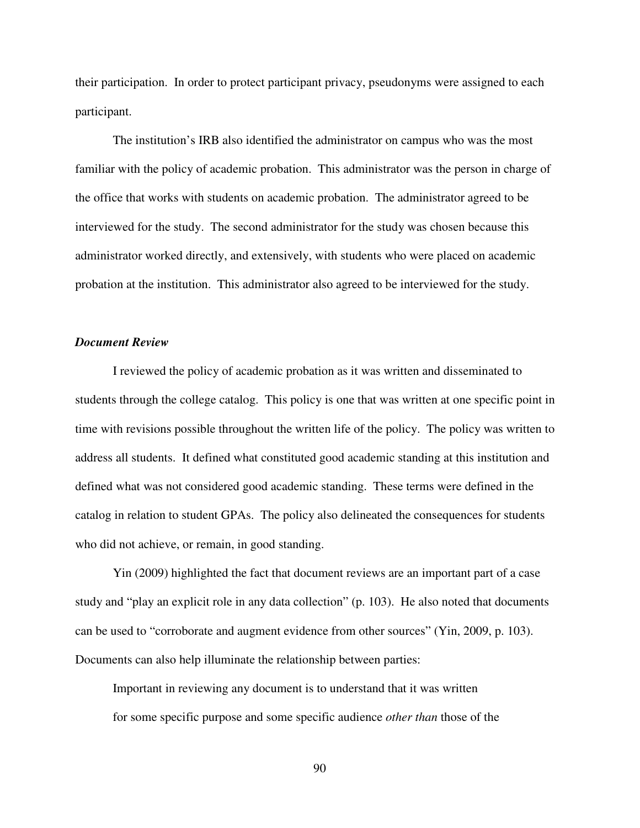their participation. In order to protect participant privacy, pseudonyms were assigned to each participant.

 The institution's IRB also identified the administrator on campus who was the most familiar with the policy of academic probation. This administrator was the person in charge of the office that works with students on academic probation. The administrator agreed to be interviewed for the study. The second administrator for the study was chosen because this administrator worked directly, and extensively, with students who were placed on academic probation at the institution. This administrator also agreed to be interviewed for the study.

## *Document Review*

I reviewed the policy of academic probation as it was written and disseminated to students through the college catalog. This policy is one that was written at one specific point in time with revisions possible throughout the written life of the policy. The policy was written to address all students. It defined what constituted good academic standing at this institution and defined what was not considered good academic standing. These terms were defined in the catalog in relation to student GPAs. The policy also delineated the consequences for students who did not achieve, or remain, in good standing.

Yin (2009) highlighted the fact that document reviews are an important part of a case study and "play an explicit role in any data collection" (p. 103). He also noted that documents can be used to "corroborate and augment evidence from other sources" (Yin, 2009, p. 103). Documents can also help illuminate the relationship between parties:

Important in reviewing any document is to understand that it was written for some specific purpose and some specific audience *other than* those of the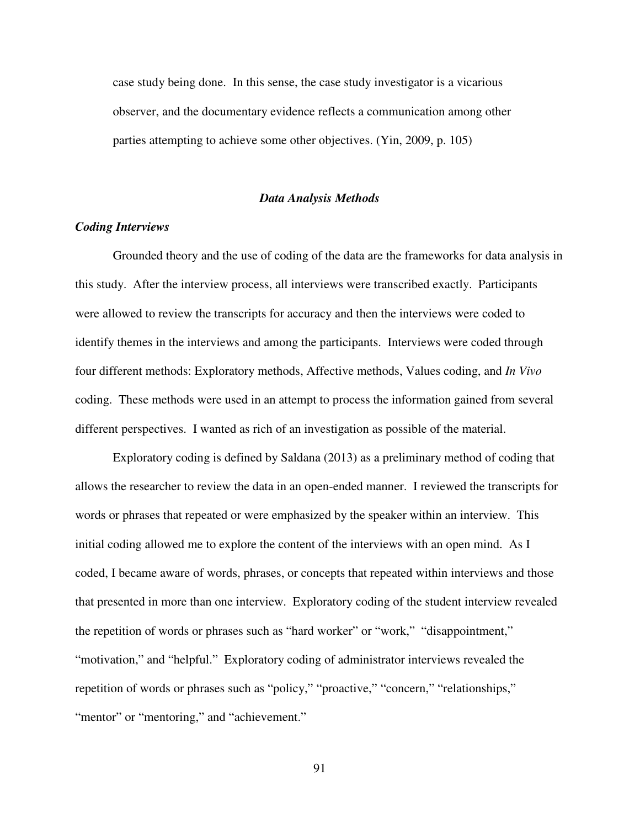case study being done. In this sense, the case study investigator is a vicarious observer, and the documentary evidence reflects a communication among other parties attempting to achieve some other objectives. (Yin, 2009, p. 105)

#### *Data Analysis Methods*

## *Coding Interviews*

Grounded theory and the use of coding of the data are the frameworks for data analysis in this study. After the interview process, all interviews were transcribed exactly. Participants were allowed to review the transcripts for accuracy and then the interviews were coded to identify themes in the interviews and among the participants. Interviews were coded through four different methods: Exploratory methods, Affective methods, Values coding, and *In Vivo* coding. These methods were used in an attempt to process the information gained from several different perspectives. I wanted as rich of an investigation as possible of the material.

Exploratory coding is defined by Saldana (2013) as a preliminary method of coding that allows the researcher to review the data in an open-ended manner. I reviewed the transcripts for words or phrases that repeated or were emphasized by the speaker within an interview. This initial coding allowed me to explore the content of the interviews with an open mind. As I coded, I became aware of words, phrases, or concepts that repeated within interviews and those that presented in more than one interview. Exploratory coding of the student interview revealed the repetition of words or phrases such as "hard worker" or "work," "disappointment," "motivation," and "helpful." Exploratory coding of administrator interviews revealed the repetition of words or phrases such as "policy," "proactive," "concern," "relationships," "mentor" or "mentoring," and "achievement."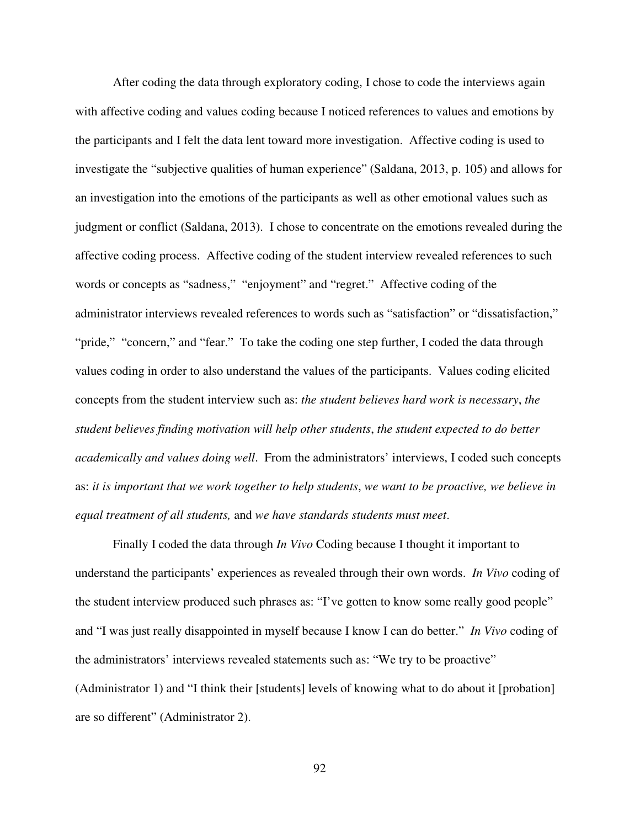After coding the data through exploratory coding, I chose to code the interviews again with affective coding and values coding because I noticed references to values and emotions by the participants and I felt the data lent toward more investigation. Affective coding is used to investigate the "subjective qualities of human experience" (Saldana, 2013, p. 105) and allows for an investigation into the emotions of the participants as well as other emotional values such as judgment or conflict (Saldana, 2013). I chose to concentrate on the emotions revealed during the affective coding process. Affective coding of the student interview revealed references to such words or concepts as "sadness," "enjoyment" and "regret." Affective coding of the administrator interviews revealed references to words such as "satisfaction" or "dissatisfaction," "pride," "concern," and "fear." To take the coding one step further, I coded the data through values coding in order to also understand the values of the participants. Values coding elicited concepts from the student interview such as: *the student believes hard work is necessary*, *the student believes finding motivation will help other students*, *the student expected to do better academically and values doing well*. From the administrators' interviews, I coded such concepts as: *it is important that we work together to help students*, *we want to be proactive, we believe in equal treatment of all students,* and *we have standards students must meet*.

Finally I coded the data through *In Vivo* Coding because I thought it important to understand the participants' experiences as revealed through their own words. *In Vivo* coding of the student interview produced such phrases as: "I've gotten to know some really good people" and "I was just really disappointed in myself because I know I can do better." *In Vivo* coding of the administrators' interviews revealed statements such as: "We try to be proactive" (Administrator 1) and "I think their [students] levels of knowing what to do about it [probation] are so different" (Administrator 2).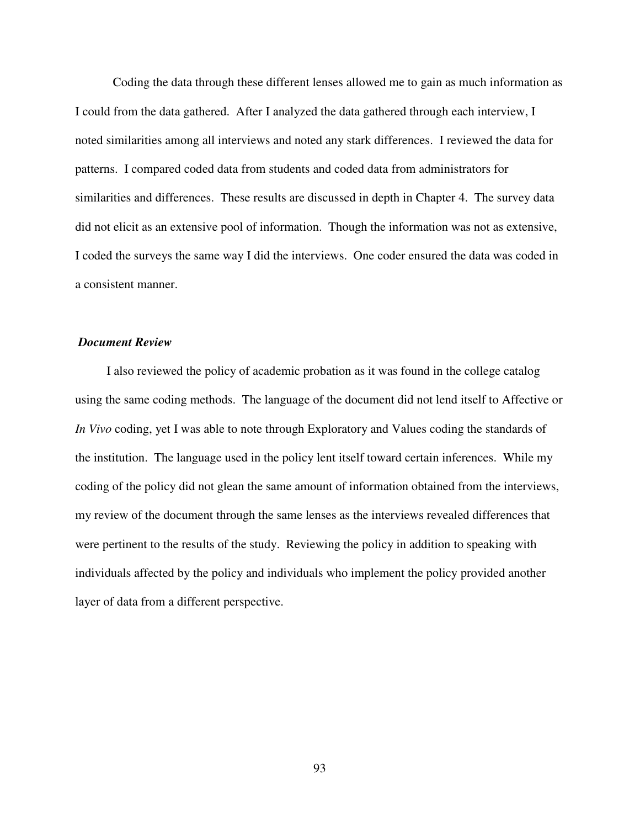Coding the data through these different lenses allowed me to gain as much information as I could from the data gathered. After I analyzed the data gathered through each interview, I noted similarities among all interviews and noted any stark differences. I reviewed the data for patterns. I compared coded data from students and coded data from administrators for similarities and differences. These results are discussed in depth in Chapter 4. The survey data did not elicit as an extensive pool of information. Though the information was not as extensive, I coded the surveys the same way I did the interviews. One coder ensured the data was coded in a consistent manner.

# *Document Review*

 I also reviewed the policy of academic probation as it was found in the college catalog using the same coding methods. The language of the document did not lend itself to Affective or *In Vivo* coding, yet I was able to note through Exploratory and Values coding the standards of the institution. The language used in the policy lent itself toward certain inferences. While my coding of the policy did not glean the same amount of information obtained from the interviews, my review of the document through the same lenses as the interviews revealed differences that were pertinent to the results of the study. Reviewing the policy in addition to speaking with individuals affected by the policy and individuals who implement the policy provided another layer of data from a different perspective.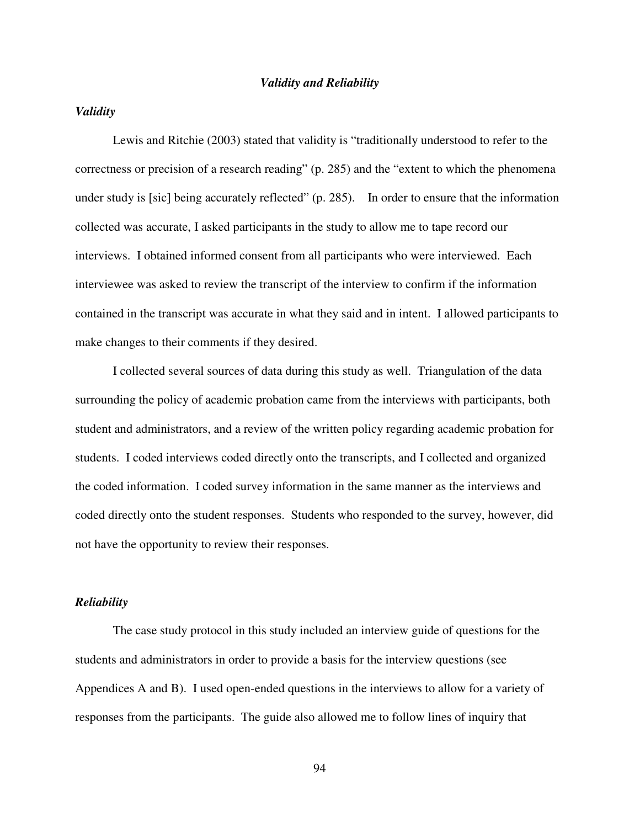#### *Validity and Reliability*

## *Validity*

Lewis and Ritchie (2003) stated that validity is "traditionally understood to refer to the correctness or precision of a research reading" (p. 285) and the "extent to which the phenomena under study is [sic] being accurately reflected" (p. 285). In order to ensure that the information collected was accurate, I asked participants in the study to allow me to tape record our interviews. I obtained informed consent from all participants who were interviewed. Each interviewee was asked to review the transcript of the interview to confirm if the information contained in the transcript was accurate in what they said and in intent. I allowed participants to make changes to their comments if they desired.

I collected several sources of data during this study as well. Triangulation of the data surrounding the policy of academic probation came from the interviews with participants, both student and administrators, and a review of the written policy regarding academic probation for students. I coded interviews coded directly onto the transcripts, and I collected and organized the coded information. I coded survey information in the same manner as the interviews and coded directly onto the student responses. Students who responded to the survey, however, did not have the opportunity to review their responses.

### *Reliability*

The case study protocol in this study included an interview guide of questions for the students and administrators in order to provide a basis for the interview questions (see Appendices A and B). I used open-ended questions in the interviews to allow for a variety of responses from the participants. The guide also allowed me to follow lines of inquiry that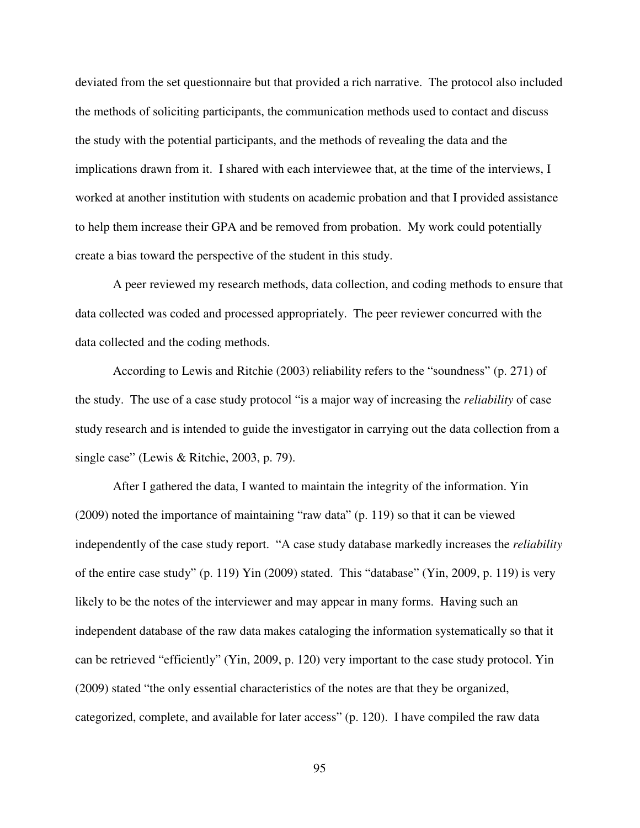deviated from the set questionnaire but that provided a rich narrative. The protocol also included the methods of soliciting participants, the communication methods used to contact and discuss the study with the potential participants, and the methods of revealing the data and the implications drawn from it. I shared with each interviewee that, at the time of the interviews, I worked at another institution with students on academic probation and that I provided assistance to help them increase their GPA and be removed from probation. My work could potentially create a bias toward the perspective of the student in this study.

A peer reviewed my research methods, data collection, and coding methods to ensure that data collected was coded and processed appropriately. The peer reviewer concurred with the data collected and the coding methods.

According to Lewis and Ritchie (2003) reliability refers to the "soundness" (p. 271) of the study. The use of a case study protocol "is a major way of increasing the *reliability* of case study research and is intended to guide the investigator in carrying out the data collection from a single case" (Lewis & Ritchie, 2003, p. 79).

After I gathered the data, I wanted to maintain the integrity of the information. Yin (2009) noted the importance of maintaining "raw data" (p. 119) so that it can be viewed independently of the case study report. "A case study database markedly increases the *reliability* of the entire case study" (p. 119) Yin (2009) stated. This "database" (Yin, 2009, p. 119) is very likely to be the notes of the interviewer and may appear in many forms. Having such an independent database of the raw data makes cataloging the information systematically so that it can be retrieved "efficiently" (Yin, 2009, p. 120) very important to the case study protocol. Yin (2009) stated "the only essential characteristics of the notes are that they be organized, categorized, complete, and available for later access" (p. 120). I have compiled the raw data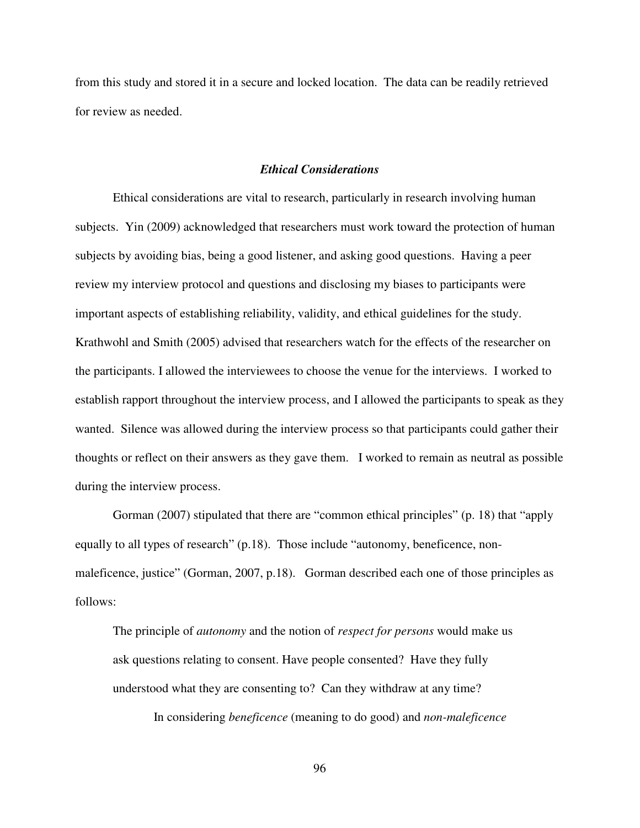from this study and stored it in a secure and locked location. The data can be readily retrieved for review as needed.

### *Ethical Considerations*

Ethical considerations are vital to research, particularly in research involving human subjects. Yin (2009) acknowledged that researchers must work toward the protection of human subjects by avoiding bias, being a good listener, and asking good questions. Having a peer review my interview protocol and questions and disclosing my biases to participants were important aspects of establishing reliability, validity, and ethical guidelines for the study. Krathwohl and Smith (2005) advised that researchers watch for the effects of the researcher on the participants. I allowed the interviewees to choose the venue for the interviews. I worked to establish rapport throughout the interview process, and I allowed the participants to speak as they wanted. Silence was allowed during the interview process so that participants could gather their thoughts or reflect on their answers as they gave them. I worked to remain as neutral as possible during the interview process.

Gorman (2007) stipulated that there are "common ethical principles" (p. 18) that "apply equally to all types of research" (p.18). Those include "autonomy, beneficence, nonmaleficence, justice" (Gorman, 2007, p.18). Gorman described each one of those principles as follows:

The principle of *autonomy* and the notion of *respect for persons* would make us ask questions relating to consent. Have people consented? Have they fully understood what they are consenting to? Can they withdraw at any time?

In considering *beneficence* (meaning to do good) and *non-maleficence*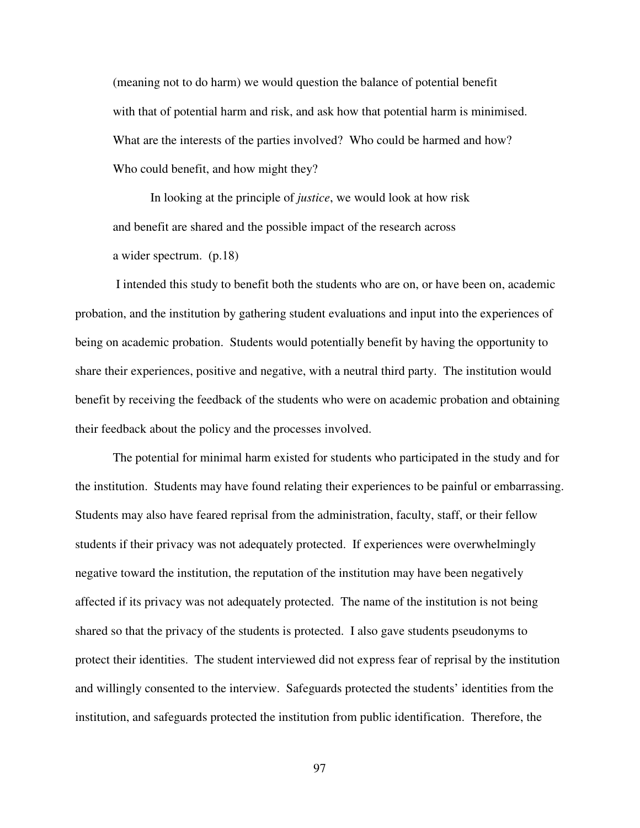(meaning not to do harm) we would question the balance of potential benefit with that of potential harm and risk, and ask how that potential harm is minimised. What are the interests of the parties involved? Who could be harmed and how? Who could benefit, and how might they?

In looking at the principle of *justice*, we would look at how risk and benefit are shared and the possible impact of the research across a wider spectrum. (p.18)

 I intended this study to benefit both the students who are on, or have been on, academic probation, and the institution by gathering student evaluations and input into the experiences of being on academic probation. Students would potentially benefit by having the opportunity to share their experiences, positive and negative, with a neutral third party. The institution would benefit by receiving the feedback of the students who were on academic probation and obtaining their feedback about the policy and the processes involved.

The potential for minimal harm existed for students who participated in the study and for the institution. Students may have found relating their experiences to be painful or embarrassing. Students may also have feared reprisal from the administration, faculty, staff, or their fellow students if their privacy was not adequately protected. If experiences were overwhelmingly negative toward the institution, the reputation of the institution may have been negatively affected if its privacy was not adequately protected. The name of the institution is not being shared so that the privacy of the students is protected. I also gave students pseudonyms to protect their identities. The student interviewed did not express fear of reprisal by the institution and willingly consented to the interview. Safeguards protected the students' identities from the institution, and safeguards protected the institution from public identification. Therefore, the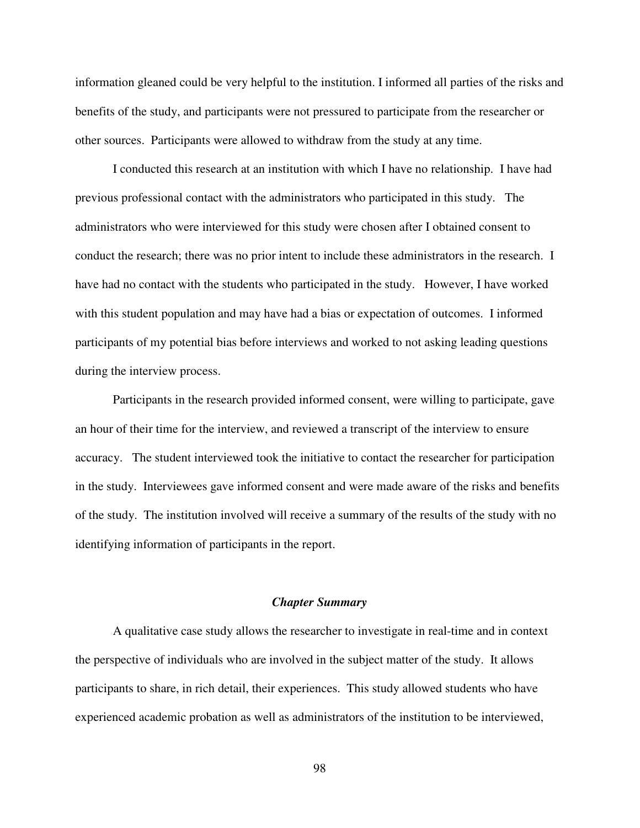information gleaned could be very helpful to the institution. I informed all parties of the risks and benefits of the study, and participants were not pressured to participate from the researcher or other sources. Participants were allowed to withdraw from the study at any time.

I conducted this research at an institution with which I have no relationship. I have had previous professional contact with the administrators who participated in this study. The administrators who were interviewed for this study were chosen after I obtained consent to conduct the research; there was no prior intent to include these administrators in the research. I have had no contact with the students who participated in the study. However, I have worked with this student population and may have had a bias or expectation of outcomes. I informed participants of my potential bias before interviews and worked to not asking leading questions during the interview process.

Participants in the research provided informed consent, were willing to participate, gave an hour of their time for the interview, and reviewed a transcript of the interview to ensure accuracy. The student interviewed took the initiative to contact the researcher for participation in the study. Interviewees gave informed consent and were made aware of the risks and benefits of the study. The institution involved will receive a summary of the results of the study with no identifying information of participants in the report.

# *Chapter Summary*

A qualitative case study allows the researcher to investigate in real-time and in context the perspective of individuals who are involved in the subject matter of the study. It allows participants to share, in rich detail, their experiences. This study allowed students who have experienced academic probation as well as administrators of the institution to be interviewed,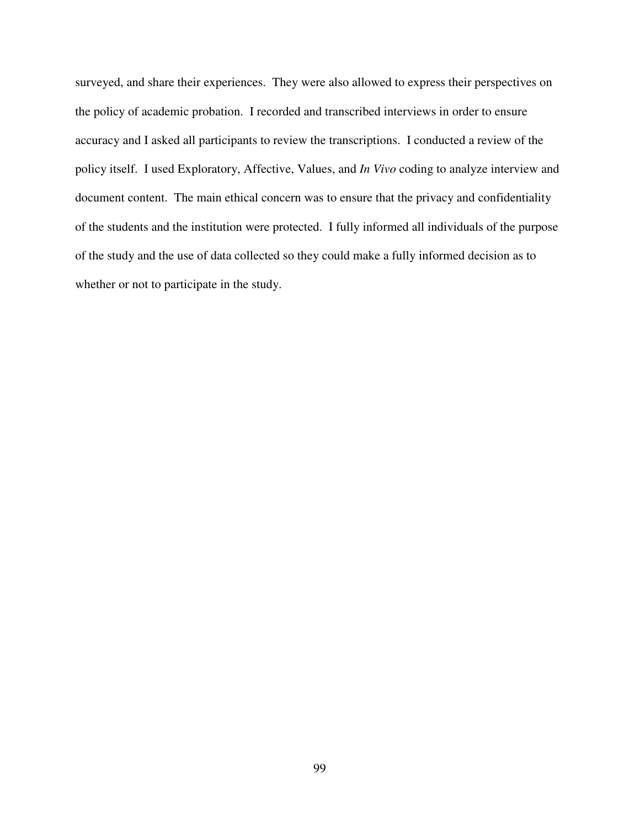surveyed, and share their experiences. They were also allowed to express their perspectives on the policy of academic probation. I recorded and transcribed interviews in order to ensure accuracy and I asked all participants to review the transcriptions. I conducted a review of the policy itself. I used Exploratory, Affective, Values, and *In Vivo* coding to analyze interview and document content. The main ethical concern was to ensure that the privacy and confidentiality of the students and the institution were protected. I fully informed all individuals of the purpose of the study and the use of data collected so they could make a fully informed decision as to whether or not to participate in the study.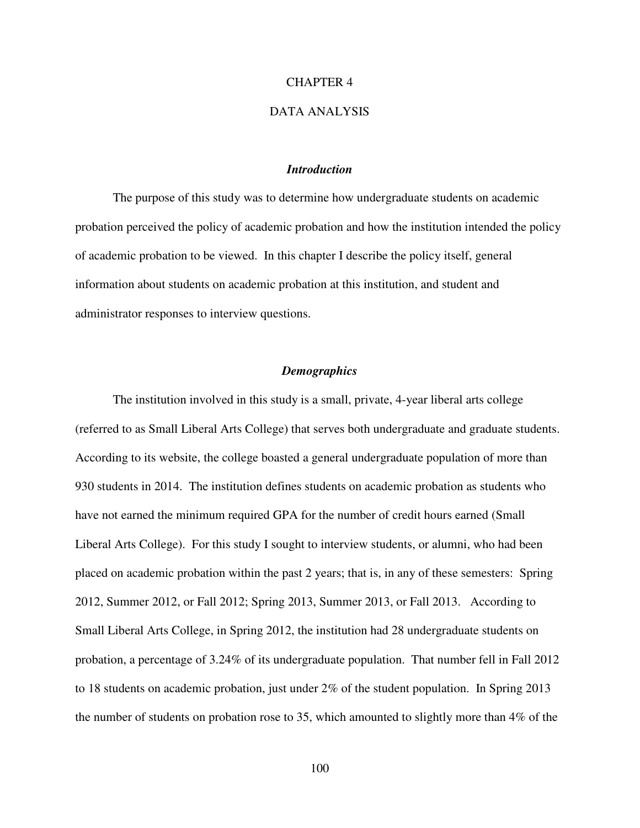### CHAPTER 4

## DATA ANALYSIS

## *Introduction*

The purpose of this study was to determine how undergraduate students on academic probation perceived the policy of academic probation and how the institution intended the policy of academic probation to be viewed. In this chapter I describe the policy itself, general information about students on academic probation at this institution, and student and administrator responses to interview questions.

### *Demographics*

 The institution involved in this study is a small, private, 4-year liberal arts college (referred to as Small Liberal Arts College) that serves both undergraduate and graduate students. According to its website, the college boasted a general undergraduate population of more than 930 students in 2014. The institution defines students on academic probation as students who have not earned the minimum required GPA for the number of credit hours earned (Small Liberal Arts College). For this study I sought to interview students, or alumni, who had been placed on academic probation within the past 2 years; that is, in any of these semesters: Spring 2012, Summer 2012, or Fall 2012; Spring 2013, Summer 2013, or Fall 2013. According to Small Liberal Arts College, in Spring 2012, the institution had 28 undergraduate students on probation, a percentage of 3.24% of its undergraduate population. That number fell in Fall 2012 to 18 students on academic probation, just under 2% of the student population. In Spring 2013 the number of students on probation rose to 35, which amounted to slightly more than 4% of the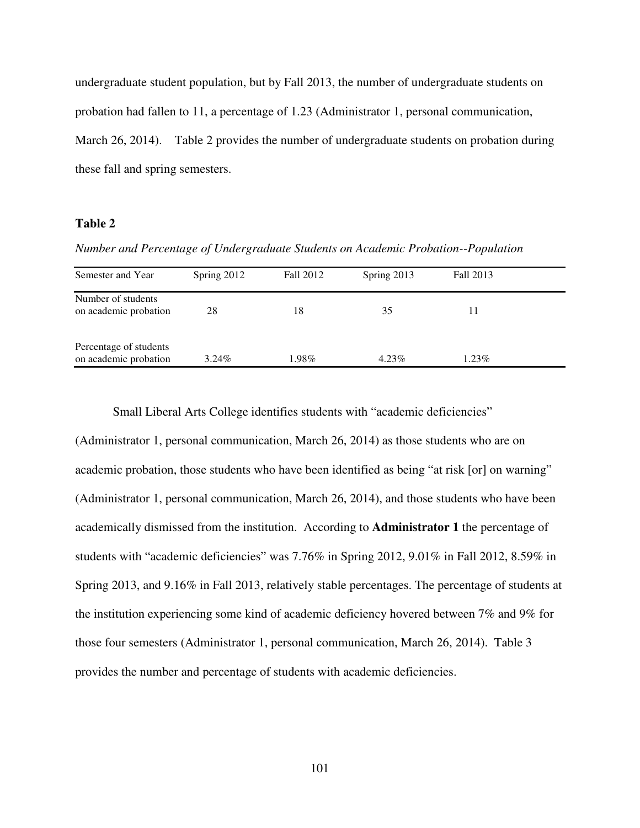undergraduate student population, but by Fall 2013, the number of undergraduate students on probation had fallen to 11, a percentage of 1.23 (Administrator 1, personal communication, March 26, 2014). Table 2 provides the number of undergraduate students on probation during these fall and spring semesters.

# **Table 2**

*Number and Percentage of Undergraduate Students on Academic Probation--Population* 

| Semester and Year                               | Spring 2012 | Fall 2012 | Spring 2013 | Fall 2013 |
|-------------------------------------------------|-------------|-----------|-------------|-----------|
| Number of students<br>on academic probation     | 28          | 18        | 35          | 11        |
| Percentage of students<br>on academic probation | $3.24\%$    | 1.98%     | $4.23\%$    | $1.23\%$  |

Small Liberal Arts College identifies students with "academic deficiencies"

(Administrator 1, personal communication, March 26, 2014) as those students who are on academic probation, those students who have been identified as being "at risk [or] on warning" (Administrator 1, personal communication, March 26, 2014), and those students who have been academically dismissed from the institution. According to **Administrator 1** the percentage of students with "academic deficiencies" was 7.76% in Spring 2012, 9.01% in Fall 2012, 8.59% in Spring 2013, and 9.16% in Fall 2013, relatively stable percentages. The percentage of students at the institution experiencing some kind of academic deficiency hovered between 7% and 9% for those four semesters (Administrator 1, personal communication, March 26, 2014). Table 3 provides the number and percentage of students with academic deficiencies.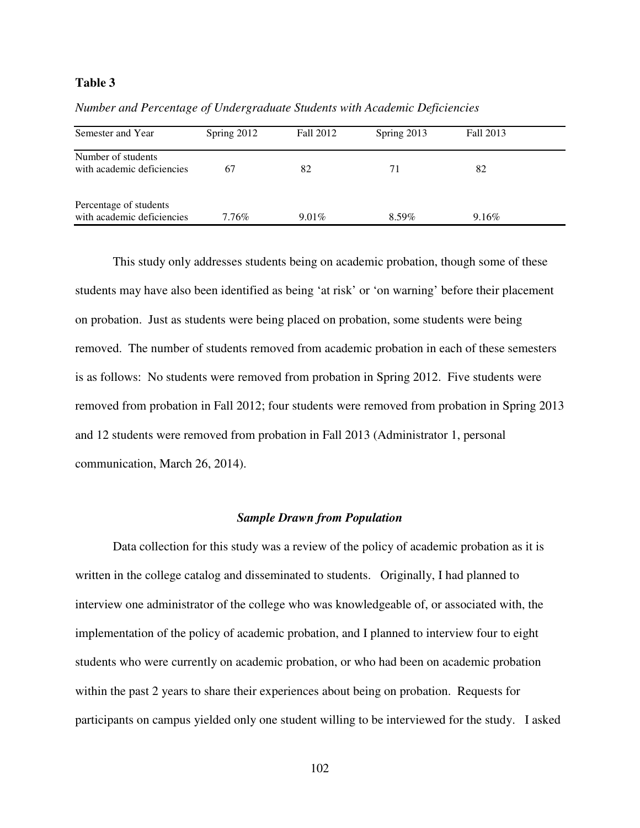## **Table 3**

| Semester and Year                                    | Spring 2012 | Fall 2012 | Spring 2013 | Fall 2013 |  |
|------------------------------------------------------|-------------|-----------|-------------|-----------|--|
| Number of students<br>with academic deficiencies     | 67          | 82        | 71          | 82        |  |
| Percentage of students<br>with academic deficiencies | 7.76%       | $9.01\%$  | $8.59\%$    | $9.16\%$  |  |

*Number and Percentage of Undergraduate Students with Academic Deficiencies* 

 This study only addresses students being on academic probation, though some of these students may have also been identified as being 'at risk' or 'on warning' before their placement on probation. Just as students were being placed on probation, some students were being removed. The number of students removed from academic probation in each of these semesters is as follows: No students were removed from probation in Spring 2012. Five students were removed from probation in Fall 2012; four students were removed from probation in Spring 2013 and 12 students were removed from probation in Fall 2013 (Administrator 1, personal communication, March 26, 2014).

## *Sample Drawn from Population*

Data collection for this study was a review of the policy of academic probation as it is written in the college catalog and disseminated to students. Originally, I had planned to interview one administrator of the college who was knowledgeable of, or associated with, the implementation of the policy of academic probation, and I planned to interview four to eight students who were currently on academic probation, or who had been on academic probation within the past 2 years to share their experiences about being on probation. Requests for participants on campus yielded only one student willing to be interviewed for the study. I asked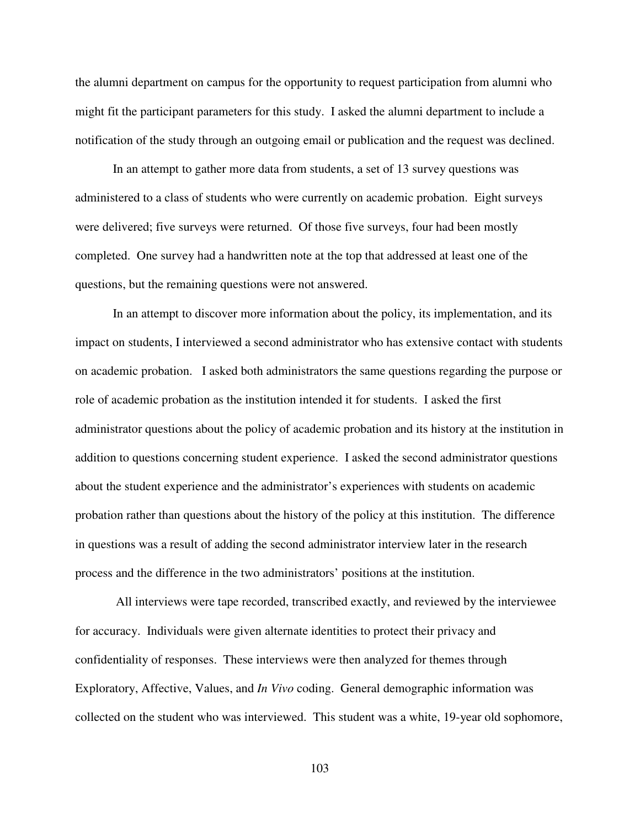the alumni department on campus for the opportunity to request participation from alumni who might fit the participant parameters for this study. I asked the alumni department to include a notification of the study through an outgoing email or publication and the request was declined.

In an attempt to gather more data from students, a set of 13 survey questions was administered to a class of students who were currently on academic probation. Eight surveys were delivered; five surveys were returned. Of those five surveys, four had been mostly completed. One survey had a handwritten note at the top that addressed at least one of the questions, but the remaining questions were not answered.

In an attempt to discover more information about the policy, its implementation, and its impact on students, I interviewed a second administrator who has extensive contact with students on academic probation. I asked both administrators the same questions regarding the purpose or role of academic probation as the institution intended it for students. I asked the first administrator questions about the policy of academic probation and its history at the institution in addition to questions concerning student experience. I asked the second administrator questions about the student experience and the administrator's experiences with students on academic probation rather than questions about the history of the policy at this institution. The difference in questions was a result of adding the second administrator interview later in the research process and the difference in the two administrators' positions at the institution.

 All interviews were tape recorded, transcribed exactly, and reviewed by the interviewee for accuracy. Individuals were given alternate identities to protect their privacy and confidentiality of responses. These interviews were then analyzed for themes through Exploratory, Affective, Values, and *In Vivo* coding. General demographic information was collected on the student who was interviewed. This student was a white, 19-year old sophomore,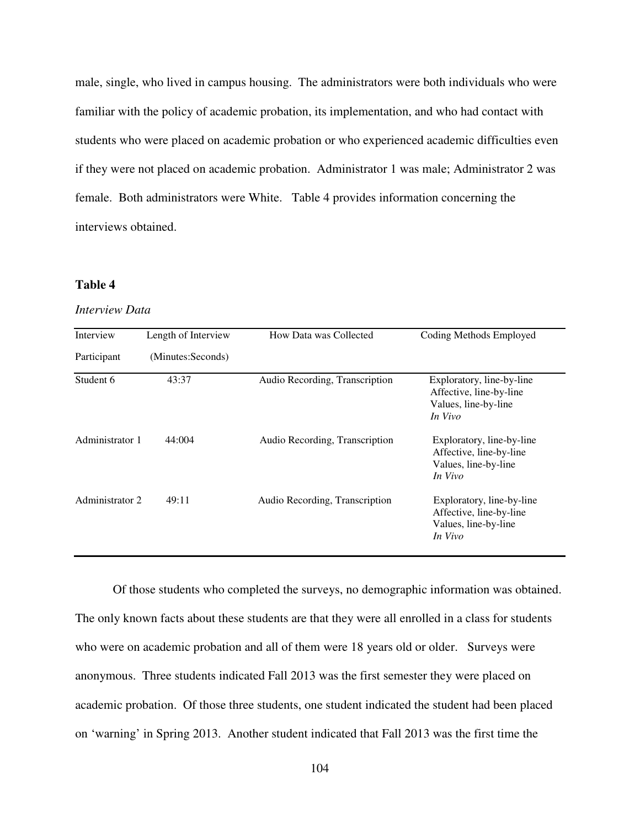male, single, who lived in campus housing. The administrators were both individuals who were familiar with the policy of academic probation, its implementation, and who had contact with students who were placed on academic probation or who experienced academic difficulties even if they were not placed on academic probation. Administrator 1 was male; Administrator 2 was female. Both administrators were White. Table 4 provides information concerning the interviews obtained.

# **Table 4**

## *Interview Data*

| Interview       | Length of Interview | How Data was Collected         | Coding Methods Employed                                                                 |
|-----------------|---------------------|--------------------------------|-----------------------------------------------------------------------------------------|
| Participant     | (Minutes:Seconds)   |                                |                                                                                         |
| Student 6       | 43:37               | Audio Recording, Transcription | Exploratory, line-by-line<br>Affective, line-by-line<br>Values, line-by-line<br>In Vivo |
| Administrator 1 | 44:004              | Audio Recording, Transcription | Exploratory, line-by-line<br>Affective, line-by-line<br>Values, line-by-line<br>In Vivo |
| Administrator 2 | 49:11               | Audio Recording, Transcription | Exploratory, line-by-line<br>Affective, line-by-line<br>Values, line-by-line<br>In Vivo |

Of those students who completed the surveys, no demographic information was obtained. The only known facts about these students are that they were all enrolled in a class for students who were on academic probation and all of them were 18 years old or older. Surveys were anonymous. Three students indicated Fall 2013 was the first semester they were placed on academic probation. Of those three students, one student indicated the student had been placed on 'warning' in Spring 2013. Another student indicated that Fall 2013 was the first time the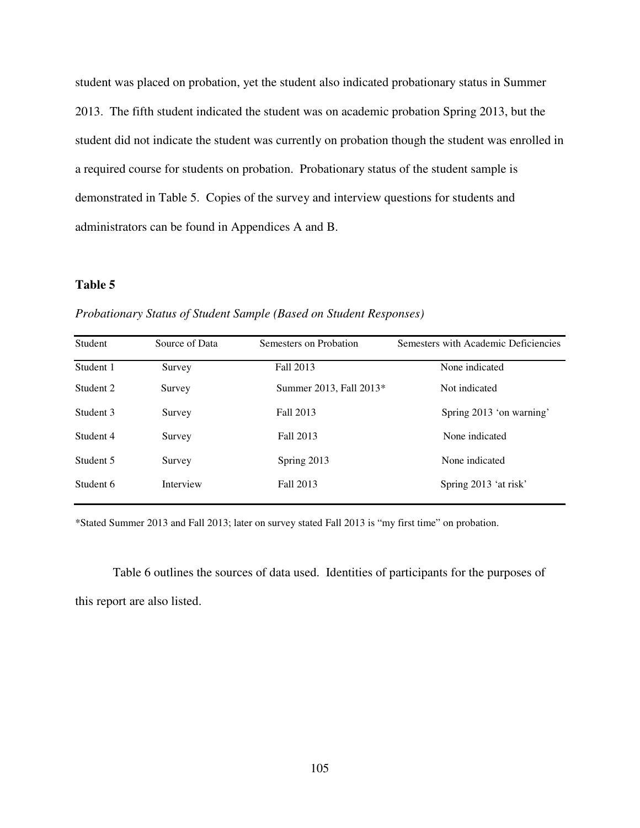student was placed on probation, yet the student also indicated probationary status in Summer 2013. The fifth student indicated the student was on academic probation Spring 2013, but the student did not indicate the student was currently on probation though the student was enrolled in a required course for students on probation. Probationary status of the student sample is demonstrated in Table 5. Copies of the survey and interview questions for students and administrators can be found in Appendices A and B.

# **Table 5**

| <b>Student</b> | Source of Data | Semesters on Probation  | Semesters with Academic Deficiencies |
|----------------|----------------|-------------------------|--------------------------------------|
| Student 1      | Survey         | Fall 2013               | None indicated                       |
| Student 2      | Survey         | Summer 2013, Fall 2013* | Not indicated                        |
| Student 3      | Survey         | Fall 2013               | Spring 2013 'on warning'             |
| Student 4      | Survey         | Fall 2013               | None indicated                       |
| Student 5      | Survey         | Spring 2013             | None indicated                       |
| Student 6      | Interview      | Fall 2013               | Spring 2013 'at risk'                |
|                |                |                         |                                      |

*Probationary Status of Student Sample (Based on Student Responses)*

\*Stated Summer 2013 and Fall 2013; later on survey stated Fall 2013 is "my first time" on probation.

Table 6 outlines the sources of data used. Identities of participants for the purposes of this report are also listed.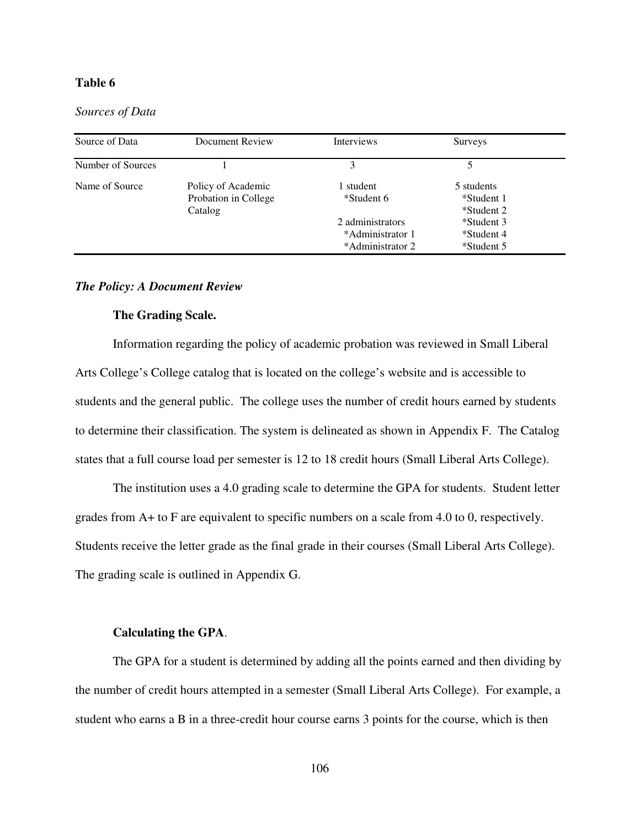# **Table 6**

*Sources of Data*

| Document Review    | Interviews                           | <b>Surveys</b>           |            |
|--------------------|--------------------------------------|--------------------------|------------|
|                    | 3                                    |                          |            |
| Policy of Academic | student                              | 5 students               |            |
| Catalog            |                                      | *Student 2               |            |
|                    | 2 administrators                     | *Student 3               |            |
|                    | *Administrator 1<br>*Administrator 2 | *Student 4<br>*Student 5 |            |
|                    | Probation in College                 | *Student 6               | *Student 1 |

# *The Policy: A Document Review*

### **The Grading Scale.**

Information regarding the policy of academic probation was reviewed in Small Liberal Arts College's College catalog that is located on the college's website and is accessible to students and the general public. The college uses the number of credit hours earned by students to determine their classification. The system is delineated as shown in Appendix F. The Catalog states that a full course load per semester is 12 to 18 credit hours (Small Liberal Arts College).

The institution uses a 4.0 grading scale to determine the GPA for students. Student letter grades from A+ to F are equivalent to specific numbers on a scale from 4.0 to 0, respectively. Students receive the letter grade as the final grade in their courses (Small Liberal Arts College). The grading scale is outlined in Appendix G.

### **Calculating the GPA**.

The GPA for a student is determined by adding all the points earned and then dividing by the number of credit hours attempted in a semester (Small Liberal Arts College). For example, a student who earns a B in a three-credit hour course earns 3 points for the course, which is then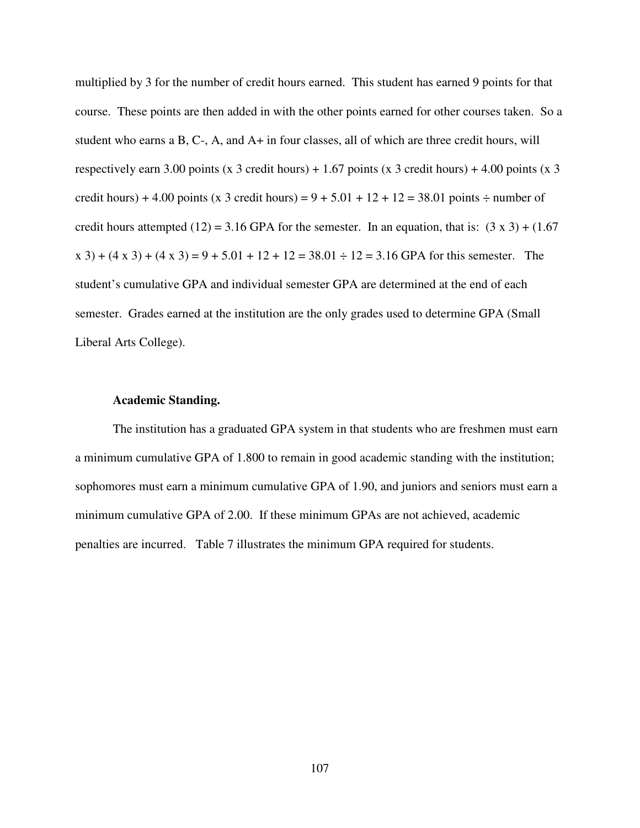multiplied by 3 for the number of credit hours earned. This student has earned 9 points for that course. These points are then added in with the other points earned for other courses taken. So a student who earns a B, C-, A, and A+ in four classes, all of which are three credit hours, will respectively earn 3.00 points (x 3 credit hours) + 1.67 points (x 3 credit hours) + 4.00 points (x 3 credit hours) + 4.00 points (x 3 credit hours) =  $9 + 5.01 + 12 + 12 = 38.01$  points  $\div$  number of credit hours attempted (12) = 3.16 GPA for the semester. In an equation, that is:  $(3 \times 3) + (1.67)$  $x$  3) + (4 x 3) + (4 x 3) = 9 + 5.01 + 12 + 12 = 38.01  $\div$  12 = 3.16 GPA for this semester. The student's cumulative GPA and individual semester GPA are determined at the end of each semester. Grades earned at the institution are the only grades used to determine GPA (Small Liberal Arts College).

### **Academic Standing.**

The institution has a graduated GPA system in that students who are freshmen must earn a minimum cumulative GPA of 1.800 to remain in good academic standing with the institution; sophomores must earn a minimum cumulative GPA of 1.90, and juniors and seniors must earn a minimum cumulative GPA of 2.00. If these minimum GPAs are not achieved, academic penalties are incurred. Table 7 illustrates the minimum GPA required for students.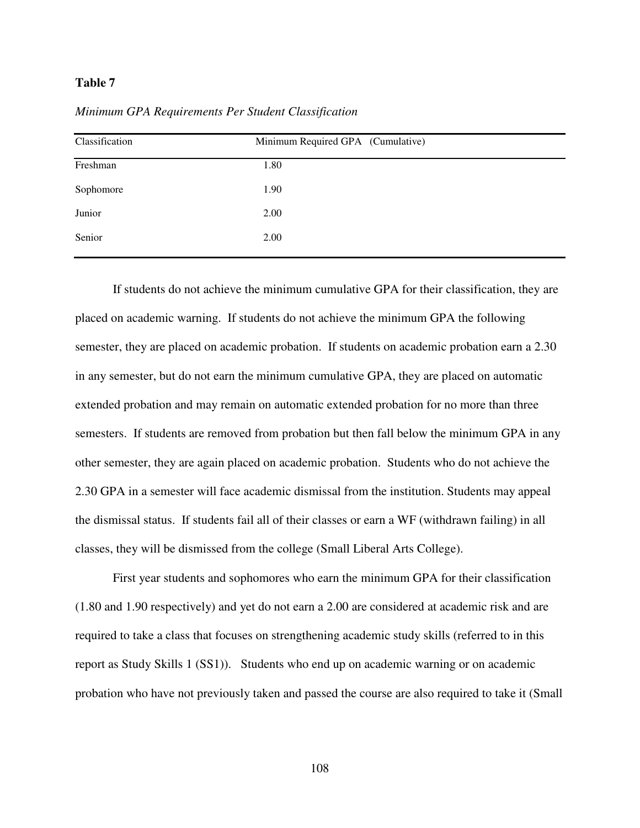## **Table 7**

|  |  | Minimum GPA Requirements Per Student Classification |
|--|--|-----------------------------------------------------|
|  |  |                                                     |

| Classification | Minimum Required GPA (Cumulative) |  |  |  |
|----------------|-----------------------------------|--|--|--|
| Freshman       | 1.80                              |  |  |  |
| Sophomore      | 1.90                              |  |  |  |
| Junior         | 2.00                              |  |  |  |
| Senior         | 2.00                              |  |  |  |

If students do not achieve the minimum cumulative GPA for their classification, they are placed on academic warning. If students do not achieve the minimum GPA the following semester, they are placed on academic probation. If students on academic probation earn a 2.30 in any semester, but do not earn the minimum cumulative GPA, they are placed on automatic extended probation and may remain on automatic extended probation for no more than three semesters. If students are removed from probation but then fall below the minimum GPA in any other semester, they are again placed on academic probation. Students who do not achieve the 2.30 GPA in a semester will face academic dismissal from the institution. Students may appeal the dismissal status. If students fail all of their classes or earn a WF (withdrawn failing) in all classes, they will be dismissed from the college (Small Liberal Arts College).

 First year students and sophomores who earn the minimum GPA for their classification (1.80 and 1.90 respectively) and yet do not earn a 2.00 are considered at academic risk and are required to take a class that focuses on strengthening academic study skills (referred to in this report as Study Skills 1 (SS1)). Students who end up on academic warning or on academic probation who have not previously taken and passed the course are also required to take it (Small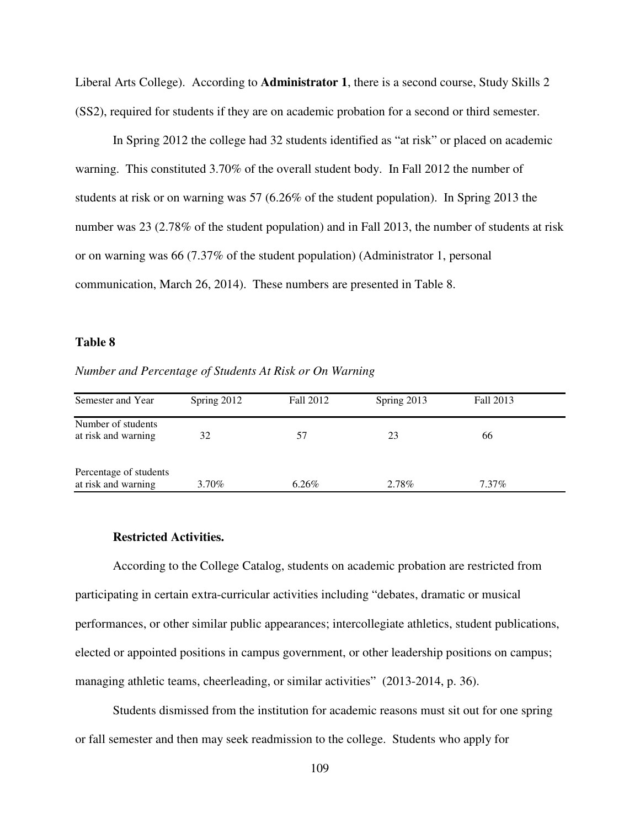Liberal Arts College). According to **Administrator 1**, there is a second course, Study Skills 2 (SS2), required for students if they are on academic probation for a second or third semester.

 In Spring 2012 the college had 32 students identified as "at risk" or placed on academic warning. This constituted 3.70% of the overall student body. In Fall 2012 the number of students at risk or on warning was 57 (6.26% of the student population). In Spring 2013 the number was 23 (2.78% of the student population) and in Fall 2013, the number of students at risk or on warning was 66 (7.37% of the student population) (Administrator 1, personal communication, March 26, 2014). These numbers are presented in Table 8.

#### **Table 8**

*Number and Percentage of Students At Risk or On Warning* 

| Semester and Year                             | Spring 2012 | Fall 2012 | Spring 2013 | Fall 2013 |
|-----------------------------------------------|-------------|-----------|-------------|-----------|
| Number of students<br>at risk and warning     | 32          | 57        | 23          | 66        |
| Percentage of students<br>at risk and warning | $3.70\%$    | 6.26%     | 2.78%       | $7.37\%$  |

# **Restricted Activities.**

 According to the College Catalog, students on academic probation are restricted from participating in certain extra-curricular activities including "debates, dramatic or musical performances, or other similar public appearances; intercollegiate athletics, student publications, elected or appointed positions in campus government, or other leadership positions on campus; managing athletic teams, cheerleading, or similar activities" (2013-2014, p. 36).

 Students dismissed from the institution for academic reasons must sit out for one spring or fall semester and then may seek readmission to the college. Students who apply for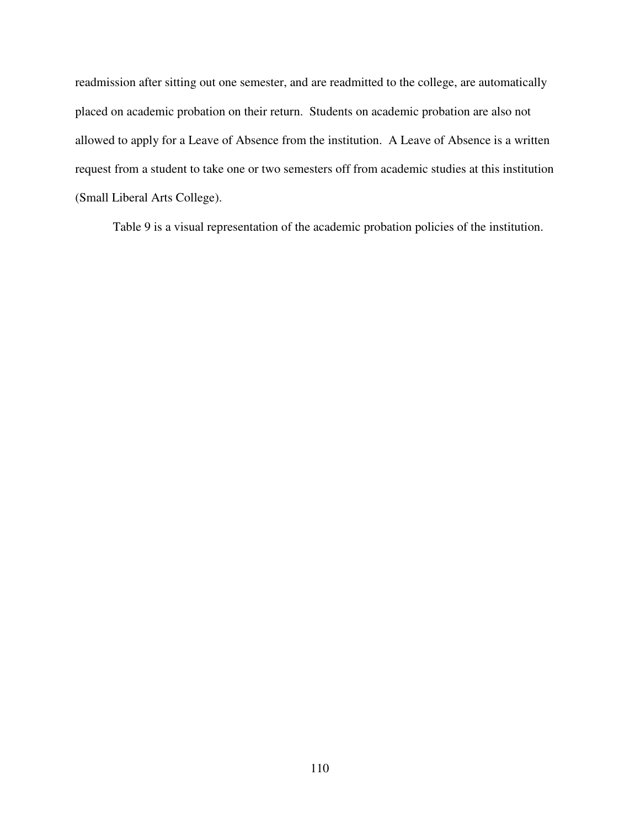readmission after sitting out one semester, and are readmitted to the college, are automatically placed on academic probation on their return. Students on academic probation are also not allowed to apply for a Leave of Absence from the institution. A Leave of Absence is a written request from a student to take one or two semesters off from academic studies at this institution (Small Liberal Arts College).

Table 9 is a visual representation of the academic probation policies of the institution.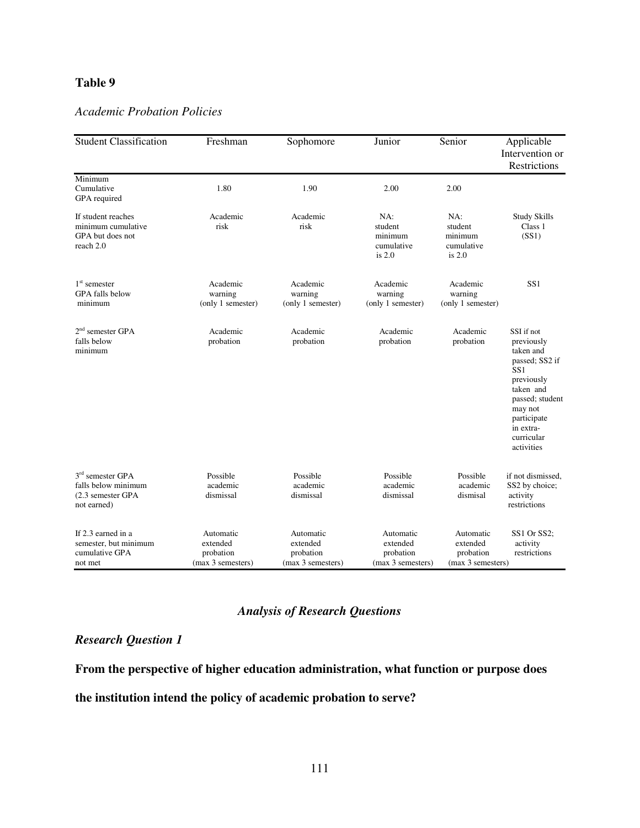# **Table 9**

# *Academic Probation Policies*

| <b>Student Classification</b>                                                 | Freshman                                                | Sophomore                                               | Junior                                                  | Senior                                                  | Applicable<br>Intervention or<br>Restrictions                                                                                                                                   |
|-------------------------------------------------------------------------------|---------------------------------------------------------|---------------------------------------------------------|---------------------------------------------------------|---------------------------------------------------------|---------------------------------------------------------------------------------------------------------------------------------------------------------------------------------|
| Minimum<br>Cumulative<br>GPA required                                         | 1.80                                                    | 1.90                                                    | 2.00                                                    | 2.00                                                    |                                                                                                                                                                                 |
| If student reaches<br>minimum cumulative<br>GPA but does not<br>reach 2.0     | Academic<br>risk                                        | Academic<br>risk                                        | NA:<br>student<br>minimum<br>cumulative<br>is $2.0$     | NA:<br>student<br>minimum<br>cumulative<br>is $2.0$     | <b>Study Skills</b><br>Class 1<br>(SS1)                                                                                                                                         |
| $1st$ semester<br><b>GPA</b> falls below<br>minimum                           | Academic<br>warning<br>(only 1 semester)                | Academic<br>warning<br>(only 1 semester)                | Academic<br>warning<br>(only 1 semester)                | Academic<br>warning<br>(only 1 semester)                | SS <sub>1</sub>                                                                                                                                                                 |
| $2nd$ semester GPA<br>falls below<br>minimum                                  | Academic<br>probation                                   | Academic<br>probation                                   | Academic<br>probation                                   | Academic<br>probation                                   | SSI if not<br>previously<br>taken and<br>passed; SS2 if<br>SS1<br>previously<br>taken and<br>passed; student<br>may not<br>participate<br>in extra-<br>curricular<br>activities |
| $3rd$ semester GPA<br>falls below minimum<br>(2.3 semester GPA<br>not earned) | Possible<br>academic<br>dismissal                       | Possible<br>academic<br>dismissal                       | Possible<br>academic<br>dismissal                       | Possible<br>academic<br>dismisal                        | if not dismissed,<br>SS2 by choice;<br>activity<br>restrictions                                                                                                                 |
| If 2.3 earned in a<br>semester, but minimum<br>cumulative GPA<br>not met      | Automatic<br>extended<br>probation<br>(max 3 semesters) | Automatic<br>extended<br>probation<br>(max 3 semesters) | Automatic<br>extended<br>probation<br>(max 3 semesters) | Automatic<br>extended<br>probation<br>(max 3 semesters) | SS1 Or SS2;<br>activity<br>restrictions                                                                                                                                         |

# *Analysis of Research Questions*

# *Research Question 1*

**From the perspective of higher education administration, what function or purpose does** 

# **the institution intend the policy of academic probation to serve?**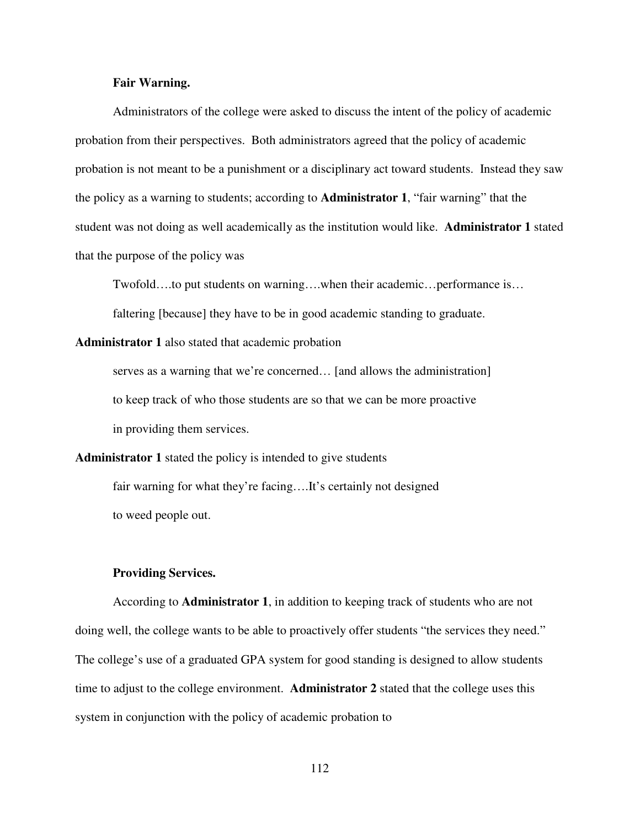### **Fair Warning.**

 Administrators of the college were asked to discuss the intent of the policy of academic probation from their perspectives. Both administrators agreed that the policy of academic probation is not meant to be a punishment or a disciplinary act toward students. Instead they saw the policy as a warning to students; according to **Administrator 1**, "fair warning" that the student was not doing as well academically as the institution would like. **Administrator 1** stated that the purpose of the policy was

Twofold….to put students on warning….when their academic…performance is… faltering [because] they have to be in good academic standing to graduate.

**Administrator 1** also stated that academic probation

serves as a warning that we're concerned... [and allows the administration] to keep track of who those students are so that we can be more proactive in providing them services.

**Administrator 1** stated the policy is intended to give students fair warning for what they're facing....It's certainly not designed to weed people out.

#### **Providing Services.**

 According to **Administrator 1**, in addition to keeping track of students who are not doing well, the college wants to be able to proactively offer students "the services they need." The college's use of a graduated GPA system for good standing is designed to allow students time to adjust to the college environment. **Administrator 2** stated that the college uses this system in conjunction with the policy of academic probation to

112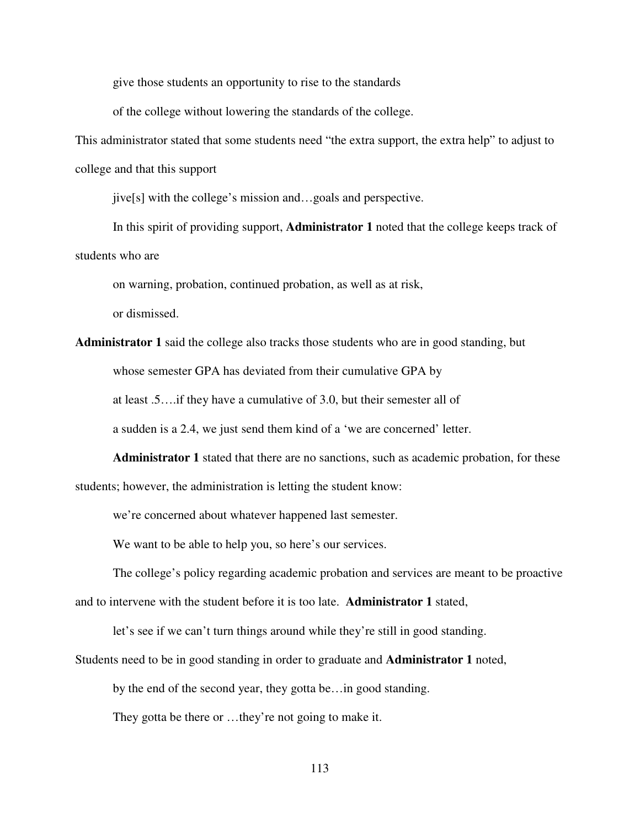give those students an opportunity to rise to the standards

of the college without lowering the standards of the college.

This administrator stated that some students need "the extra support, the extra help" to adjust to college and that this support

jive[s] with the college's mission and…goals and perspective.

 In this spirit of providing support, **Administrator 1** noted that the college keeps track of students who are

on warning, probation, continued probation, as well as at risk,

or dismissed.

**Administrator 1** said the college also tracks those students who are in good standing, but whose semester GPA has deviated from their cumulative GPA by at least .5….if they have a cumulative of 3.0, but their semester all of

a sudden is a 2.4, we just send them kind of a 'we are concerned' letter.

**Administrator 1** stated that there are no sanctions, such as academic probation, for these students; however, the administration is letting the student know:

we're concerned about whatever happened last semester.

We want to be able to help you, so here's our services.

The college's policy regarding academic probation and services are meant to be proactive and to intervene with the student before it is too late. **Administrator 1** stated,

let's see if we can't turn things around while they're still in good standing.

Students need to be in good standing in order to graduate and **Administrator 1** noted,

by the end of the second year, they gotta be…in good standing.

They gotta be there or …they're not going to make it.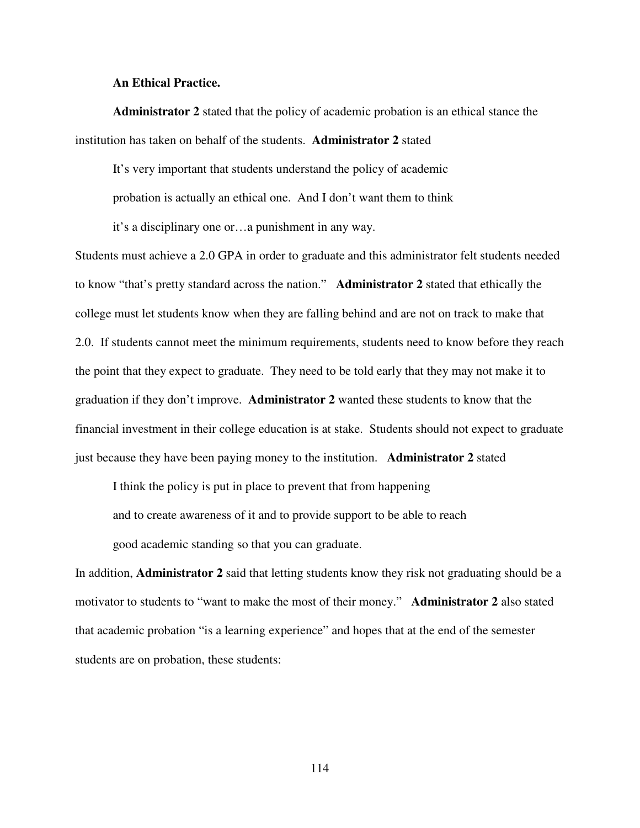### **An Ethical Practice.**

**Administrator 2** stated that the policy of academic probation is an ethical stance the institution has taken on behalf of the students. **Administrator 2** stated

It's very important that students understand the policy of academic probation is actually an ethical one. And I don't want them to think it's a disciplinary one or…a punishment in any way.

Students must achieve a 2.0 GPA in order to graduate and this administrator felt students needed to know "that's pretty standard across the nation." **Administrator 2** stated that ethically the college must let students know when they are falling behind and are not on track to make that 2.0. If students cannot meet the minimum requirements, students need to know before they reach the point that they expect to graduate. They need to be told early that they may not make it to graduation if they don't improve. **Administrator 2** wanted these students to know that the financial investment in their college education is at stake. Students should not expect to graduate just because they have been paying money to the institution. **Administrator 2** stated

I think the policy is put in place to prevent that from happening

and to create awareness of it and to provide support to be able to reach

good academic standing so that you can graduate.

In addition, **Administrator 2** said that letting students know they risk not graduating should be a motivator to students to "want to make the most of their money." **Administrator 2** also stated that academic probation "is a learning experience" and hopes that at the end of the semester students are on probation, these students: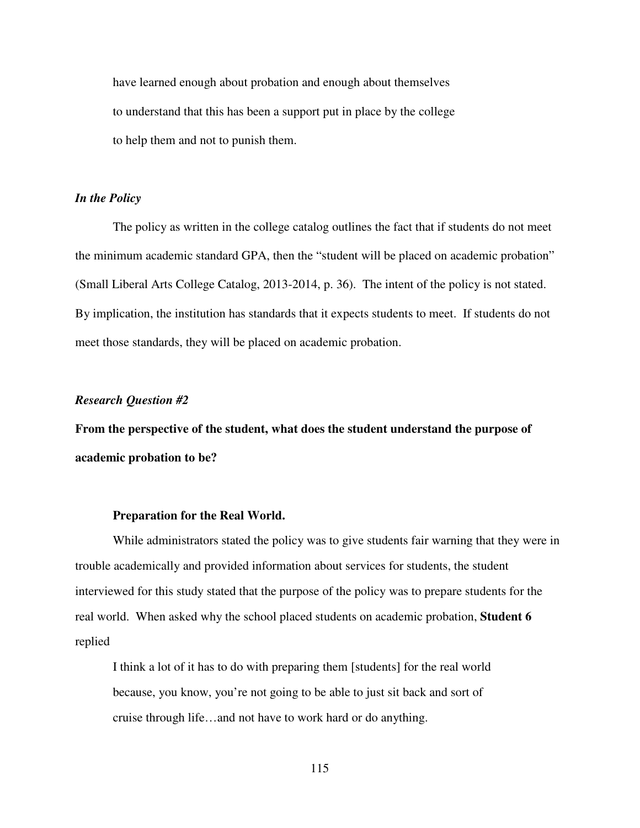have learned enough about probation and enough about themselves to understand that this has been a support put in place by the college to help them and not to punish them.

## *In the Policy*

 The policy as written in the college catalog outlines the fact that if students do not meet the minimum academic standard GPA, then the "student will be placed on academic probation" (Small Liberal Arts College Catalog, 2013-2014, p. 36). The intent of the policy is not stated. By implication, the institution has standards that it expects students to meet. If students do not meet those standards, they will be placed on academic probation.

#### *Research Question #2*

**From the perspective of the student, what does the student understand the purpose of academic probation to be?**

#### **Preparation for the Real World.**

 While administrators stated the policy was to give students fair warning that they were in trouble academically and provided information about services for students, the student interviewed for this study stated that the purpose of the policy was to prepare students for the real world. When asked why the school placed students on academic probation, **Student 6** replied

 I think a lot of it has to do with preparing them [students] for the real world because, you know, you're not going to be able to just sit back and sort of cruise through life…and not have to work hard or do anything.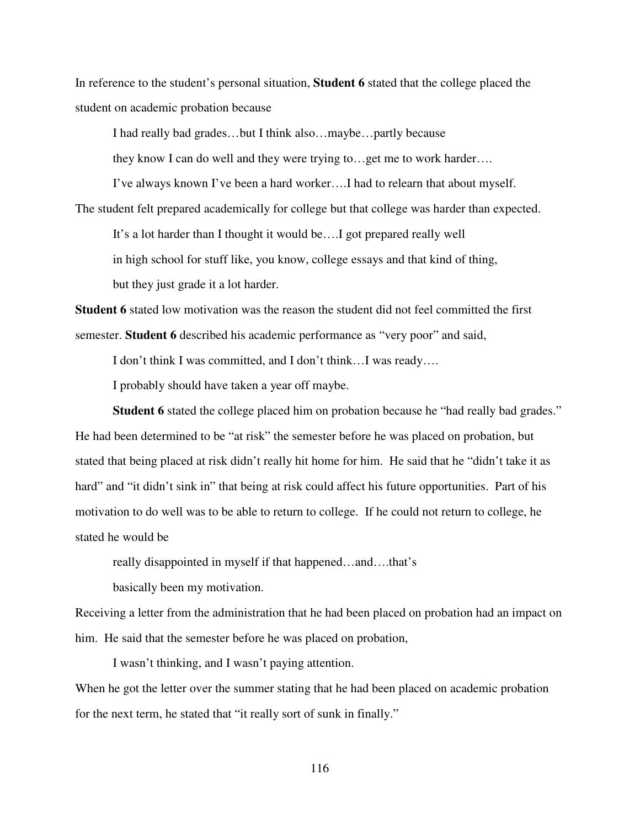In reference to the student's personal situation, **Student 6** stated that the college placed the student on academic probation because

I had really bad grades…but I think also…maybe…partly because

they know I can do well and they were trying to…get me to work harder….

I've always known I've been a hard worker….I had to relearn that about myself.

The student felt prepared academically for college but that college was harder than expected.

It's a lot harder than I thought it would be….I got prepared really well

in high school for stuff like, you know, college essays and that kind of thing,

but they just grade it a lot harder.

**Student 6** stated low motivation was the reason the student did not feel committed the first semester. **Student 6** described his academic performance as "very poor" and said,

I don't think I was committed, and I don't think…I was ready….

I probably should have taken a year off maybe.

 **Student 6** stated the college placed him on probation because he "had really bad grades." He had been determined to be "at risk" the semester before he was placed on probation, but stated that being placed at risk didn't really hit home for him. He said that he "didn't take it as hard" and "it didn't sink in" that being at risk could affect his future opportunities. Part of his motivation to do well was to be able to return to college. If he could not return to college, he stated he would be

really disappointed in myself if that happened…and….that's

basically been my motivation.

Receiving a letter from the administration that he had been placed on probation had an impact on him. He said that the semester before he was placed on probation,

I wasn't thinking, and I wasn't paying attention.

When he got the letter over the summer stating that he had been placed on academic probation for the next term, he stated that "it really sort of sunk in finally."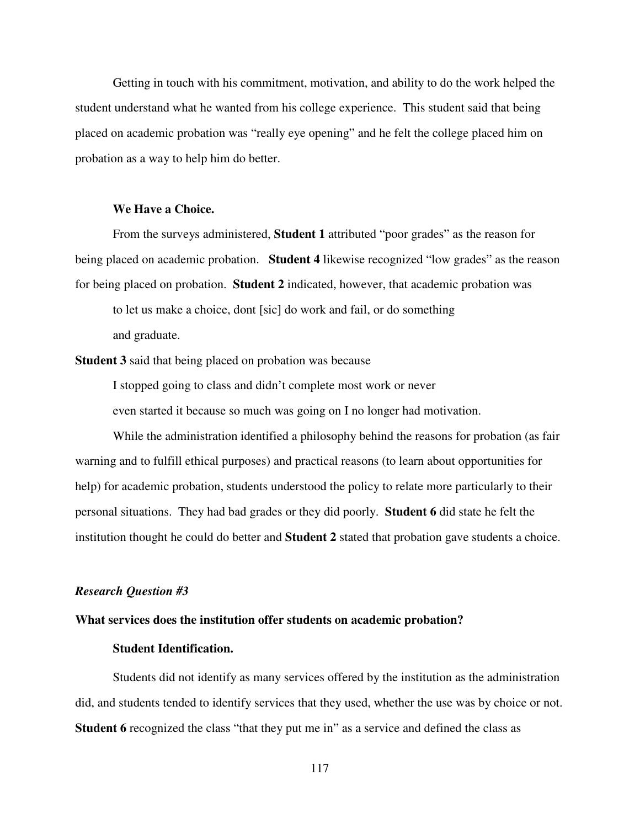Getting in touch with his commitment, motivation, and ability to do the work helped the student understand what he wanted from his college experience. This student said that being placed on academic probation was "really eye opening" and he felt the college placed him on probation as a way to help him do better.

# **We Have a Choice.**

 From the surveys administered, **Student 1** attributed "poor grades" as the reason for being placed on academic probation. **Student 4** likewise recognized "low grades" as the reason for being placed on probation. **Student 2** indicated, however, that academic probation was

 to let us make a choice, dont [sic] do work and fail, or do something and graduate.

**Student 3** said that being placed on probation was because

 I stopped going to class and didn't complete most work or never even started it because so much was going on I no longer had motivation.

 While the administration identified a philosophy behind the reasons for probation (as fair warning and to fulfill ethical purposes) and practical reasons (to learn about opportunities for help) for academic probation, students understood the policy to relate more particularly to their personal situations. They had bad grades or they did poorly. **Student 6** did state he felt the institution thought he could do better and **Student 2** stated that probation gave students a choice.

#### *Research Question #3*

### **What services does the institution offer students on academic probation?**

## **Student Identification.**

 Students did not identify as many services offered by the institution as the administration did, and students tended to identify services that they used, whether the use was by choice or not. **Student 6** recognized the class "that they put me in" as a service and defined the class as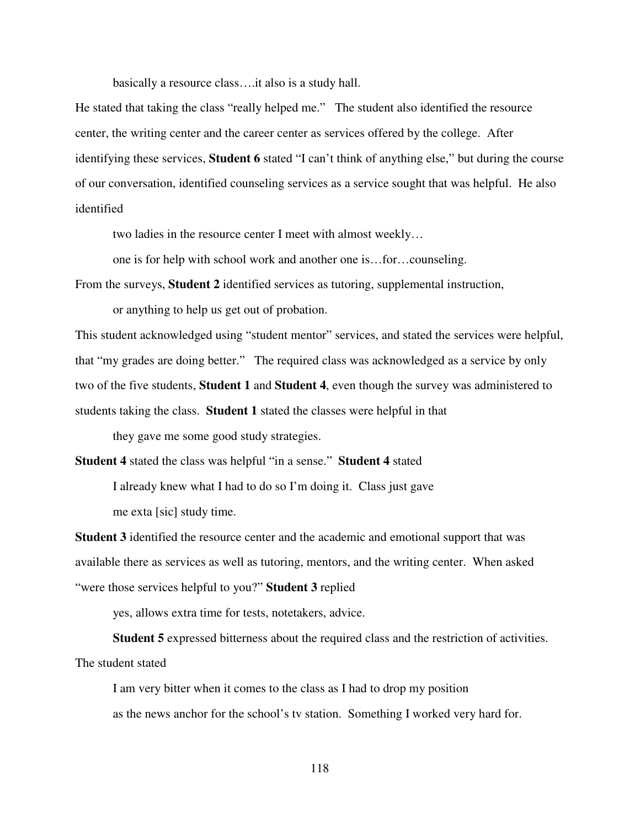basically a resource class….it also is a study hall.

He stated that taking the class "really helped me." The student also identified the resource center, the writing center and the career center as services offered by the college. After identifying these services, **Student 6** stated "I can't think of anything else," but during the course of our conversation, identified counseling services as a service sought that was helpful. He also identified

two ladies in the resource center I meet with almost weekly…

one is for help with school work and another one is…for…counseling.

From the surveys, **Student 2** identified services as tutoring, supplemental instruction,

or anything to help us get out of probation.

This student acknowledged using "student mentor" services, and stated the services were helpful, that "my grades are doing better." The required class was acknowledged as a service by only two of the five students, **Student 1** and **Student 4**, even though the survey was administered to students taking the class. **Student 1** stated the classes were helpful in that

they gave me some good study strategies.

**Student 4** stated the class was helpful "in a sense." **Student 4** stated

 I already knew what I had to do so I'm doing it. Class just gave me exta [sic] study time.

**Student 3** identified the resource center and the academic and emotional support that was available there as services as well as tutoring, mentors, and the writing center. When asked "were those services helpful to you?" **Student 3** replied

yes, allows extra time for tests, notetakers, advice.

**Student 5** expressed bitterness about the required class and the restriction of activities. The student stated

 I am very bitter when it comes to the class as I had to drop my position as the news anchor for the school's tv station. Something I worked very hard for.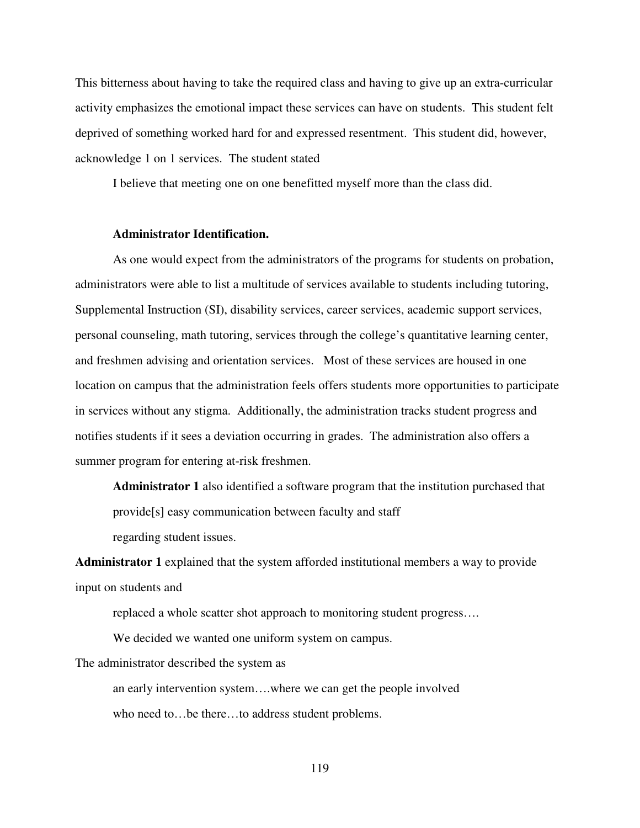This bitterness about having to take the required class and having to give up an extra-curricular activity emphasizes the emotional impact these services can have on students. This student felt deprived of something worked hard for and expressed resentment. This student did, however, acknowledge 1 on 1 services. The student stated

I believe that meeting one on one benefitted myself more than the class did.

#### **Administrator Identification.**

 As one would expect from the administrators of the programs for students on probation, administrators were able to list a multitude of services available to students including tutoring, Supplemental Instruction (SI), disability services, career services, academic support services, personal counseling, math tutoring, services through the college's quantitative learning center, and freshmen advising and orientation services. Most of these services are housed in one location on campus that the administration feels offers students more opportunities to participate in services without any stigma. Additionally, the administration tracks student progress and notifies students if it sees a deviation occurring in grades. The administration also offers a summer program for entering at-risk freshmen.

 **Administrator 1** also identified a software program that the institution purchased that provide[s] easy communication between faculty and staff regarding student issues.

**Administrator 1** explained that the system afforded institutional members a way to provide input on students and

replaced a whole scatter shot approach to monitoring student progress….

We decided we wanted one uniform system on campus.

The administrator described the system as

 an early intervention system….where we can get the people involved who need to…be there…to address student problems.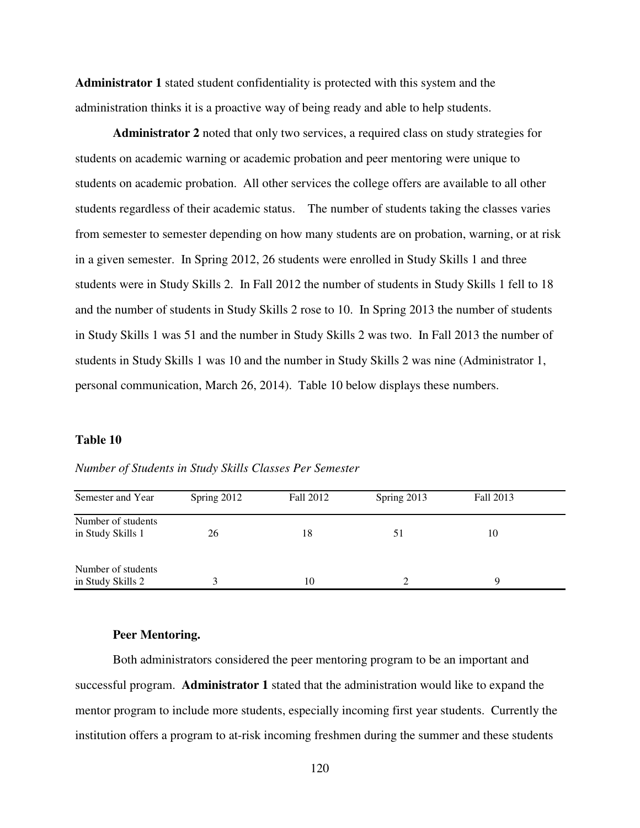**Administrator 1** stated student confidentiality is protected with this system and the administration thinks it is a proactive way of being ready and able to help students.

 **Administrator 2** noted that only two services, a required class on study strategies for students on academic warning or academic probation and peer mentoring were unique to students on academic probation. All other services the college offers are available to all other students regardless of their academic status. The number of students taking the classes varies from semester to semester depending on how many students are on probation, warning, or at risk in a given semester. In Spring 2012, 26 students were enrolled in Study Skills 1 and three students were in Study Skills 2. In Fall 2012 the number of students in Study Skills 1 fell to 18 and the number of students in Study Skills 2 rose to 10. In Spring 2013 the number of students in Study Skills 1 was 51 and the number in Study Skills 2 was two. In Fall 2013 the number of students in Study Skills 1 was 10 and the number in Study Skills 2 was nine (Administrator 1, personal communication, March 26, 2014). Table 10 below displays these numbers.

#### **Table 10**

| Semester and Year                       | Spring 2012 | Fall 2012 | Spring 2013 | Fall 2013 |  |
|-----------------------------------------|-------------|-----------|-------------|-----------|--|
| Number of students<br>in Study Skills 1 | 26          | 18        | 51          | 10        |  |
| Number of students<br>in Study Skills 2 |             | 10        |             | Q         |  |

*Number of Students in Study Skills Classes Per Semester* 

#### **Peer Mentoring.**

 Both administrators considered the peer mentoring program to be an important and successful program. **Administrator 1** stated that the administration would like to expand the mentor program to include more students, especially incoming first year students. Currently the institution offers a program to at-risk incoming freshmen during the summer and these students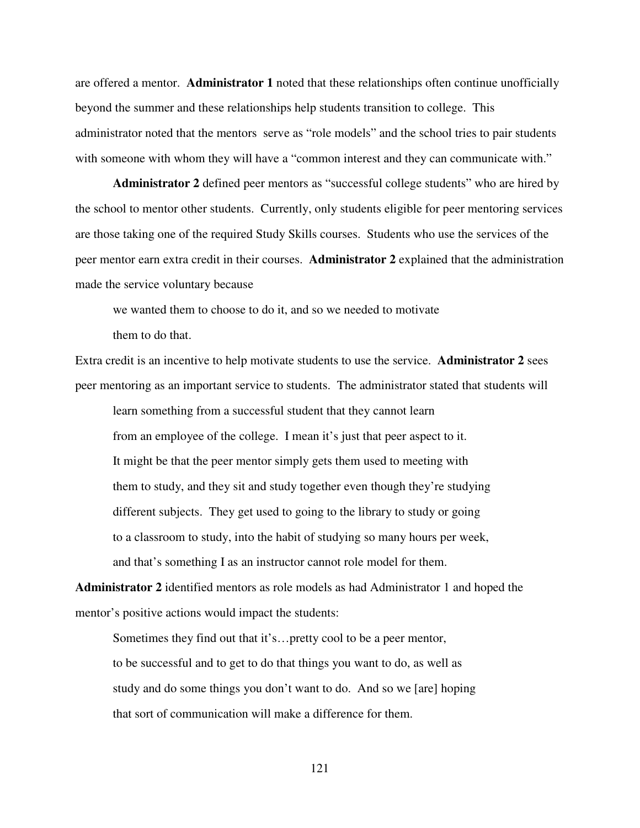are offered a mentor. **Administrator 1** noted that these relationships often continue unofficially beyond the summer and these relationships help students transition to college. This administrator noted that the mentors serve as "role models" and the school tries to pair students with someone with whom they will have a "common interest and they can communicate with."

 **Administrator 2** defined peer mentors as "successful college students" who are hired by the school to mentor other students. Currently, only students eligible for peer mentoring services are those taking one of the required Study Skills courses. Students who use the services of the peer mentor earn extra credit in their courses. **Administrator 2** explained that the administration made the service voluntary because

 we wanted them to choose to do it, and so we needed to motivate them to do that.

Extra credit is an incentive to help motivate students to use the service. **Administrator 2** sees peer mentoring as an important service to students. The administrator stated that students will

 learn something from a successful student that they cannot learn from an employee of the college. I mean it's just that peer aspect to it. It might be that the peer mentor simply gets them used to meeting with them to study, and they sit and study together even though they're studying different subjects. They get used to going to the library to study or going to a classroom to study, into the habit of studying so many hours per week, and that's something I as an instructor cannot role model for them.

**Administrator 2** identified mentors as role models as had Administrator 1 and hoped the mentor's positive actions would impact the students:

 Sometimes they find out that it's…pretty cool to be a peer mentor, to be successful and to get to do that things you want to do, as well as study and do some things you don't want to do. And so we [are] hoping that sort of communication will make a difference for them.

121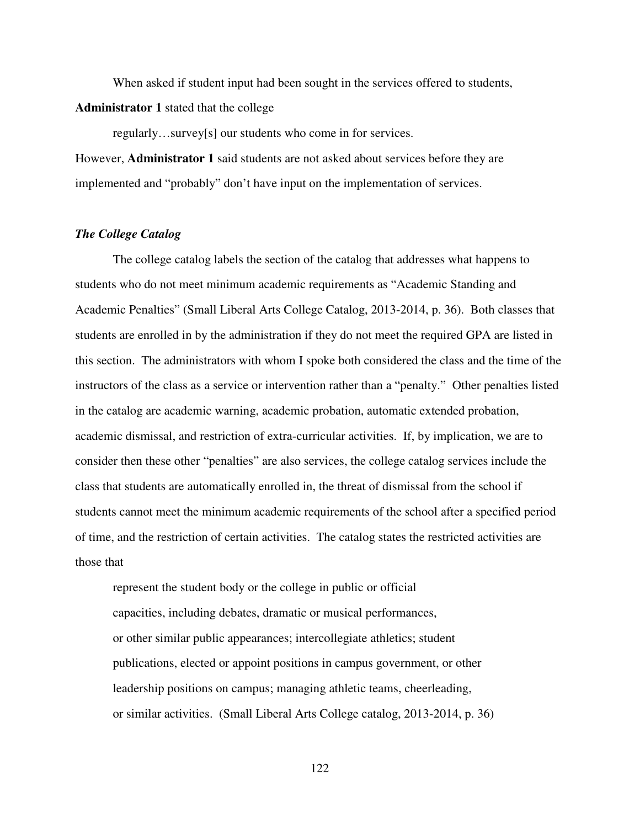When asked if student input had been sought in the services offered to students, **Administrator 1** stated that the college

 regularly…survey[s] our students who come in for services. However, **Administrator 1** said students are not asked about services before they are implemented and "probably" don't have input on the implementation of services.

#### *The College Catalog*

 The college catalog labels the section of the catalog that addresses what happens to students who do not meet minimum academic requirements as "Academic Standing and Academic Penalties" (Small Liberal Arts College Catalog, 2013-2014, p. 36). Both classes that students are enrolled in by the administration if they do not meet the required GPA are listed in this section. The administrators with whom I spoke both considered the class and the time of the instructors of the class as a service or intervention rather than a "penalty." Other penalties listed in the catalog are academic warning, academic probation, automatic extended probation, academic dismissal, and restriction of extra-curricular activities. If, by implication, we are to consider then these other "penalties" are also services, the college catalog services include the class that students are automatically enrolled in, the threat of dismissal from the school if students cannot meet the minimum academic requirements of the school after a specified period of time, and the restriction of certain activities. The catalog states the restricted activities are those that

 represent the student body or the college in public or official capacities, including debates, dramatic or musical performances, or other similar public appearances; intercollegiate athletics; student publications, elected or appoint positions in campus government, or other leadership positions on campus; managing athletic teams, cheerleading, or similar activities. (Small Liberal Arts College catalog, 2013-2014, p. 36)

122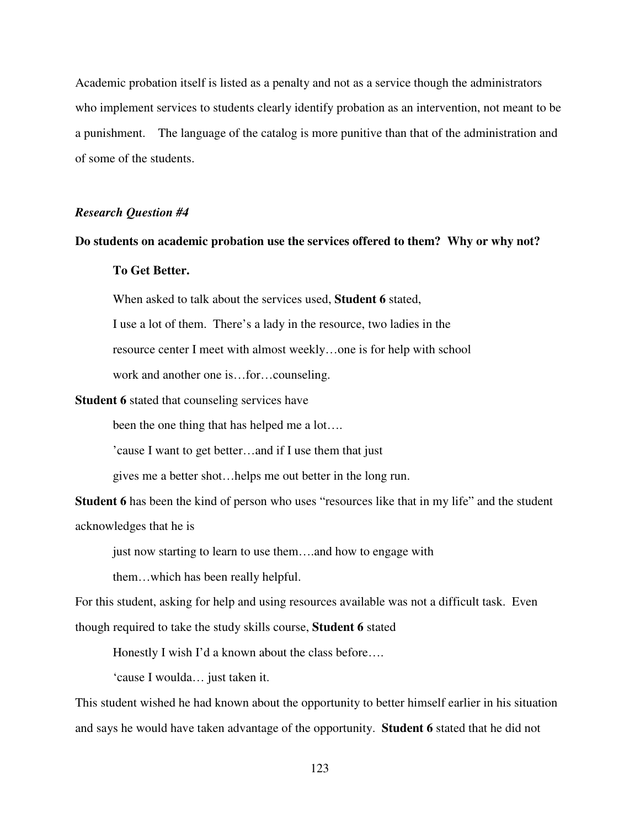Academic probation itself is listed as a penalty and not as a service though the administrators who implement services to students clearly identify probation as an intervention, not meant to be a punishment. The language of the catalog is more punitive than that of the administration and of some of the students.

## *Research Question #4*

### **Do students on academic probation use the services offered to them? Why or why not?**

# **To Get Better.**

When asked to talk about the services used, **Student 6** stated,

I use a lot of them. There's a lady in the resource, two ladies in the

resource center I meet with almost weekly…one is for help with school

work and another one is…for…counseling.

**Student 6** stated that counseling services have

been the one thing that has helped me a lot….

'cause I want to get better…and if I use them that just

gives me a better shot…helps me out better in the long run.

**Student 6** has been the kind of person who uses "resources like that in my life" and the student acknowledges that he is

just now starting to learn to use them….and how to engage with

them…which has been really helpful.

For this student, asking for help and using resources available was not a difficult task. Even

though required to take the study skills course, **Student 6** stated

Honestly I wish I'd a known about the class before….

'cause I woulda… just taken it.

This student wished he had known about the opportunity to better himself earlier in his situation and says he would have taken advantage of the opportunity. **Student 6** stated that he did not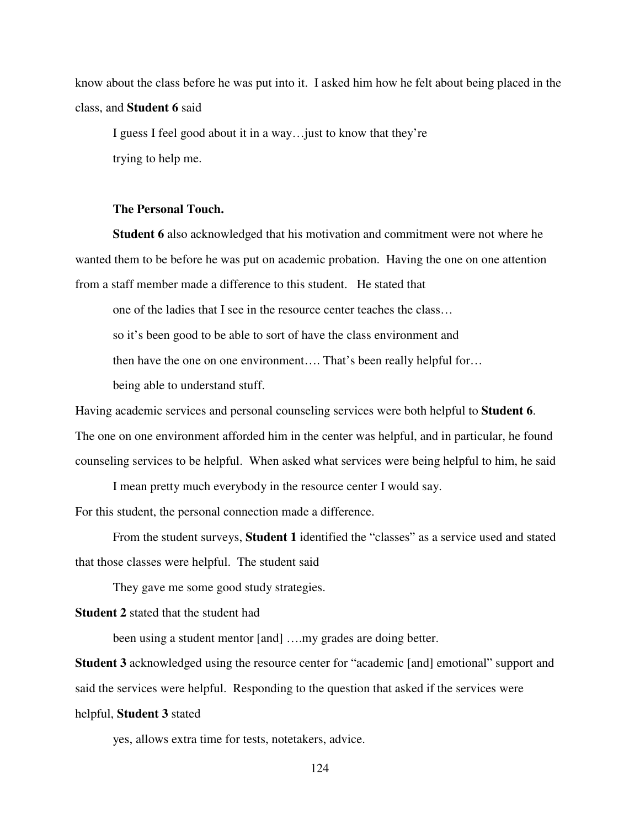know about the class before he was put into it. I asked him how he felt about being placed in the class, and **Student 6** said

 I guess I feel good about it in a way…just to know that they're trying to help me.

# **The Personal Touch.**

 **Student 6** also acknowledged that his motivation and commitment were not where he wanted them to be before he was put on academic probation. Having the one on one attention from a staff member made a difference to this student. He stated that

one of the ladies that I see in the resource center teaches the class…

so it's been good to be able to sort of have the class environment and

then have the one on one environment…. That's been really helpful for…

being able to understand stuff.

Having academic services and personal counseling services were both helpful to **Student 6**. The one on one environment afforded him in the center was helpful, and in particular, he found counseling services to be helpful. When asked what services were being helpful to him, he said

I mean pretty much everybody in the resource center I would say.

For this student, the personal connection made a difference.

 From the student surveys, **Student 1** identified the "classes" as a service used and stated that those classes were helpful. The student said

They gave me some good study strategies.

**Student 2** stated that the student had

been using a student mentor [and] ....my grades are doing better.

**Student 3** acknowledged using the resource center for "academic [and] emotional" support and said the services were helpful. Responding to the question that asked if the services were helpful, **Student 3** stated

yes, allows extra time for tests, notetakers, advice.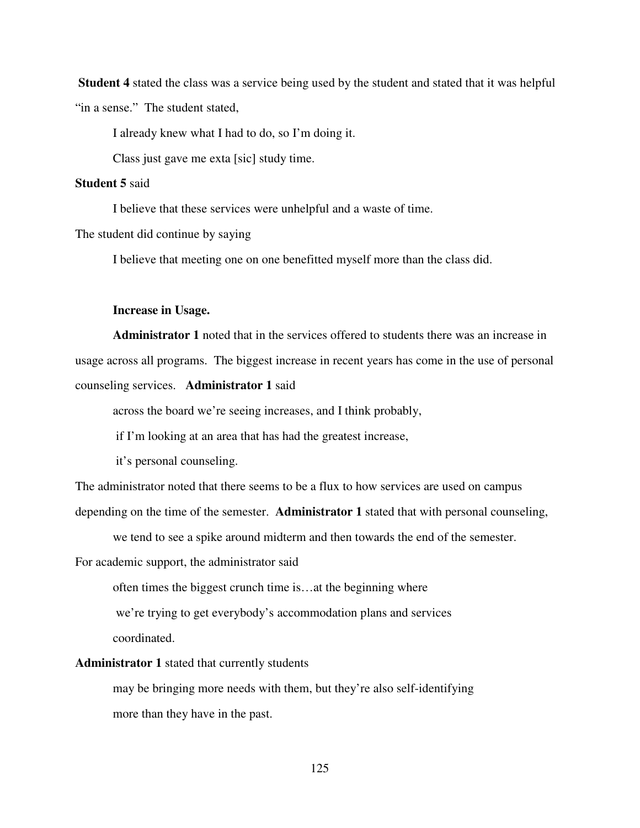**Student 4** stated the class was a service being used by the student and stated that it was helpful "in a sense." The student stated,

I already knew what I had to do, so I'm doing it.

Class just gave me exta [sic] study time.

### **Student 5** said

I believe that these services were unhelpful and a waste of time.

The student did continue by saying

I believe that meeting one on one benefitted myself more than the class did.

#### **Increase in Usage.**

 **Administrator 1** noted that in the services offered to students there was an increase in usage across all programs. The biggest increase in recent years has come in the use of personal counseling services. **Administrator 1** said

across the board we're seeing increases, and I think probably,

if I'm looking at an area that has had the greatest increase,

it's personal counseling.

The administrator noted that there seems to be a flux to how services are used on campus

depending on the time of the semester. **Administrator 1** stated that with personal counseling,

we tend to see a spike around midterm and then towards the end of the semester.

For academic support, the administrator said

often times the biggest crunch time is…at the beginning where

 we're trying to get everybody's accommodation plans and services coordinated.

**Administrator 1** stated that currently students

 may be bringing more needs with them, but they're also self-identifying more than they have in the past.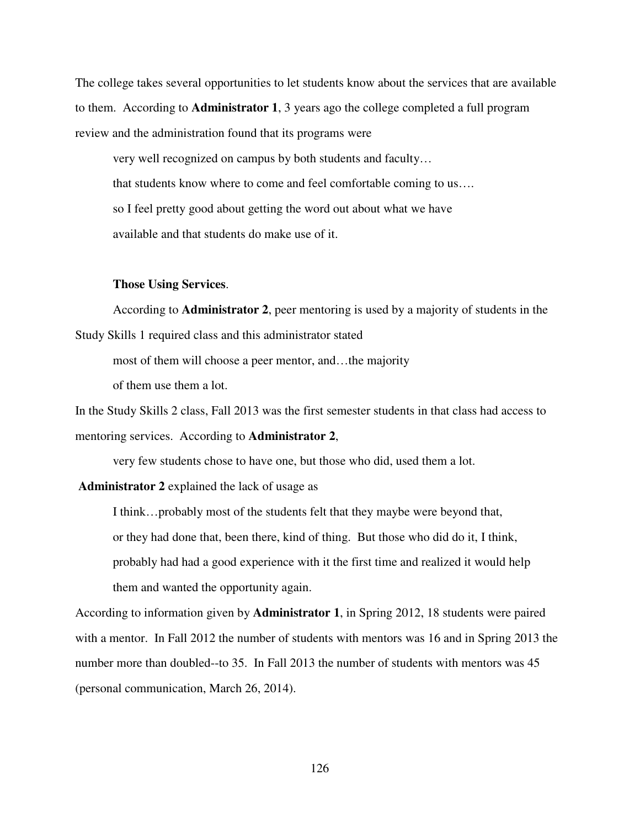The college takes several opportunities to let students know about the services that are available to them. According to **Administrator 1**, 3 years ago the college completed a full program review and the administration found that its programs were

 very well recognized on campus by both students and faculty… that students know where to come and feel comfortable coming to us…. so I feel pretty good about getting the word out about what we have available and that students do make use of it.

#### **Those Using Services**.

 According to **Administrator 2**, peer mentoring is used by a majority of students in the Study Skills 1 required class and this administrator stated

most of them will choose a peer mentor, and…the majority

of them use them a lot.

In the Study Skills 2 class, Fall 2013 was the first semester students in that class had access to mentoring services. According to **Administrator 2**,

very few students chose to have one, but those who did, used them a lot.

**Administrator 2** explained the lack of usage as

 I think…probably most of the students felt that they maybe were beyond that, or they had done that, been there, kind of thing. But those who did do it, I think, probably had had a good experience with it the first time and realized it would help them and wanted the opportunity again.

According to information given by **Administrator 1**, in Spring 2012, 18 students were paired with a mentor. In Fall 2012 the number of students with mentors was 16 and in Spring 2013 the number more than doubled--to 35. In Fall 2013 the number of students with mentors was 45 (personal communication, March 26, 2014).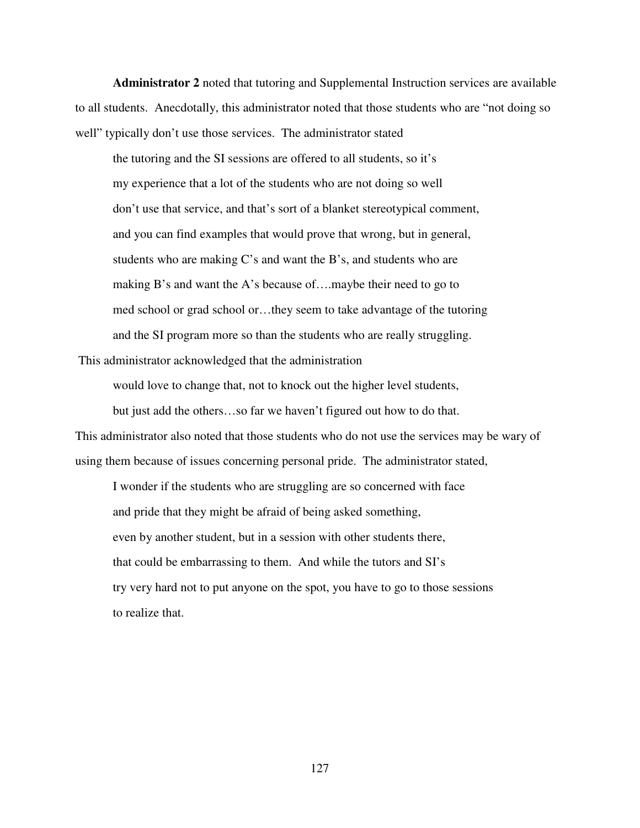**Administrator 2** noted that tutoring and Supplemental Instruction services are available to all students. Anecdotally, this administrator noted that those students who are "not doing so well" typically don't use those services. The administrator stated

 the tutoring and the SI sessions are offered to all students, so it's my experience that a lot of the students who are not doing so well don't use that service, and that's sort of a blanket stereotypical comment, and you can find examples that would prove that wrong, but in general, students who are making C's and want the B's, and students who are making B's and want the A's because of….maybe their need to go to med school or grad school or…they seem to take advantage of the tutoring and the SI program more so than the students who are really struggling.

This administrator acknowledged that the administration

would love to change that, not to knock out the higher level students,

but just add the others…so far we haven't figured out how to do that.

This administrator also noted that those students who do not use the services may be wary of using them because of issues concerning personal pride. The administrator stated,

 I wonder if the students who are struggling are so concerned with face and pride that they might be afraid of being asked something, even by another student, but in a session with other students there, that could be embarrassing to them. And while the tutors and SI's try very hard not to put anyone on the spot, you have to go to those sessions to realize that.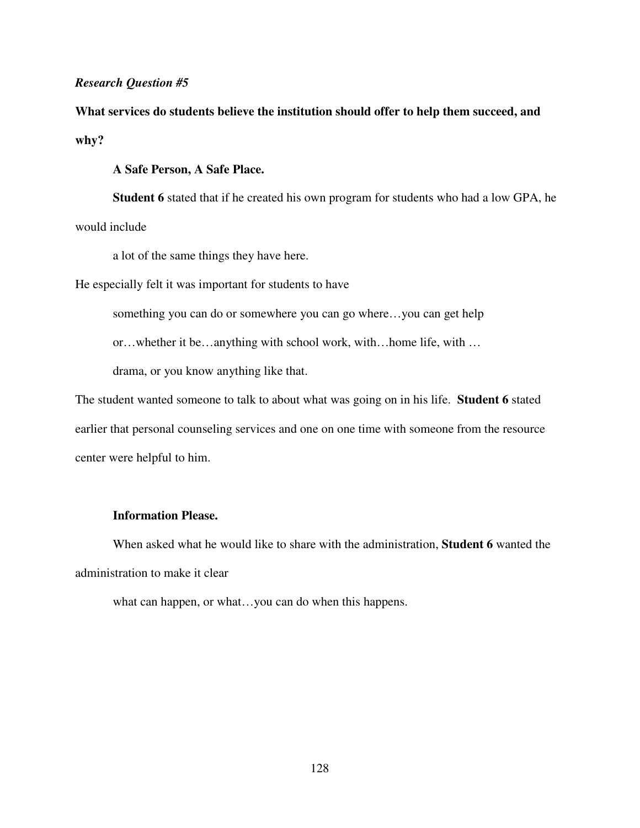## *Research Question #5*

**What services do students believe the institution should offer to help them succeed, and why?** 

**A Safe Person, A Safe Place.** 

**Student 6** stated that if he created his own program for students who had a low GPA, he would include

a lot of the same things they have here.

He especially felt it was important for students to have

something you can do or somewhere you can go where…you can get help

or…whether it be…anything with school work, with…home life, with …

drama, or you know anything like that.

The student wanted someone to talk to about what was going on in his life. **Student 6** stated earlier that personal counseling services and one on one time with someone from the resource center were helpful to him.

# **Information Please.**

When asked what he would like to share with the administration, **Student 6** wanted the administration to make it clear

what can happen, or what…you can do when this happens.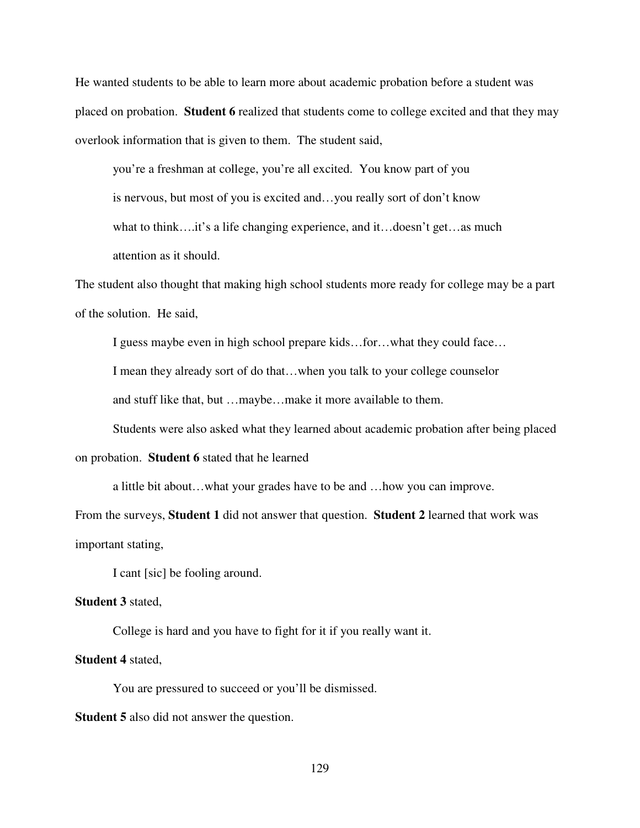He wanted students to be able to learn more about academic probation before a student was placed on probation. **Student 6** realized that students come to college excited and that they may overlook information that is given to them. The student said,

you're a freshman at college, you're all excited. You know part of you is nervous, but most of you is excited and…you really sort of don't know what to think….it's a life changing experience, and it…doesn't get…as much attention as it should.

The student also thought that making high school students more ready for college may be a part of the solution. He said,

I guess maybe even in high school prepare kids…for…what they could face…

I mean they already sort of do that…when you talk to your college counselor

and stuff like that, but …maybe…make it more available to them.

Students were also asked what they learned about academic probation after being placed

on probation. **Student 6** stated that he learned

a little bit about…what your grades have to be and …how you can improve.

From the surveys, **Student 1** did not answer that question. **Student 2** learned that work was important stating,

I cant [sic] be fooling around.

## **Student 3** stated,

College is hard and you have to fight for it if you really want it.

### **Student 4** stated,

You are pressured to succeed or you'll be dismissed.

**Student 5** also did not answer the question.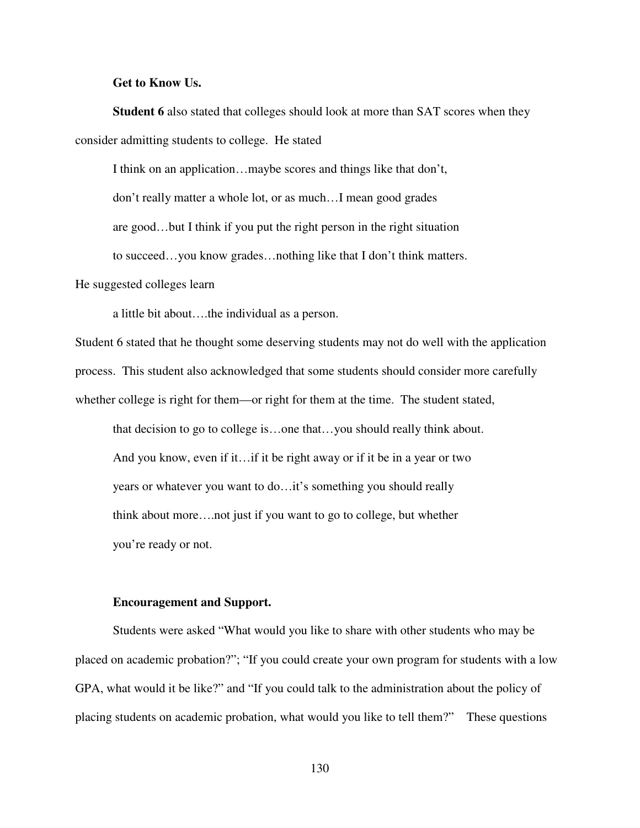#### **Get to Know Us.**

**Student 6** also stated that colleges should look at more than SAT scores when they consider admitting students to college. He stated

I think on an application…maybe scores and things like that don't,

don't really matter a whole lot, or as much…I mean good grades

are good…but I think if you put the right person in the right situation

to succeed…you know grades…nothing like that I don't think matters.

He suggested colleges learn

a little bit about….the individual as a person.

Student 6 stated that he thought some deserving students may not do well with the application process. This student also acknowledged that some students should consider more carefully whether college is right for them—or right for them at the time. The student stated,

that decision to go to college is…one that…you should really think about. And you know, even if it…if it be right away or if it be in a year or two years or whatever you want to do…it's something you should really think about more….not just if you want to go to college, but whether you're ready or not.

#### **Encouragement and Support.**

Students were asked "What would you like to share with other students who may be placed on academic probation?"; "If you could create your own program for students with a low GPA, what would it be like?" and "If you could talk to the administration about the policy of placing students on academic probation, what would you like to tell them?" These questions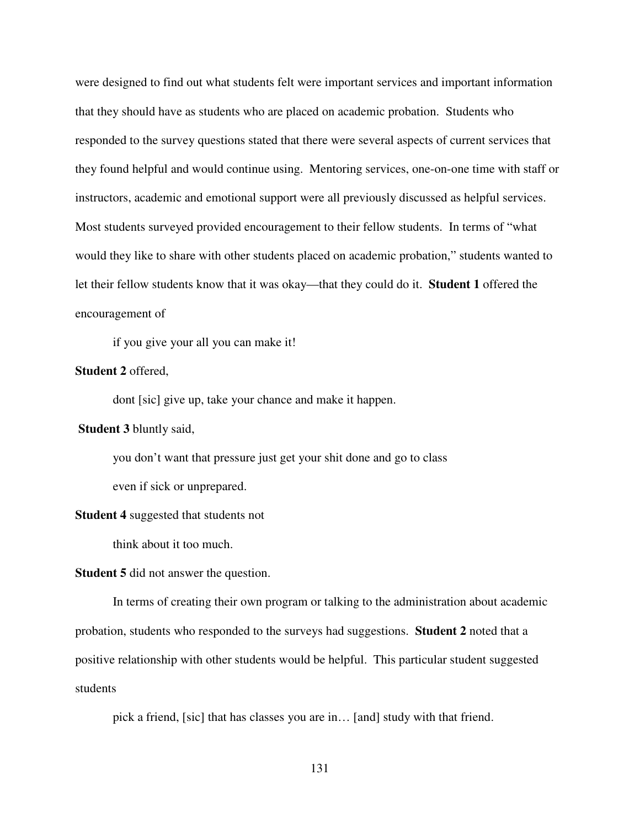were designed to find out what students felt were important services and important information that they should have as students who are placed on academic probation. Students who responded to the survey questions stated that there were several aspects of current services that they found helpful and would continue using. Mentoring services, one-on-one time with staff or instructors, academic and emotional support were all previously discussed as helpful services. Most students surveyed provided encouragement to their fellow students. In terms of "what would they like to share with other students placed on academic probation," students wanted to let their fellow students know that it was okay—that they could do it. **Student 1** offered the encouragement of

if you give your all you can make it!

## **Student 2** offered,

dont [sic] give up, take your chance and make it happen.

## **Student 3** bluntly said,

you don't want that pressure just get your shit done and go to class even if sick or unprepared.

#### **Student 4** suggested that students not

think about it too much.

#### **Student 5** did not answer the question.

In terms of creating their own program or talking to the administration about academic probation, students who responded to the surveys had suggestions. **Student 2** noted that a positive relationship with other students would be helpful. This particular student suggested students

pick a friend, [sic] that has classes you are in… [and] study with that friend.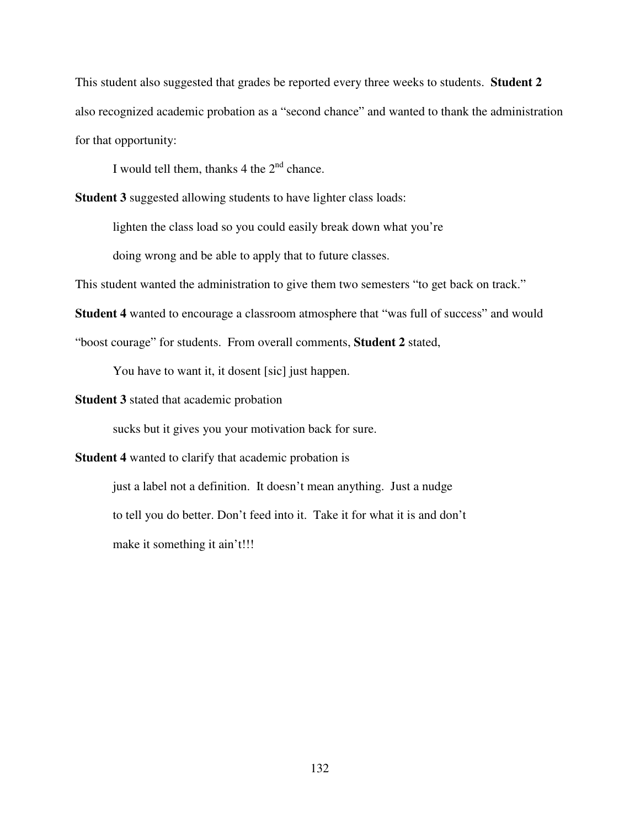This student also suggested that grades be reported every three weeks to students. **Student 2** also recognized academic probation as a "second chance" and wanted to thank the administration for that opportunity:

I would tell them, thanks  $4$  the  $2<sup>nd</sup>$  chance.

**Student 3** suggested allowing students to have lighter class loads:

lighten the class load so you could easily break down what you're

doing wrong and be able to apply that to future classes.

This student wanted the administration to give them two semesters "to get back on track."

**Student 4** wanted to encourage a classroom atmosphere that "was full of success" and would

"boost courage" for students. From overall comments, **Student 2** stated,

You have to want it, it dosent [sic] just happen.

**Student 3** stated that academic probation

sucks but it gives you your motivation back for sure.

**Student 4** wanted to clarify that academic probation is

just a label not a definition. It doesn't mean anything. Just a nudge to tell you do better. Don't feed into it. Take it for what it is and don't make it something it ain't!!!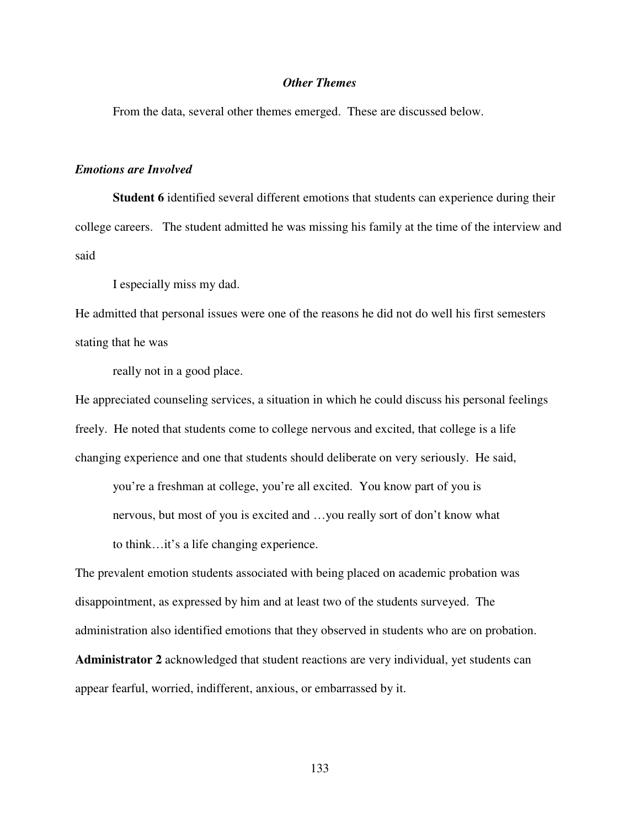# *Other Themes*

From the data, several other themes emerged. These are discussed below.

#### *Emotions are Involved*

**Student 6** identified several different emotions that students can experience during their college careers. The student admitted he was missing his family at the time of the interview and said

I especially miss my dad.

He admitted that personal issues were one of the reasons he did not do well his first semesters stating that he was

really not in a good place.

He appreciated counseling services, a situation in which he could discuss his personal feelings freely. He noted that students come to college nervous and excited, that college is a life changing experience and one that students should deliberate on very seriously. He said,

you're a freshman at college, you're all excited. You know part of you is nervous, but most of you is excited and …you really sort of don't know what to think…it's a life changing experience.

The prevalent emotion students associated with being placed on academic probation was disappointment, as expressed by him and at least two of the students surveyed. The administration also identified emotions that they observed in students who are on probation. **Administrator 2** acknowledged that student reactions are very individual, yet students can appear fearful, worried, indifferent, anxious, or embarrassed by it.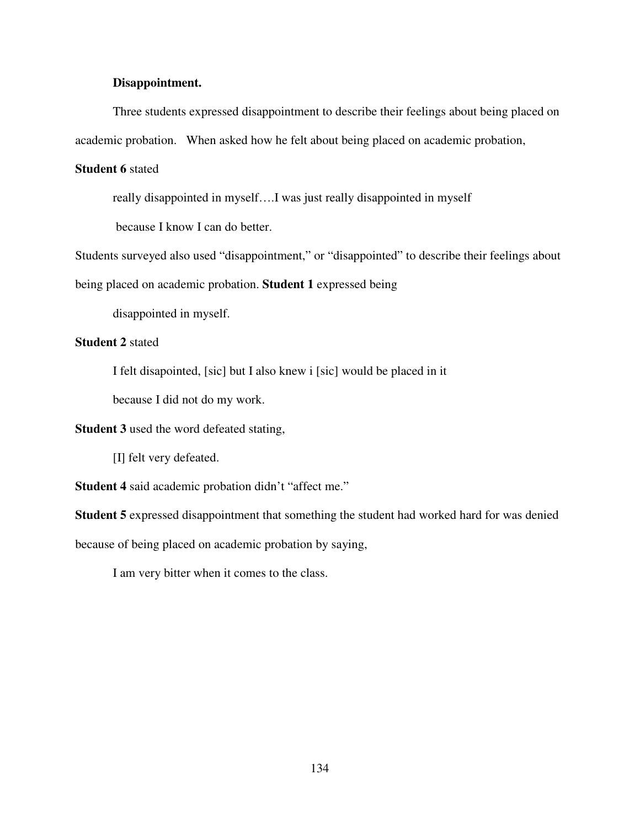## **Disappointment.**

Three students expressed disappointment to describe their feelings about being placed on academic probation. When asked how he felt about being placed on academic probation,

# **Student 6** stated

really disappointed in myself….I was just really disappointed in myself

because I know I can do better.

Students surveyed also used "disappointment," or "disappointed" to describe their feelings about

being placed on academic probation. **Student 1** expressed being

disappointed in myself.

# **Student 2** stated

I felt disapointed, [sic] but I also knew i [sic] would be placed in it

because I did not do my work.

**Student 3** used the word defeated stating,

[I] felt very defeated.

**Student 4** said academic probation didn't "affect me."

**Student 5** expressed disappointment that something the student had worked hard for was denied

because of being placed on academic probation by saying,

I am very bitter when it comes to the class.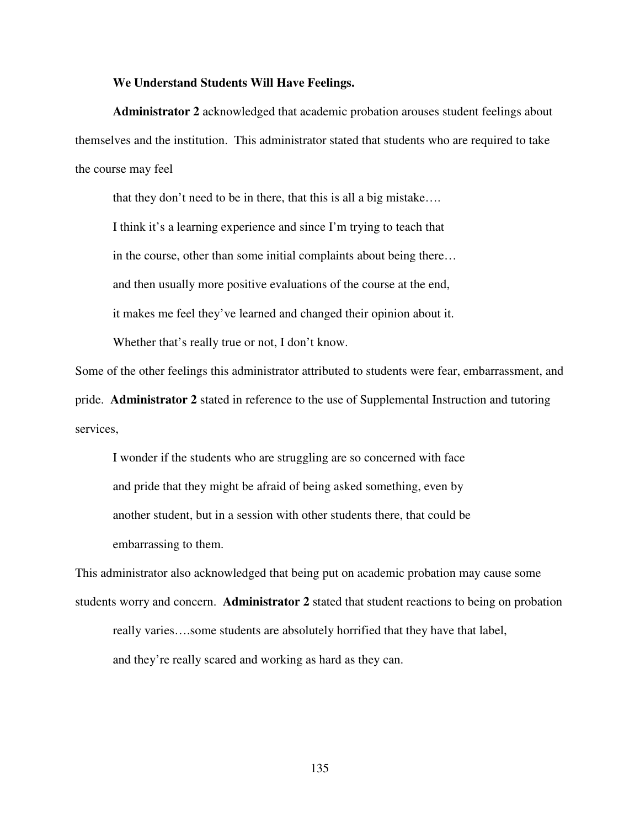### **We Understand Students Will Have Feelings.**

**Administrator 2** acknowledged that academic probation arouses student feelings about themselves and the institution. This administrator stated that students who are required to take the course may feel

that they don't need to be in there, that this is all a big mistake….

I think it's a learning experience and since I'm trying to teach that

in the course, other than some initial complaints about being there…

and then usually more positive evaluations of the course at the end,

it makes me feel they've learned and changed their opinion about it.

Whether that's really true or not, I don't know.

Some of the other feelings this administrator attributed to students were fear, embarrassment, and

pride. **Administrator 2** stated in reference to the use of Supplemental Instruction and tutoring services,

I wonder if the students who are struggling are so concerned with face and pride that they might be afraid of being asked something, even by another student, but in a session with other students there, that could be embarrassing to them.

This administrator also acknowledged that being put on academic probation may cause some students worry and concern. **Administrator 2** stated that student reactions to being on probation really varies….some students are absolutely horrified that they have that label, and they're really scared and working as hard as they can.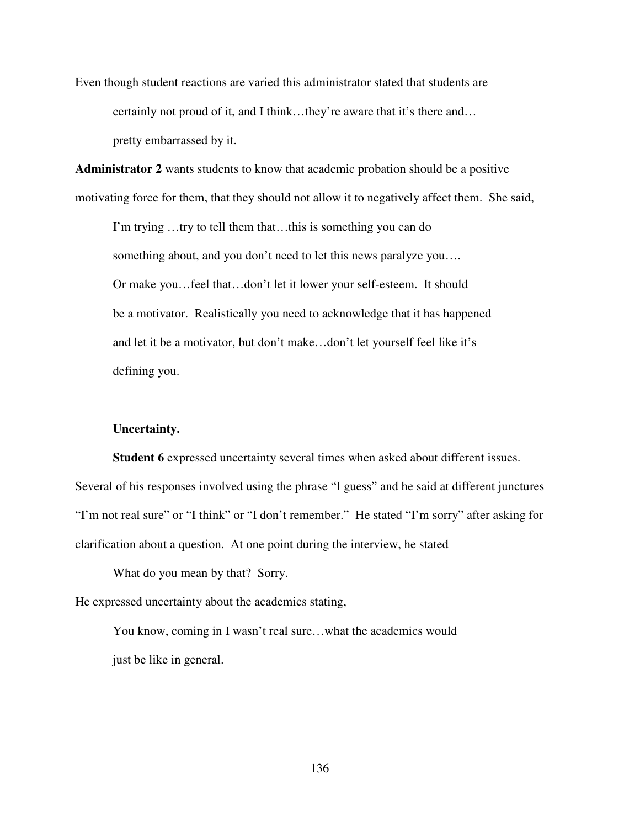Even though student reactions are varied this administrator stated that students are certainly not proud of it, and I think…they're aware that it's there and… pretty embarrassed by it.

**Administrator 2** wants students to know that academic probation should be a positive motivating force for them, that they should not allow it to negatively affect them. She said,

I'm trying …try to tell them that…this is something you can do something about, and you don't need to let this news paralyze you.... Or make you…feel that…don't let it lower your self-esteem. It should be a motivator. Realistically you need to acknowledge that it has happened and let it be a motivator, but don't make…don't let yourself feel like it's defining you.

## **Uncertainty.**

**Student 6** expressed uncertainty several times when asked about different issues. Several of his responses involved using the phrase "I guess" and he said at different junctures "I'm not real sure" or "I think" or "I don't remember." He stated "I'm sorry" after asking for clarification about a question. At one point during the interview, he stated

What do you mean by that? Sorry.

He expressed uncertainty about the academics stating,

You know, coming in I wasn't real sure…what the academics would just be like in general.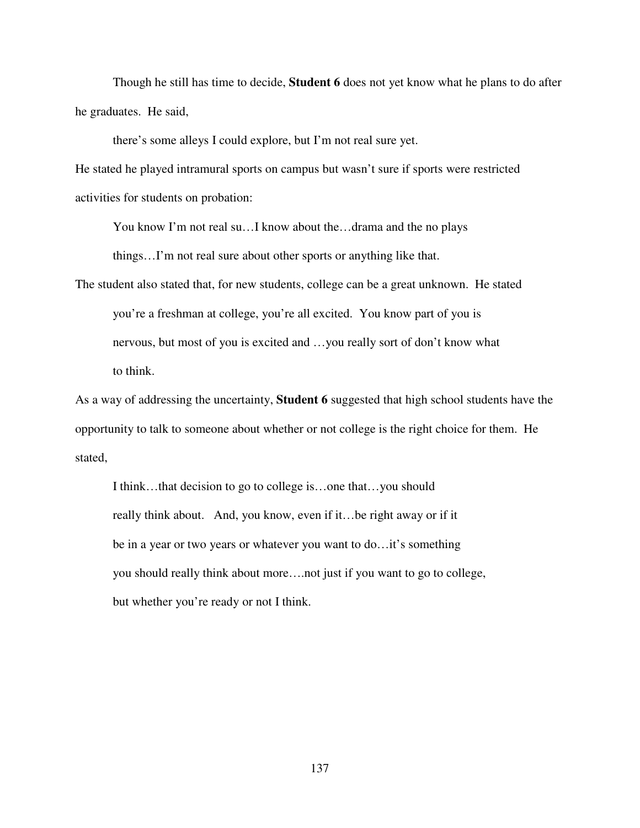Though he still has time to decide, **Student 6** does not yet know what he plans to do after he graduates. He said,

there's some alleys I could explore, but I'm not real sure yet.

He stated he played intramural sports on campus but wasn't sure if sports were restricted activities for students on probation:

You know I'm not real su…I know about the…drama and the no plays things…I'm not real sure about other sports or anything like that.

The student also stated that, for new students, college can be a great unknown. He stated you're a freshman at college, you're all excited. You know part of you is nervous, but most of you is excited and …you really sort of don't know what to think.

As a way of addressing the uncertainty, **Student 6** suggested that high school students have the opportunity to talk to someone about whether or not college is the right choice for them. He stated,

 I think…that decision to go to college is…one that…you should really think about. And, you know, even if it…be right away or if it be in a year or two years or whatever you want to do…it's something you should really think about more….not just if you want to go to college, but whether you're ready or not I think.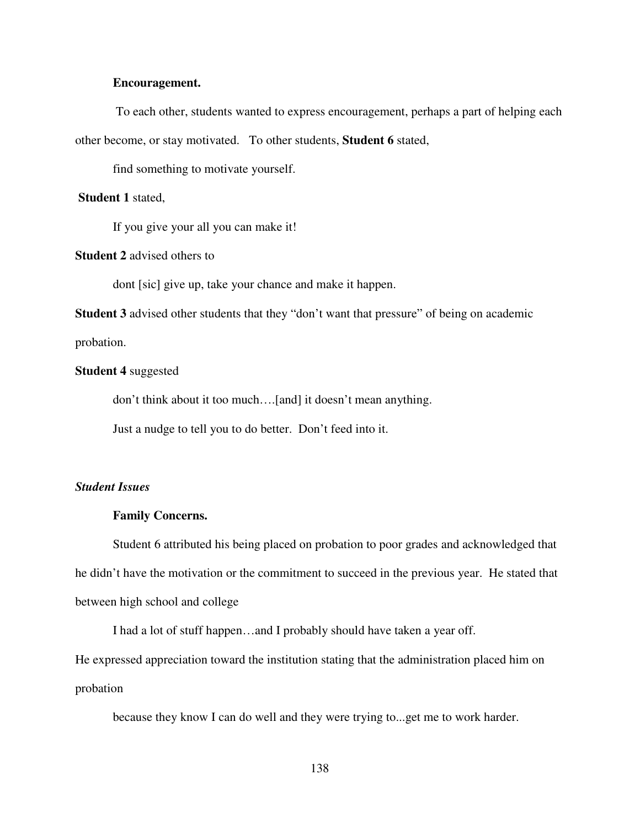## **Encouragement.**

To each other, students wanted to express encouragement, perhaps a part of helping each other become, or stay motivated. To other students, **Student 6** stated,

find something to motivate yourself.

#### **Student 1** stated,

If you give your all you can make it!

# **Student 2** advised others to

dont [sic] give up, take your chance and make it happen.

**Student 3** advised other students that they "don't want that pressure" of being on academic

probation.

## **Student 4** suggested

don't think about it too much….[and] it doesn't mean anything.

Just a nudge to tell you to do better. Don't feed into it.

#### *Student Issues*

#### **Family Concerns.**

Student 6 attributed his being placed on probation to poor grades and acknowledged that he didn't have the motivation or the commitment to succeed in the previous year. He stated that between high school and college

I had a lot of stuff happen…and I probably should have taken a year off.

He expressed appreciation toward the institution stating that the administration placed him on probation

because they know I can do well and they were trying to...get me to work harder.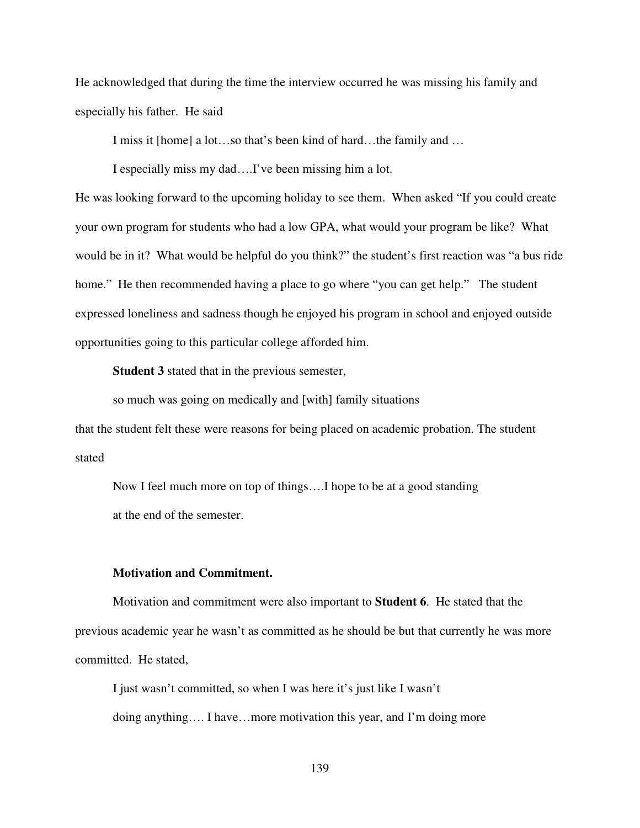He acknowledged that during the time the interview occurred he was missing his family and especially his father. He said

I miss it [home] a lot…so that's been kind of hard…the family and …

I especially miss my dad….I've been missing him a lot.

He was looking forward to the upcoming holiday to see them. When asked "If you could create your own program for students who had a low GPA, what would your program be like? What would be in it? What would be helpful do you think?" the student's first reaction was "a bus ride home." He then recommended having a place to go where "you can get help." The student expressed loneliness and sadness though he enjoyed his program in school and enjoyed outside opportunities going to this particular college afforded him.

**Student 3** stated that in the previous semester,

so much was going on medically and [with] family situations

that the student felt these were reasons for being placed on academic probation. The student stated

Now I feel much more on top of things….I hope to be at a good standing at the end of the semester.

#### **Motivation and Commitment.**

 Motivation and commitment were also important to **Student 6**. He stated that the previous academic year he wasn't as committed as he should be but that currently he was more committed. He stated,

I just wasn't committed, so when I was here it's just like I wasn't doing anything…. I have…more motivation this year, and I'm doing more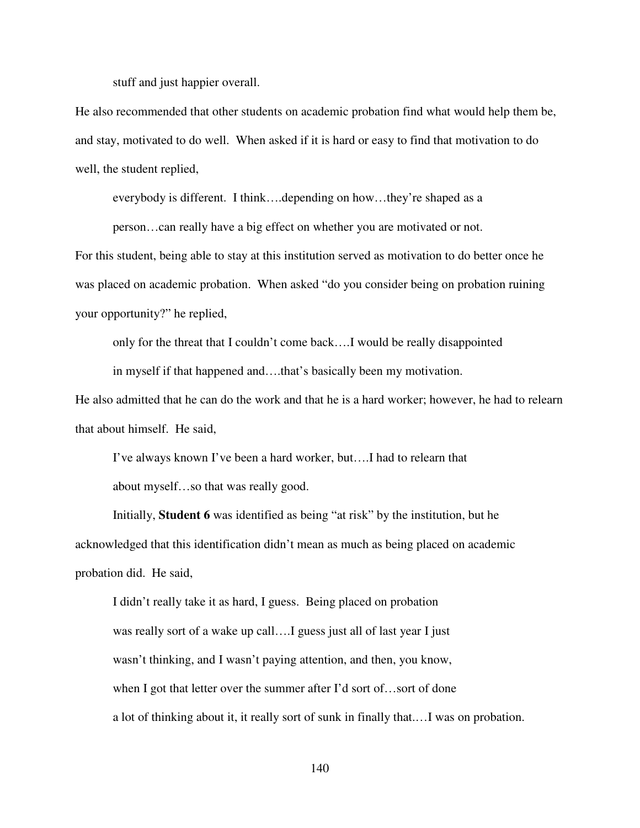stuff and just happier overall.

He also recommended that other students on academic probation find what would help them be, and stay, motivated to do well. When asked if it is hard or easy to find that motivation to do well, the student replied,

everybody is different. I think….depending on how…they're shaped as a

person…can really have a big effect on whether you are motivated or not.

For this student, being able to stay at this institution served as motivation to do better once he was placed on academic probation. When asked "do you consider being on probation ruining your opportunity?" he replied,

only for the threat that I couldn't come back….I would be really disappointed

in myself if that happened and….that's basically been my motivation.

He also admitted that he can do the work and that he is a hard worker; however, he had to relearn that about himself. He said,

I've always known I've been a hard worker, but….I had to relearn that about myself…so that was really good.

 Initially, **Student 6** was identified as being "at risk" by the institution, but he acknowledged that this identification didn't mean as much as being placed on academic probation did. He said,

I didn't really take it as hard, I guess. Being placed on probation was really sort of a wake up call….I guess just all of last year I just wasn't thinking, and I wasn't paying attention, and then, you know, when I got that letter over the summer after I'd sort of...sort of done a lot of thinking about it, it really sort of sunk in finally that.…I was on probation.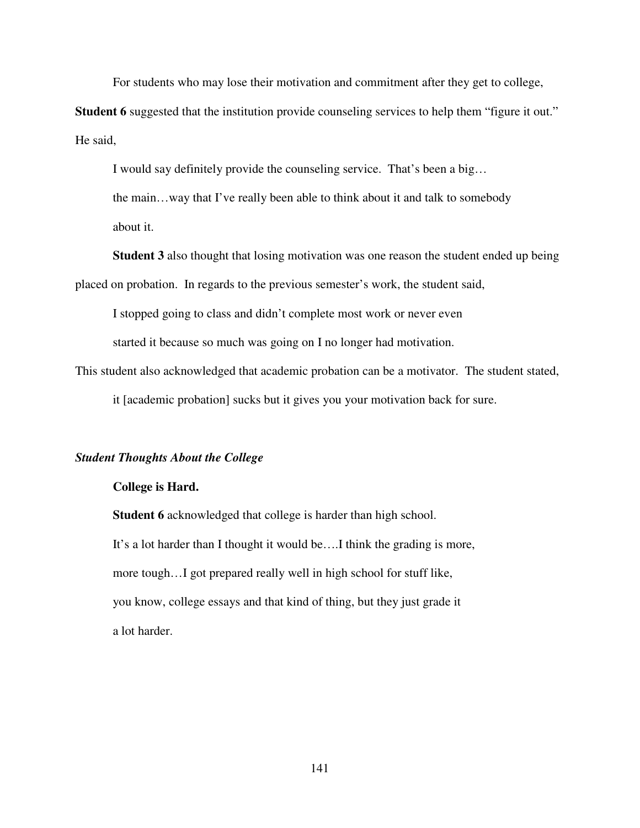For students who may lose their motivation and commitment after they get to college,

**Student 6** suggested that the institution provide counseling services to help them "figure it out." He said,

I would say definitely provide the counseling service. That's been a big…

the main…way that I've really been able to think about it and talk to somebody about it.

**Student 3** also thought that losing motivation was one reason the student ended up being placed on probation. In regards to the previous semester's work, the student said,

I stopped going to class and didn't complete most work or never even

started it because so much was going on I no longer had motivation.

This student also acknowledged that academic probation can be a motivator. The student stated,

it [academic probation] sucks but it gives you your motivation back for sure.

## *Student Thoughts About the College*

#### **College is Hard.**

**Student 6** acknowledged that college is harder than high school. It's a lot harder than I thought it would be….I think the grading is more, more tough…I got prepared really well in high school for stuff like, you know, college essays and that kind of thing, but they just grade it a lot harder.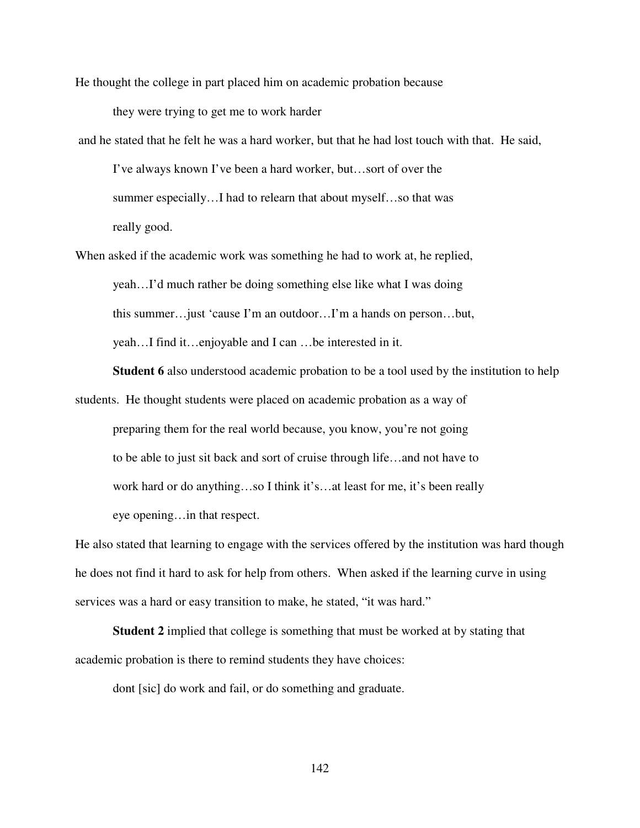He thought the college in part placed him on academic probation because they were trying to get me to work harder

 and he stated that he felt he was a hard worker, but that he had lost touch with that. He said, I've always known I've been a hard worker, but…sort of over the summer especially…I had to relearn that about myself…so that was really good.

When asked if the academic work was something he had to work at, he replied, yeah…I'd much rather be doing something else like what I was doing this summer…just 'cause I'm an outdoor…I'm a hands on person…but, yeah…I find it…enjoyable and I can …be interested in it.

**Student 6** also understood academic probation to be a tool used by the institution to help students. He thought students were placed on academic probation as a way of preparing them for the real world because, you know, you're not going to be able to just sit back and sort of cruise through life…and not have to work hard or do anything…so I think it's…at least for me, it's been really

eye opening…in that respect.

He also stated that learning to engage with the services offered by the institution was hard though he does not find it hard to ask for help from others. When asked if the learning curve in using services was a hard or easy transition to make, he stated, "it was hard."

**Student 2** implied that college is something that must be worked at by stating that academic probation is there to remind students they have choices:

dont [sic] do work and fail, or do something and graduate.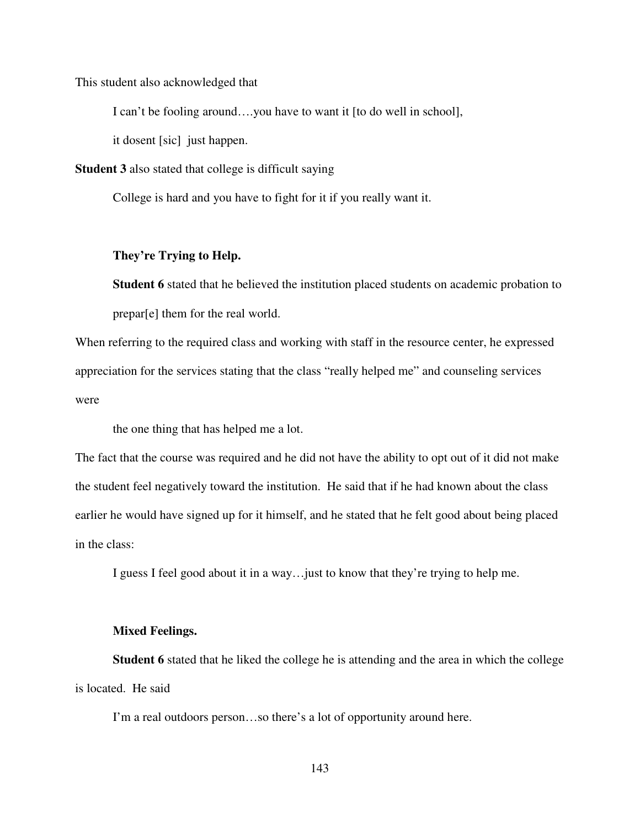This student also acknowledged that

I can't be fooling around….you have to want it [to do well in school],

it dosent [sic] just happen.

**Student 3** also stated that college is difficult saying

College is hard and you have to fight for it if you really want it.

## **They're Trying to Help.**

**Student 6** stated that he believed the institution placed students on academic probation to prepar[e] them for the real world.

When referring to the required class and working with staff in the resource center, he expressed appreciation for the services stating that the class "really helped me" and counseling services were

the one thing that has helped me a lot.

The fact that the course was required and he did not have the ability to opt out of it did not make the student feel negatively toward the institution. He said that if he had known about the class earlier he would have signed up for it himself, and he stated that he felt good about being placed in the class:

I guess I feel good about it in a way…just to know that they're trying to help me.

### **Mixed Feelings.**

**Student 6** stated that he liked the college he is attending and the area in which the college is located. He said

I'm a real outdoors person…so there's a lot of opportunity around here.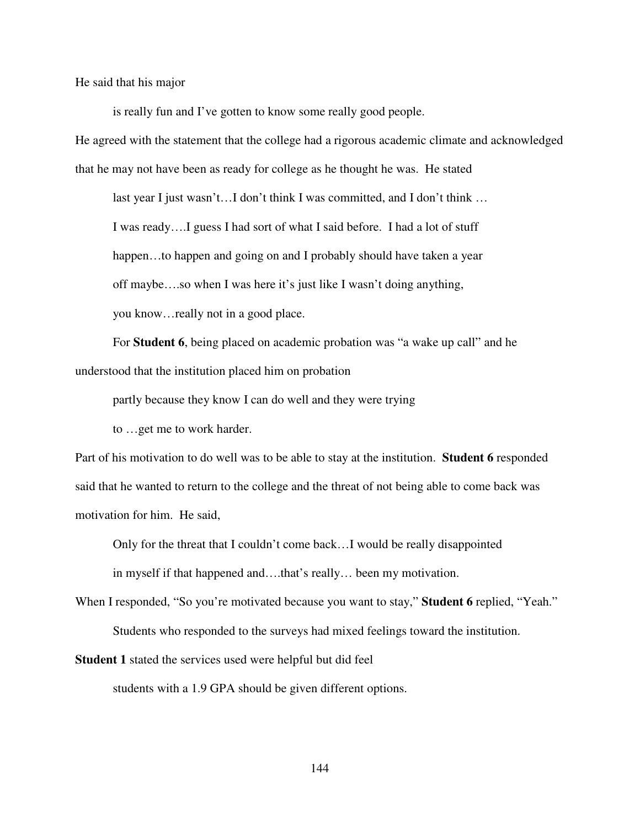He said that his major

is really fun and I've gotten to know some really good people.

He agreed with the statement that the college had a rigorous academic climate and acknowledged that he may not have been as ready for college as he thought he was. He stated

last year I just wasn't…I don't think I was committed, and I don't think …

I was ready….I guess I had sort of what I said before. I had a lot of stuff

happen...to happen and going on and I probably should have taken a year

off maybe….so when I was here it's just like I wasn't doing anything,

you know…really not in a good place.

 For **Student 6**, being placed on academic probation was "a wake up call" and he understood that the institution placed him on probation

partly because they know I can do well and they were trying

to …get me to work harder.

Part of his motivation to do well was to be able to stay at the institution. **Student 6** responded said that he wanted to return to the college and the threat of not being able to come back was motivation for him. He said,

Only for the threat that I couldn't come back…I would be really disappointed

in myself if that happened and….that's really… been my motivation.

When I responded, "So you're motivated because you want to stay," **Student 6** replied, "Yeah." Students who responded to the surveys had mixed feelings toward the institution.

**Student 1** stated the services used were helpful but did feel

students with a 1.9 GPA should be given different options.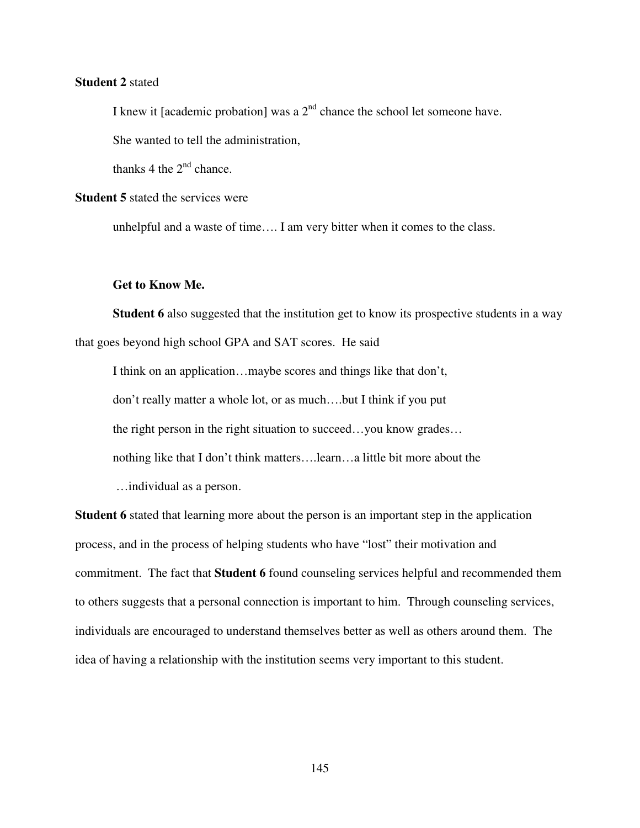# **Student 2** stated

I knew it [academic probation] was a  $2<sup>nd</sup>$  chance the school let someone have.

She wanted to tell the administration,

thanks 4 the  $2<sup>nd</sup>$  chance.

# **Student 5** stated the services were

unhelpful and a waste of time…. I am very bitter when it comes to the class.

## **Get to Know Me.**

**Student 6** also suggested that the institution get to know its prospective students in a way that goes beyond high school GPA and SAT scores. He said

I think on an application…maybe scores and things like that don't, don't really matter a whole lot, or as much….but I think if you put the right person in the right situation to succeed…you know grades… nothing like that I don't think matters….learn…a little bit more about the …individual as a person.

**Student 6** stated that learning more about the person is an important step in the application process, and in the process of helping students who have "lost" their motivation and commitment. The fact that **Student 6** found counseling services helpful and recommended them to others suggests that a personal connection is important to him. Through counseling services, individuals are encouraged to understand themselves better as well as others around them. The idea of having a relationship with the institution seems very important to this student.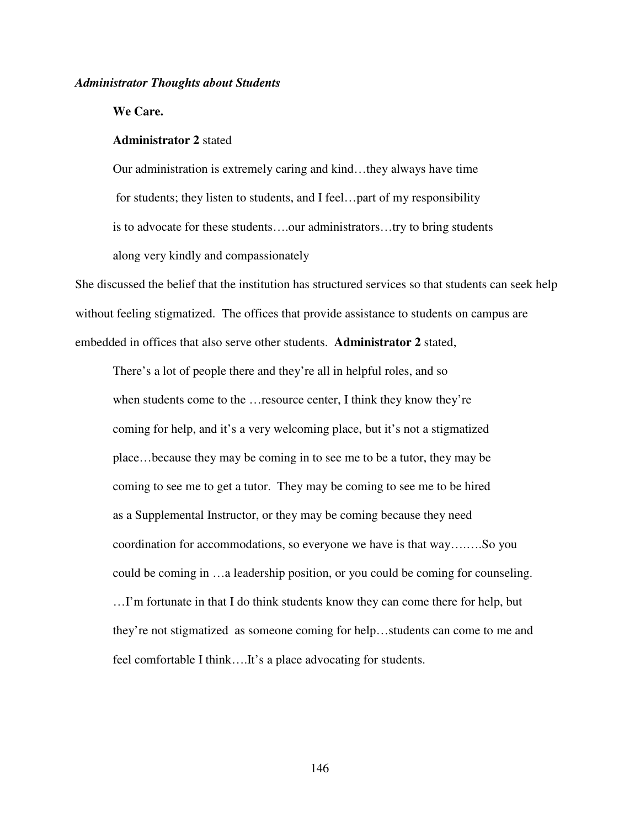*Administrator Thoughts about Students* 

**We Care.** 

# **Administrator 2** stated

Our administration is extremely caring and kind…they always have time for students; they listen to students, and I feel…part of my responsibility is to advocate for these students….our administrators…try to bring students along very kindly and compassionately

She discussed the belief that the institution has structured services so that students can seek help without feeling stigmatized. The offices that provide assistance to students on campus are embedded in offices that also serve other students. **Administrator 2** stated,

There's a lot of people there and they're all in helpful roles, and so when students come to the …resource center, I think they know they're coming for help, and it's a very welcoming place, but it's not a stigmatized place…because they may be coming in to see me to be a tutor, they may be coming to see me to get a tutor. They may be coming to see me to be hired as a Supplemental Instructor, or they may be coming because they need coordination for accommodations, so everyone we have is that way….….So you could be coming in …a leadership position, or you could be coming for counseling. …I'm fortunate in that I do think students know they can come there for help, but

they're not stigmatized as someone coming for help…students can come to me and

feel comfortable I think….It's a place advocating for students.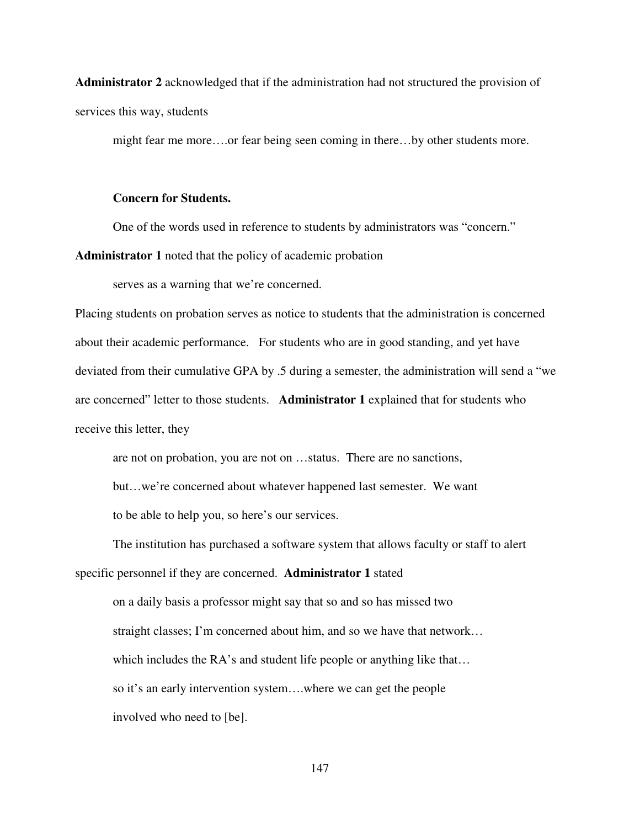**Administrator 2** acknowledged that if the administration had not structured the provision of services this way, students

might fear me more….or fear being seen coming in there…by other students more.

## **Concern for Students.**

One of the words used in reference to students by administrators was "concern."

**Administrator 1** noted that the policy of academic probation

serves as a warning that we're concerned.

Placing students on probation serves as notice to students that the administration is concerned about their academic performance. For students who are in good standing, and yet have deviated from their cumulative GPA by .5 during a semester, the administration will send a "we are concerned" letter to those students. **Administrator 1** explained that for students who receive this letter, they

are not on probation, you are not on …status. There are no sanctions, but…we're concerned about whatever happened last semester. We want

to be able to help you, so here's our services.

The institution has purchased a software system that allows faculty or staff to alert specific personnel if they are concerned. **Administrator 1** stated

on a daily basis a professor might say that so and so has missed two straight classes; I'm concerned about him, and so we have that network… which includes the RA's and student life people or anything like that... so it's an early intervention system….where we can get the people involved who need to [be].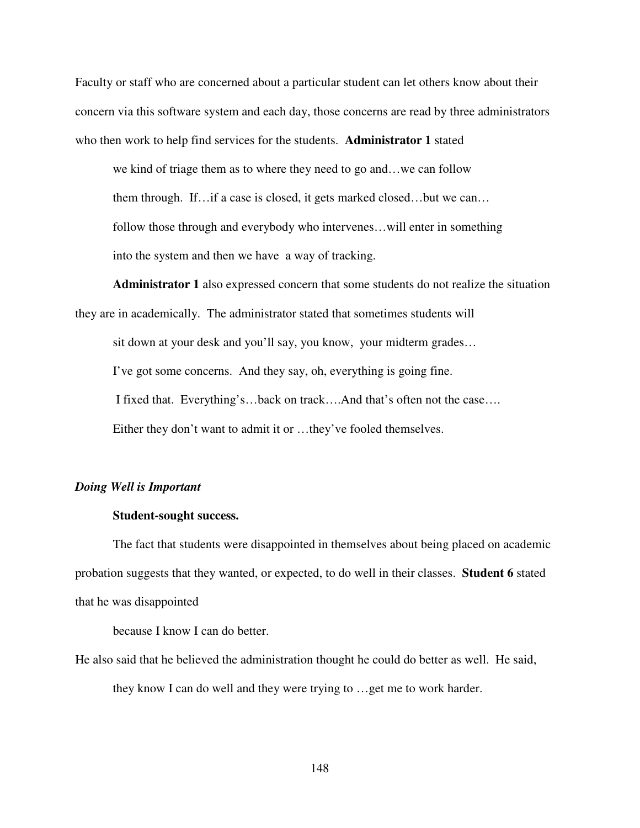Faculty or staff who are concerned about a particular student can let others know about their concern via this software system and each day, those concerns are read by three administrators who then work to help find services for the students. **Administrator 1** stated

we kind of triage them as to where they need to go and…we can follow them through. If…if a case is closed, it gets marked closed…but we can… follow those through and everybody who intervenes…will enter in something into the system and then we have a way of tracking.

**Administrator 1** also expressed concern that some students do not realize the situation

they are in academically. The administrator stated that sometimes students will

sit down at your desk and you'll say, you know, your midterm grades…

I've got some concerns. And they say, oh, everything is going fine.

I fixed that. Everything's…back on track….And that's often not the case….

Either they don't want to admit it or …they've fooled themselves.

#### *Doing Well is Important*

# **Student-sought success.**

The fact that students were disappointed in themselves about being placed on academic probation suggests that they wanted, or expected, to do well in their classes. **Student 6** stated that he was disappointed

because I know I can do better.

He also said that he believed the administration thought he could do better as well. He said, they know I can do well and they were trying to …get me to work harder.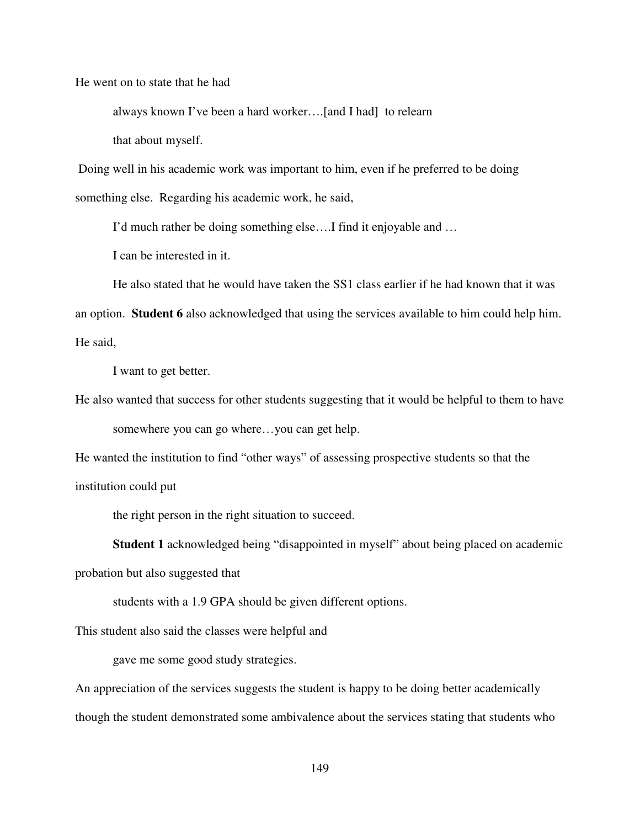He went on to state that he had

always known I've been a hard worker….[and I had] to relearn

that about myself.

 Doing well in his academic work was important to him, even if he preferred to be doing something else. Regarding his academic work, he said,

I'd much rather be doing something else….I find it enjoyable and …

I can be interested in it.

He also stated that he would have taken the SS1 class earlier if he had known that it was an option. **Student 6** also acknowledged that using the services available to him could help him. He said,

I want to get better.

He also wanted that success for other students suggesting that it would be helpful to them to have

somewhere you can go where…you can get help.

He wanted the institution to find "other ways" of assessing prospective students so that the institution could put

the right person in the right situation to succeed.

**Student 1** acknowledged being "disappointed in myself" about being placed on academic

probation but also suggested that

students with a 1.9 GPA should be given different options.

This student also said the classes were helpful and

gave me some good study strategies.

An appreciation of the services suggests the student is happy to be doing better academically though the student demonstrated some ambivalence about the services stating that students who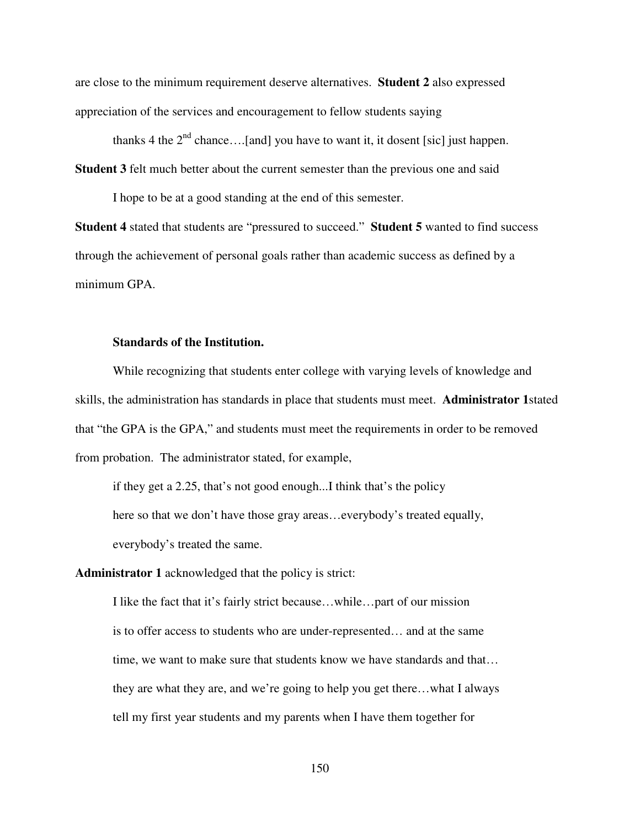are close to the minimum requirement deserve alternatives. **Student 2** also expressed appreciation of the services and encouragement to fellow students saying

thanks 4 the  $2<sup>nd</sup>$  chance....[and] you have to want it, it dosent [sic] just happen.

**Student 3** felt much better about the current semester than the previous one and said

I hope to be at a good standing at the end of this semester.

**Student 4** stated that students are "pressured to succeed." **Student 5** wanted to find success through the achievement of personal goals rather than academic success as defined by a minimum GPA.

# **Standards of the Institution.**

While recognizing that students enter college with varying levels of knowledge and skills, the administration has standards in place that students must meet. **Administrator 1**stated that "the GPA is the GPA," and students must meet the requirements in order to be removed from probation. The administrator stated, for example,

if they get a 2.25, that's not good enough...I think that's the policy here so that we don't have those gray areas…everybody's treated equally, everybody's treated the same.

**Administrator 1** acknowledged that the policy is strict:

I like the fact that it's fairly strict because…while…part of our mission is to offer access to students who are under-represented… and at the same time, we want to make sure that students know we have standards and that… they are what they are, and we're going to help you get there…what I always tell my first year students and my parents when I have them together for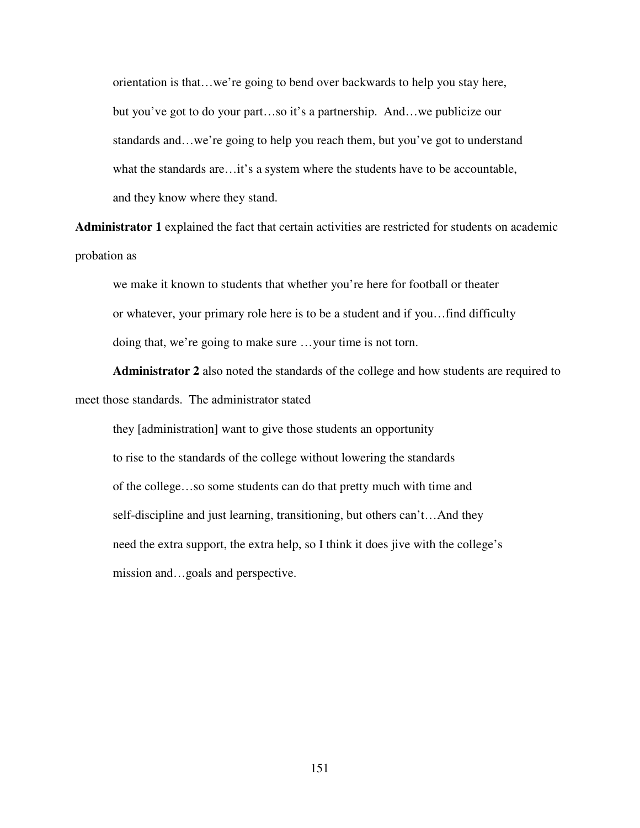orientation is that…we're going to bend over backwards to help you stay here, but you've got to do your part…so it's a partnership. And…we publicize our standards and…we're going to help you reach them, but you've got to understand what the standards are…it's a system where the students have to be accountable, and they know where they stand.

**Administrator 1** explained the fact that certain activities are restricted for students on academic probation as

we make it known to students that whether you're here for football or theater or whatever, your primary role here is to be a student and if you…find difficulty doing that, we're going to make sure …your time is not torn.

**Administrator 2** also noted the standards of the college and how students are required to meet those standards. The administrator stated

they [administration] want to give those students an opportunity to rise to the standards of the college without lowering the standards of the college…so some students can do that pretty much with time and self-discipline and just learning, transitioning, but others can't…And they need the extra support, the extra help, so I think it does jive with the college's mission and…goals and perspective.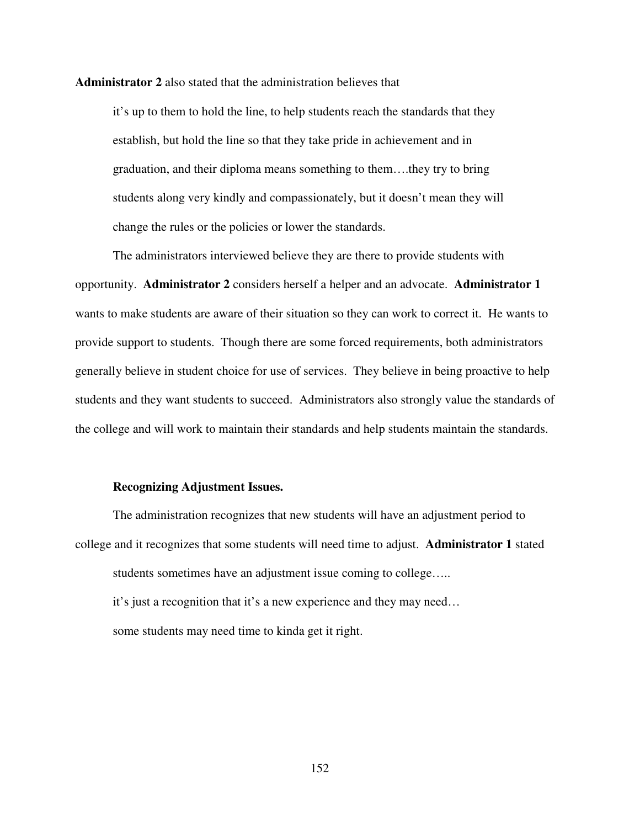**Administrator 2** also stated that the administration believes that

it's up to them to hold the line, to help students reach the standards that they establish, but hold the line so that they take pride in achievement and in graduation, and their diploma means something to them….they try to bring students along very kindly and compassionately, but it doesn't mean they will change the rules or the policies or lower the standards.

The administrators interviewed believe they are there to provide students with opportunity. **Administrator 2** considers herself a helper and an advocate. **Administrator 1**  wants to make students are aware of their situation so they can work to correct it. He wants to provide support to students. Though there are some forced requirements, both administrators generally believe in student choice for use of services. They believe in being proactive to help students and they want students to succeed. Administrators also strongly value the standards of the college and will work to maintain their standards and help students maintain the standards.

## **Recognizing Adjustment Issues.**

The administration recognizes that new students will have an adjustment period to college and it recognizes that some students will need time to adjust. **Administrator 1** stated students sometimes have an adjustment issue coming to college….. it's just a recognition that it's a new experience and they may need… some students may need time to kinda get it right.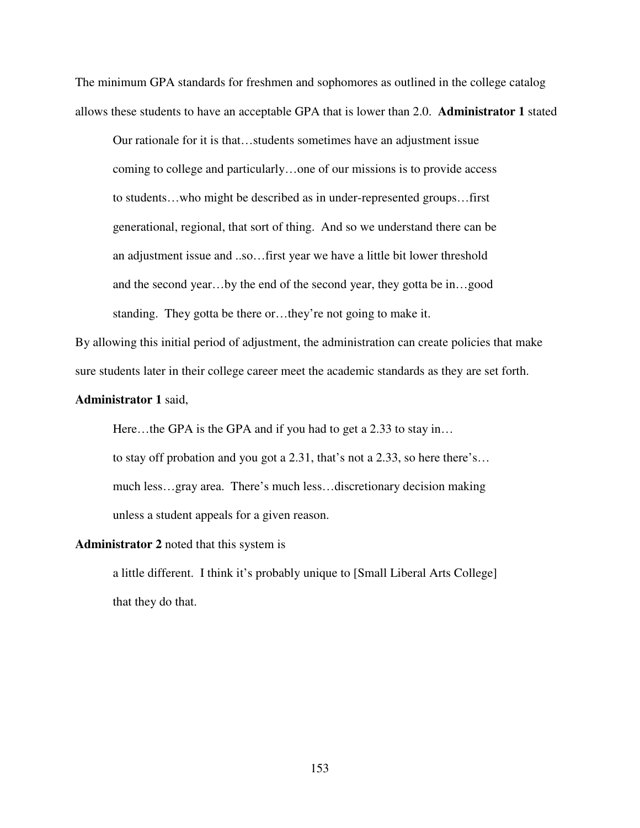The minimum GPA standards for freshmen and sophomores as outlined in the college catalog allows these students to have an acceptable GPA that is lower than 2.0. **Administrator 1** stated

Our rationale for it is that…students sometimes have an adjustment issue coming to college and particularly…one of our missions is to provide access to students…who might be described as in under-represented groups…first generational, regional, that sort of thing. And so we understand there can be an adjustment issue and ..so…first year we have a little bit lower threshold and the second year…by the end of the second year, they gotta be in…good standing. They gotta be there or…they're not going to make it.

By allowing this initial period of adjustment, the administration can create policies that make sure students later in their college career meet the academic standards as they are set forth.

# **Administrator 1** said,

Here...the GPA is the GPA and if you had to get a 2.33 to stay in...

to stay off probation and you got a 2.31, that's not a 2.33, so here there's… much less…gray area. There's much less…discretionary decision making unless a student appeals for a given reason.

#### **Administrator 2** noted that this system is

a little different. I think it's probably unique to [Small Liberal Arts College] that they do that.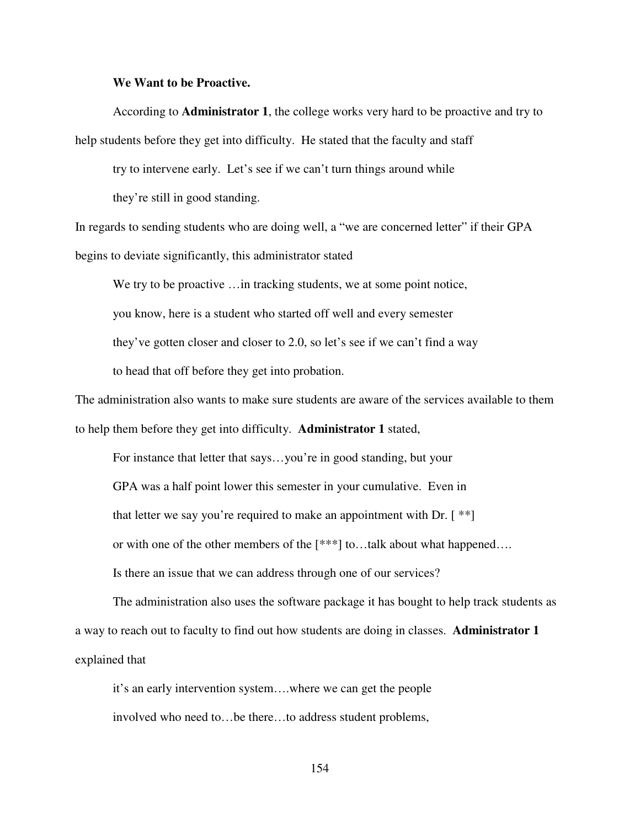## **We Want to be Proactive.**

According to **Administrator 1**, the college works very hard to be proactive and try to help students before they get into difficulty. He stated that the faculty and staff

try to intervene early. Let's see if we can't turn things around while

they're still in good standing.

In regards to sending students who are doing well, a "we are concerned letter" if their GPA begins to deviate significantly, this administrator stated

We try to be proactive ... in tracking students, we at some point notice, you know, here is a student who started off well and every semester they've gotten closer and closer to 2.0, so let's see if we can't find a way to head that off before they get into probation.

The administration also wants to make sure students are aware of the services available to them to help them before they get into difficulty. **Administrator 1** stated,

For instance that letter that says…you're in good standing, but your GPA was a half point lower this semester in your cumulative. Even in that letter we say you're required to make an appointment with Dr.  $[$  \*\* $]$ or with one of the other members of the [\*\*\*] to…talk about what happened…. Is there an issue that we can address through one of our services?

The administration also uses the software package it has bought to help track students as a way to reach out to faculty to find out how students are doing in classes. **Administrator 1** explained that

it's an early intervention system….where we can get the people involved who need to…be there…to address student problems,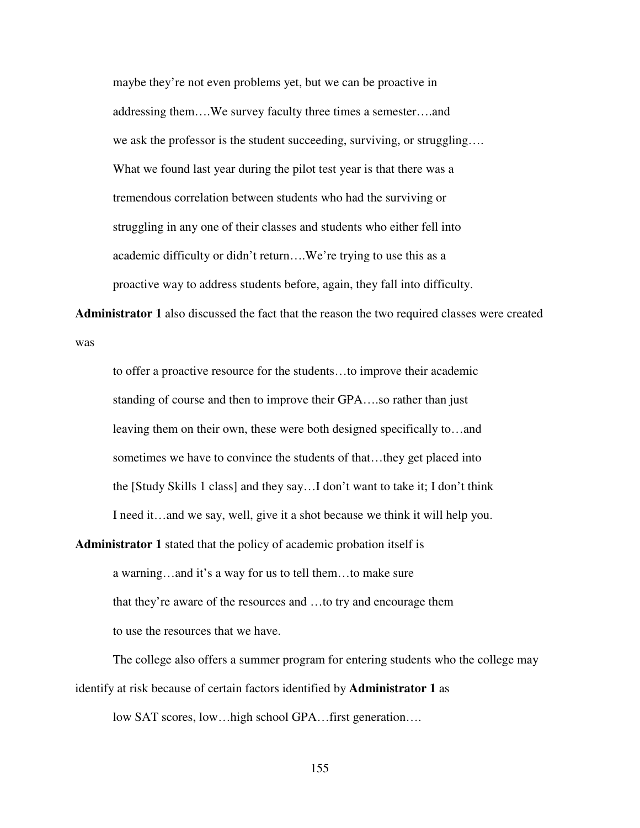maybe they're not even problems yet, but we can be proactive in addressing them….We survey faculty three times a semester….and we ask the professor is the student succeeding, surviving, or struggling…. What we found last year during the pilot test year is that there was a tremendous correlation between students who had the surviving or struggling in any one of their classes and students who either fell into academic difficulty or didn't return….We're trying to use this as a proactive way to address students before, again, they fall into difficulty.

**Administrator 1** also discussed the fact that the reason the two required classes were created was

to offer a proactive resource for the students…to improve their academic standing of course and then to improve their GPA….so rather than just leaving them on their own, these were both designed specifically to…and sometimes we have to convince the students of that…they get placed into the [Study Skills 1 class] and they say…I don't want to take it; I don't think I need it…and we say, well, give it a shot because we think it will help you.

**Administrator 1** stated that the policy of academic probation itself is a warning…and it's a way for us to tell them…to make sure that they're aware of the resources and …to try and encourage them to use the resources that we have.

 The college also offers a summer program for entering students who the college may identify at risk because of certain factors identified by **Administrator 1** as

low SAT scores, low…high school GPA…first generation….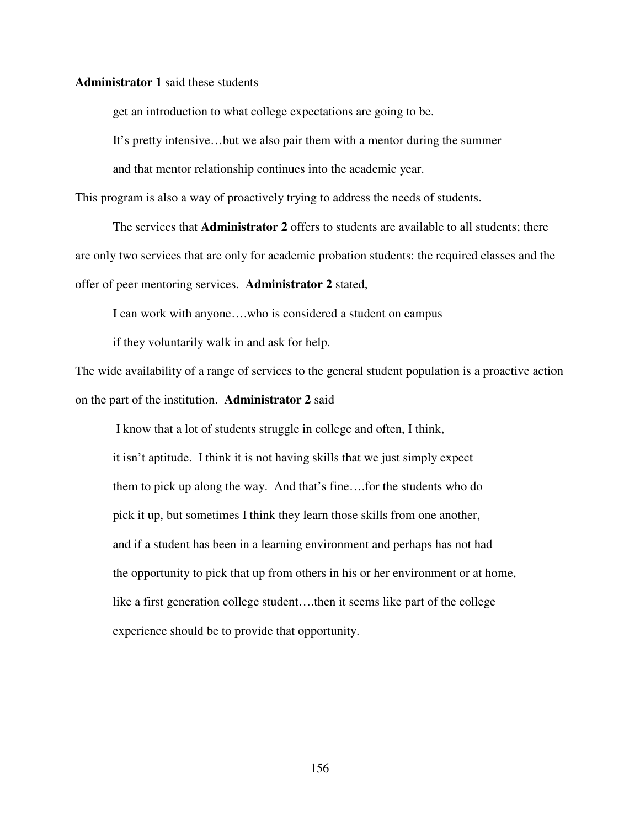## **Administrator 1** said these students

get an introduction to what college expectations are going to be.

It's pretty intensive…but we also pair them with a mentor during the summer

and that mentor relationship continues into the academic year.

This program is also a way of proactively trying to address the needs of students.

The services that **Administrator 2** offers to students are available to all students; there are only two services that are only for academic probation students: the required classes and the offer of peer mentoring services. **Administrator 2** stated,

I can work with anyone….who is considered a student on campus

if they voluntarily walk in and ask for help.

The wide availability of a range of services to the general student population is a proactive action on the part of the institution. **Administrator 2** said

 I know that a lot of students struggle in college and often, I think, it isn't aptitude. I think it is not having skills that we just simply expect them to pick up along the way. And that's fine….for the students who do pick it up, but sometimes I think they learn those skills from one another, and if a student has been in a learning environment and perhaps has not had the opportunity to pick that up from others in his or her environment or at home, like a first generation college student….then it seems like part of the college experience should be to provide that opportunity.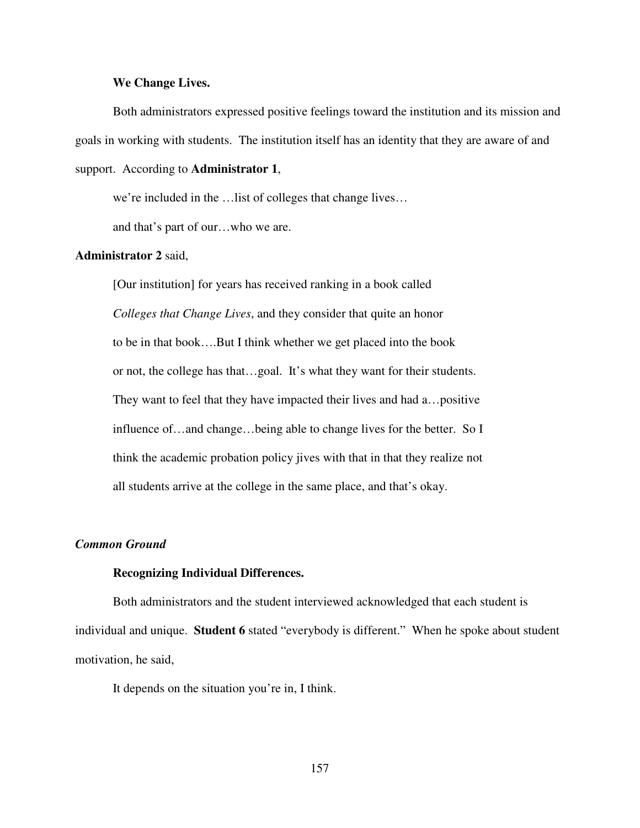# **We Change Lives.**

Both administrators expressed positive feelings toward the institution and its mission and goals in working with students. The institution itself has an identity that they are aware of and support. According to **Administrator 1**,

we're included in the …list of colleges that change lives…

and that's part of our…who we are.

# **Administrator 2** said,

[Our institution] for years has received ranking in a book called *Colleges that Change Lives*, and they consider that quite an honor to be in that book….But I think whether we get placed into the book or not, the college has that…goal. It's what they want for their students. They want to feel that they have impacted their lives and had a…positive influence of…and change…being able to change lives for the better. So I think the academic probation policy jives with that in that they realize not all students arrive at the college in the same place, and that's okay.

## *Common Ground*

#### **Recognizing Individual Differences.**

Both administrators and the student interviewed acknowledged that each student is individual and unique. **Student 6** stated "everybody is different." When he spoke about student motivation, he said,

It depends on the situation you're in, I think.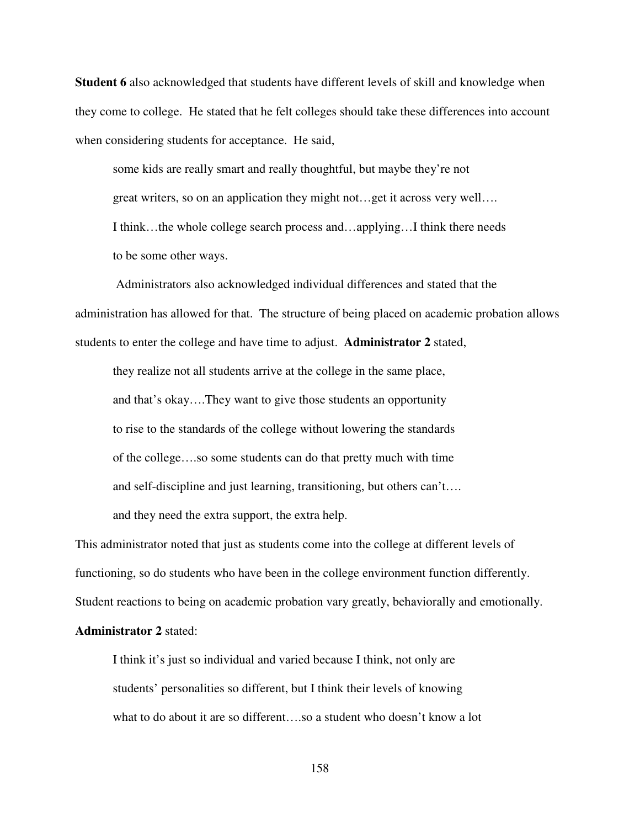**Student 6** also acknowledged that students have different levels of skill and knowledge when they come to college. He stated that he felt colleges should take these differences into account when considering students for acceptance. He said,

some kids are really smart and really thoughtful, but maybe they're not great writers, so on an application they might not…get it across very well…. I think…the whole college search process and…applying…I think there needs to be some other ways.

 Administrators also acknowledged individual differences and stated that the administration has allowed for that. The structure of being placed on academic probation allows students to enter the college and have time to adjust. **Administrator 2** stated,

they realize not all students arrive at the college in the same place, and that's okay….They want to give those students an opportunity to rise to the standards of the college without lowering the standards of the college….so some students can do that pretty much with time and self-discipline and just learning, transitioning, but others can't…. and they need the extra support, the extra help.

This administrator noted that just as students come into the college at different levels of functioning, so do students who have been in the college environment function differently. Student reactions to being on academic probation vary greatly, behaviorally and emotionally.

# **Administrator 2** stated:

I think it's just so individual and varied because I think, not only are students' personalities so different, but I think their levels of knowing what to do about it are so different....so a student who doesn't know a lot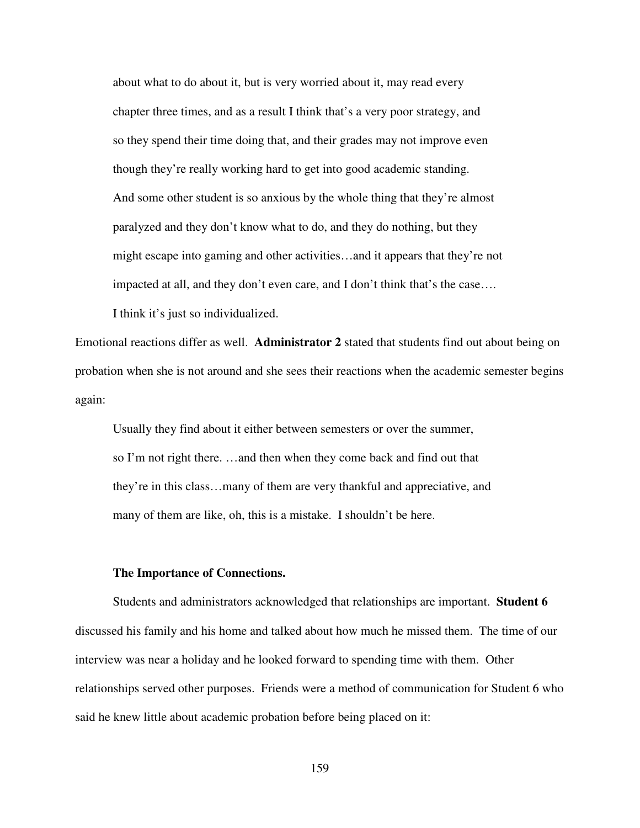about what to do about it, but is very worried about it, may read every chapter three times, and as a result I think that's a very poor strategy, and so they spend their time doing that, and their grades may not improve even though they're really working hard to get into good academic standing. And some other student is so anxious by the whole thing that they're almost paralyzed and they don't know what to do, and they do nothing, but they might escape into gaming and other activities…and it appears that they're not impacted at all, and they don't even care, and I don't think that's the case…. I think it's just so individualized.

Emotional reactions differ as well. **Administrator 2** stated that students find out about being on probation when she is not around and she sees their reactions when the academic semester begins again:

Usually they find about it either between semesters or over the summer, so I'm not right there. …and then when they come back and find out that they're in this class…many of them are very thankful and appreciative, and many of them are like, oh, this is a mistake. I shouldn't be here.

#### **The Importance of Connections.**

Students and administrators acknowledged that relationships are important. **Student 6** discussed his family and his home and talked about how much he missed them. The time of our interview was near a holiday and he looked forward to spending time with them. Other relationships served other purposes. Friends were a method of communication for Student 6 who said he knew little about academic probation before being placed on it:

159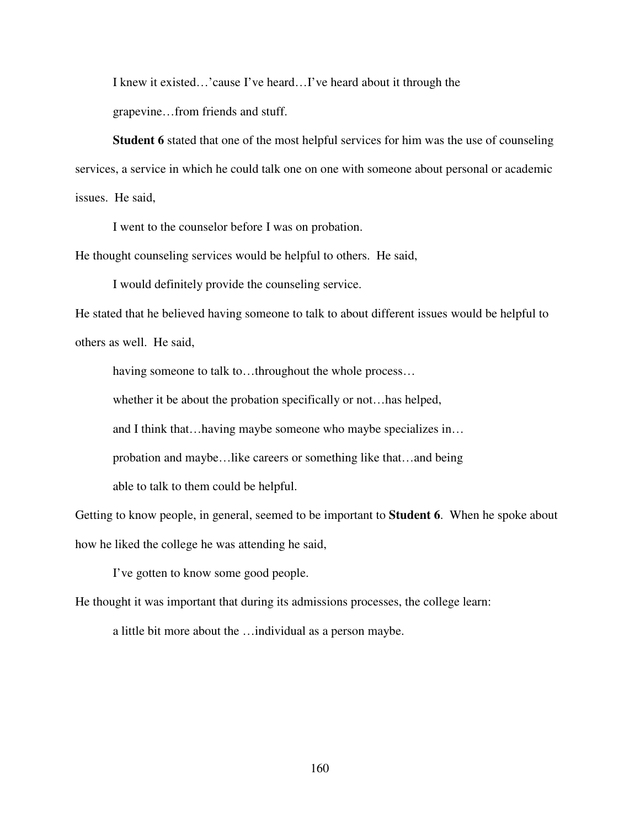I knew it existed…'cause I've heard…I've heard about it through the

grapevine…from friends and stuff.

 **Student 6** stated that one of the most helpful services for him was the use of counseling services, a service in which he could talk one on one with someone about personal or academic issues. He said,

I went to the counselor before I was on probation.

He thought counseling services would be helpful to others. He said,

I would definitely provide the counseling service.

He stated that he believed having someone to talk to about different issues would be helpful to others as well. He said,

having someone to talk to…throughout the whole process…

whether it be about the probation specifically or not…has helped,

and I think that…having maybe someone who maybe specializes in…

probation and maybe…like careers or something like that…and being

able to talk to them could be helpful.

Getting to know people, in general, seemed to be important to **Student 6**. When he spoke about how he liked the college he was attending he said,

I've gotten to know some good people.

He thought it was important that during its admissions processes, the college learn:

a little bit more about the …individual as a person maybe.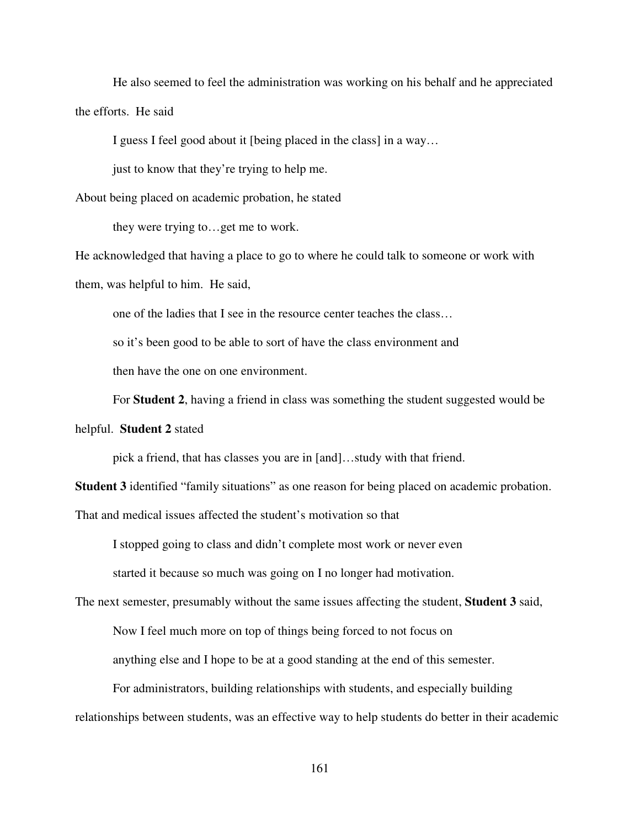He also seemed to feel the administration was working on his behalf and he appreciated the efforts. He said

I guess I feel good about it [being placed in the class] in a way…

just to know that they're trying to help me.

About being placed on academic probation, he stated

they were trying to…get me to work.

He acknowledged that having a place to go to where he could talk to someone or work with them, was helpful to him. He said,

one of the ladies that I see in the resource center teaches the class…

so it's been good to be able to sort of have the class environment and

then have the one on one environment.

For **Student 2**, having a friend in class was something the student suggested would be

helpful. **Student 2** stated

pick a friend, that has classes you are in [and]…study with that friend.

**Student 3** identified "family situations" as one reason for being placed on academic probation.

That and medical issues affected the student's motivation so that

I stopped going to class and didn't complete most work or never even

started it because so much was going on I no longer had motivation.

The next semester, presumably without the same issues affecting the student, **Student 3** said,

Now I feel much more on top of things being forced to not focus on

anything else and I hope to be at a good standing at the end of this semester.

For administrators, building relationships with students, and especially building relationships between students, was an effective way to help students do better in their academic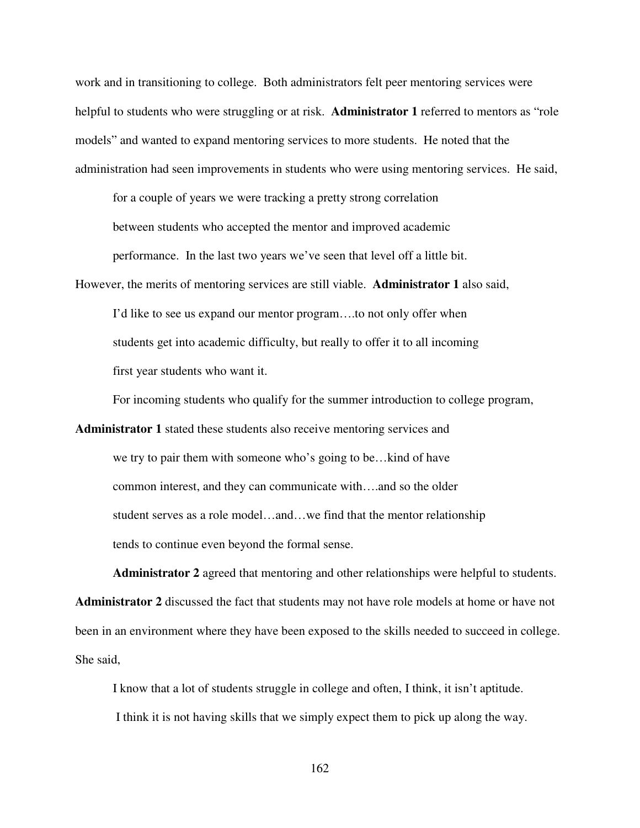work and in transitioning to college. Both administrators felt peer mentoring services were helpful to students who were struggling or at risk. **Administrator 1** referred to mentors as "role models" and wanted to expand mentoring services to more students. He noted that the administration had seen improvements in students who were using mentoring services. He said,

for a couple of years we were tracking a pretty strong correlation between students who accepted the mentor and improved academic performance. In the last two years we've seen that level off a little bit.

However, the merits of mentoring services are still viable. **Administrator 1** also said,

I'd like to see us expand our mentor program….to not only offer when students get into academic difficulty, but really to offer it to all incoming first year students who want it.

For incoming students who qualify for the summer introduction to college program,

**Administrator 1** stated these students also receive mentoring services and we try to pair them with someone who's going to be…kind of have common interest, and they can communicate with….and so the older student serves as a role model…and…we find that the mentor relationship tends to continue even beyond the formal sense.

**Administrator 2** agreed that mentoring and other relationships were helpful to students. **Administrator 2** discussed the fact that students may not have role models at home or have not been in an environment where they have been exposed to the skills needed to succeed in college. She said,

I know that a lot of students struggle in college and often, I think, it isn't aptitude.

I think it is not having skills that we simply expect them to pick up along the way.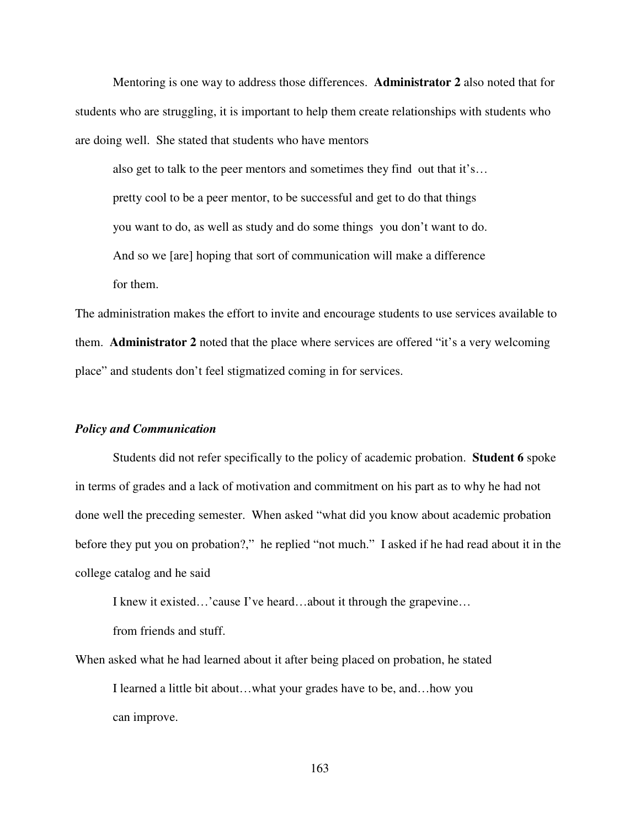Mentoring is one way to address those differences. **Administrator 2** also noted that for students who are struggling, it is important to help them create relationships with students who are doing well. She stated that students who have mentors

also get to talk to the peer mentors and sometimes they find out that it's… pretty cool to be a peer mentor, to be successful and get to do that things you want to do, as well as study and do some things you don't want to do. And so we [are] hoping that sort of communication will make a difference for them.

The administration makes the effort to invite and encourage students to use services available to them. **Administrator 2** noted that the place where services are offered "it's a very welcoming place" and students don't feel stigmatized coming in for services.

# *Policy and Communication*

 Students did not refer specifically to the policy of academic probation. **Student 6** spoke in terms of grades and a lack of motivation and commitment on his part as to why he had not done well the preceding semester. When asked "what did you know about academic probation before they put you on probation?," he replied "not much." I asked if he had read about it in the college catalog and he said

I knew it existed…'cause I've heard…about it through the grapevine…

from friends and stuff.

When asked what he had learned about it after being placed on probation, he stated I learned a little bit about…what your grades have to be, and…how you can improve.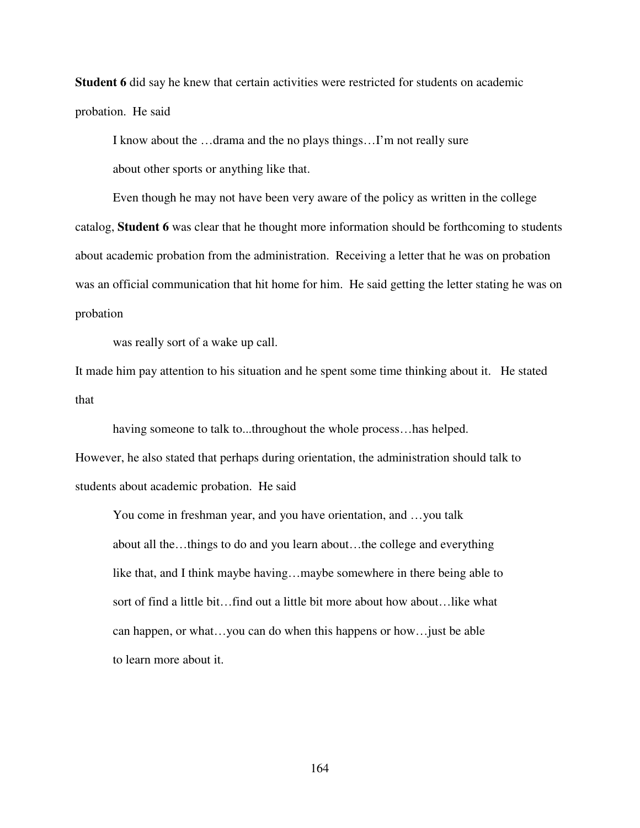**Student 6** did say he knew that certain activities were restricted for students on academic probation. He said

I know about the …drama and the no plays things…I'm not really sure about other sports or anything like that.

 Even though he may not have been very aware of the policy as written in the college catalog, **Student 6** was clear that he thought more information should be forthcoming to students about academic probation from the administration. Receiving a letter that he was on probation was an official communication that hit home for him. He said getting the letter stating he was on probation

was really sort of a wake up call.

It made him pay attention to his situation and he spent some time thinking about it. He stated that

having someone to talk to...throughout the whole process…has helped.

However, he also stated that perhaps during orientation, the administration should talk to students about academic probation. He said

 You come in freshman year, and you have orientation, and …you talk about all the…things to do and you learn about…the college and everything like that, and I think maybe having…maybe somewhere in there being able to sort of find a little bit…find out a little bit more about how about…like what can happen, or what…you can do when this happens or how…just be able to learn more about it.

164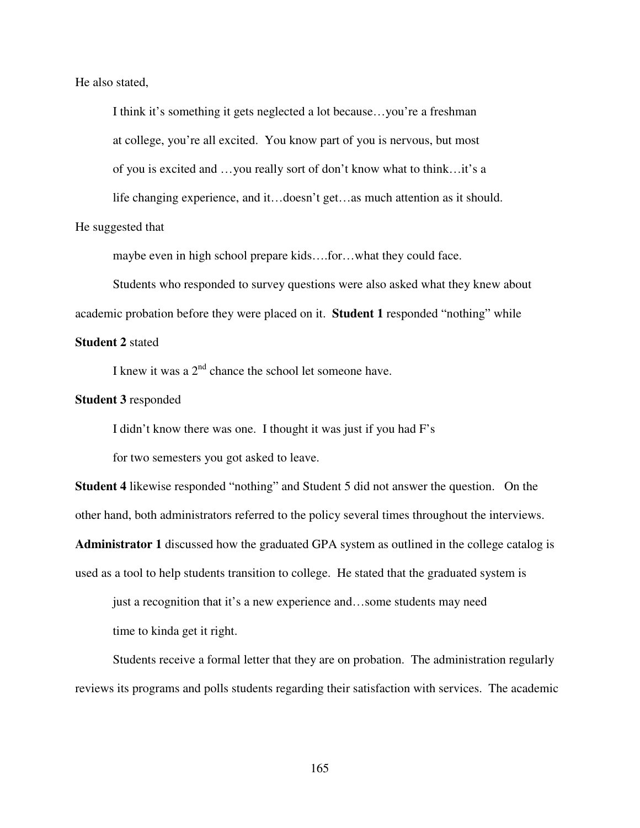He also stated,

I think it's something it gets neglected a lot because…you're a freshman at college, you're all excited. You know part of you is nervous, but most of you is excited and …you really sort of don't know what to think…it's a life changing experience, and it…doesn't get…as much attention as it should.

He suggested that

maybe even in high school prepare kids….for…what they could face.

 Students who responded to survey questions were also asked what they knew about academic probation before they were placed on it. **Student 1** responded "nothing" while

# **Student 2** stated

I knew it was a  $2<sup>nd</sup>$  chance the school let someone have.

# **Student 3** responded

I didn't know there was one. I thought it was just if you had F's

for two semesters you got asked to leave.

**Student 4** likewise responded "nothing" and Student 5 did not answer the question. On the other hand, both administrators referred to the policy several times throughout the interviews.

**Administrator 1** discussed how the graduated GPA system as outlined in the college catalog is used as a tool to help students transition to college. He stated that the graduated system is

just a recognition that it's a new experience and…some students may need time to kinda get it right.

Students receive a formal letter that they are on probation. The administration regularly reviews its programs and polls students regarding their satisfaction with services. The academic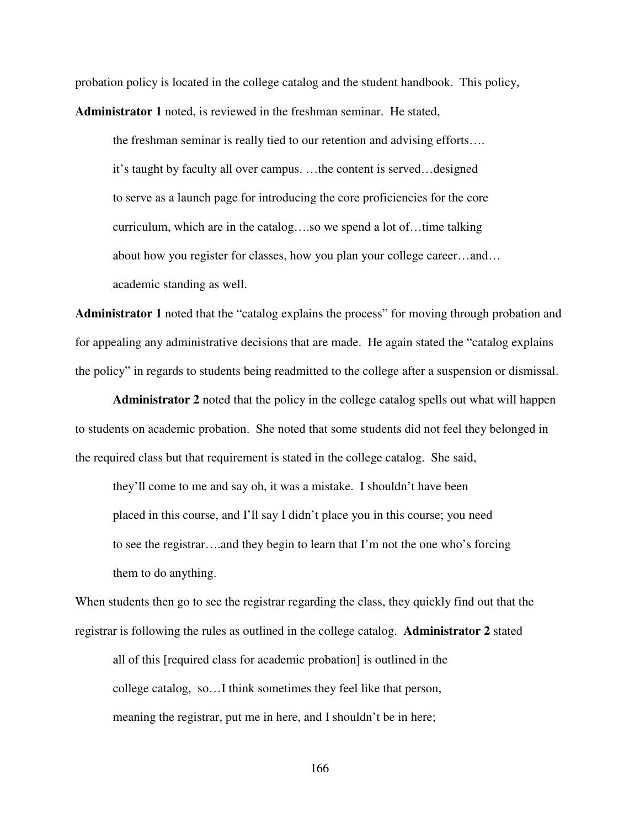probation policy is located in the college catalog and the student handbook. This policy, **Administrator 1** noted, is reviewed in the freshman seminar. He stated,

 the freshman seminar is really tied to our retention and advising efforts…. it's taught by faculty all over campus. …the content is served…designed to serve as a launch page for introducing the core proficiencies for the core curriculum, which are in the catalog….so we spend a lot of…time talking about how you register for classes, how you plan your college career…and… academic standing as well.

**Administrator 1** noted that the "catalog explains the process" for moving through probation and for appealing any administrative decisions that are made. He again stated the "catalog explains the policy" in regards to students being readmitted to the college after a suspension or dismissal.

**Administrator 2** noted that the policy in the college catalog spells out what will happen to students on academic probation. She noted that some students did not feel they belonged in the required class but that requirement is stated in the college catalog. She said,

they'll come to me and say oh, it was a mistake. I shouldn't have been placed in this course, and I'll say I didn't place you in this course; you need to see the registrar….and they begin to learn that I'm not the one who's forcing them to do anything.

When students then go to see the registrar regarding the class, they quickly find out that the registrar is following the rules as outlined in the college catalog. **Administrator 2** stated all of this [required class for academic probation] is outlined in the college catalog, so…I think sometimes they feel like that person, meaning the registrar, put me in here, and I shouldn't be in here;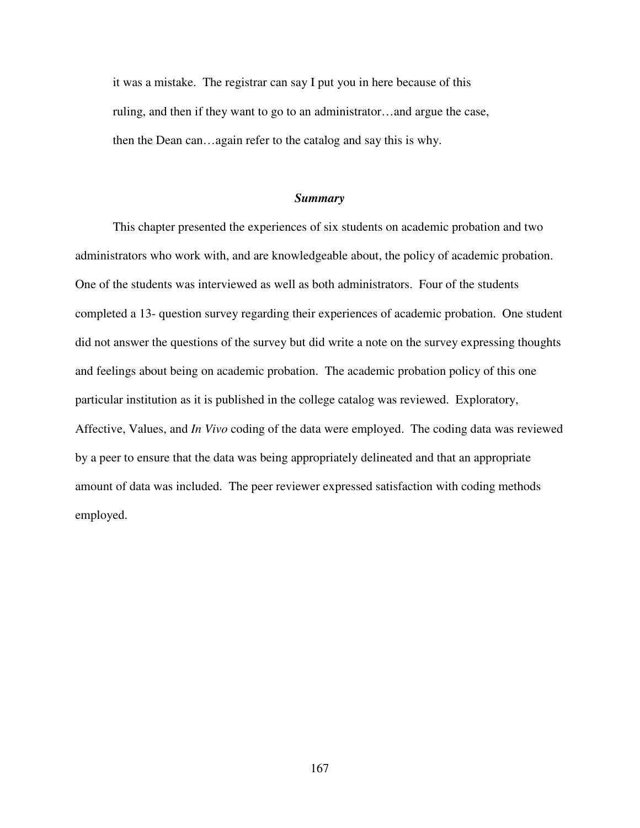it was a mistake. The registrar can say I put you in here because of this ruling, and then if they want to go to an administrator…and argue the case, then the Dean can…again refer to the catalog and say this is why.

#### *Summary*

 This chapter presented the experiences of six students on academic probation and two administrators who work with, and are knowledgeable about, the policy of academic probation. One of the students was interviewed as well as both administrators. Four of the students completed a 13- question survey regarding their experiences of academic probation. One student did not answer the questions of the survey but did write a note on the survey expressing thoughts and feelings about being on academic probation. The academic probation policy of this one particular institution as it is published in the college catalog was reviewed. Exploratory, Affective, Values, and *In Vivo* coding of the data were employed. The coding data was reviewed by a peer to ensure that the data was being appropriately delineated and that an appropriate amount of data was included. The peer reviewer expressed satisfaction with coding methods employed.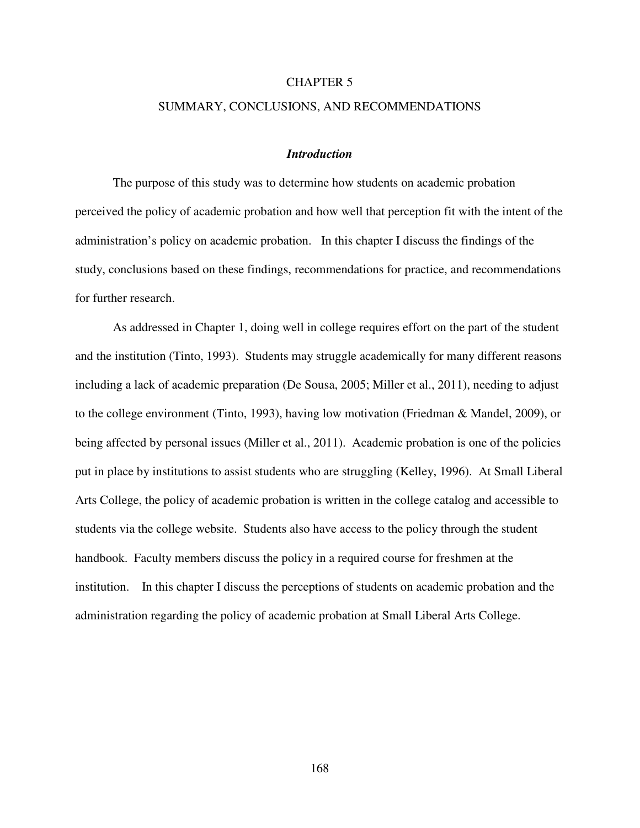## CHAPTER 5

# SUMMARY, CONCLUSIONS, AND RECOMMENDATIONS

## *Introduction*

The purpose of this study was to determine how students on academic probation perceived the policy of academic probation and how well that perception fit with the intent of the administration's policy on academic probation. In this chapter I discuss the findings of the study, conclusions based on these findings, recommendations for practice, and recommendations for further research.

As addressed in Chapter 1, doing well in college requires effort on the part of the student and the institution (Tinto, 1993). Students may struggle academically for many different reasons including a lack of academic preparation (De Sousa, 2005; Miller et al., 2011), needing to adjust to the college environment (Tinto, 1993), having low motivation (Friedman & Mandel, 2009), or being affected by personal issues (Miller et al., 2011). Academic probation is one of the policies put in place by institutions to assist students who are struggling (Kelley, 1996). At Small Liberal Arts College, the policy of academic probation is written in the college catalog and accessible to students via the college website. Students also have access to the policy through the student handbook. Faculty members discuss the policy in a required course for freshmen at the institution. In this chapter I discuss the perceptions of students on academic probation and the administration regarding the policy of academic probation at Small Liberal Arts College.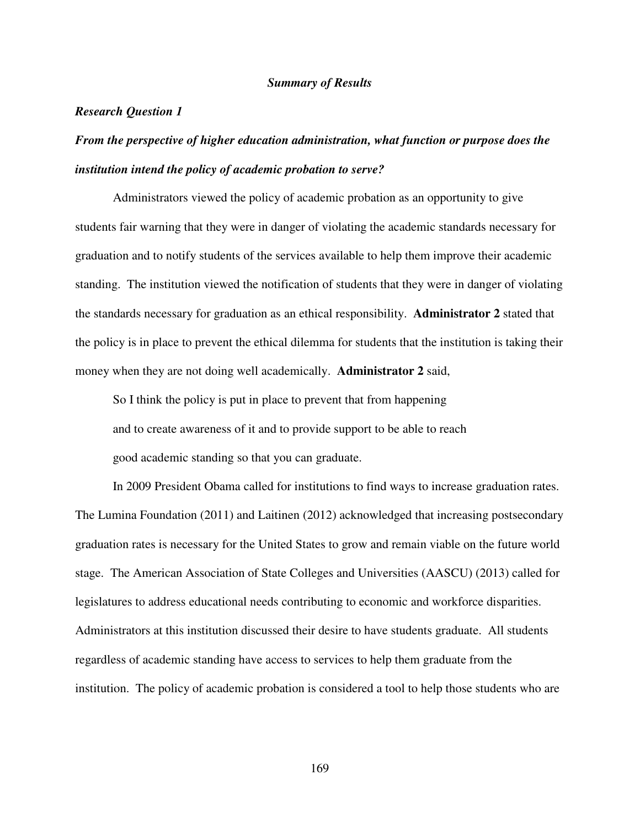# *Summary of Results*

## *Research Question 1*

# *From the perspective of higher education administration, what function or purpose does the institution intend the policy of academic probation to serve?*

Administrators viewed the policy of academic probation as an opportunity to give students fair warning that they were in danger of violating the academic standards necessary for graduation and to notify students of the services available to help them improve their academic standing. The institution viewed the notification of students that they were in danger of violating the standards necessary for graduation as an ethical responsibility. **Administrator 2** stated that the policy is in place to prevent the ethical dilemma for students that the institution is taking their money when they are not doing well academically. **Administrator 2** said,

So I think the policy is put in place to prevent that from happening and to create awareness of it and to provide support to be able to reach good academic standing so that you can graduate.

In 2009 President Obama called for institutions to find ways to increase graduation rates. The Lumina Foundation (2011) and Laitinen (2012) acknowledged that increasing postsecondary graduation rates is necessary for the United States to grow and remain viable on the future world stage. The American Association of State Colleges and Universities (AASCU) (2013) called for legislatures to address educational needs contributing to economic and workforce disparities. Administrators at this institution discussed their desire to have students graduate. All students regardless of academic standing have access to services to help them graduate from the institution. The policy of academic probation is considered a tool to help those students who are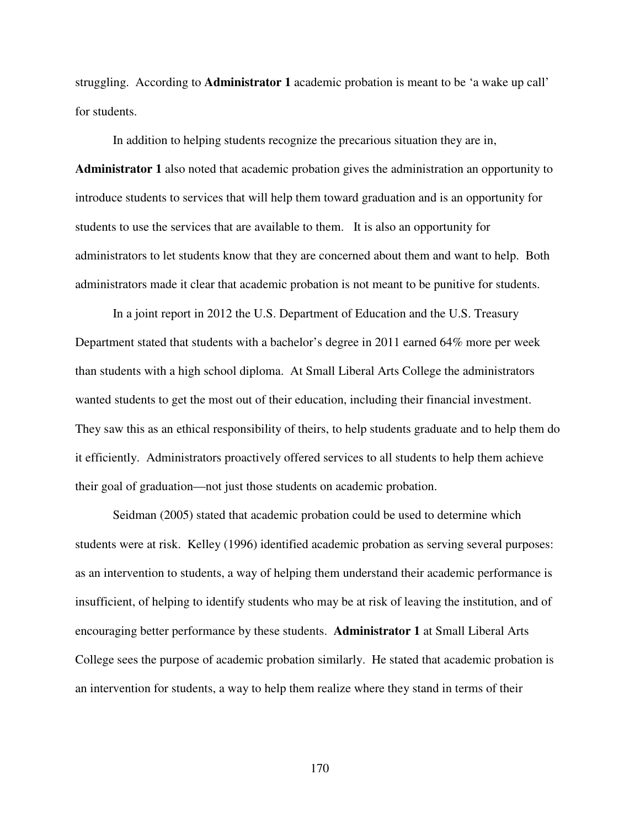struggling. According to **Administrator 1** academic probation is meant to be 'a wake up call' for students.

In addition to helping students recognize the precarious situation they are in, **Administrator 1** also noted that academic probation gives the administration an opportunity to introduce students to services that will help them toward graduation and is an opportunity for students to use the services that are available to them. It is also an opportunity for administrators to let students know that they are concerned about them and want to help. Both administrators made it clear that academic probation is not meant to be punitive for students.

 In a joint report in 2012 the U.S. Department of Education and the U.S. Treasury Department stated that students with a bachelor's degree in 2011 earned 64% more per week than students with a high school diploma. At Small Liberal Arts College the administrators wanted students to get the most out of their education, including their financial investment. They saw this as an ethical responsibility of theirs, to help students graduate and to help them do it efficiently. Administrators proactively offered services to all students to help them achieve their goal of graduation—not just those students on academic probation.

Seidman (2005) stated that academic probation could be used to determine which students were at risk. Kelley (1996) identified academic probation as serving several purposes: as an intervention to students, a way of helping them understand their academic performance is insufficient, of helping to identify students who may be at risk of leaving the institution, and of encouraging better performance by these students. **Administrator 1** at Small Liberal Arts College sees the purpose of academic probation similarly. He stated that academic probation is an intervention for students, a way to help them realize where they stand in terms of their

170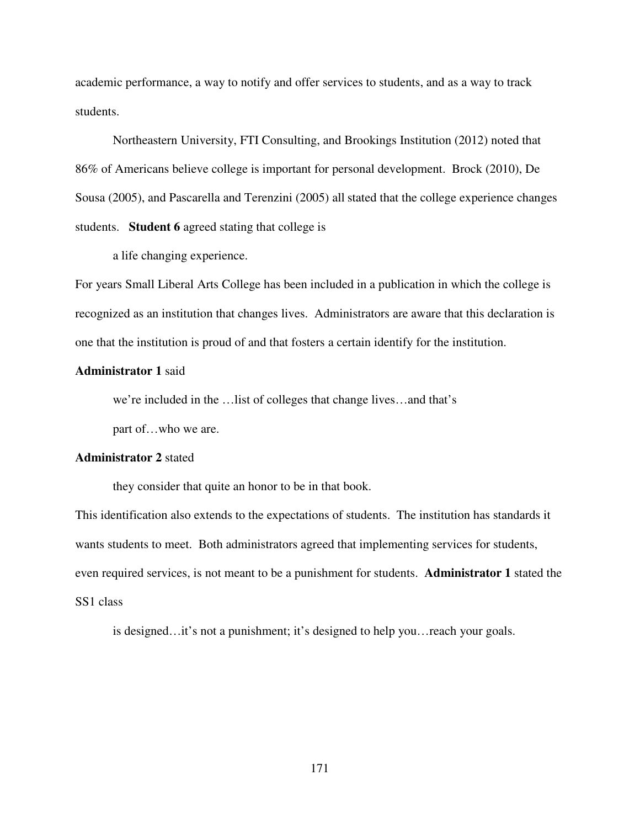academic performance, a way to notify and offer services to students, and as a way to track students.

Northeastern University, FTI Consulting, and Brookings Institution (2012) noted that 86% of Americans believe college is important for personal development. Brock (2010), De Sousa (2005), and Pascarella and Terenzini (2005) all stated that the college experience changes students. **Student 6** agreed stating that college is

a life changing experience.

For years Small Liberal Arts College has been included in a publication in which the college is recognized as an institution that changes lives. Administrators are aware that this declaration is one that the institution is proud of and that fosters a certain identify for the institution.

# **Administrator 1** said

we're included in the …list of colleges that change lives…and that's

part of…who we are.

## **Administrator 2** stated

they consider that quite an honor to be in that book.

This identification also extends to the expectations of students. The institution has standards it wants students to meet. Both administrators agreed that implementing services for students, even required services, is not meant to be a punishment for students. **Administrator 1** stated the SS1 class

is designed…it's not a punishment; it's designed to help you…reach your goals.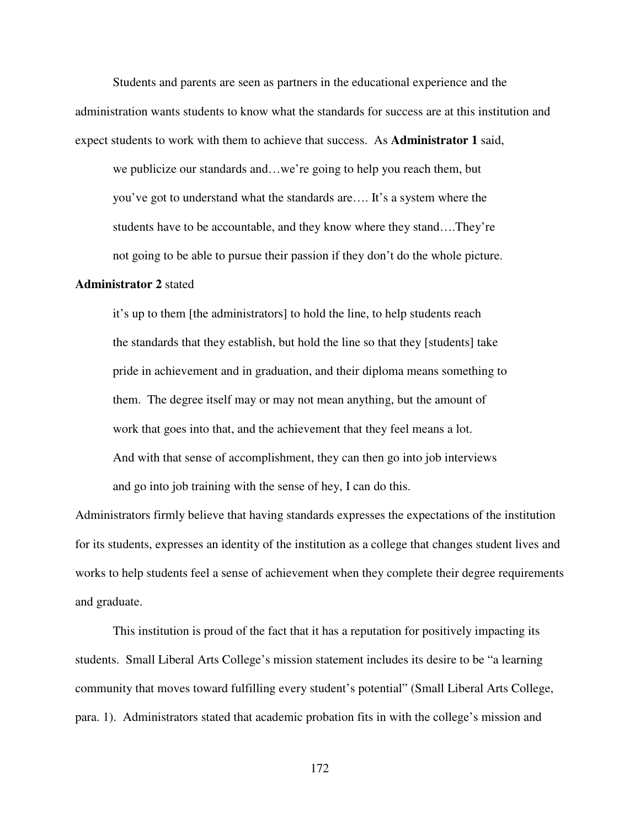Students and parents are seen as partners in the educational experience and the administration wants students to know what the standards for success are at this institution and expect students to work with them to achieve that success. As **Administrator 1** said,

we publicize our standards and…we're going to help you reach them, but you've got to understand what the standards are…. It's a system where the students have to be accountable, and they know where they stand….They're not going to be able to pursue their passion if they don't do the whole picture.

# **Administrator 2** stated

it's up to them [the administrators] to hold the line, to help students reach the standards that they establish, but hold the line so that they [students] take pride in achievement and in graduation, and their diploma means something to them. The degree itself may or may not mean anything, but the amount of work that goes into that, and the achievement that they feel means a lot. And with that sense of accomplishment, they can then go into job interviews and go into job training with the sense of hey, I can do this.

Administrators firmly believe that having standards expresses the expectations of the institution for its students, expresses an identity of the institution as a college that changes student lives and works to help students feel a sense of achievement when they complete their degree requirements and graduate.

This institution is proud of the fact that it has a reputation for positively impacting its students. Small Liberal Arts College's mission statement includes its desire to be "a learning community that moves toward fulfilling every student's potential" (Small Liberal Arts College, para. 1). Administrators stated that academic probation fits in with the college's mission and

172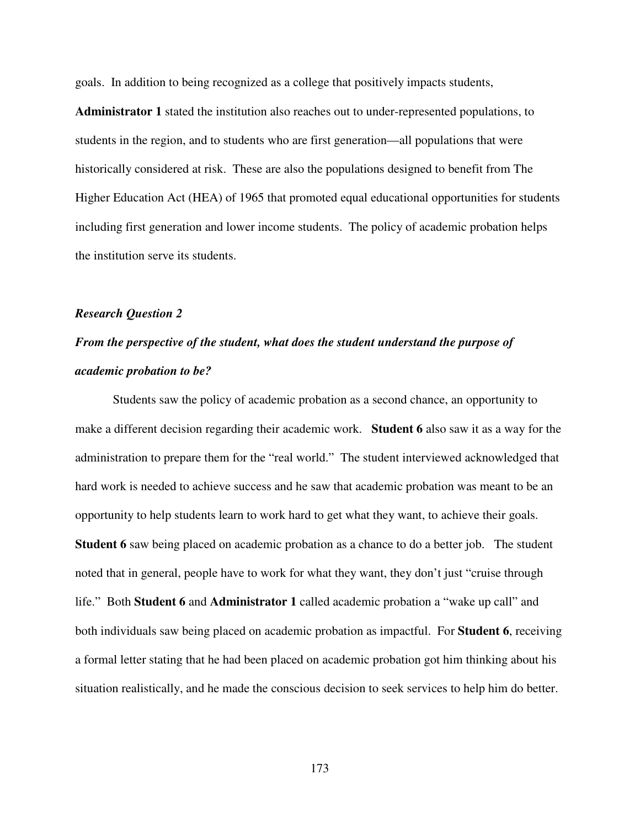goals. In addition to being recognized as a college that positively impacts students,

**Administrator 1** stated the institution also reaches out to under-represented populations, to students in the region, and to students who are first generation—all populations that were historically considered at risk. These are also the populations designed to benefit from The Higher Education Act (HEA) of 1965 that promoted equal educational opportunities for students including first generation and lower income students. The policy of academic probation helps the institution serve its students.

# *Research Question 2*

# *From the perspective of the student, what does the student understand the purpose of academic probation to be?*

Students saw the policy of academic probation as a second chance, an opportunity to make a different decision regarding their academic work. **Student 6** also saw it as a way for the administration to prepare them for the "real world." The student interviewed acknowledged that hard work is needed to achieve success and he saw that academic probation was meant to be an opportunity to help students learn to work hard to get what they want, to achieve their goals. **Student 6** saw being placed on academic probation as a chance to do a better job. The student noted that in general, people have to work for what they want, they don't just "cruise through life." Both **Student 6** and **Administrator 1** called academic probation a "wake up call" and both individuals saw being placed on academic probation as impactful. For **Student 6**, receiving a formal letter stating that he had been placed on academic probation got him thinking about his situation realistically, and he made the conscious decision to seek services to help him do better.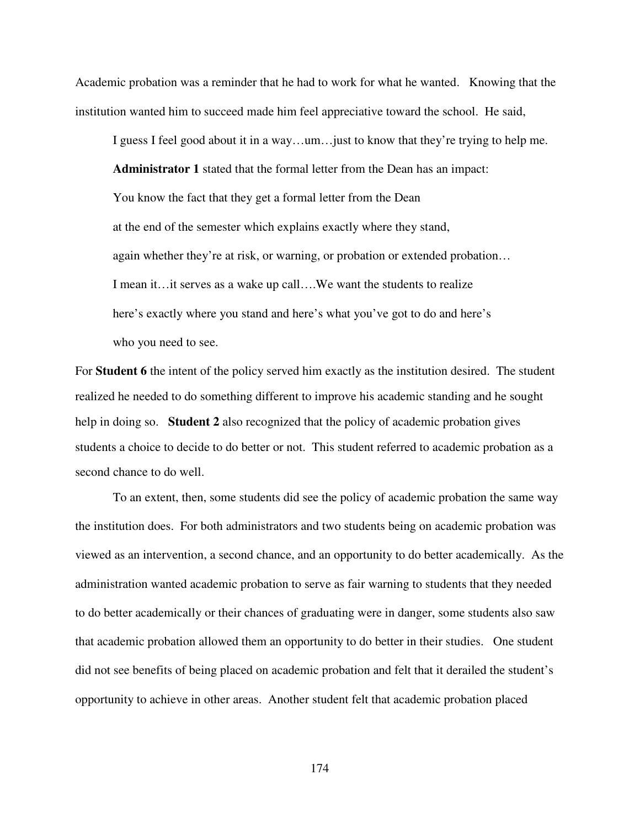Academic probation was a reminder that he had to work for what he wanted. Knowing that the institution wanted him to succeed made him feel appreciative toward the school. He said,

I guess I feel good about it in a way…um…just to know that they're trying to help me. **Administrator 1** stated that the formal letter from the Dean has an impact: You know the fact that they get a formal letter from the Dean at the end of the semester which explains exactly where they stand, again whether they're at risk, or warning, or probation or extended probation… I mean it…it serves as a wake up call….We want the students to realize here's exactly where you stand and here's what you've got to do and here's who you need to see.

For **Student 6** the intent of the policy served him exactly as the institution desired. The student realized he needed to do something different to improve his academic standing and he sought help in doing so. **Student 2** also recognized that the policy of academic probation gives students a choice to decide to do better or not. This student referred to academic probation as a second chance to do well.

To an extent, then, some students did see the policy of academic probation the same way the institution does. For both administrators and two students being on academic probation was viewed as an intervention, a second chance, and an opportunity to do better academically. As the administration wanted academic probation to serve as fair warning to students that they needed to do better academically or their chances of graduating were in danger, some students also saw that academic probation allowed them an opportunity to do better in their studies. One student did not see benefits of being placed on academic probation and felt that it derailed the student's opportunity to achieve in other areas. Another student felt that academic probation placed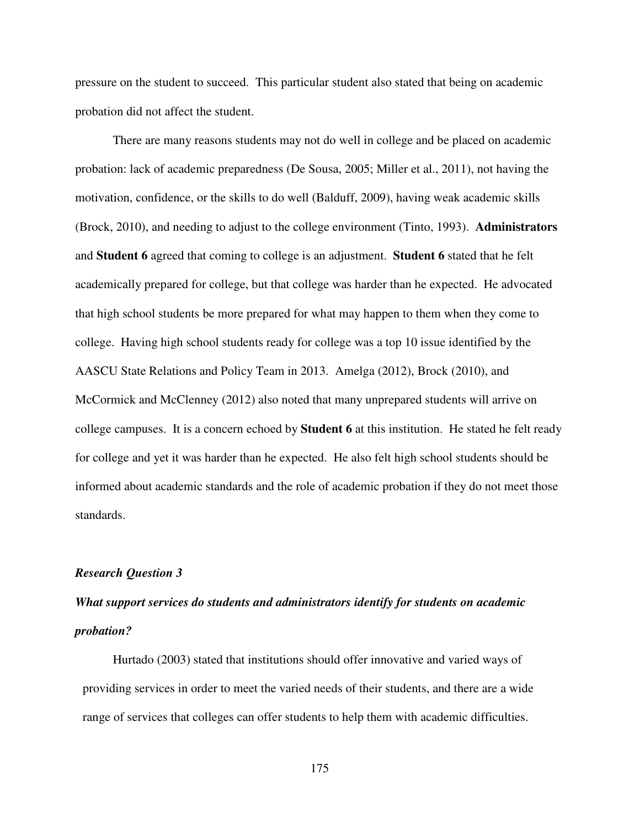pressure on the student to succeed. This particular student also stated that being on academic probation did not affect the student.

There are many reasons students may not do well in college and be placed on academic probation: lack of academic preparedness (De Sousa, 2005; Miller et al., 2011), not having the motivation, confidence, or the skills to do well (Balduff, 2009), having weak academic skills (Brock, 2010), and needing to adjust to the college environment (Tinto, 1993). **Administrators** and **Student 6** agreed that coming to college is an adjustment. **Student 6** stated that he felt academically prepared for college, but that college was harder than he expected. He advocated that high school students be more prepared for what may happen to them when they come to college. Having high school students ready for college was a top 10 issue identified by the AASCU State Relations and Policy Team in 2013. Amelga (2012), Brock (2010), and McCormick and McClenney (2012) also noted that many unprepared students will arrive on college campuses. It is a concern echoed by **Student 6** at this institution. He stated he felt ready for college and yet it was harder than he expected. He also felt high school students should be informed about academic standards and the role of academic probation if they do not meet those standards.

## *Research Question 3*

# *What support services do students and administrators identify for students on academic probation?*

Hurtado (2003) stated that institutions should offer innovative and varied ways of providing services in order to meet the varied needs of their students, and there are a wide range of services that colleges can offer students to help them with academic difficulties.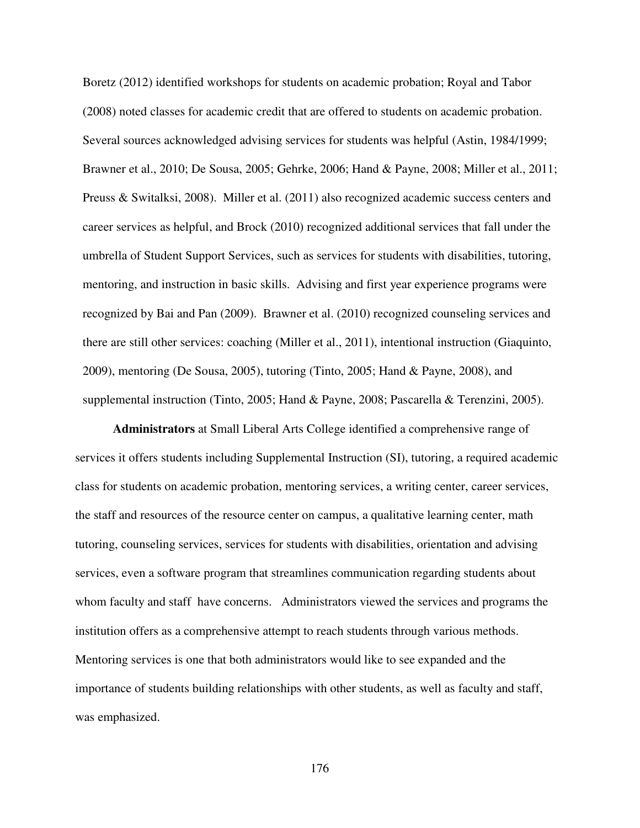Boretz (2012) identified workshops for students on academic probation; Royal and Tabor (2008) noted classes for academic credit that are offered to students on academic probation. Several sources acknowledged advising services for students was helpful (Astin, 1984/1999; Brawner et al., 2010; De Sousa, 2005; Gehrke, 2006; Hand & Payne, 2008; Miller et al., 2011; Preuss & Switalksi, 2008). Miller et al. (2011) also recognized academic success centers and career services as helpful, and Brock (2010) recognized additional services that fall under the umbrella of Student Support Services, such as services for students with disabilities, tutoring, mentoring, and instruction in basic skills. Advising and first year experience programs were recognized by Bai and Pan (2009). Brawner et al. (2010) recognized counseling services and there are still other services: coaching (Miller et al., 2011), intentional instruction (Giaquinto, 2009), mentoring (De Sousa, 2005), tutoring (Tinto, 2005; Hand & Payne, 2008), and supplemental instruction (Tinto, 2005; Hand & Payne, 2008; Pascarella & Terenzini, 2005).

**Administrators** at Small Liberal Arts College identified a comprehensive range of services it offers students including Supplemental Instruction (SI), tutoring, a required academic class for students on academic probation, mentoring services, a writing center, career services, the staff and resources of the resource center on campus, a qualitative learning center, math tutoring, counseling services, services for students with disabilities, orientation and advising services, even a software program that streamlines communication regarding students about whom faculty and staff have concerns. Administrators viewed the services and programs the institution offers as a comprehensive attempt to reach students through various methods. Mentoring services is one that both administrators would like to see expanded and the importance of students building relationships with other students, as well as faculty and staff, was emphasized.

176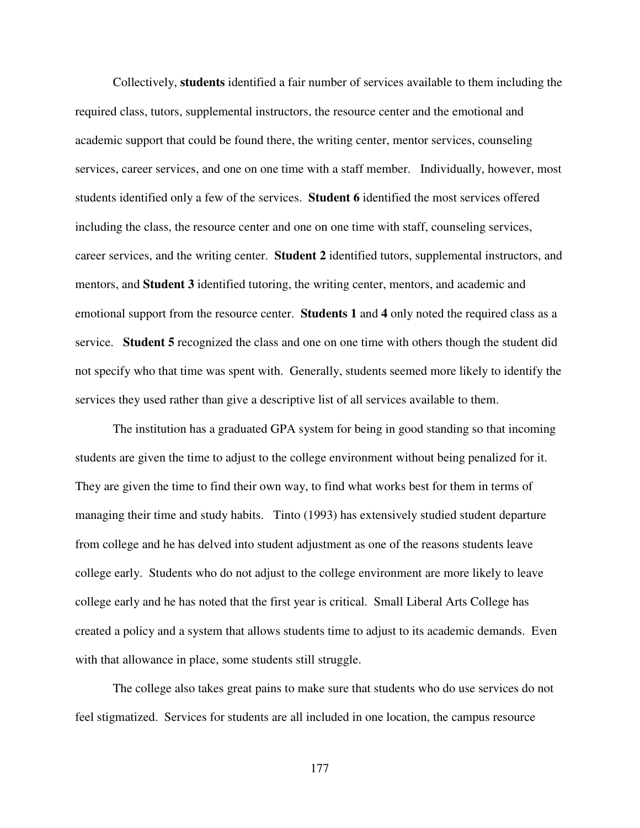Collectively, **students** identified a fair number of services available to them including the required class, tutors, supplemental instructors, the resource center and the emotional and academic support that could be found there, the writing center, mentor services, counseling services, career services, and one on one time with a staff member. Individually, however, most students identified only a few of the services. **Student 6** identified the most services offered including the class, the resource center and one on one time with staff, counseling services, career services, and the writing center. **Student 2** identified tutors, supplemental instructors, and mentors, and **Student 3** identified tutoring, the writing center, mentors, and academic and emotional support from the resource center. **Students 1** and **4** only noted the required class as a service. **Student 5** recognized the class and one on one time with others though the student did not specify who that time was spent with. Generally, students seemed more likely to identify the services they used rather than give a descriptive list of all services available to them.

The institution has a graduated GPA system for being in good standing so that incoming students are given the time to adjust to the college environment without being penalized for it. They are given the time to find their own way, to find what works best for them in terms of managing their time and study habits. Tinto (1993) has extensively studied student departure from college and he has delved into student adjustment as one of the reasons students leave college early. Students who do not adjust to the college environment are more likely to leave college early and he has noted that the first year is critical. Small Liberal Arts College has created a policy and a system that allows students time to adjust to its academic demands. Even with that allowance in place, some students still struggle.

The college also takes great pains to make sure that students who do use services do not feel stigmatized. Services for students are all included in one location, the campus resource

177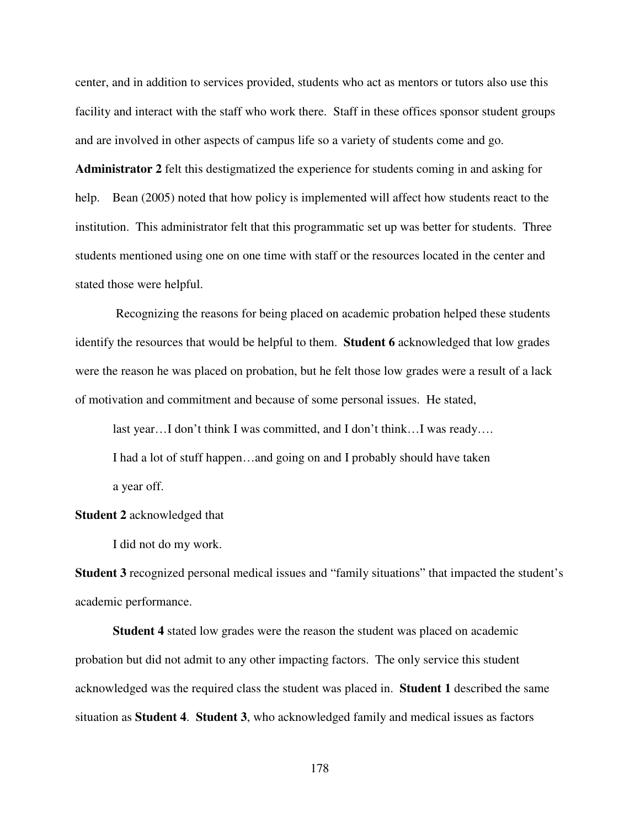center, and in addition to services provided, students who act as mentors or tutors also use this facility and interact with the staff who work there. Staff in these offices sponsor student groups and are involved in other aspects of campus life so a variety of students come and go.

**Administrator 2** felt this destigmatized the experience for students coming in and asking for help. Bean (2005) noted that how policy is implemented will affect how students react to the institution. This administrator felt that this programmatic set up was better for students. Three students mentioned using one on one time with staff or the resources located in the center and stated those were helpful.

 Recognizing the reasons for being placed on academic probation helped these students identify the resources that would be helpful to them. **Student 6** acknowledged that low grades were the reason he was placed on probation, but he felt those low grades were a result of a lack of motivation and commitment and because of some personal issues. He stated,

last year…I don't think I was committed, and I don't think…I was ready…. I had a lot of stuff happen…and going on and I probably should have taken a year off.

## **Student 2** acknowledged that

I did not do my work.

**Student 3** recognized personal medical issues and "family situations" that impacted the student's academic performance.

**Student 4** stated low grades were the reason the student was placed on academic probation but did not admit to any other impacting factors. The only service this student acknowledged was the required class the student was placed in. **Student 1** described the same situation as **Student 4**. **Student 3**, who acknowledged family and medical issues as factors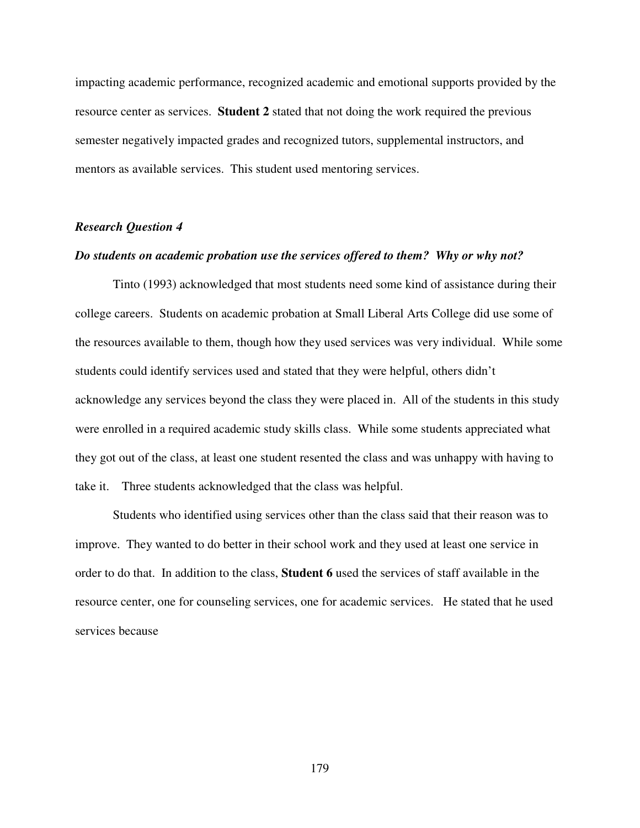impacting academic performance, recognized academic and emotional supports provided by the resource center as services. **Student 2** stated that not doing the work required the previous semester negatively impacted grades and recognized tutors, supplemental instructors, and mentors as available services. This student used mentoring services.

# *Research Question 4*

### *Do students on academic probation use the services offered to them? Why or why not?*

Tinto (1993) acknowledged that most students need some kind of assistance during their college careers. Students on academic probation at Small Liberal Arts College did use some of the resources available to them, though how they used services was very individual. While some students could identify services used and stated that they were helpful, others didn't acknowledge any services beyond the class they were placed in. All of the students in this study were enrolled in a required academic study skills class. While some students appreciated what they got out of the class, at least one student resented the class and was unhappy with having to take it. Three students acknowledged that the class was helpful.

 Students who identified using services other than the class said that their reason was to improve. They wanted to do better in their school work and they used at least one service in order to do that. In addition to the class, **Student 6** used the services of staff available in the resource center, one for counseling services, one for academic services. He stated that he used services because

179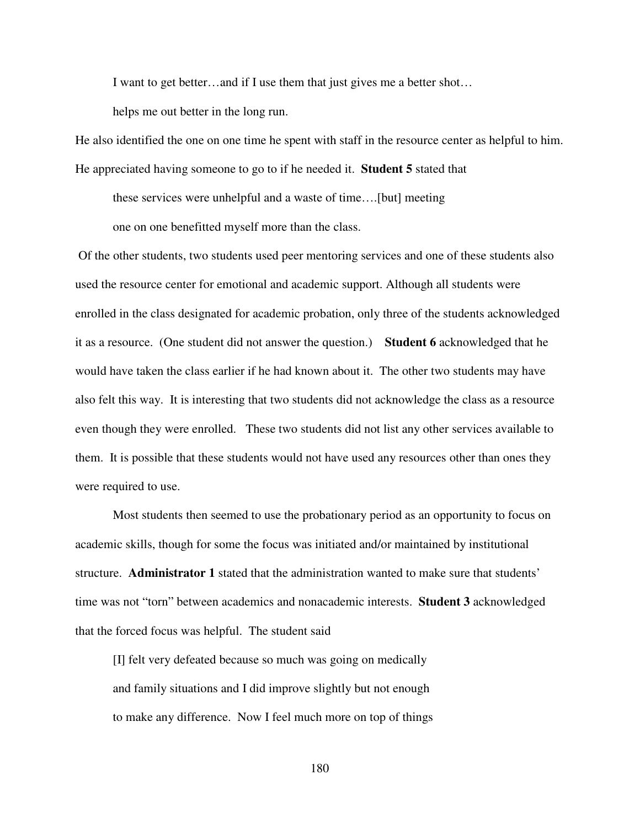I want to get better…and if I use them that just gives me a better shot…

helps me out better in the long run.

He also identified the one on one time he spent with staff in the resource center as helpful to him. He appreciated having someone to go to if he needed it. **Student 5** stated that

these services were unhelpful and a waste of time….[but] meeting one on one benefitted myself more than the class.

 Of the other students, two students used peer mentoring services and one of these students also used the resource center for emotional and academic support. Although all students were enrolled in the class designated for academic probation, only three of the students acknowledged it as a resource. (One student did not answer the question.) **Student 6** acknowledged that he would have taken the class earlier if he had known about it. The other two students may have also felt this way. It is interesting that two students did not acknowledge the class as a resource even though they were enrolled. These two students did not list any other services available to them. It is possible that these students would not have used any resources other than ones they were required to use.

Most students then seemed to use the probationary period as an opportunity to focus on academic skills, though for some the focus was initiated and/or maintained by institutional structure. **Administrator 1** stated that the administration wanted to make sure that students' time was not "torn" between academics and nonacademic interests. **Student 3** acknowledged that the forced focus was helpful. The student said

[I] felt very defeated because so much was going on medically and family situations and I did improve slightly but not enough to make any difference. Now I feel much more on top of things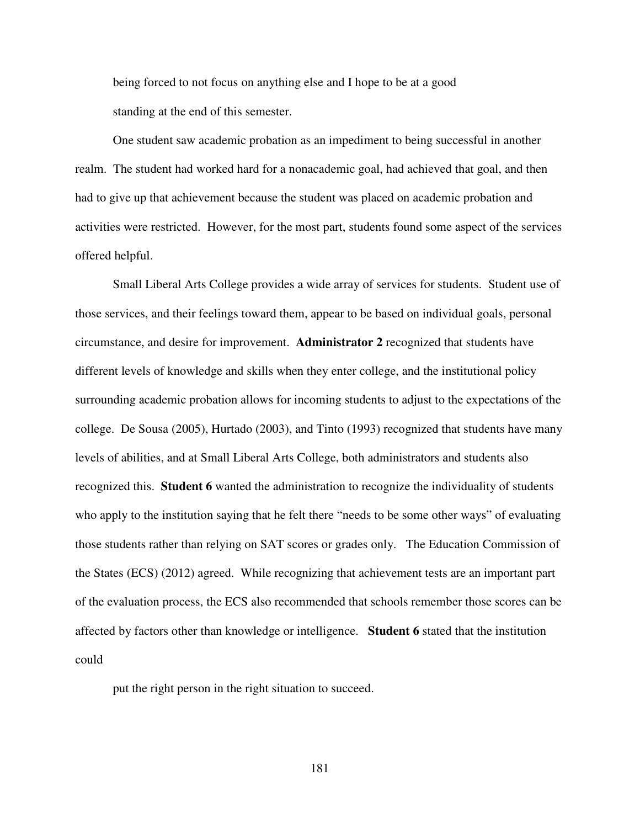being forced to not focus on anything else and I hope to be at a good standing at the end of this semester.

One student saw academic probation as an impediment to being successful in another realm. The student had worked hard for a nonacademic goal, had achieved that goal, and then had to give up that achievement because the student was placed on academic probation and activities were restricted. However, for the most part, students found some aspect of the services offered helpful.

Small Liberal Arts College provides a wide array of services for students. Student use of those services, and their feelings toward them, appear to be based on individual goals, personal circumstance, and desire for improvement. **Administrator 2** recognized that students have different levels of knowledge and skills when they enter college, and the institutional policy surrounding academic probation allows for incoming students to adjust to the expectations of the college. De Sousa (2005), Hurtado (2003), and Tinto (1993) recognized that students have many levels of abilities, and at Small Liberal Arts College, both administrators and students also recognized this. **Student 6** wanted the administration to recognize the individuality of students who apply to the institution saying that he felt there "needs to be some other ways" of evaluating those students rather than relying on SAT scores or grades only. The Education Commission of the States (ECS) (2012) agreed. While recognizing that achievement tests are an important part of the evaluation process, the ECS also recommended that schools remember those scores can be affected by factors other than knowledge or intelligence. **Student 6** stated that the institution could

put the right person in the right situation to succeed.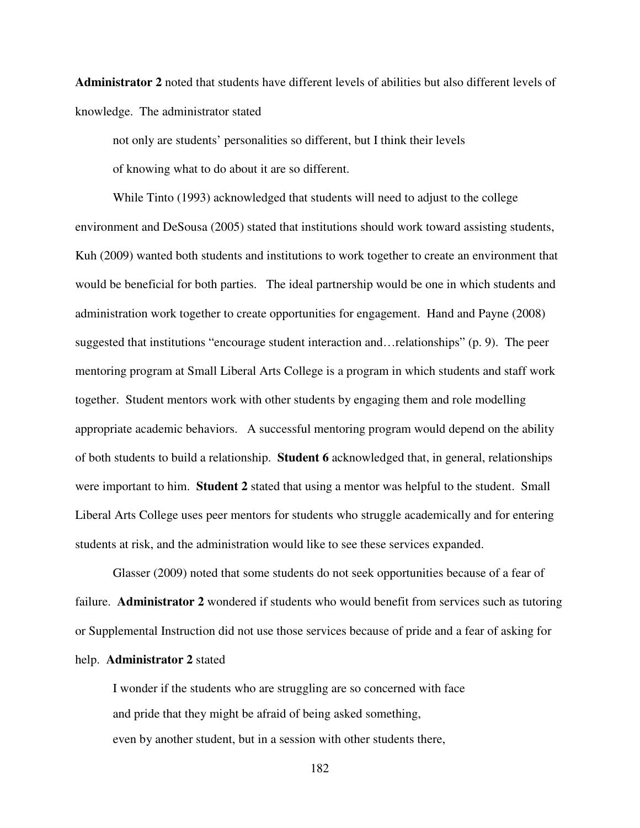**Administrator 2** noted that students have different levels of abilities but also different levels of knowledge. The administrator stated

not only are students' personalities so different, but I think their levels

of knowing what to do about it are so different.

While Tinto (1993) acknowledged that students will need to adjust to the college environment and DeSousa (2005) stated that institutions should work toward assisting students, Kuh (2009) wanted both students and institutions to work together to create an environment that would be beneficial for both parties. The ideal partnership would be one in which students and administration work together to create opportunities for engagement. Hand and Payne (2008) suggested that institutions "encourage student interaction and…relationships" (p. 9). The peer mentoring program at Small Liberal Arts College is a program in which students and staff work together. Student mentors work with other students by engaging them and role modelling appropriate academic behaviors. A successful mentoring program would depend on the ability of both students to build a relationship. **Student 6** acknowledged that, in general, relationships were important to him. **Student 2** stated that using a mentor was helpful to the student. Small Liberal Arts College uses peer mentors for students who struggle academically and for entering students at risk, and the administration would like to see these services expanded.

Glasser (2009) noted that some students do not seek opportunities because of a fear of failure. **Administrator 2** wondered if students who would benefit from services such as tutoring or Supplemental Instruction did not use those services because of pride and a fear of asking for help. **Administrator 2** stated

 I wonder if the students who are struggling are so concerned with face and pride that they might be afraid of being asked something, even by another student, but in a session with other students there,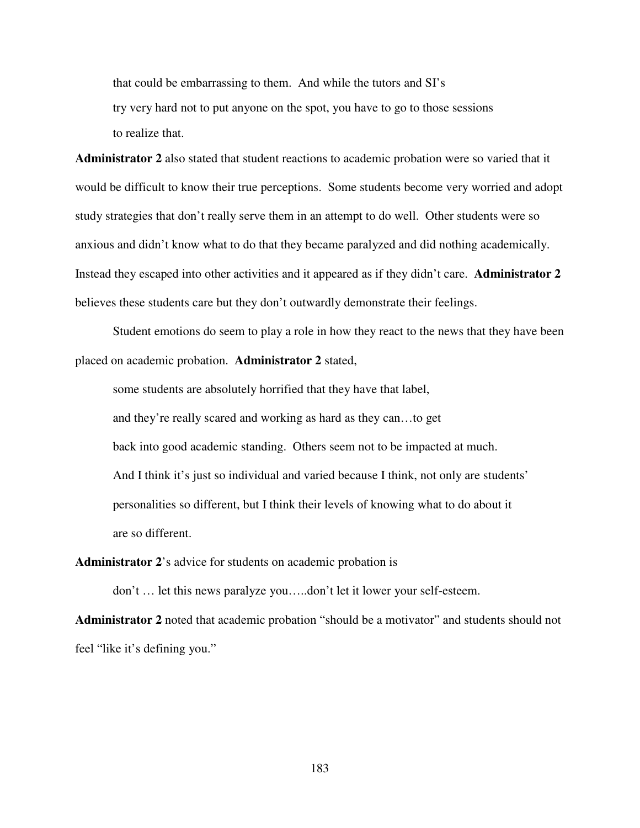that could be embarrassing to them. And while the tutors and SI's try very hard not to put anyone on the spot, you have to go to those sessions to realize that.

**Administrator 2** also stated that student reactions to academic probation were so varied that it would be difficult to know their true perceptions. Some students become very worried and adopt study strategies that don't really serve them in an attempt to do well. Other students were so anxious and didn't know what to do that they became paralyzed and did nothing academically. Instead they escaped into other activities and it appeared as if they didn't care. **Administrator 2** believes these students care but they don't outwardly demonstrate their feelings.

Student emotions do seem to play a role in how they react to the news that they have been placed on academic probation. **Administrator 2** stated,

some students are absolutely horrified that they have that label, and they're really scared and working as hard as they can…to get back into good academic standing. Others seem not to be impacted at much. And I think it's just so individual and varied because I think, not only are students' personalities so different, but I think their levels of knowing what to do about it are so different.

**Administrator 2**'s advice for students on academic probation is

don't … let this news paralyze you…..don't let it lower your self-esteem.

**Administrator 2** noted that academic probation "should be a motivator" and students should not feel "like it's defining you."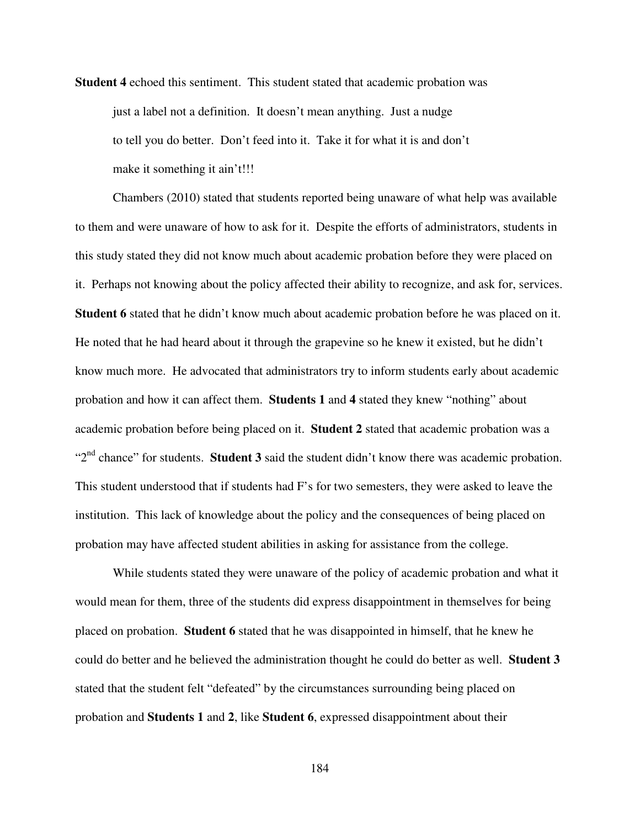**Student 4** echoed this sentiment. This student stated that academic probation was just a label not a definition. It doesn't mean anything. Just a nudge to tell you do better. Don't feed into it. Take it for what it is and don't make it something it ain't!!!

Chambers (2010) stated that students reported being unaware of what help was available to them and were unaware of how to ask for it. Despite the efforts of administrators, students in this study stated they did not know much about academic probation before they were placed on it. Perhaps not knowing about the policy affected their ability to recognize, and ask for, services. **Student 6** stated that he didn't know much about academic probation before he was placed on it. He noted that he had heard about it through the grapevine so he knew it existed, but he didn't know much more. He advocated that administrators try to inform students early about academic probation and how it can affect them. **Students 1** and **4** stated they knew "nothing" about academic probation before being placed on it. **Student 2** stated that academic probation was a "2<sup>nd</sup> chance" for students. **Student 3** said the student didn't know there was academic probation. This student understood that if students had F's for two semesters, they were asked to leave the institution. This lack of knowledge about the policy and the consequences of being placed on probation may have affected student abilities in asking for assistance from the college.

While students stated they were unaware of the policy of academic probation and what it would mean for them, three of the students did express disappointment in themselves for being placed on probation. **Student 6** stated that he was disappointed in himself, that he knew he could do better and he believed the administration thought he could do better as well. **Student 3** stated that the student felt "defeated" by the circumstances surrounding being placed on probation and **Students 1** and **2**, like **Student 6**, expressed disappointment about their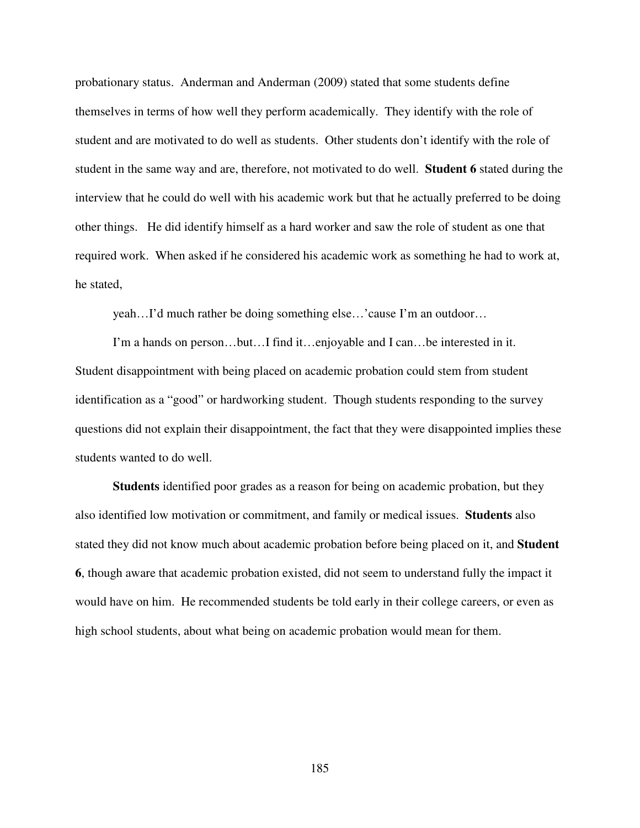probationary status. Anderman and Anderman (2009) stated that some students define themselves in terms of how well they perform academically. They identify with the role of student and are motivated to do well as students. Other students don't identify with the role of student in the same way and are, therefore, not motivated to do well. **Student 6** stated during the interview that he could do well with his academic work but that he actually preferred to be doing other things. He did identify himself as a hard worker and saw the role of student as one that required work. When asked if he considered his academic work as something he had to work at, he stated,

yeah…I'd much rather be doing something else…'cause I'm an outdoor…

I'm a hands on person…but…I find it…enjoyable and I can…be interested in it. Student disappointment with being placed on academic probation could stem from student identification as a "good" or hardworking student. Though students responding to the survey questions did not explain their disappointment, the fact that they were disappointed implies these students wanted to do well.

**Students** identified poor grades as a reason for being on academic probation, but they also identified low motivation or commitment, and family or medical issues. **Students** also stated they did not know much about academic probation before being placed on it, and **Student 6**, though aware that academic probation existed, did not seem to understand fully the impact it would have on him. He recommended students be told early in their college careers, or even as high school students, about what being on academic probation would mean for them.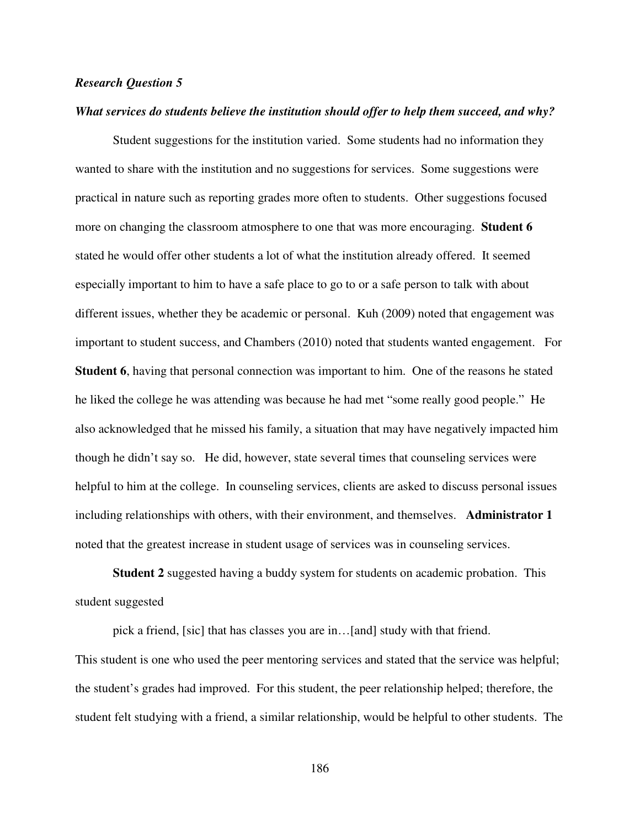### *Research Question 5*

### *What services do students believe the institution should offer to help them succeed, and why?*

Student suggestions for the institution varied. Some students had no information they wanted to share with the institution and no suggestions for services. Some suggestions were practical in nature such as reporting grades more often to students. Other suggestions focused more on changing the classroom atmosphere to one that was more encouraging. **Student 6**  stated he would offer other students a lot of what the institution already offered. It seemed especially important to him to have a safe place to go to or a safe person to talk with about different issues, whether they be academic or personal. Kuh (2009) noted that engagement was important to student success, and Chambers (2010) noted that students wanted engagement. For **Student 6**, having that personal connection was important to him. One of the reasons he stated he liked the college he was attending was because he had met "some really good people." He also acknowledged that he missed his family, a situation that may have negatively impacted him though he didn't say so. He did, however, state several times that counseling services were helpful to him at the college. In counseling services, clients are asked to discuss personal issues including relationships with others, with their environment, and themselves. **Administrator 1** noted that the greatest increase in student usage of services was in counseling services.

**Student 2** suggested having a buddy system for students on academic probation. This student suggested

pick a friend, [sic] that has classes you are in…[and] study with that friend. This student is one who used the peer mentoring services and stated that the service was helpful; the student's grades had improved. For this student, the peer relationship helped; therefore, the student felt studying with a friend, a similar relationship, would be helpful to other students. The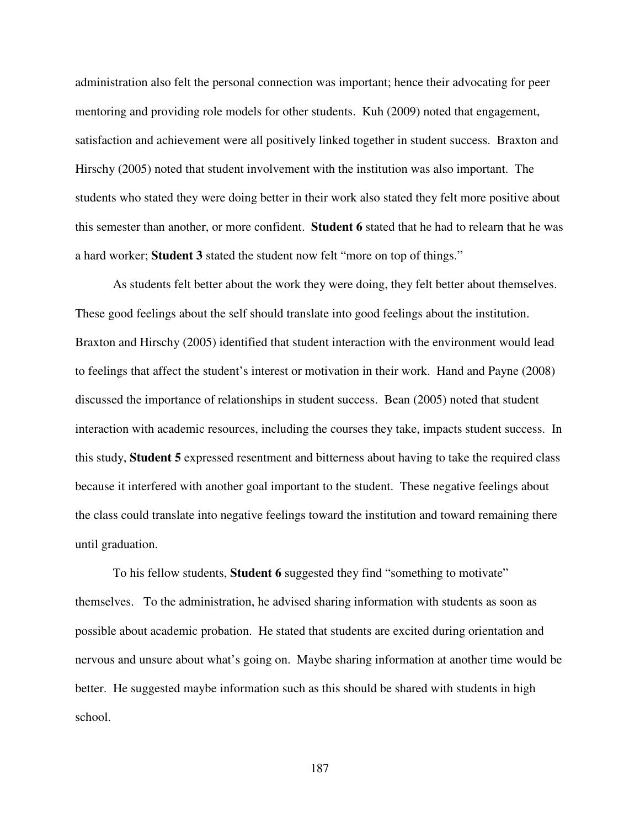administration also felt the personal connection was important; hence their advocating for peer mentoring and providing role models for other students. Kuh (2009) noted that engagement, satisfaction and achievement were all positively linked together in student success. Braxton and Hirschy (2005) noted that student involvement with the institution was also important. The students who stated they were doing better in their work also stated they felt more positive about this semester than another, or more confident. **Student 6** stated that he had to relearn that he was a hard worker; **Student 3** stated the student now felt "more on top of things."

As students felt better about the work they were doing, they felt better about themselves. These good feelings about the self should translate into good feelings about the institution. Braxton and Hirschy (2005) identified that student interaction with the environment would lead to feelings that affect the student's interest or motivation in their work. Hand and Payne (2008) discussed the importance of relationships in student success. Bean (2005) noted that student interaction with academic resources, including the courses they take, impacts student success. In this study, **Student 5** expressed resentment and bitterness about having to take the required class because it interfered with another goal important to the student. These negative feelings about the class could translate into negative feelings toward the institution and toward remaining there until graduation.

To his fellow students, **Student 6** suggested they find "something to motivate" themselves. To the administration, he advised sharing information with students as soon as possible about academic probation. He stated that students are excited during orientation and nervous and unsure about what's going on. Maybe sharing information at another time would be better. He suggested maybe information such as this should be shared with students in high school.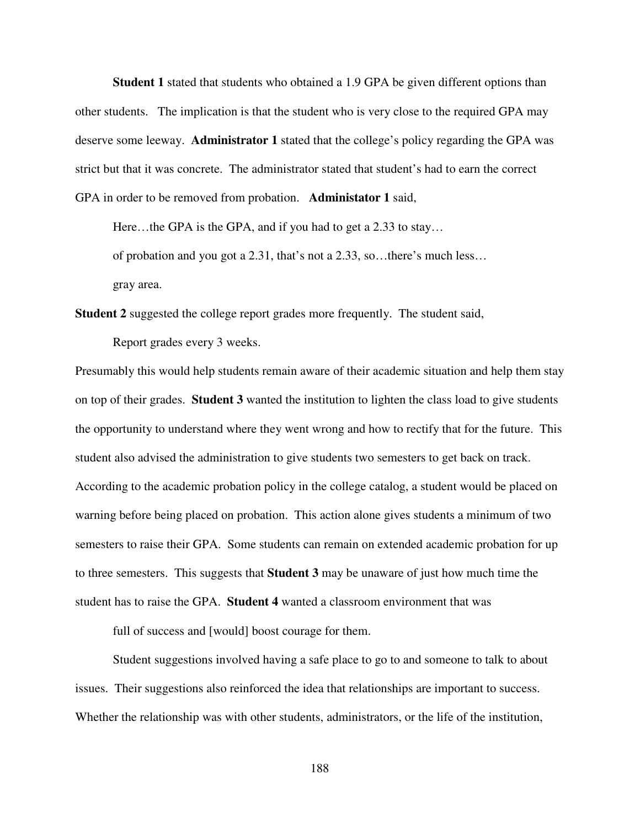**Student 1** stated that students who obtained a 1.9 GPA be given different options than other students. The implication is that the student who is very close to the required GPA may deserve some leeway. **Administrator 1** stated that the college's policy regarding the GPA was strict but that it was concrete. The administrator stated that student's had to earn the correct GPA in order to be removed from probation. **Administator 1** said,

Here...the GPA is the GPA, and if you had to get a 2.33 to stay...

of probation and you got a 2.31, that's not a 2.33, so…there's much less…

gray area.

**Student 2** suggested the college report grades more frequently. The student said,

Report grades every 3 weeks.

Presumably this would help students remain aware of their academic situation and help them stay on top of their grades. **Student 3** wanted the institution to lighten the class load to give students the opportunity to understand where they went wrong and how to rectify that for the future. This student also advised the administration to give students two semesters to get back on track. According to the academic probation policy in the college catalog, a student would be placed on warning before being placed on probation. This action alone gives students a minimum of two semesters to raise their GPA. Some students can remain on extended academic probation for up to three semesters. This suggests that **Student 3** may be unaware of just how much time the student has to raise the GPA. **Student 4** wanted a classroom environment that was

full of success and [would] boost courage for them.

Student suggestions involved having a safe place to go to and someone to talk to about issues. Their suggestions also reinforced the idea that relationships are important to success. Whether the relationship was with other students, administrators, or the life of the institution,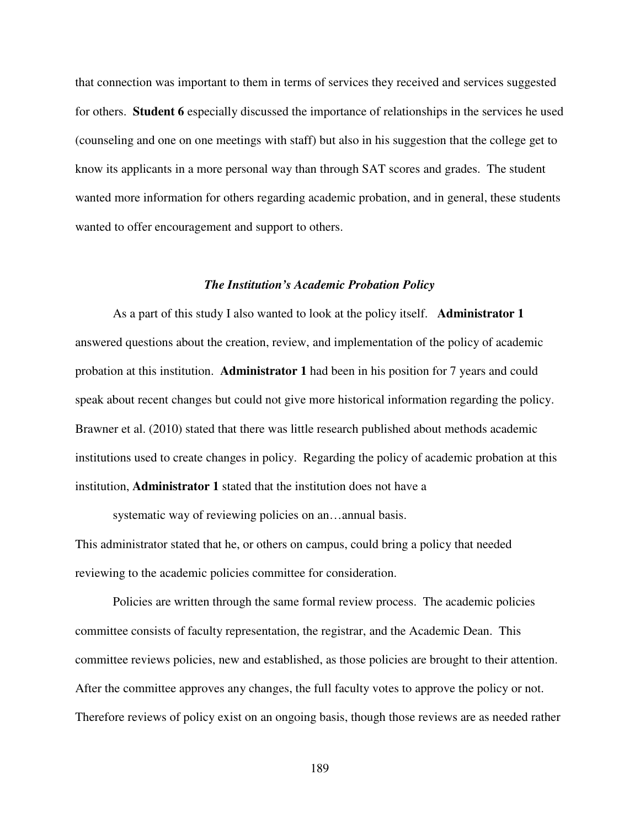that connection was important to them in terms of services they received and services suggested for others. **Student 6** especially discussed the importance of relationships in the services he used (counseling and one on one meetings with staff) but also in his suggestion that the college get to know its applicants in a more personal way than through SAT scores and grades. The student wanted more information for others regarding academic probation, and in general, these students wanted to offer encouragement and support to others.

#### *The Institution's Academic Probation Policy*

As a part of this study I also wanted to look at the policy itself. **Administrator 1** answered questions about the creation, review, and implementation of the policy of academic probation at this institution. **Administrator 1** had been in his position for 7 years and could speak about recent changes but could not give more historical information regarding the policy. Brawner et al. (2010) stated that there was little research published about methods academic institutions used to create changes in policy. Regarding the policy of academic probation at this institution, **Administrator 1** stated that the institution does not have a

systematic way of reviewing policies on an...annual basis.

This administrator stated that he, or others on campus, could bring a policy that needed reviewing to the academic policies committee for consideration.

Policies are written through the same formal review process. The academic policies committee consists of faculty representation, the registrar, and the Academic Dean. This committee reviews policies, new and established, as those policies are brought to their attention. After the committee approves any changes, the full faculty votes to approve the policy or not. Therefore reviews of policy exist on an ongoing basis, though those reviews are as needed rather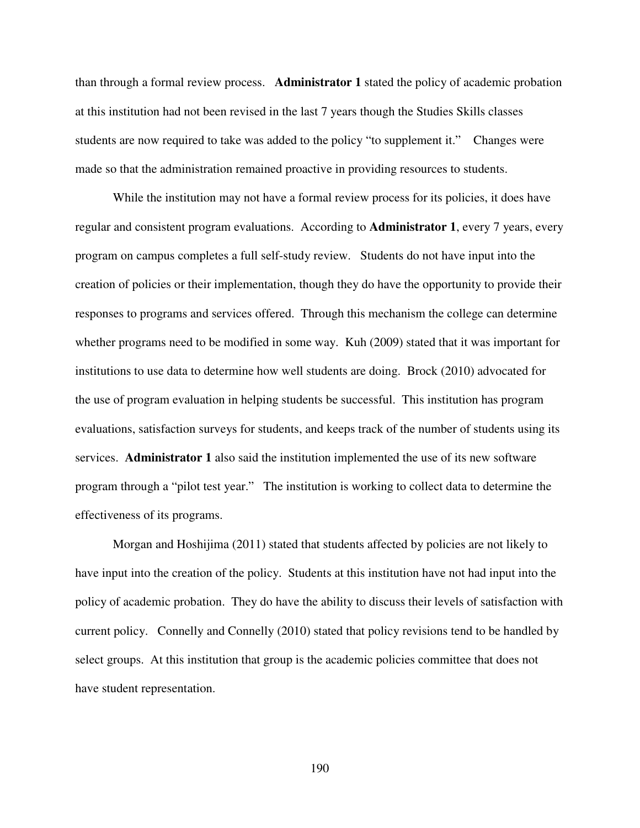than through a formal review process. **Administrator 1** stated the policy of academic probation at this institution had not been revised in the last 7 years though the Studies Skills classes students are now required to take was added to the policy "to supplement it." Changes were made so that the administration remained proactive in providing resources to students.

While the institution may not have a formal review process for its policies, it does have regular and consistent program evaluations. According to **Administrator 1**, every 7 years, every program on campus completes a full self-study review. Students do not have input into the creation of policies or their implementation, though they do have the opportunity to provide their responses to programs and services offered. Through this mechanism the college can determine whether programs need to be modified in some way. Kuh (2009) stated that it was important for institutions to use data to determine how well students are doing. Brock (2010) advocated for the use of program evaluation in helping students be successful. This institution has program evaluations, satisfaction surveys for students, and keeps track of the number of students using its services. **Administrator 1** also said the institution implemented the use of its new software program through a "pilot test year." The institution is working to collect data to determine the effectiveness of its programs.

Morgan and Hoshijima (2011) stated that students affected by policies are not likely to have input into the creation of the policy. Students at this institution have not had input into the policy of academic probation. They do have the ability to discuss their levels of satisfaction with current policy. Connelly and Connelly (2010) stated that policy revisions tend to be handled by select groups. At this institution that group is the academic policies committee that does not have student representation.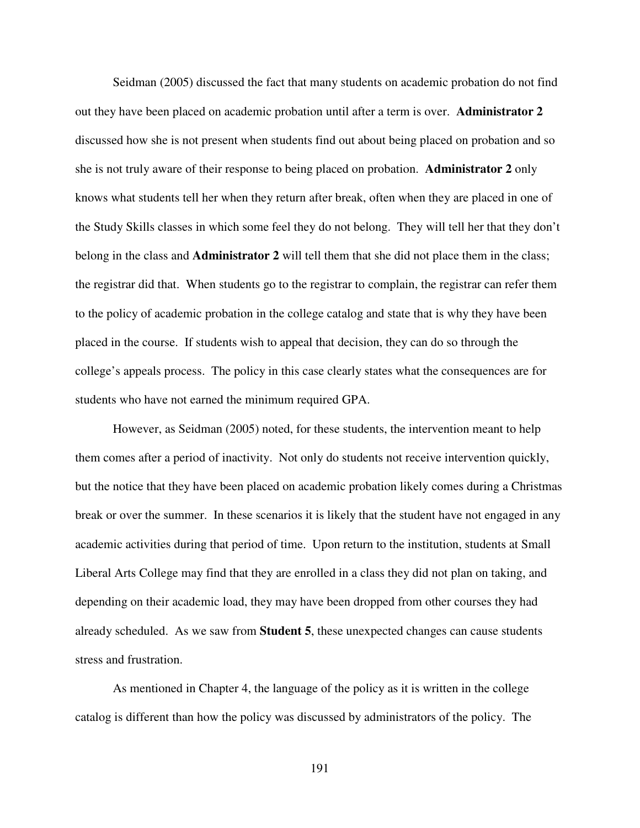Seidman (2005) discussed the fact that many students on academic probation do not find out they have been placed on academic probation until after a term is over. **Administrator 2** discussed how she is not present when students find out about being placed on probation and so she is not truly aware of their response to being placed on probation. **Administrator 2** only knows what students tell her when they return after break, often when they are placed in one of the Study Skills classes in which some feel they do not belong. They will tell her that they don't belong in the class and **Administrator 2** will tell them that she did not place them in the class; the registrar did that. When students go to the registrar to complain, the registrar can refer them to the policy of academic probation in the college catalog and state that is why they have been placed in the course. If students wish to appeal that decision, they can do so through the college's appeals process. The policy in this case clearly states what the consequences are for students who have not earned the minimum required GPA.

However, as Seidman (2005) noted, for these students, the intervention meant to help them comes after a period of inactivity. Not only do students not receive intervention quickly, but the notice that they have been placed on academic probation likely comes during a Christmas break or over the summer. In these scenarios it is likely that the student have not engaged in any academic activities during that period of time. Upon return to the institution, students at Small Liberal Arts College may find that they are enrolled in a class they did not plan on taking, and depending on their academic load, they may have been dropped from other courses they had already scheduled. As we saw from **Student 5**, these unexpected changes can cause students stress and frustration.

 As mentioned in Chapter 4, the language of the policy as it is written in the college catalog is different than how the policy was discussed by administrators of the policy. The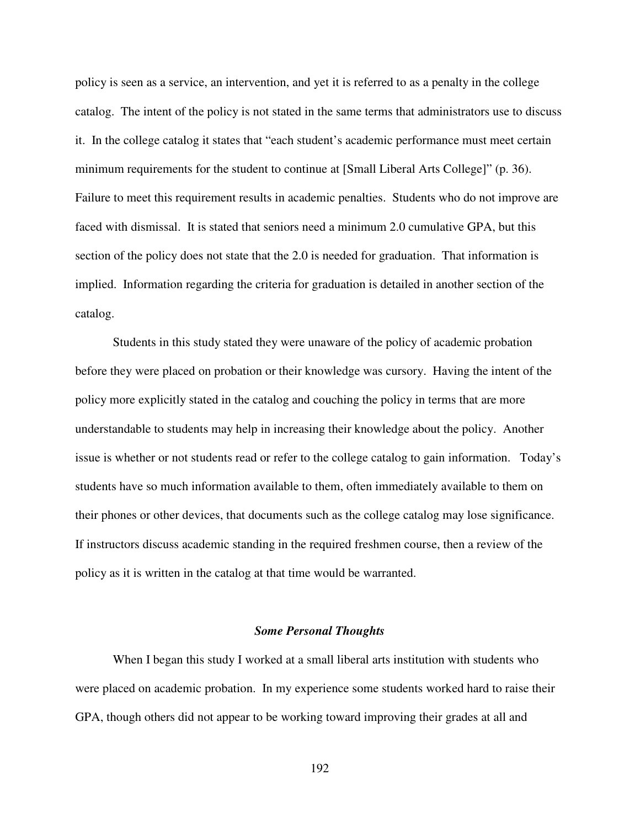policy is seen as a service, an intervention, and yet it is referred to as a penalty in the college catalog. The intent of the policy is not stated in the same terms that administrators use to discuss it. In the college catalog it states that "each student's academic performance must meet certain minimum requirements for the student to continue at [Small Liberal Arts College]" (p. 36). Failure to meet this requirement results in academic penalties. Students who do not improve are faced with dismissal. It is stated that seniors need a minimum 2.0 cumulative GPA, but this section of the policy does not state that the 2.0 is needed for graduation. That information is implied. Information regarding the criteria for graduation is detailed in another section of the catalog.

 Students in this study stated they were unaware of the policy of academic probation before they were placed on probation or their knowledge was cursory. Having the intent of the policy more explicitly stated in the catalog and couching the policy in terms that are more understandable to students may help in increasing their knowledge about the policy. Another issue is whether or not students read or refer to the college catalog to gain information. Today's students have so much information available to them, often immediately available to them on their phones or other devices, that documents such as the college catalog may lose significance. If instructors discuss academic standing in the required freshmen course, then a review of the policy as it is written in the catalog at that time would be warranted.

### *Some Personal Thoughts*

When I began this study I worked at a small liberal arts institution with students who were placed on academic probation. In my experience some students worked hard to raise their GPA, though others did not appear to be working toward improving their grades at all and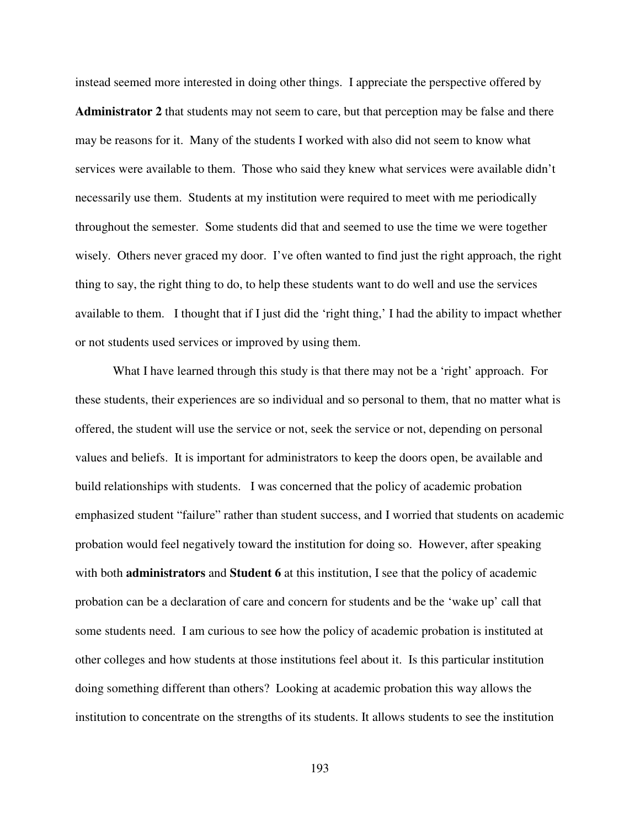instead seemed more interested in doing other things. I appreciate the perspective offered by **Administrator 2** that students may not seem to care, but that perception may be false and there may be reasons for it. Many of the students I worked with also did not seem to know what services were available to them. Those who said they knew what services were available didn't necessarily use them. Students at my institution were required to meet with me periodically throughout the semester. Some students did that and seemed to use the time we were together wisely. Others never graced my door. I've often wanted to find just the right approach, the right thing to say, the right thing to do, to help these students want to do well and use the services available to them. I thought that if I just did the 'right thing,' I had the ability to impact whether or not students used services or improved by using them.

What I have learned through this study is that there may not be a 'right' approach. For these students, their experiences are so individual and so personal to them, that no matter what is offered, the student will use the service or not, seek the service or not, depending on personal values and beliefs. It is important for administrators to keep the doors open, be available and build relationships with students. I was concerned that the policy of academic probation emphasized student "failure" rather than student success, and I worried that students on academic probation would feel negatively toward the institution for doing so. However, after speaking with both **administrators** and **Student 6** at this institution, I see that the policy of academic probation can be a declaration of care and concern for students and be the 'wake up' call that some students need. I am curious to see how the policy of academic probation is instituted at other colleges and how students at those institutions feel about it. Is this particular institution doing something different than others? Looking at academic probation this way allows the institution to concentrate on the strengths of its students. It allows students to see the institution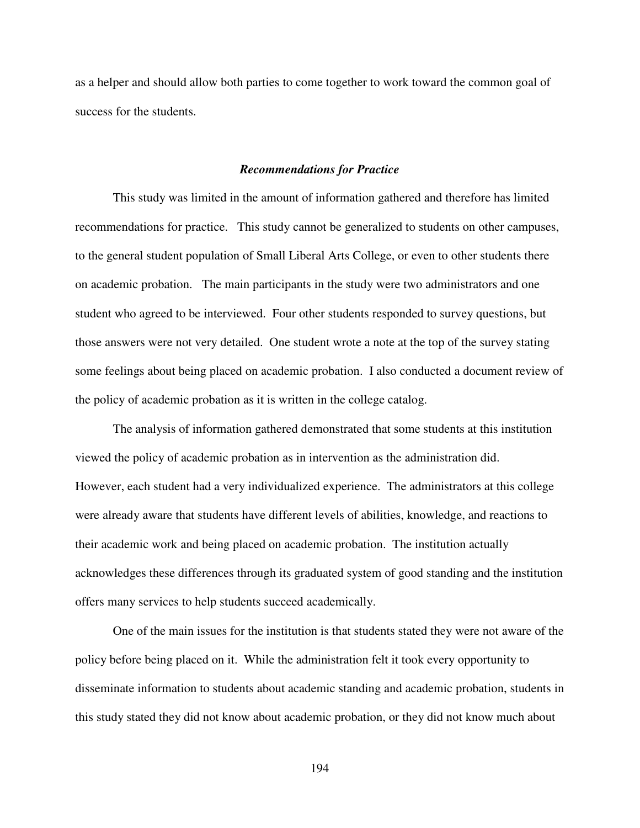as a helper and should allow both parties to come together to work toward the common goal of success for the students.

### *Recommendations for Practice*

This study was limited in the amount of information gathered and therefore has limited recommendations for practice. This study cannot be generalized to students on other campuses, to the general student population of Small Liberal Arts College, or even to other students there on academic probation. The main participants in the study were two administrators and one student who agreed to be interviewed. Four other students responded to survey questions, but those answers were not very detailed. One student wrote a note at the top of the survey stating some feelings about being placed on academic probation. I also conducted a document review of the policy of academic probation as it is written in the college catalog.

The analysis of information gathered demonstrated that some students at this institution viewed the policy of academic probation as in intervention as the administration did. However, each student had a very individualized experience. The administrators at this college were already aware that students have different levels of abilities, knowledge, and reactions to their academic work and being placed on academic probation. The institution actually acknowledges these differences through its graduated system of good standing and the institution offers many services to help students succeed academically.

One of the main issues for the institution is that students stated they were not aware of the policy before being placed on it. While the administration felt it took every opportunity to disseminate information to students about academic standing and academic probation, students in this study stated they did not know about academic probation, or they did not know much about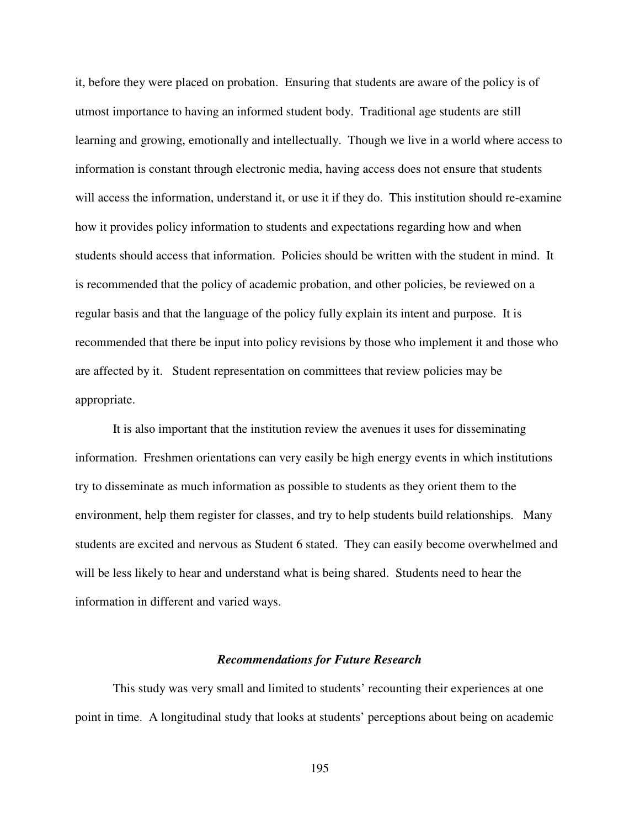it, before they were placed on probation. Ensuring that students are aware of the policy is of utmost importance to having an informed student body. Traditional age students are still learning and growing, emotionally and intellectually. Though we live in a world where access to information is constant through electronic media, having access does not ensure that students will access the information, understand it, or use it if they do. This institution should re-examine how it provides policy information to students and expectations regarding how and when students should access that information. Policies should be written with the student in mind. It is recommended that the policy of academic probation, and other policies, be reviewed on a regular basis and that the language of the policy fully explain its intent and purpose. It is recommended that there be input into policy revisions by those who implement it and those who are affected by it. Student representation on committees that review policies may be appropriate.

It is also important that the institution review the avenues it uses for disseminating information. Freshmen orientations can very easily be high energy events in which institutions try to disseminate as much information as possible to students as they orient them to the environment, help them register for classes, and try to help students build relationships. Many students are excited and nervous as Student 6 stated. They can easily become overwhelmed and will be less likely to hear and understand what is being shared. Students need to hear the information in different and varied ways.

### *Recommendations for Future Research*

 This study was very small and limited to students' recounting their experiences at one point in time. A longitudinal study that looks at students' perceptions about being on academic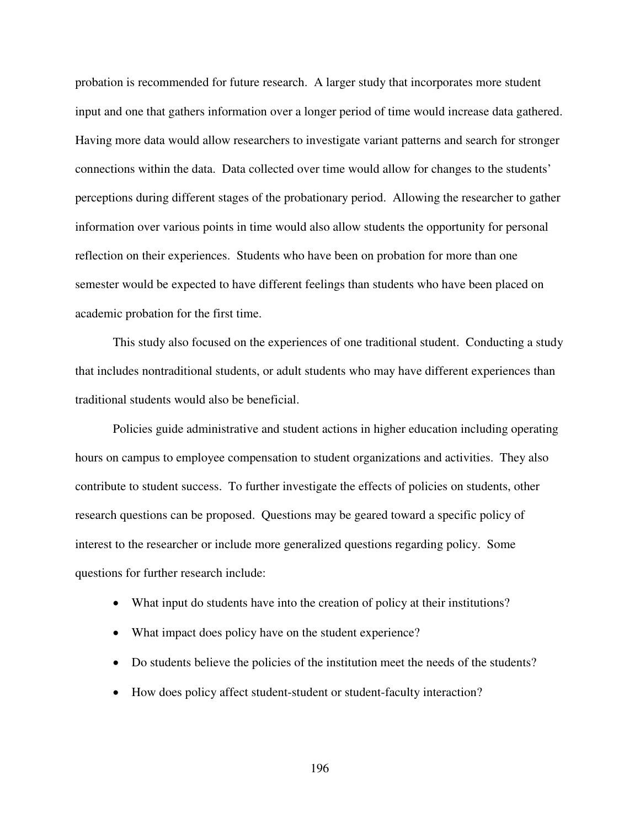probation is recommended for future research. A larger study that incorporates more student input and one that gathers information over a longer period of time would increase data gathered. Having more data would allow researchers to investigate variant patterns and search for stronger connections within the data. Data collected over time would allow for changes to the students' perceptions during different stages of the probationary period. Allowing the researcher to gather information over various points in time would also allow students the opportunity for personal reflection on their experiences. Students who have been on probation for more than one semester would be expected to have different feelings than students who have been placed on academic probation for the first time.

 This study also focused on the experiences of one traditional student. Conducting a study that includes nontraditional students, or adult students who may have different experiences than traditional students would also be beneficial.

 Policies guide administrative and student actions in higher education including operating hours on campus to employee compensation to student organizations and activities. They also contribute to student success. To further investigate the effects of policies on students, other research questions can be proposed. Questions may be geared toward a specific policy of interest to the researcher or include more generalized questions regarding policy. Some questions for further research include:

- What input do students have into the creation of policy at their institutions?
- What impact does policy have on the student experience?
- Do students believe the policies of the institution meet the needs of the students?
- How does policy affect student-student or student-faculty interaction?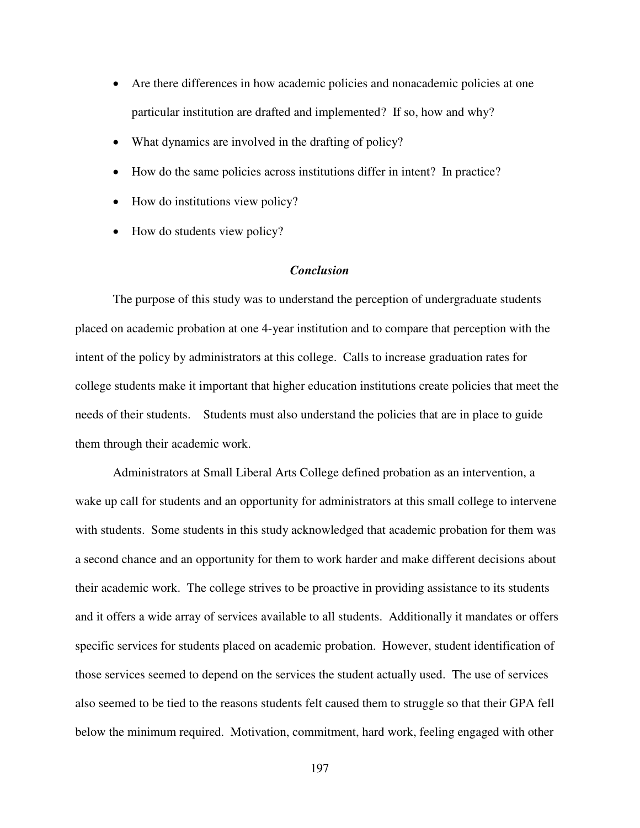- Are there differences in how academic policies and nonacademic policies at one particular institution are drafted and implemented? If so, how and why?
- What dynamics are involved in the drafting of policy?
- How do the same policies across institutions differ in intent? In practice?
- How do institutions view policy?
- How do students view policy?

### *Conclusion*

The purpose of this study was to understand the perception of undergraduate students placed on academic probation at one 4-year institution and to compare that perception with the intent of the policy by administrators at this college. Calls to increase graduation rates for college students make it important that higher education institutions create policies that meet the needs of their students. Students must also understand the policies that are in place to guide them through their academic work.

Administrators at Small Liberal Arts College defined probation as an intervention, a wake up call for students and an opportunity for administrators at this small college to intervene with students. Some students in this study acknowledged that academic probation for them was a second chance and an opportunity for them to work harder and make different decisions about their academic work. The college strives to be proactive in providing assistance to its students and it offers a wide array of services available to all students. Additionally it mandates or offers specific services for students placed on academic probation. However, student identification of those services seemed to depend on the services the student actually used. The use of services also seemed to be tied to the reasons students felt caused them to struggle so that their GPA fell below the minimum required. Motivation, commitment, hard work, feeling engaged with other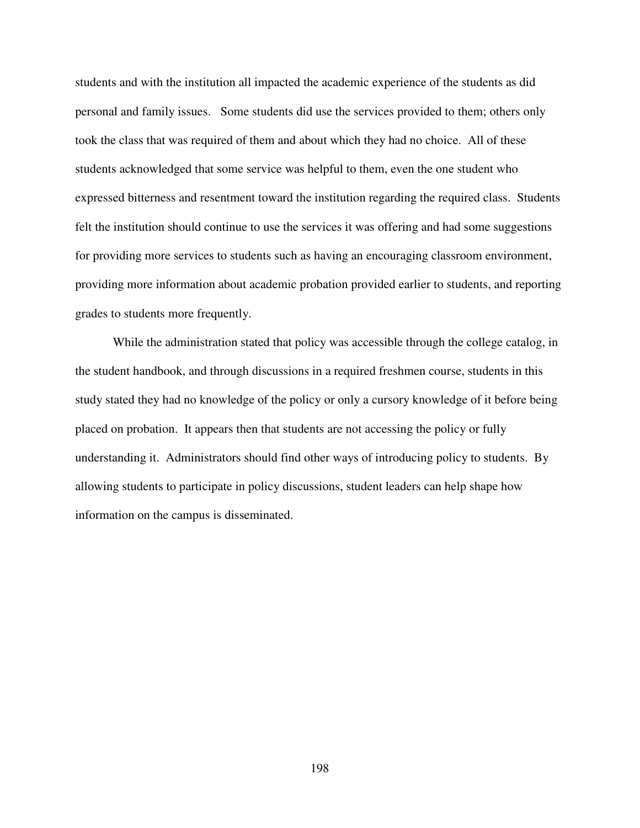students and with the institution all impacted the academic experience of the students as did personal and family issues. Some students did use the services provided to them; others only took the class that was required of them and about which they had no choice. All of these students acknowledged that some service was helpful to them, even the one student who expressed bitterness and resentment toward the institution regarding the required class. Students felt the institution should continue to use the services it was offering and had some suggestions for providing more services to students such as having an encouraging classroom environment, providing more information about academic probation provided earlier to students, and reporting grades to students more frequently.

 While the administration stated that policy was accessible through the college catalog, in the student handbook, and through discussions in a required freshmen course, students in this study stated they had no knowledge of the policy or only a cursory knowledge of it before being placed on probation. It appears then that students are not accessing the policy or fully understanding it. Administrators should find other ways of introducing policy to students. By allowing students to participate in policy discussions, student leaders can help shape how information on the campus is disseminated.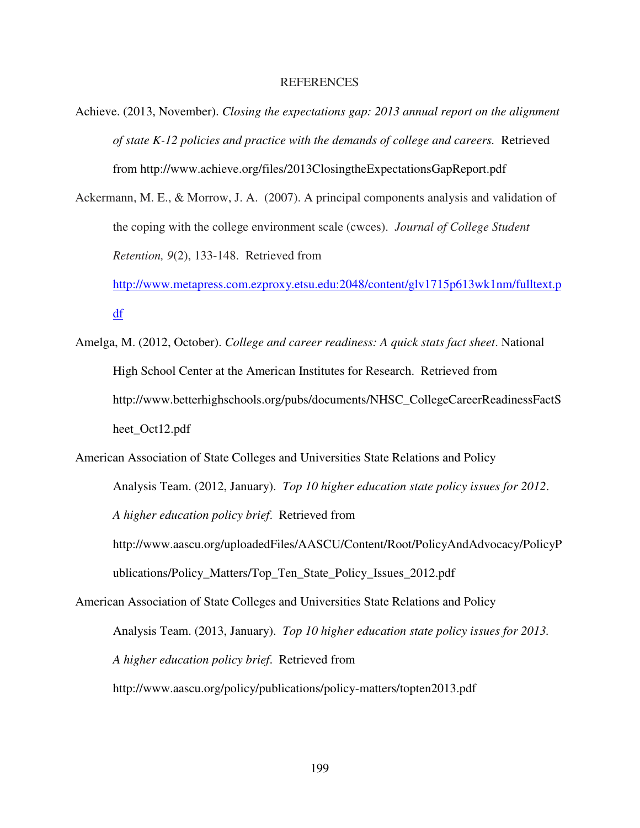### REFERENCES

- Achieve. (2013, November). *Closing the expectations gap: 2013 annual report on the alignment of state K-12 policies and practice with the demands of college and careers.* Retrieved from http://www.achieve.org/files/2013ClosingtheExpectationsGapReport.pdf
- Ackermann, M. E., & Morrow, J. A. (2007). A principal components analysis and validation of the coping with the college environment scale (cwces). *Journal of College Student Retention, 9*(2), 133-148. Retrieved from

http://www.metapress.com.ezproxy.etsu.edu:2048/content/glv1715p613wk1nm/fulltext.p df

Amelga, M. (2012, October). *College and career readiness: A quick stats fact sheet*. National High School Center at the American Institutes for Research. Retrieved from http://www.betterhighschools.org/pubs/documents/NHSC\_CollegeCareerReadinessFactS heet\_Oct12.pdf

American Association of State Colleges and Universities State Relations and Policy Analysis Team. (2012, January). *Top 10 higher education state policy issues for 2012*. *A higher education policy brief*. Retrieved from http://www.aascu.org/uploadedFiles/AASCU/Content/Root/PolicyAndAdvocacy/PolicyP ublications/Policy\_Matters/Top\_Ten\_State\_Policy\_Issues\_2012.pdf

American Association of State Colleges and Universities State Relations and Policy Analysis Team. (2013, January). *Top 10 higher education state policy issues for 2013. A higher education policy brief*. Retrieved from http://www.aascu.org/policy/publications/policy-matters/topten2013.pdf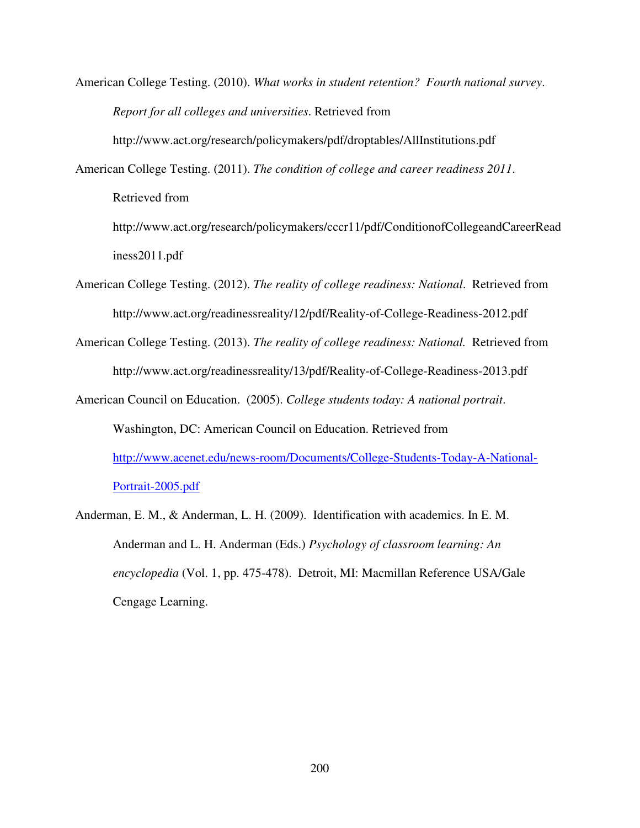American College Testing. (2010). *What works in student retention? Fourth national survey*. *Report for all colleges and universities*. Retrieved from

http://www.act.org/research/policymakers/pdf/droptables/AllInstitutions.pdf

American College Testing. (2011). *The condition of college and career readiness 2011*. Retrieved from

http://www.act.org/research/policymakers/cccr11/pdf/ConditionofCollegeandCareerRead iness2011.pdf

- American College Testing. (2012). *The reality of college readiness: National*. Retrieved from http://www.act.org/readinessreality/12/pdf/Reality-of-College-Readiness-2012.pdf
- American College Testing. (2013). *The reality of college readiness: National.* Retrieved from http://www.act.org/readinessreality/13/pdf/Reality-of-College-Readiness-2013.pdf
- American Council on Education. (2005). *College students today: A national portrait*. Washington, DC: American Council on Education. Retrieved from http://www.acenet.edu/news-room/Documents/College-Students-Today-A-National-Portrait-2005.pdf
- Anderman, E. M., & Anderman, L. H. (2009). Identification with academics. In E. M. Anderman and L. H. Anderman (Eds.) *Psychology of classroom learning: An encyclopedia* (Vol. 1, pp. 475-478). Detroit, MI: Macmillan Reference USA/Gale Cengage Learning.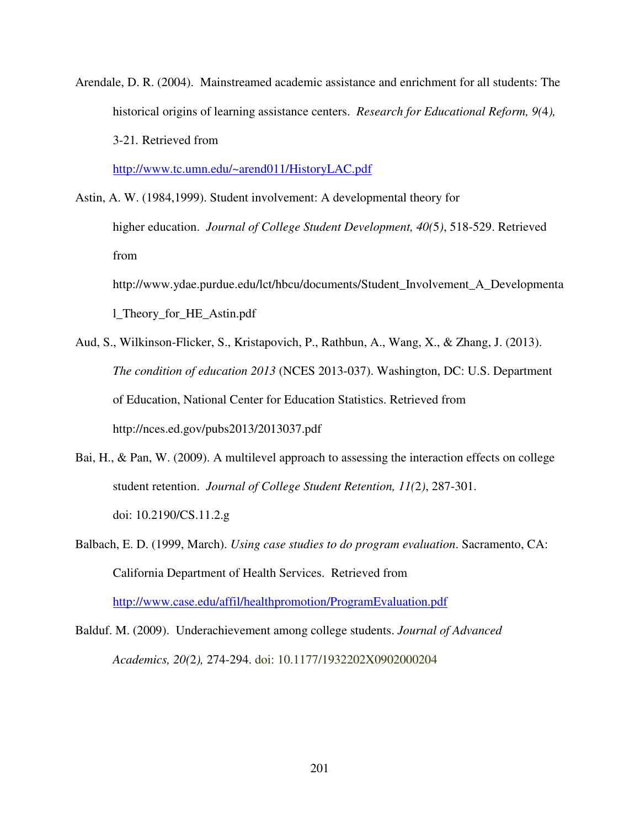Arendale, D. R. (2004). Mainstreamed academic assistance and enrichment for all students: The historical origins of learning assistance centers. *Research for Educational Reform, 9(*4*),*  3-21*.* Retrieved from

http://www.tc.umn.edu/~arend011/HistoryLAC.pdf

- Astin, A. W. (1984,1999). Student involvement: A developmental theory for higher education. *Journal of College Student Development, 40(*5*)*, 518-529. Retrieved from http://www.ydae.purdue.edu/lct/hbcu/documents/Student\_Involvement\_A\_Developmenta l\_Theory\_for\_HE\_Astin.pdf
- Aud, S., Wilkinson-Flicker, S., Kristapovich, P., Rathbun, A., Wang, X., & Zhang, J. (2013). *The condition of education 2013* (NCES 2013-037). Washington, DC: U.S. Department of Education, National Center for Education Statistics. Retrieved from http://nces.ed.gov/pubs2013/2013037.pdf
- Bai, H., & Pan, W. (2009). A multilevel approach to assessing the interaction effects on college student retention. *Journal of College Student Retention, 11(*2*)*, 287-301. doi: 10.2190/CS.11.2.g
- Balbach, E. D. (1999, March). *Using case studies to do program evaluation*. Sacramento, CA: California Department of Health Services. Retrieved from http://www.case.edu/affil/healthpromotion/ProgramEvaluation.pdf

Balduf. M. (2009). Underachievement among college students. *Journal of Advanced Academics, 20(*2*),* 274-294. doi: 10.1177/1932202X0902000204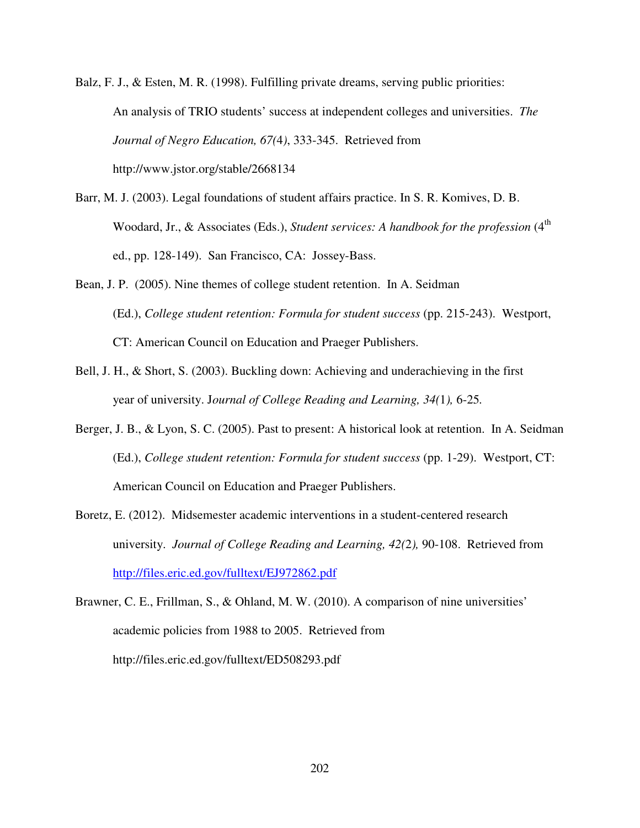Balz, F. J., & Esten, M. R. (1998). Fulfilling private dreams, serving public priorities: An analysis of TRIO students' success at independent colleges and universities. *The Journal of Negro Education, 67(*4*)*, 333-345. Retrieved from http://www.jstor.org/stable/2668134

- Barr, M. J. (2003). Legal foundations of student affairs practice. In S. R. Komives, D. B. Woodard, Jr., & Associates (Eds.), *Student services: A handbook for the profession* (4<sup>th</sup> ed., pp. 128-149). San Francisco, CA: Jossey-Bass.
- Bean, J. P. (2005). Nine themes of college student retention. In A. Seidman (Ed.), *College student retention: Formula for student success* (pp. 215-243). Westport, CT: American Council on Education and Praeger Publishers.
- Bell, J. H., & Short, S. (2003). Buckling down: Achieving and underachieving in the first year of university. J*ournal of College Reading and Learning, 34(*1*),* 6-25*.*
- Berger, J. B., & Lyon, S. C. (2005). Past to present: A historical look at retention. In A. Seidman (Ed.), *College student retention: Formula for student success* (pp. 1-29). Westport, CT: American Council on Education and Praeger Publishers.
- Boretz, E. (2012). Midsemester academic interventions in a student-centered research university. *Journal of College Reading and Learning, 42(*2*),* 90-108. Retrieved from http://files.eric.ed.gov/fulltext/EJ972862.pdf
- Brawner, C. E., Frillman, S., & Ohland, M. W. (2010). A comparison of nine universities' academic policies from 1988 to 2005. Retrieved from http://files.eric.ed.gov/fulltext/ED508293.pdf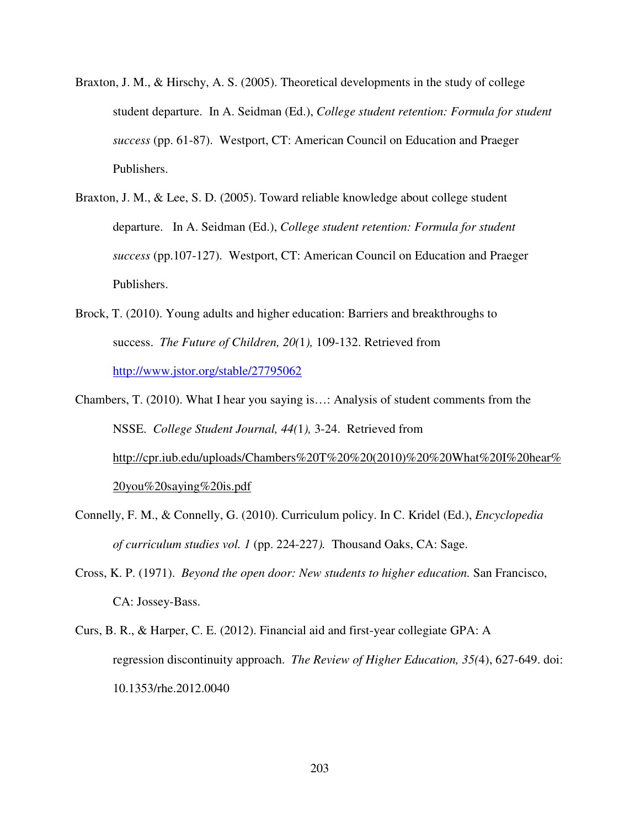- Braxton, J. M., & Hirschy, A. S. (2005). Theoretical developments in the study of college student departure. In A. Seidman (Ed.), *College student retention: Formula for student success* (pp. 61-87). Westport, CT: American Council on Education and Praeger Publishers.
- Braxton, J. M., & Lee, S. D. (2005). Toward reliable knowledge about college student departure. In A. Seidman (Ed.), *College student retention: Formula for student success* (pp.107-127). Westport, CT: American Council on Education and Praeger Publishers.
- Brock, T. (2010). Young adults and higher education: Barriers and breakthroughs to success. *The Future of Children, 20(*1*),* 109-132. Retrieved from http://www.jstor.org/stable/27795062
- Chambers, T. (2010). What I hear you saying is…: Analysis of student comments from the NSSE. *College Student Journal, 44(*1*),* 3-24. Retrieved from http://cpr.iub.edu/uploads/Chambers%20T%20%20(2010)%20%20What%20I%20hear% 20you%20saying%20is.pdf
- Connelly, F. M., & Connelly, G. (2010). Curriculum policy. In C. Kridel (Ed.), *Encyclopedia of curriculum studies vol. 1* (pp. 224-227*).* Thousand Oaks, CA: Sage.
- Cross, K. P. (1971). *Beyond the open door: New students to higher education.* San Francisco, CA: Jossey-Bass.
- Curs, B. R., & Harper, C. E. (2012). Financial aid and first-year collegiate GPA: A regression discontinuity approach. *The Review of Higher Education, 35(*4), 627-649. doi: 10.1353/rhe.2012.0040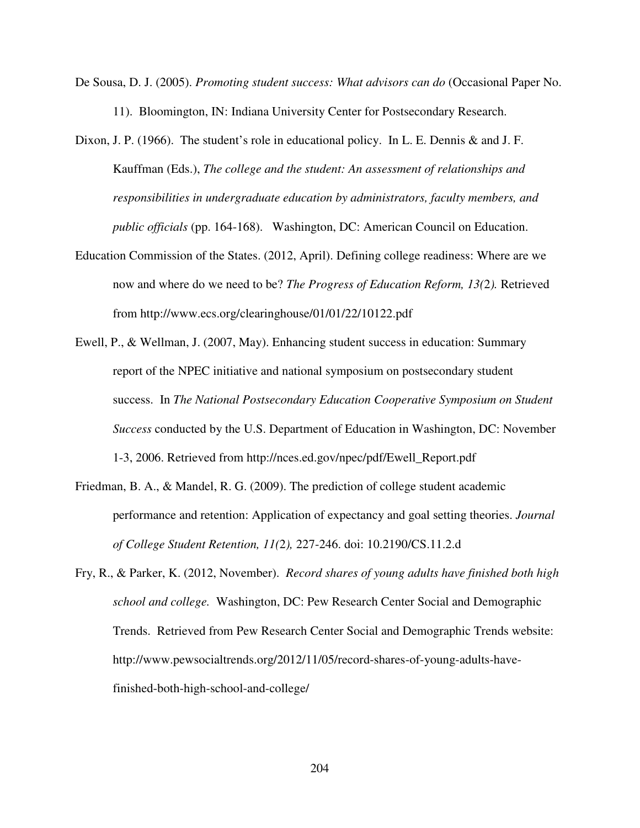- De Sousa, D. J. (2005). *Promoting student success: What advisors can do* (Occasional Paper No. 11). Bloomington, IN: Indiana University Center for Postsecondary Research.
- Dixon, J. P. (1966). The student's role in educational policy. In L. E. Dennis & and J. F. Kauffman (Eds.), *The college and the student: An assessment of relationships and responsibilities in undergraduate education by administrators, faculty members, and public officials* (pp. 164-168). Washington, DC: American Council on Education.
- Education Commission of the States. (2012, April). Defining college readiness: Where are we now and where do we need to be? *The Progress of Education Reform, 13(*2*).* Retrieved from http://www.ecs.org/clearinghouse/01/01/22/10122.pdf
- Ewell, P., & Wellman, J. (2007, May). Enhancing student success in education: Summary report of the NPEC initiative and national symposium on postsecondary student success. In *The National Postsecondary Education Cooperative Symposium on Student Success* conducted by the U.S. Department of Education in Washington, DC: November 1-3, 2006. Retrieved from http://nces.ed.gov/npec/pdf/Ewell\_Report.pdf
- Friedman, B. A., & Mandel, R. G. (2009). The prediction of college student academic performance and retention: Application of expectancy and goal setting theories. *Journal of College Student Retention, 11(*2*),* 227-246. doi: 10.2190/CS.11.2.d
- Fry, R., & Parker, K. (2012, November). *Record shares of young adults have finished both high school and college.* Washington, DC: Pew Research Center Social and Demographic Trends. Retrieved from Pew Research Center Social and Demographic Trends website: http://www.pewsocialtrends.org/2012/11/05/record-shares-of-young-adults-havefinished-both-high-school-and-college/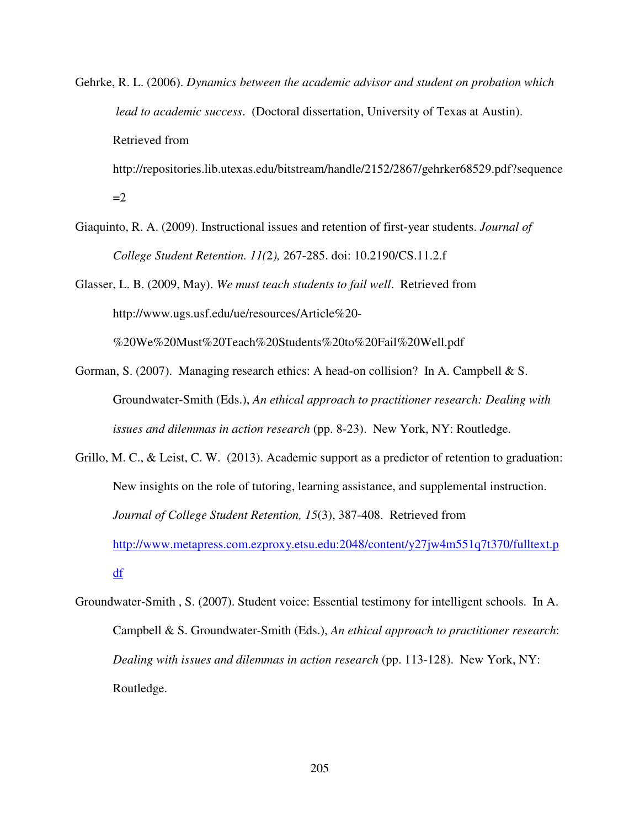Gehrke, R. L. (2006). *Dynamics between the academic advisor and student on probation which lead to academic success*. (Doctoral dissertation, University of Texas at Austin). Retrieved from

http://repositories.lib.utexas.edu/bitstream/handle/2152/2867/gehrker68529.pdf?sequence  $=2$ 

Giaquinto, R. A. (2009). Instructional issues and retention of first-year students. *Journal of College Student Retention. 11(*2*),* 267-285. doi: 10.2190/CS.11.2.f

Glasser, L. B. (2009, May). *We must teach students to fail well*. Retrieved from http://www.ugs.usf.edu/ue/resources/Article%20-

%20We%20Must%20Teach%20Students%20to%20Fail%20Well.pdf

- Gorman, S. (2007). Managing research ethics: A head-on collision? In A. Campbell & S. Groundwater-Smith (Eds.), *An ethical approach to practitioner research: Dealing with issues and dilemmas in action research* (pp. 8-23). New York, NY: Routledge.
- Grillo, M. C., & Leist, C. W. (2013). Academic support as a predictor of retention to graduation: New insights on the role of tutoring, learning assistance, and supplemental instruction. *Journal of College Student Retention, 15*(3), 387-408. Retrieved from http://www.metapress.com.ezproxy.etsu.edu:2048/content/y27jw4m551q7t370/fulltext.p df
- Groundwater-Smith , S. (2007). Student voice: Essential testimony for intelligent schools. In A. Campbell & S. Groundwater-Smith (Eds.), *An ethical approach to practitioner research*: *Dealing with issues and dilemmas in action research* (pp. 113-128). New York, NY: Routledge.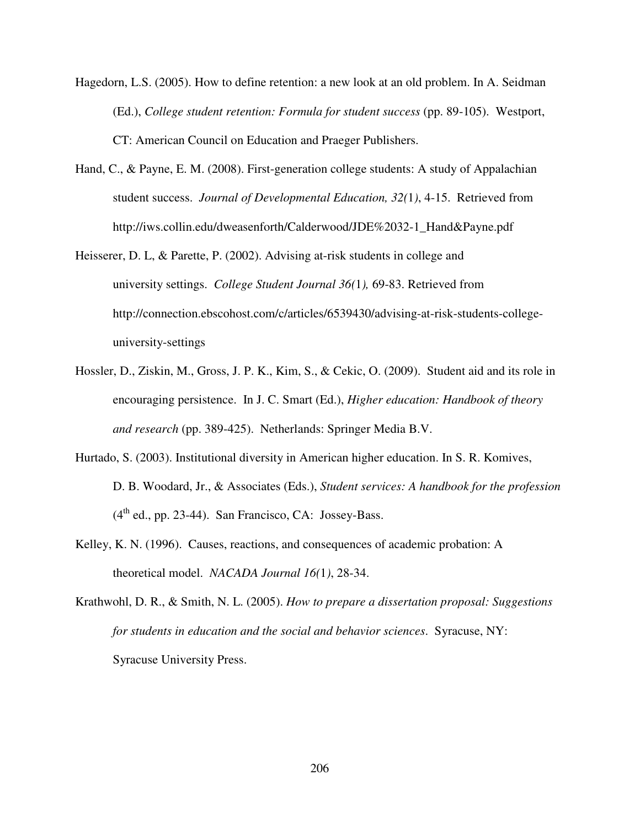- Hagedorn, L.S. (2005). How to define retention: a new look at an old problem. In A. Seidman (Ed.), *College student retention: Formula for student success* (pp. 89-105). Westport, CT: American Council on Education and Praeger Publishers.
- Hand, C., & Payne, E. M. (2008). First-generation college students: A study of Appalachian student success. *Journal of Developmental Education, 32(*1*)*, 4-15. Retrieved from http://iws.collin.edu/dweasenforth/Calderwood/JDE%2032-1\_Hand&Payne.pdf
- Heisserer, D. L, & Parette, P. (2002). Advising at-risk students in college and university settings. *College Student Journal 36(*1*),* 69-83. Retrieved from http://connection.ebscohost.com/c/articles/6539430/advising-at-risk-students-collegeuniversity-settings
- Hossler, D., Ziskin, M., Gross, J. P. K., Kim, S., & Cekic, O. (2009). Student aid and its role in encouraging persistence. In J. C. Smart (Ed.), *Higher education: Handbook of theory and research* (pp. 389-425). Netherlands: Springer Media B.V.
- Hurtado, S. (2003). Institutional diversity in American higher education. In S. R. Komives, D. B. Woodard, Jr., & Associates (Eds.), *Student services: A handbook for the profession*  $(4<sup>th</sup>$  ed., pp. 23-44). San Francisco, CA: Jossey-Bass.
- Kelley, K. N. (1996). Causes, reactions, and consequences of academic probation: A theoretical model. *NACADA Journal 16(*1*)*, 28-34.
- Krathwohl, D. R., & Smith, N. L. (2005). *How to prepare a dissertation proposal: Suggestions for students in education and the social and behavior sciences*. Syracuse, NY: Syracuse University Press.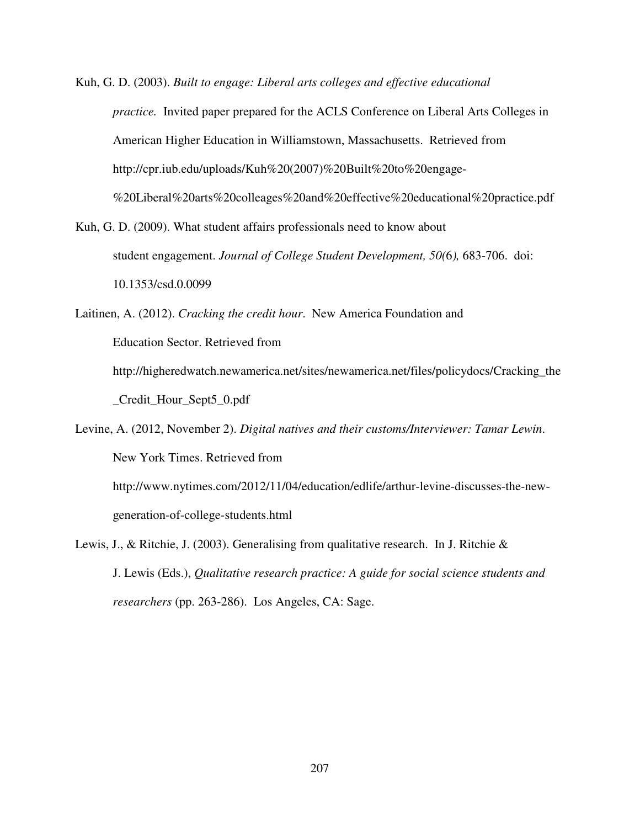Kuh, G. D. (2003). *Built to engage: Liberal arts colleges and effective educational practice.* Invited paper prepared for the ACLS Conference on Liberal Arts Colleges in American Higher Education in Williamstown, Massachusetts. Retrieved from http://cpr.iub.edu/uploads/Kuh%20(2007)%20Built%20to%20engage- %20Liberal%20arts%20colleages%20and%20effective%20educational%20practice.pdf

Kuh, G. D. (2009). What student affairs professionals need to know about student engagement. *Journal of College Student Development, 50(*6*),* 683-706. doi: 10.1353/csd.0.0099

Laitinen, A. (2012). *Cracking the credit hour*. New America Foundation and Education Sector. Retrieved from http://higheredwatch.newamerica.net/sites/newamerica.net/files/policydocs/Cracking\_the \_Credit\_Hour\_Sept5\_0.pdf

Levine, A. (2012, November 2). *Digital natives and their customs/Interviewer: Tamar Lewin*. New York Times. Retrieved from http://www.nytimes.com/2012/11/04/education/edlife/arthur-levine-discusses-the-new-

Lewis, J., & Ritchie, J. (2003). Generalising from qualitative research. In J. Ritchie & J. Lewis (Eds.), *Qualitative research practice: A guide for social science students and* 

 *researchers* (pp. 263-286). Los Angeles, CA: Sage.

generation-of-college-students.html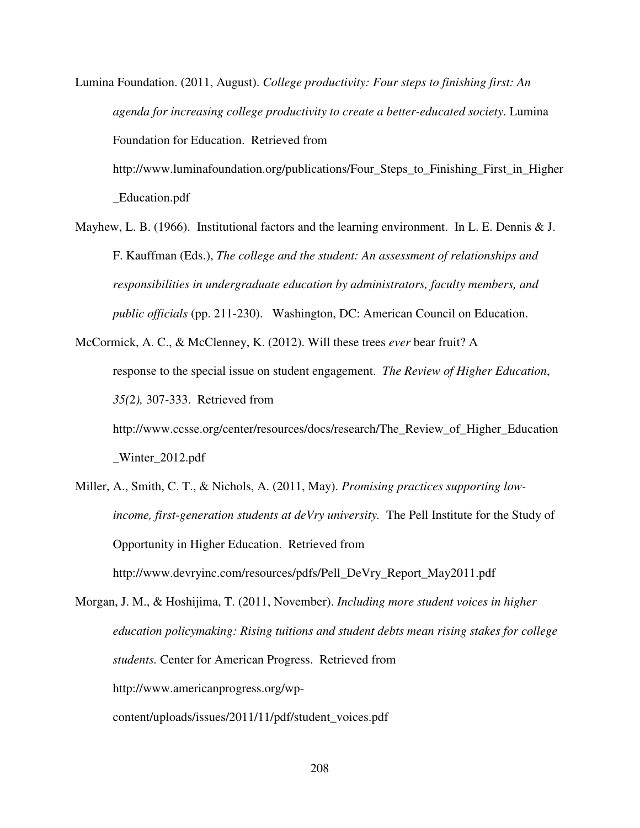Lumina Foundation. (2011, August). *College productivity: Four steps to finishing first: An agenda for increasing college productivity to create a better-educated society*. Lumina Foundation for Education. Retrieved from

http://www.luminafoundation.org/publications/Four\_Steps\_to\_Finishing\_First\_in\_Higher \_Education.pdf

- Mayhew, L. B. (1966). Institutional factors and the learning environment. In L. E. Dennis & J. F. Kauffman (Eds.), *The college and the student: An assessment of relationships and responsibilities in undergraduate education by administrators, faculty members, and public officials* (pp. 211-230). Washington, DC: American Council on Education.
- McCormick, A. C., & McClenney, K. (2012). Will these trees *ever* bear fruit? A response to the special issue on student engagement. *The Review of Higher Education*, *35(*2*),* 307-333. Retrieved from http://www.ccsse.org/center/resources/docs/research/The\_Review\_of\_Higher\_Education

\_Winter\_2012.pdf

- Miller, A., Smith, C. T., & Nichols, A. (2011, May). *Promising practices supporting low income, first-generation students at deVry university.* The Pell Institute for the Study of Opportunity in Higher Education. Retrieved from http://www.devryinc.com/resources/pdfs/Pell\_DeVry\_Report\_May2011.pdf
- Morgan, J. M., & Hoshijima, T. (2011, November). *Including more student voices in higher education policymaking: Rising tuitions and student debts mean rising stakes for college students.* Center for American Progress. Retrieved from http://www.americanprogress.org/wpcontent/uploads/issues/2011/11/pdf/student\_voices.pdf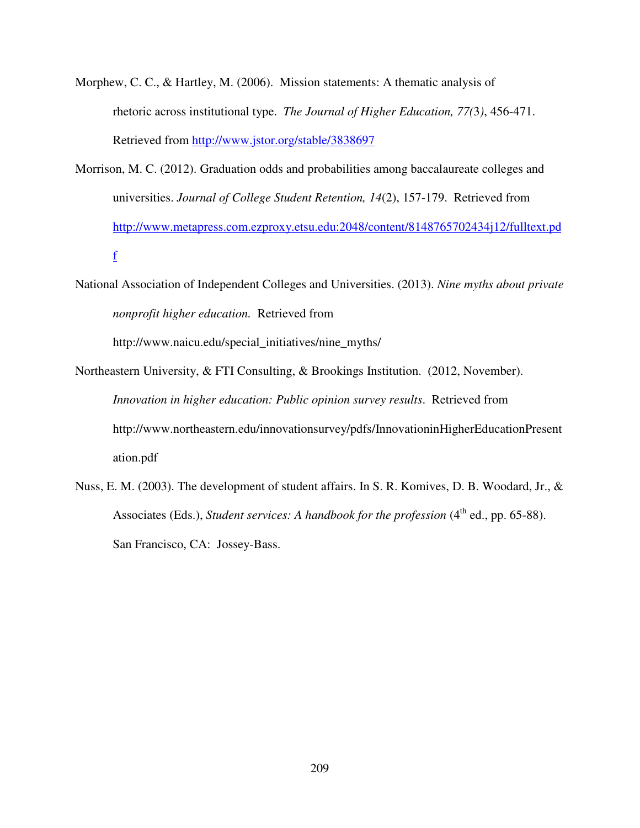- Morphew, C. C., & Hartley, M. (2006). Mission statements: A thematic analysis of rhetoric across institutional type. *The Journal of Higher Education, 77(*3*)*, 456-471. Retrieved from http://www.jstor.org/stable/3838697
- Morrison, M. C. (2012). Graduation odds and probabilities among baccalaureate colleges and universities. *Journal of College Student Retention, 14*(2), 157-179. Retrieved from http://www.metapress.com.ezproxy.etsu.edu:2048/content/8148765702434j12/fulltext.pd f
- National Association of Independent Colleges and Universities. (2013). *Nine myths about private nonprofit higher education.* Retrieved from

http://www.naicu.edu/special\_initiatives/nine\_myths/

- Northeastern University, & FTI Consulting, & Brookings Institution. (2012, November). *Innovation in higher education: Public opinion survey results*. Retrieved from http://www.northeastern.edu/innovationsurvey/pdfs/InnovationinHigherEducationPresent ation.pdf
- Nuss, E. M. (2003). The development of student affairs. In S. R. Komives, D. B. Woodard, Jr., & Associates (Eds.), *Student services: A handbook for the profession* (4<sup>th</sup> ed., pp. 65-88). San Francisco, CA: Jossey-Bass.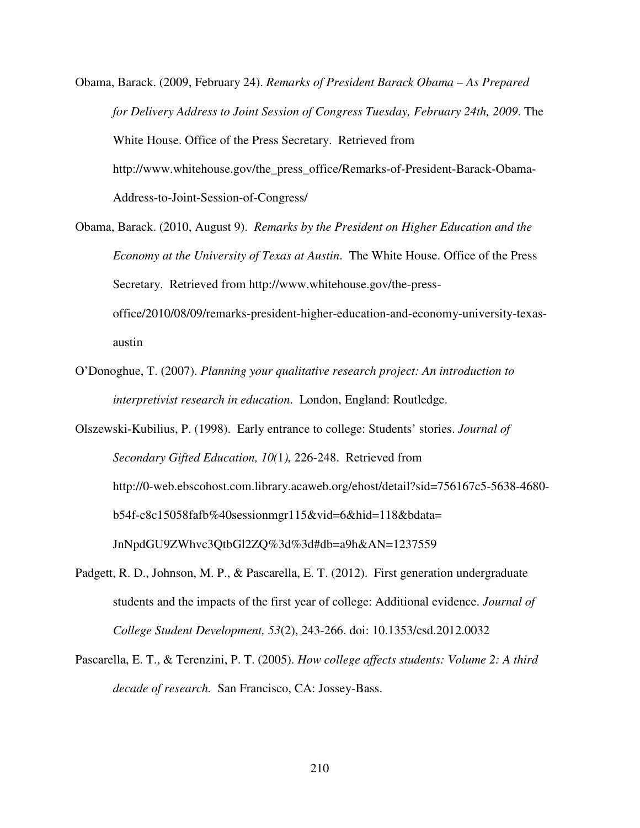- Obama, Barack. (2009, February 24). *Remarks of President Barack Obama As Prepared for Delivery Address to Joint Session of Congress Tuesday, February 24th, 2009*. The White House. Office of the Press Secretary. Retrieved from http://www.whitehouse.gov/the\_press\_office/Remarks-of-President-Barack-Obama-Address-to-Joint-Session-of-Congress/
- Obama, Barack. (2010, August 9). *Remarks by the President on Higher Education and the Economy at the University of Texas at Austin*. The White House. Office of the Press Secretary. Retrieved from http://www.whitehouse.gov/the-pressoffice/2010/08/09/remarks-president-higher-education-and-economy-university-texasaustin
- O'Donoghue, T. (2007). *Planning your qualitative research project: An introduction to interpretivist research in education*. London, England: Routledge.
- Olszewski-Kubilius, P. (1998). Early entrance to college: Students' stories. *Journal of Secondary Gifted Education, 10(*1*),* 226-248. Retrieved from http://0-web.ebscohost.com.library.acaweb.org/ehost/detail?sid=756167c5-5638-4680 b54f-c8c15058fafb%40sessionmgr115&vid=6&hid=118&bdata= JnNpdGU9ZWhvc3QtbGl2ZQ%3d%3d#db=a9h&AN=1237559
- Padgett, R. D., Johnson, M. P., & Pascarella, E. T. (2012). First generation undergraduate students and the impacts of the first year of college: Additional evidence. *Journal of College Student Development, 53*(2), 243-266. doi: 10.1353/csd.2012.0032
- Pascarella, E. T., & Terenzini, P. T. (2005). *How college affects students: Volume 2: A third decade of research.* San Francisco, CA: Jossey-Bass.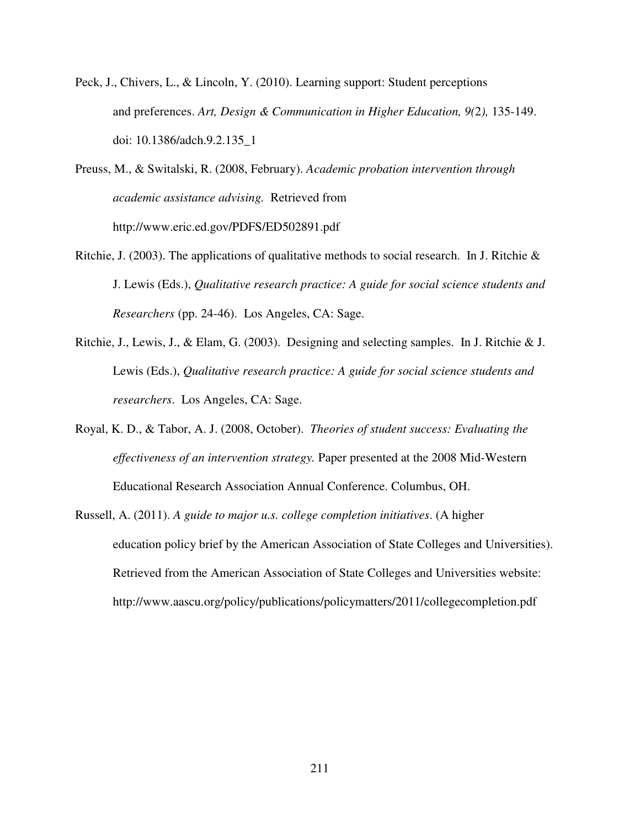- Peck, J., Chivers, L., & Lincoln, Y. (2010). Learning support: Student perceptions and preferences. *Art, Design & Communication in Higher Education, 9(*2*),* 135-149. doi: 10.1386/adch.9.2.135\_1
- Preuss, M., & Switalski, R. (2008, February). *Academic probation intervention through academic assistance advising.* Retrieved from http://www.eric.ed.gov/PDFS/ED502891.pdf
- Ritchie, J. (2003). The applications of qualitative methods to social research. In J. Ritchie & J. Lewis (Eds.), *Qualitative research practice: A guide for social science students and Researchers* (pp. 24-46). Los Angeles, CA: Sage.
- Ritchie, J., Lewis, J., & Elam, G. (2003). Designing and selecting samples. In J. Ritchie & J. Lewis (Eds.), *Qualitative research practice: A guide for social science students and researchers*. Los Angeles, CA: Sage.
- Royal, K. D., & Tabor, A. J. (2008, October). *Theories of student success: Evaluating the effectiveness of an intervention strategy.* Paper presented at the 2008 Mid-Western Educational Research Association Annual Conference. Columbus, OH.
- Russell, A. (2011). *A guide to major u.s. college completion initiatives*. (A higher education policy brief by the American Association of State Colleges and Universities). Retrieved from the American Association of State Colleges and Universities website: http://www.aascu.org/policy/publications/policymatters/2011/collegecompletion.pdf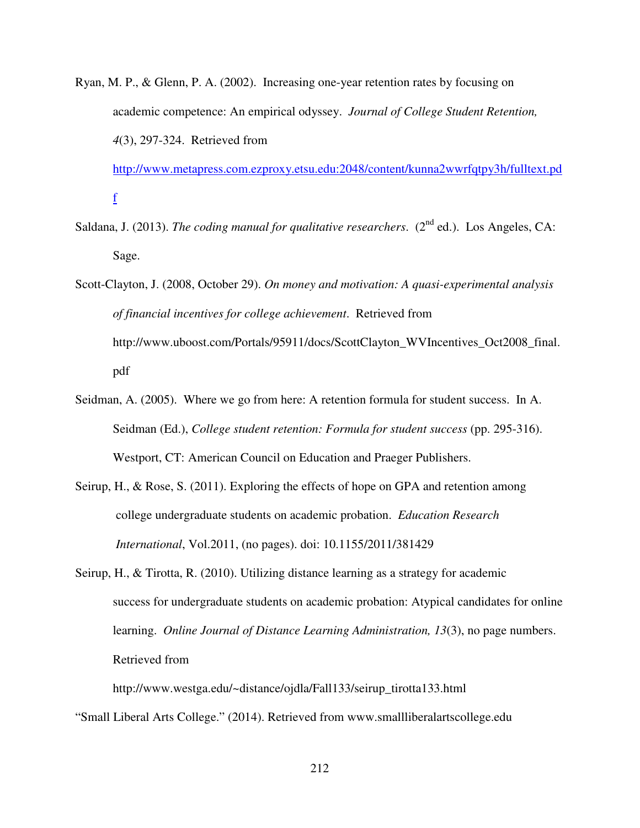Ryan, M. P., & Glenn, P. A. (2002). Increasing one-year retention rates by focusing on academic competence: An empirical odyssey. *Journal of College Student Retention, 4*(3), 297-324. Retrieved from

http://www.metapress.com.ezproxy.etsu.edu:2048/content/kunna2wwrfqtpy3h/fulltext.pd f

- Saldana, J. (2013). *The coding manual for qualitative researchers.* (2<sup>nd</sup> ed.). Los Angeles, CA: Sage.
- Scott-Clayton, J. (2008, October 29). *On money and motivation: A quasi-experimental analysis of financial incentives for college achievement*. Retrieved from http://www.uboost.com/Portals/95911/docs/ScottClayton\_WVIncentives\_Oct2008\_final. pdf
- Seidman, A. (2005). Where we go from here: A retention formula for student success. In A. Seidman (Ed.), *College student retention: Formula for student success* (pp. 295-316). Westport, CT: American Council on Education and Praeger Publishers.
- Seirup, H., & Rose, S. (2011). Exploring the effects of hope on GPA and retention among college undergraduate students on academic probation. *Education Research International*, Vol.2011, (no pages). doi: 10.1155/2011/381429
- Seirup, H., & Tirotta, R. (2010). Utilizing distance learning as a strategy for academic success for undergraduate students on academic probation: Atypical candidates for online learning. *Online Journal of Distance Learning Administration, 13*(3), no page numbers. Retrieved from

 http://www.westga.edu/~distance/ojdla/Fall133/seirup\_tirotta133.html "Small Liberal Arts College." (2014). Retrieved from www.smallliberalartscollege.edu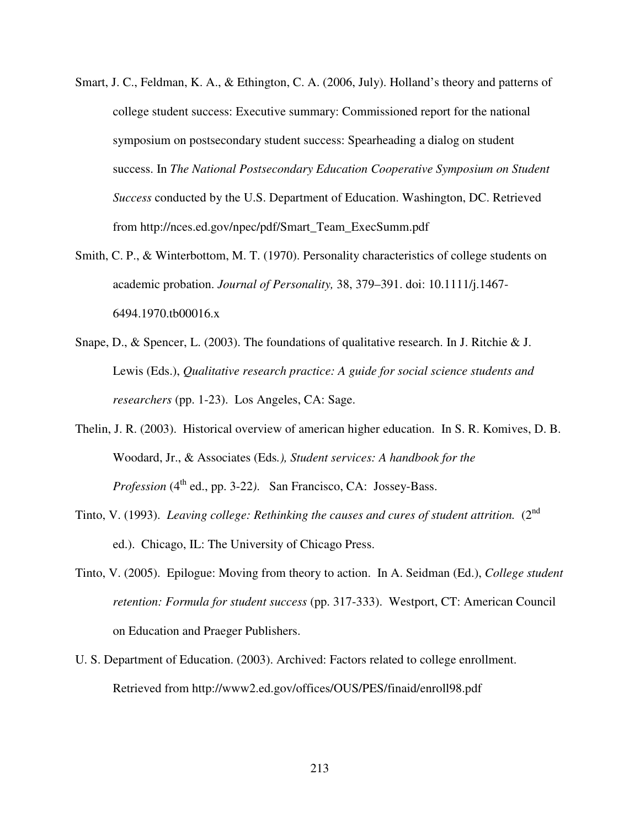- Smart, J. C., Feldman, K. A., & Ethington, C. A. (2006, July). Holland's theory and patterns of college student success: Executive summary: Commissioned report for the national symposium on postsecondary student success: Spearheading a dialog on student success. In *The National Postsecondary Education Cooperative Symposium on Student Success* conducted by the U.S. Department of Education. Washington, DC. Retrieved from http://nces.ed.gov/npec/pdf/Smart\_Team\_ExecSumm.pdf
- Smith, C. P., & Winterbottom, M. T. (1970). Personality characteristics of college students on academic probation. *Journal of Personality,* 38, 379–391. doi: 10.1111/j.1467- 6494.1970.tb00016.x
- Snape, D., & Spencer, L. (2003). The foundations of qualitative research. In J. Ritchie & J. Lewis (Eds.), *Qualitative research practice: A guide for social science students and researchers* (pp. 1-23). Los Angeles, CA: Sage.
- Thelin, J. R. (2003). Historical overview of american higher education. In S. R. Komives, D. B. Woodard, Jr., & Associates (Eds*.), Student services: A handbook for the Profession* (4<sup>th</sup> ed., pp. 3-22). San Francisco, CA: Jossey-Bass.
- Tinto, V. (1993). *Leaving college: Rethinking the causes and cures of student attrition.* (2<sup>nd</sup> ed.). Chicago, IL: The University of Chicago Press.
- Tinto, V. (2005). Epilogue: Moving from theory to action. In A. Seidman (Ed.), *College student retention: Formula for student success* (pp. 317-333). Westport, CT: American Council on Education and Praeger Publishers.
- U. S. Department of Education. (2003). Archived: Factors related to college enrollment. Retrieved from http://www2.ed.gov/offices/OUS/PES/finaid/enroll98.pdf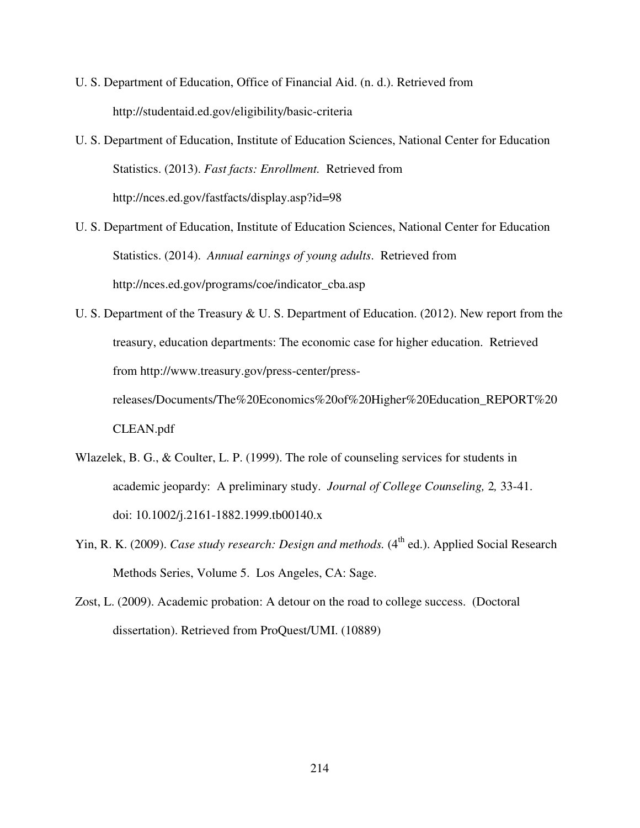- U. S. Department of Education, Office of Financial Aid. (n. d.). Retrieved from http://studentaid.ed.gov/eligibility/basic-criteria
- U. S. Department of Education, Institute of Education Sciences, National Center for Education Statistics. (2013). *Fast facts: Enrollment.* Retrieved from http://nces.ed.gov/fastfacts/display.asp?id=98
- U. S. Department of Education, Institute of Education Sciences, National Center for Education Statistics. (2014). *Annual earnings of young adults*. Retrieved from http://nces.ed.gov/programs/coe/indicator\_cba.asp
- U. S. Department of the Treasury & U. S. Department of Education. (2012). New report from the treasury, education departments: The economic case for higher education. Retrieved from http://www.treasury.gov/press-center/press-

releases/Documents/The%20Economics%20of%20Higher%20Education\_REPORT%20 CLEAN.pdf

- Wlazelek, B. G., & Coulter, L. P. (1999). The role of counseling services for students in academic jeopardy: A preliminary study. *Journal of College Counseling,* 2*,* 33-41. doi: 10.1002/j.2161-1882.1999.tb00140.x
- Yin, R. K. (2009). *Case study research: Design and methods*. (4<sup>th</sup> ed.). Applied Social Research Methods Series, Volume 5. Los Angeles, CA: Sage.
- Zost, L. (2009). Academic probation: A detour on the road to college success. (Doctoral dissertation). Retrieved from ProQuest/UMI. (10889)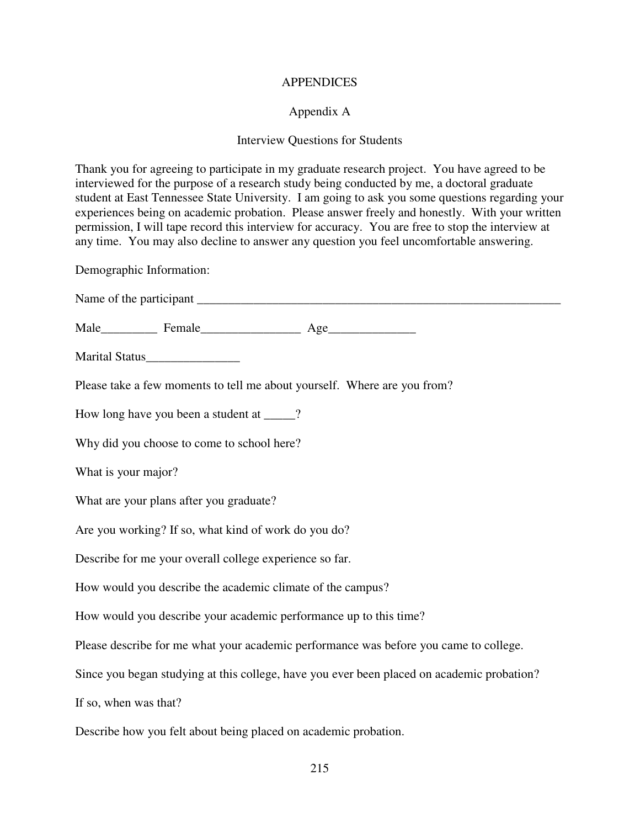### **APPENDICES**

# Appendix A

## Interview Questions for Students

Thank you for agreeing to participate in my graduate research project. You have agreed to be interviewed for the purpose of a research study being conducted by me, a doctoral graduate student at East Tennessee State University. I am going to ask you some questions regarding your experiences being on academic probation. Please answer freely and honestly. With your written permission, I will tape record this interview for accuracy. You are free to stop the interview at any time. You may also decline to answer any question you feel uncomfortable answering.

Demographic Information:

| Marital Status_________________                                                            |
|--------------------------------------------------------------------------------------------|
| Please take a few moments to tell me about yourself. Where are you from?                   |
| How long have you been a student at _____?                                                 |
| Why did you choose to come to school here?                                                 |
| What is your major?                                                                        |
| What are your plans after you graduate?                                                    |
| Are you working? If so, what kind of work do you do?                                       |
| Describe for me your overall college experience so far.                                    |
| How would you describe the academic climate of the campus?                                 |
| How would you describe your academic performance up to this time?                          |
| Please describe for me what your academic performance was before you came to college.      |
| Since you began studying at this college, have you ever been placed on academic probation? |
| If so, when was that?                                                                      |
| Describe how you felt about being placed on academic probation.                            |
| 215                                                                                        |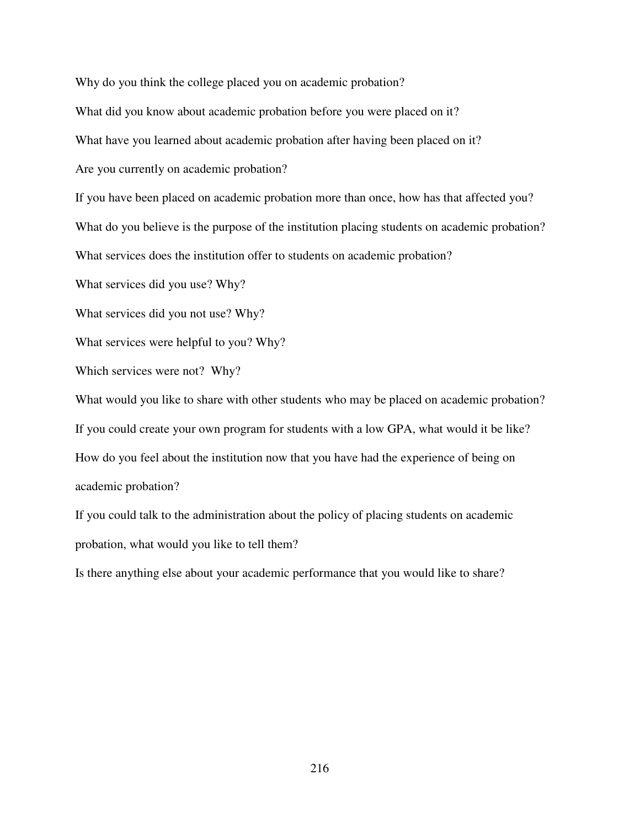Why do you think the college placed you on academic probation?

What did you know about academic probation before you were placed on it?

What have you learned about academic probation after having been placed on it?

Are you currently on academic probation?

If you have been placed on academic probation more than once, how has that affected you?

What do you believe is the purpose of the institution placing students on academic probation?

What services does the institution offer to students on academic probation?

What services did you use? Why?

What services did you not use? Why?

What services were helpful to you? Why?

Which services were not? Why?

What would you like to share with other students who may be placed on academic probation? If you could create your own program for students with a low GPA, what would it be like? How do you feel about the institution now that you have had the experience of being on academic probation?

If you could talk to the administration about the policy of placing students on academic probation, what would you like to tell them?

Is there anything else about your academic performance that you would like to share?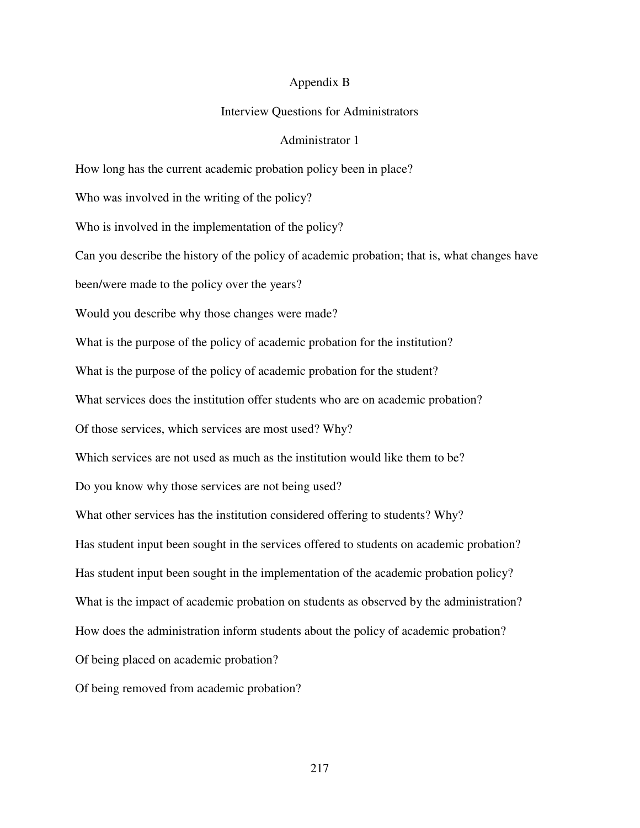#### Appendix B

### Interview Questions for Administrators

## Administrator 1

How long has the current academic probation policy been in place?

Who was involved in the writing of the policy?

Who is involved in the implementation of the policy?

Can you describe the history of the policy of academic probation; that is, what changes have

been/were made to the policy over the years?

Would you describe why those changes were made?

What is the purpose of the policy of academic probation for the institution?

What is the purpose of the policy of academic probation for the student?

What services does the institution offer students who are on academic probation?

Of those services, which services are most used? Why?

Which services are not used as much as the institution would like them to be?

Do you know why those services are not being used?

What other services has the institution considered offering to students? Why?

Has student input been sought in the services offered to students on academic probation?

Has student input been sought in the implementation of the academic probation policy?

What is the impact of academic probation on students as observed by the administration?

How does the administration inform students about the policy of academic probation?

Of being placed on academic probation?

Of being removed from academic probation?

217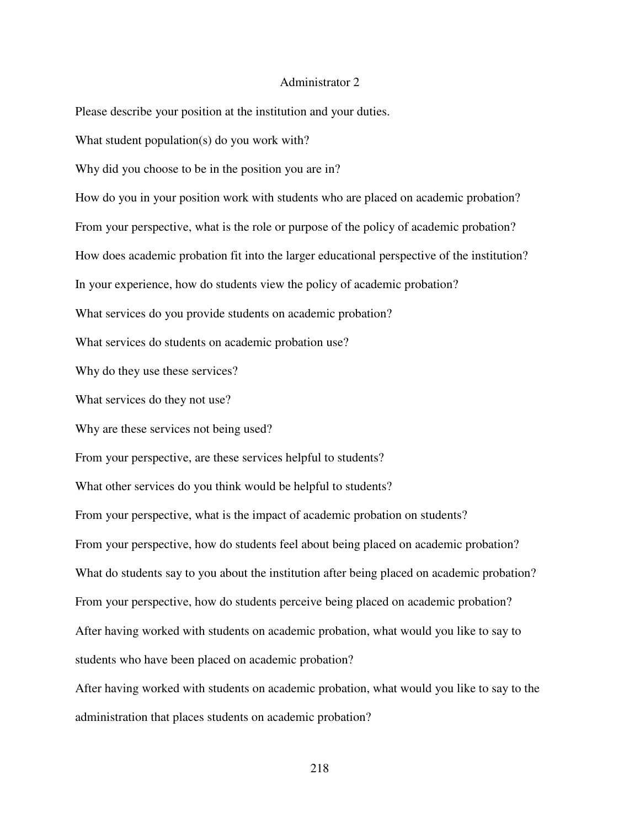#### Administrator 2

Please describe your position at the institution and your duties.

What student population(s) do you work with?

Why did you choose to be in the position you are in?

How do you in your position work with students who are placed on academic probation?

From your perspective, what is the role or purpose of the policy of academic probation?

How does academic probation fit into the larger educational perspective of the institution?

In your experience, how do students view the policy of academic probation?

What services do you provide students on academic probation?

What services do students on academic probation use?

Why do they use these services?

What services do they not use?

Why are these services not being used?

From your perspective, are these services helpful to students?

What other services do you think would be helpful to students?

From your perspective, what is the impact of academic probation on students? From your perspective, how do students feel about being placed on academic probation? What do students say to you about the institution after being placed on academic probation? From your perspective, how do students perceive being placed on academic probation? After having worked with students on academic probation, what would you like to say to students who have been placed on academic probation?

After having worked with students on academic probation, what would you like to say to the administration that places students on academic probation?

218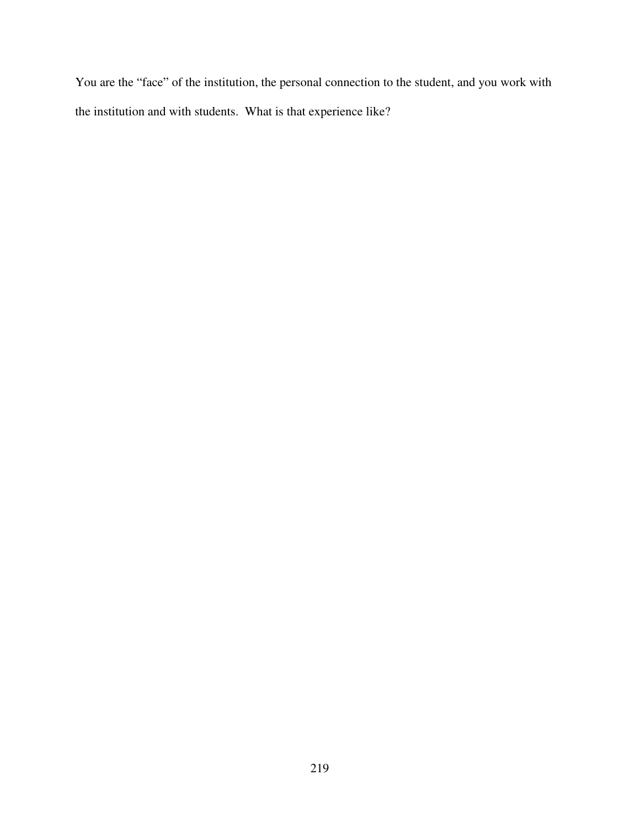You are the "face" of the institution, the personal connection to the student, and you work with the institution and with students. What is that experience like?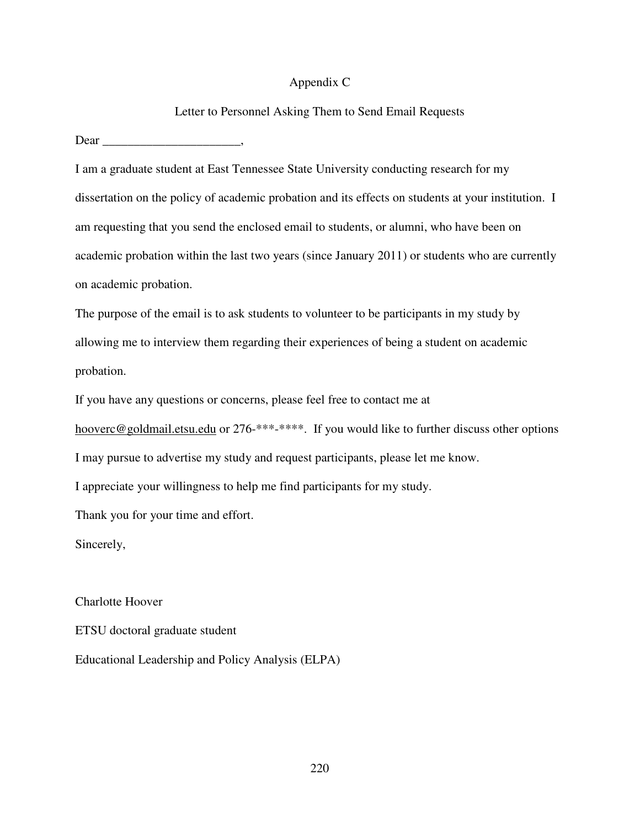## Appendix C

## Letter to Personnel Asking Them to Send Email Requests

Dear \_\_\_\_\_\_\_\_\_\_\_\_\_\_\_\_\_\_\_\_\_\_,

I am a graduate student at East Tennessee State University conducting research for my dissertation on the policy of academic probation and its effects on students at your institution. I am requesting that you send the enclosed email to students, or alumni, who have been on academic probation within the last two years (since January 2011) or students who are currently on academic probation.

The purpose of the email is to ask students to volunteer to be participants in my study by allowing me to interview them regarding their experiences of being a student on academic probation.

If you have any questions or concerns, please feel free to contact me at

hooverc@goldmail.etsu.edu or 276-\*\*\*-\*\*\*\*. If you would like to further discuss other options I may pursue to advertise my study and request participants, please let me know.

I appreciate your willingness to help me find participants for my study.

Thank you for your time and effort.

Sincerely,

Charlotte Hoover

ETSU doctoral graduate student

Educational Leadership and Policy Analysis (ELPA)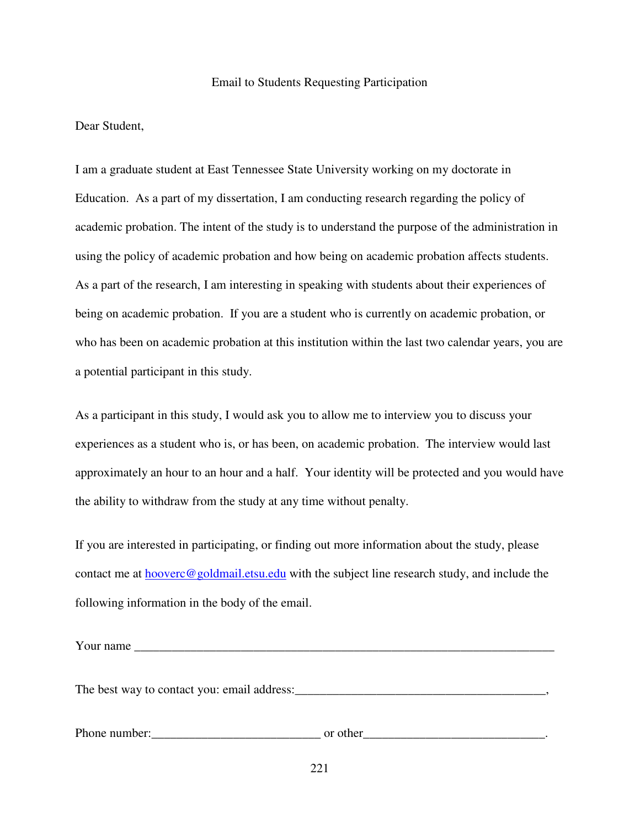#### Email to Students Requesting Participation

Dear Student,

I am a graduate student at East Tennessee State University working on my doctorate in Education. As a part of my dissertation, I am conducting research regarding the policy of academic probation. The intent of the study is to understand the purpose of the administration in using the policy of academic probation and how being on academic probation affects students. As a part of the research, I am interesting in speaking with students about their experiences of being on academic probation. If you are a student who is currently on academic probation, or who has been on academic probation at this institution within the last two calendar years, you are a potential participant in this study.

As a participant in this study, I would ask you to allow me to interview you to discuss your experiences as a student who is, or has been, on academic probation. The interview would last approximately an hour to an hour and a half. Your identity will be protected and you would have the ability to withdraw from the study at any time without penalty.

If you are interested in participating, or finding out more information about the study, please contact me at  $hover@goldmail.etsu.edu$  with the subject line research study, and include the following information in the body of the email.

| Phone number: | or other |
|---------------|----------|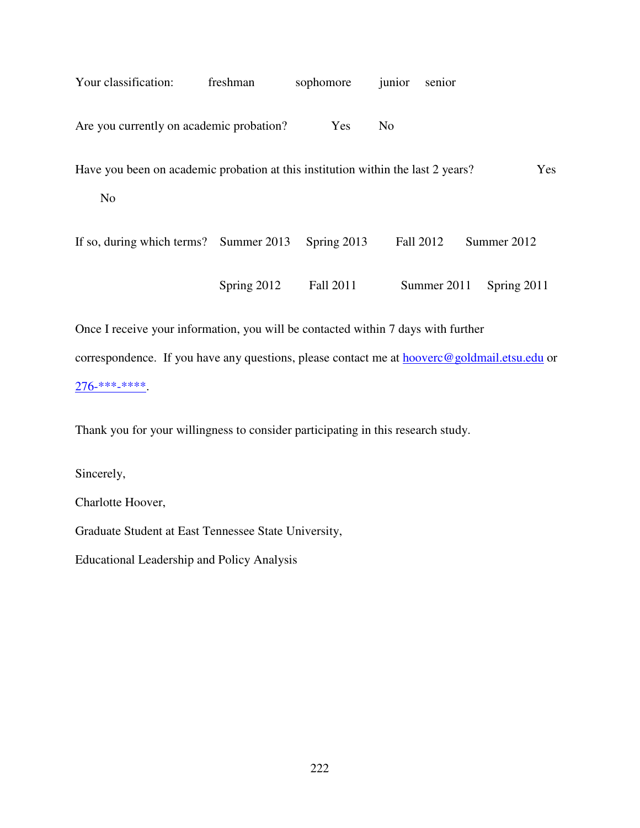| Your classification:                                                             | freshman    | sophomore   | junior         | senior      |             |     |
|----------------------------------------------------------------------------------|-------------|-------------|----------------|-------------|-------------|-----|
| Are you currently on academic probation?                                         |             | Yes         | N <sub>0</sub> |             |             |     |
| Have you been on academic probation at this institution within the last 2 years? |             |             |                |             |             | Yes |
| N <sub>o</sub>                                                                   |             |             |                |             |             |     |
| If so, during which terms? Summer 2013                                           |             | Spring 2013 | Fall 2012      |             | Summer 2012 |     |
|                                                                                  | Spring 2012 | Fall 2011   |                | Summer 2011 | Spring 2011 |     |
|                                                                                  |             |             |                |             |             |     |

Once I receive your information, you will be contacted within 7 days with further correspondence. If you have any questions, please contact me at **hooverc@goldmail.etsu.edu** or 276-\*\*\*-\*\*\*\*.

Thank you for your willingness to consider participating in this research study.

Sincerely,

Charlotte Hoover,

Graduate Student at East Tennessee State University,

Educational Leadership and Policy Analysis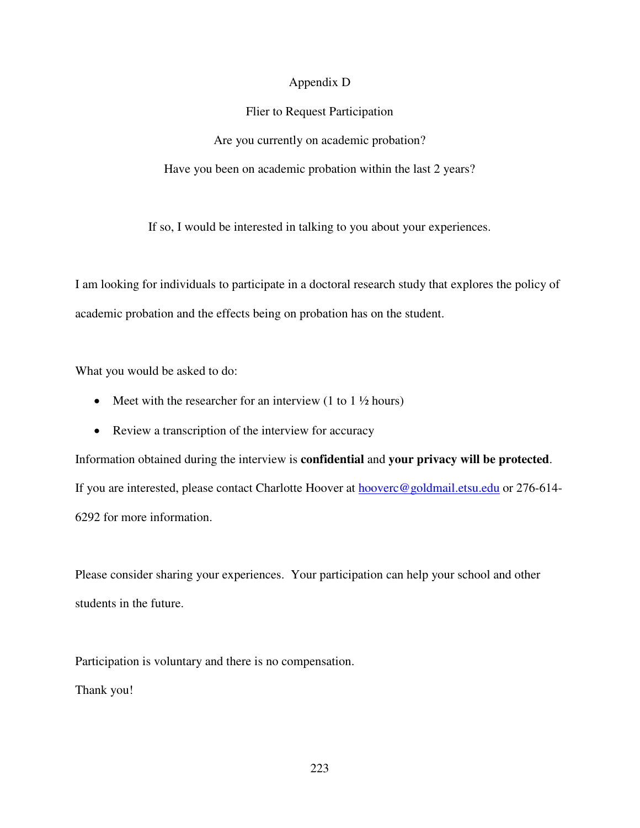## Appendix D

## Flier to Request Participation

Are you currently on academic probation?

Have you been on academic probation within the last 2 years?

If so, I would be interested in talking to you about your experiences.

I am looking for individuals to participate in a doctoral research study that explores the policy of academic probation and the effects being on probation has on the student.

What you would be asked to do:

- Meet with the researcher for an interview  $(1 \text{ to } 1 \frac{1}{2})$  hours)
- Review a transcription of the interview for accuracy

Information obtained during the interview is **confidential** and **your privacy will be protected**. If you are interested, please contact Charlotte Hoover at **hooverc@goldmail.etsu.edu** or 276-614-6292 for more information.

Please consider sharing your experiences. Your participation can help your school and other students in the future.

Participation is voluntary and there is no compensation. Thank you!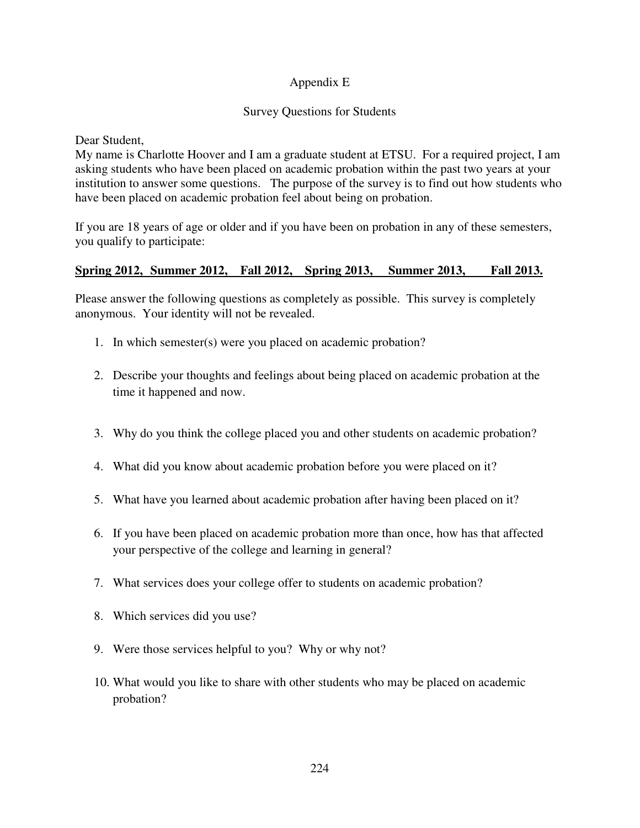# Appendix E

# Survey Questions for Students

Dear Student,

My name is Charlotte Hoover and I am a graduate student at ETSU. For a required project, I am asking students who have been placed on academic probation within the past two years at your institution to answer some questions. The purpose of the survey is to find out how students who have been placed on academic probation feel about being on probation.

If you are 18 years of age or older and if you have been on probation in any of these semesters, you qualify to participate:

# **Spring 2012, Summer 2012, Fall 2012, Spring 2013, Summer 2013, Fall 2013.**

Please answer the following questions as completely as possible. This survey is completely anonymous. Your identity will not be revealed.

- 1. In which semester(s) were you placed on academic probation?
- 2. Describe your thoughts and feelings about being placed on academic probation at the time it happened and now.
- 3. Why do you think the college placed you and other students on academic probation?
- 4. What did you know about academic probation before you were placed on it?
- 5. What have you learned about academic probation after having been placed on it?
- 6. If you have been placed on academic probation more than once, how has that affected your perspective of the college and learning in general?
- 7. What services does your college offer to students on academic probation?
- 8. Which services did you use?
- 9. Were those services helpful to you? Why or why not?
- 10. What would you like to share with other students who may be placed on academic probation?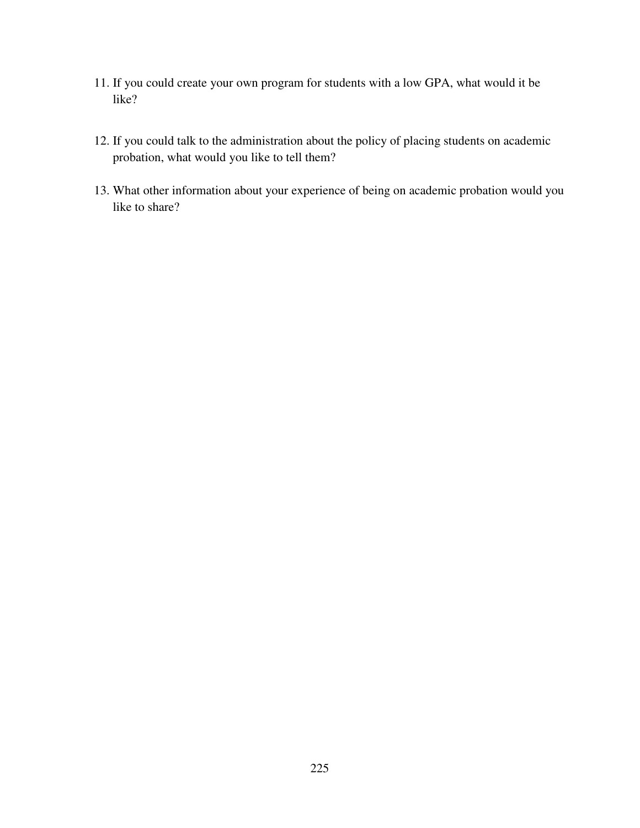- 11. If you could create your own program for students with a low GPA, what would it be like?
- 12. If you could talk to the administration about the policy of placing students on academic probation, what would you like to tell them?
- 13. What other information about your experience of being on academic probation would you like to share?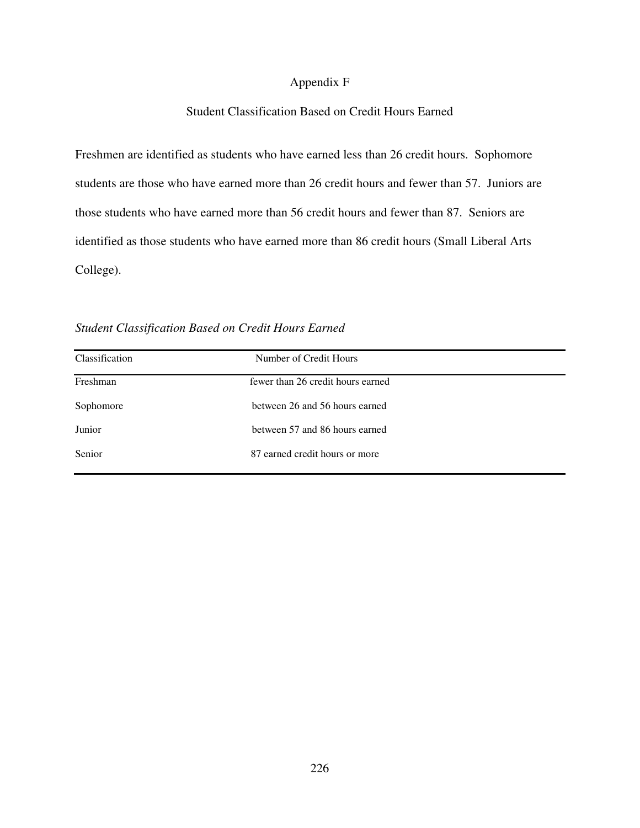## Appendix F

## Student Classification Based on Credit Hours Earned

Freshmen are identified as students who have earned less than 26 credit hours. Sophomore students are those who have earned more than 26 credit hours and fewer than 57. Juniors are those students who have earned more than 56 credit hours and fewer than 87. Seniors are identified as those students who have earned more than 86 credit hours (Small Liberal Arts College).

| Classification | Number of Credit Hours            |
|----------------|-----------------------------------|
| Freshman       | fewer than 26 credit hours earned |
| Sophomore      | between 26 and 56 hours earned    |
| Junior         | between 57 and 86 hours earned    |
| Senior         | 87 earned credit hours or more    |

*Student Classification Based on Credit Hours Earned*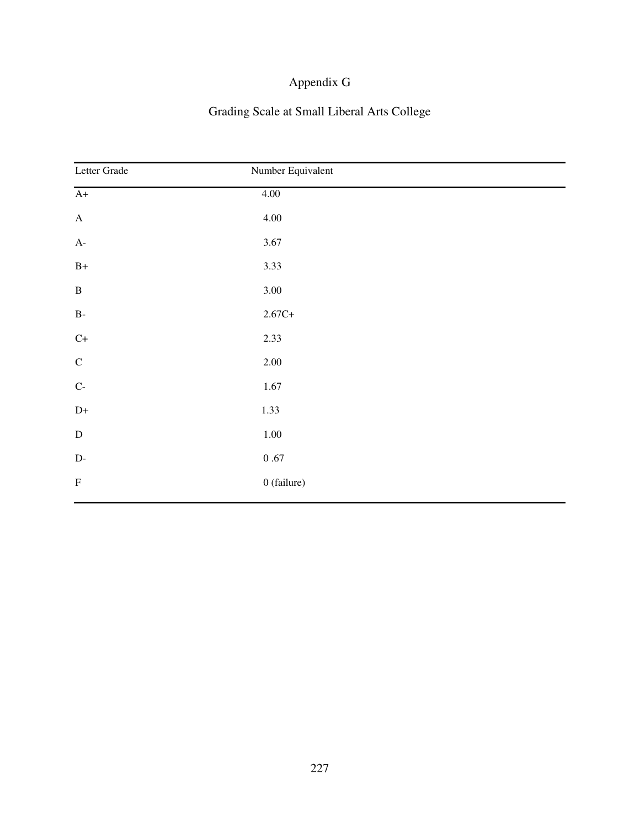# Appendix G

# Grading Scale at Small Liberal Arts College

| Letter Grade              | Number Equivalent |  |
|---------------------------|-------------------|--|
| $A+$                      | 4.00              |  |
| $\mathbf A$               | 4.00              |  |
| $A-$                      | 3.67              |  |
| $B+$                      | 3.33              |  |
| $\, {\bf B}$              | 3.00              |  |
| $\mathbf{B}\text{-}$      | $2.67C+$          |  |
| $\mathrm{C}+$             | 2.33              |  |
| $\mathsf C$               | 2.00              |  |
| $\mathrm{C}\text{-}$      | 1.67              |  |
| $D+$                      | 1.33              |  |
| ${\bf D}$                 | $1.00\,$          |  |
| $\mathbf{D}\text{-}$      | $0\;.67$          |  |
| $\boldsymbol{\mathrm{F}}$ | 0 (failure)       |  |
|                           |                   |  |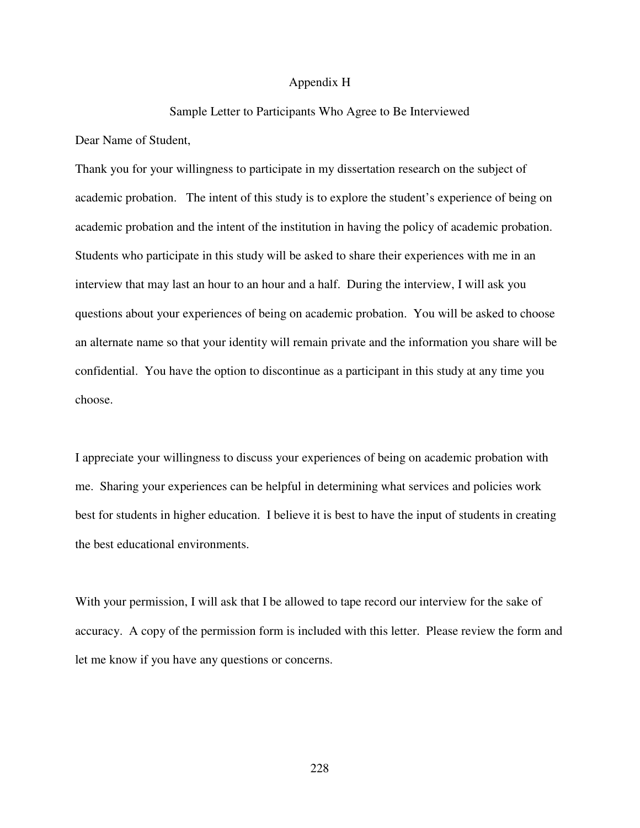### Appendix H

# Sample Letter to Participants Who Agree to Be Interviewed

Dear Name of Student,

Thank you for your willingness to participate in my dissertation research on the subject of academic probation. The intent of this study is to explore the student's experience of being on academic probation and the intent of the institution in having the policy of academic probation. Students who participate in this study will be asked to share their experiences with me in an interview that may last an hour to an hour and a half. During the interview, I will ask you questions about your experiences of being on academic probation. You will be asked to choose an alternate name so that your identity will remain private and the information you share will be confidential. You have the option to discontinue as a participant in this study at any time you choose.

I appreciate your willingness to discuss your experiences of being on academic probation with me. Sharing your experiences can be helpful in determining what services and policies work best for students in higher education. I believe it is best to have the input of students in creating the best educational environments.

With your permission, I will ask that I be allowed to tape record our interview for the sake of accuracy. A copy of the permission form is included with this letter. Please review the form and let me know if you have any questions or concerns.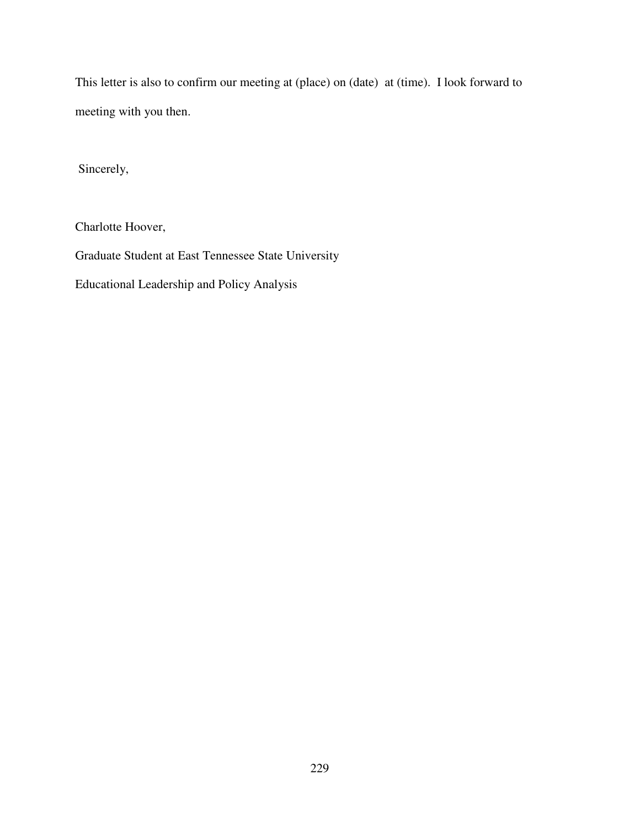This letter is also to confirm our meeting at (place) on (date) at (time). I look forward to meeting with you then.

Sincerely,

Charlotte Hoover,

Graduate Student at East Tennessee State University

Educational Leadership and Policy Analysis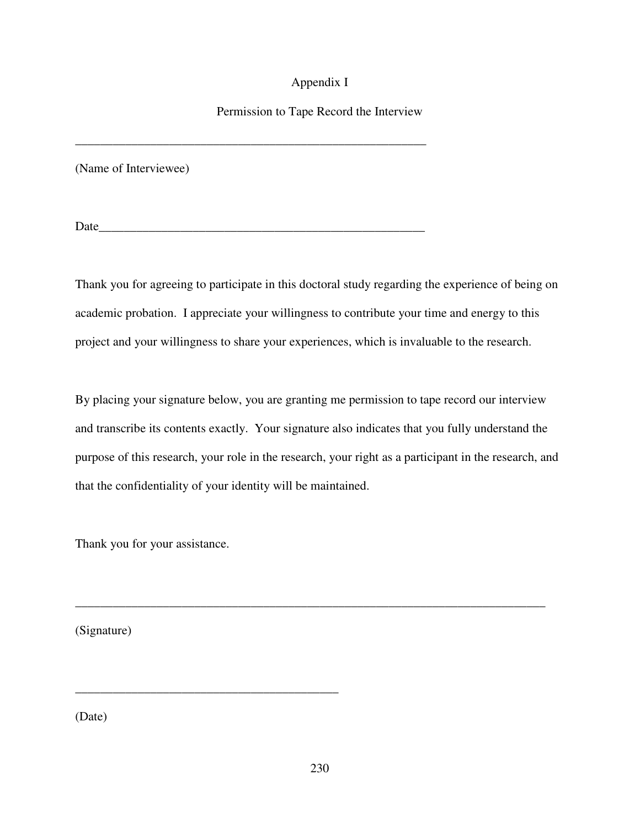# Appendix I

# Permission to Tape Record the Interview

(Name of Interviewee)

Date

\_\_\_\_\_\_\_\_\_\_\_\_\_\_\_\_\_\_\_\_\_\_\_\_\_\_\_\_\_\_\_\_\_\_\_\_\_\_\_\_\_\_\_\_\_\_\_\_\_\_\_\_\_\_\_\_

Thank you for agreeing to participate in this doctoral study regarding the experience of being on academic probation. I appreciate your willingness to contribute your time and energy to this project and your willingness to share your experiences, which is invaluable to the research.

By placing your signature below, you are granting me permission to tape record our interview and transcribe its contents exactly. Your signature also indicates that you fully understand the purpose of this research, your role in the research, your right as a participant in the research, and that the confidentiality of your identity will be maintained.

\_\_\_\_\_\_\_\_\_\_\_\_\_\_\_\_\_\_\_\_\_\_\_\_\_\_\_\_\_\_\_\_\_\_\_\_\_\_\_\_\_\_\_\_\_\_\_\_\_\_\_\_\_\_\_\_\_\_\_\_\_\_\_\_\_\_\_\_\_\_\_\_\_\_\_

Thank you for your assistance.

\_\_\_\_\_\_\_\_\_\_\_\_\_\_\_\_\_\_\_\_\_\_\_\_\_\_\_\_\_\_\_\_\_\_\_\_\_\_\_\_\_\_

(Signature)

(Date)